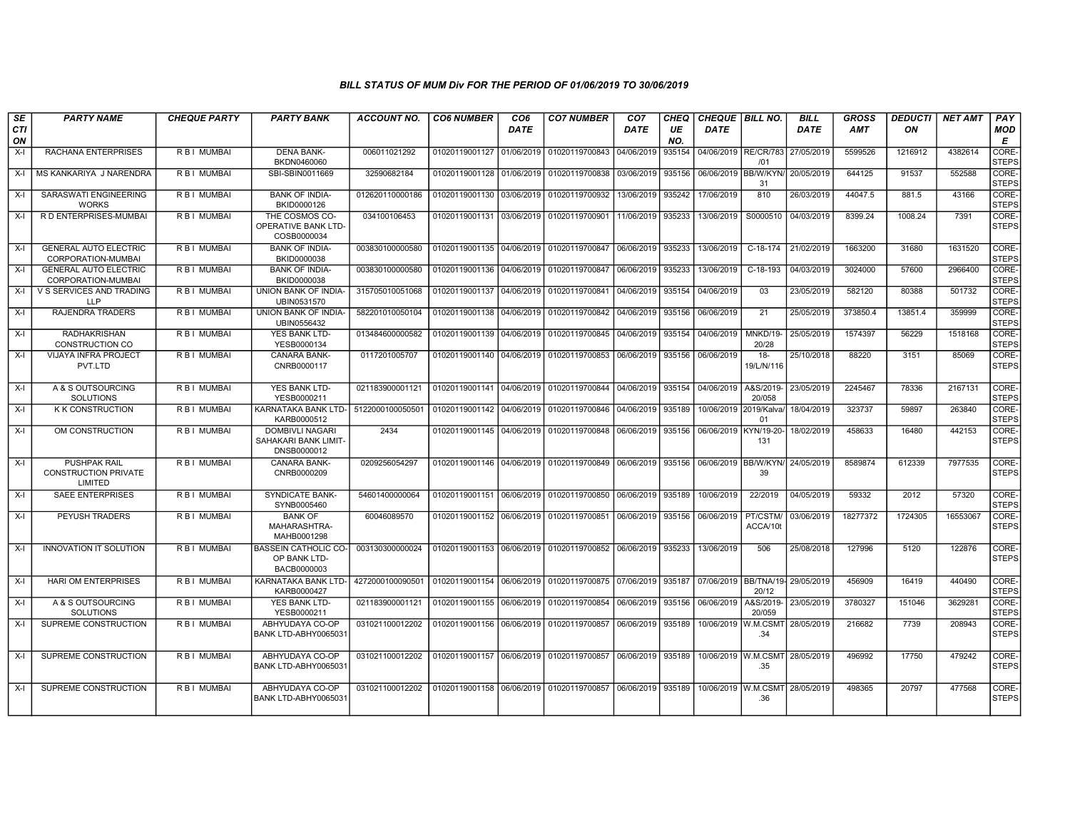| SE               | <b>PARTY NAME</b>                                             | <b>CHEQUE PARTY</b> | <b>PARTY BANK</b>                                             | <b>ACCOUNT NO.</b> | <b>CO6 NUMBER</b>                        | CO <sub>6</sub> | <b>CO7 NUMBER</b>                                   | CO <sub>7</sub> | <b>CHEQ</b> | CHEQUE BILL NO.        |                      | <b>BILL</b>                      | <b>GROSS</b> | <b>DEDUCTI</b> | <b>NET AMT</b> | PAY                   |
|------------------|---------------------------------------------------------------|---------------------|---------------------------------------------------------------|--------------------|------------------------------------------|-----------------|-----------------------------------------------------|-----------------|-------------|------------------------|----------------------|----------------------------------|--------------|----------------|----------------|-----------------------|
| <b>CTI</b><br>ON |                                                               |                     |                                                               |                    |                                          | <b>DATE</b>     |                                                     | DATE            | UE<br>NO.   | <b>DATE</b>            |                      | <b>DATE</b>                      | AMT          | ON             |                | <b>MOD</b><br>E       |
| $X-I$            | RACHANA ENTERPRISES                                           | R B I MUMBAI        | <b>DENA BANK-</b><br>BKDN0460060                              | 006011021292       | 01020119001127                           | 01/06/2019      | 01020119700843                                      | 04/06/2019      | 935154      | 04/06/2019 RE/CR/783   | /01                  | 27/05/2019                       | 5599526      | 1216912        | 4382614        | CORE-<br><b>STEPS</b> |
| $X-I$            | MS KANKARIYA J NARENDRA                                       | R B I MUMBAI        | SBI-SBIN0011669                                               | 32590682184        | 01020119001128 01/06/2019                |                 | 01020119700838                                      | 03/06/2019      | 935156      | 06/06/2019 BB/W/KYN    | 31                   | 20/05/2019                       | 644125       | 91537          | 552588         | CORE-<br><b>STEPS</b> |
| $X-I$            | <b>SARASWATI ENGINEERING</b><br><b>WORKS</b>                  | R B I MUMBAI        | <b>BANK OF INDIA-</b><br>BKID0000126                          | 012620110000186    | 01020119001130 03/06/2019                |                 | 01020119700932                                      | 13/06/2019      | 935242      | 17/06/2019             | 810                  | 26/03/2019                       | 44047.5      | 881.5          | 43166          | CORE-<br><b>STEPS</b> |
| X-I              | R D ENTERPRISES-MUMBAI                                        | R B I MUMBAI        | THE COSMOS CO-<br>OPERATIVE BANK LTD-<br>COSB0000034          | 034100106453       | 01020119001131 03/06/2019                |                 | 01020119700901                                      | 11/06/2019      | 935233      | 13/06/2019             | S0000510             | 04/03/2019                       | 8399.24      | 1008.24        | 7391           | CORE-<br><b>STEPS</b> |
| $X-I$            | <b>GENERAL AUTO ELECTRIC</b><br>CORPORATION-MUMBAI            | R B I MUMBAI        | <b>BANK OF INDIA-</b><br>BKID0000038                          | 003830100000580    | 01020119001135                           | 04/06/2019      | 01020119700847                                      | 06/06/2019      | 935233      | 13/06/2019             | C-18-174             | 21/02/2019                       | 1663200      | 31680          | 1631520        | CORE-<br><b>STEPS</b> |
| $X-I$            | <b>GENERAL AUTO ELECTRIC</b><br>CORPORATION-MUMBAI            | R B I MUMBAI        | <b>BANK OF INDIA-</b><br>BKID0000038                          | 003830100000580    | 01020119001136                           | 04/06/2019      | 01020119700847                                      | 06/06/2019      | 935233      | 13/06/2019             | $C-18-193$           | 04/03/2019                       | 3024000      | 57600          | 2966400        | CORE-<br><b>STEPS</b> |
| $X-I$            | V S SERVICES AND TRADING<br><b>LLP</b>                        | R B I MUMBAI        | UNION BANK OF INDIA-<br>UBIN0531570                           | 315705010051068    | 01020119001137 04/06/2019                |                 | 01020119700841                                      | 04/06/2019      | 935154      | 04/06/2019             | 03                   | 23/05/2019                       | 582120       | 80388          | 501732         | CORE-<br><b>STEPS</b> |
| $X-I$            | RAJENDRA TRADERS                                              | R B I MUMBAI        | UNION BANK OF INDIA-<br>UBIN0556432                           | 582201010050104    | 01020119001138 04/06/2019                |                 | 01020119700842                                      | 04/06/2019      | 935156      | 06/06/2019             | 21                   | 25/05/2019                       | 373850.4     | 13851.4        | 359999         | CORE-<br><b>STEPS</b> |
| $X-I$            | <b>RADHAKRISHAN</b><br><b>CONSTRUCTION CO</b>                 | R B I MUMBAI        | <b>YES BANK LTD-</b><br>YESB0000134                           | 013484600000582    | 01020119001139                           | 04/06/2019      | 01020119700845                                      | 04/06/2019      | 935154      | 04/06/2019             | MNKD/19-<br>20/28    | 25/05/2019                       | 1574397      | 56229          | 1518168        | CORE-<br><b>STEPS</b> |
| $X-I$            | <b>VIJAYA INFRA PROJECT</b><br>PVT.LTD                        | R B   MUMBAI        | <b>CANARA BANK-</b><br>CNRB0000117                            | 0117201005707      |                                          |                 | 01020119001140 04/06/2019 01020119700853            | 06/06/2019      | 935156      | 06/06/2019             | $18-$<br>19/L/N/116  | 25/10/2018                       | 88220        | 3151           | 85069          | CORE-<br><b>STEPS</b> |
| $X-I$            | A & S OUTSOURCING<br>SOLUTIONS                                | R B I MUMBAI        | YES BANK LTD-<br>YESB0000211                                  | 021183900001121    |                                          |                 | 01020119001141 04/06/2019 01020119700844 04/06/2019 |                 | 935154      | 04/06/2019             | A&S/2019-<br>20/058  | 23/05/2019                       | 2245467      | 78336          | 2167131        | CORE-<br><b>STEPS</b> |
| $X-I$            | <b>KK CONSTRUCTION</b>                                        | R B I MUMBAI        | KARNATAKA BANK LTD- 5122000100050501<br>KARB0000512           |                    | 01020119001142 04/06/2019                |                 | 01020119700846                                      | 04/06/2019      | 935189      | 10/06/2019 2019/Kalva/ | 01                   | 18/04/2019                       | 323737       | 59897          | 263840         | CORE-<br><b>STEPS</b> |
| $X-I$            | OM CONSTRUCTION                                               | R B I MUMBAI        | <b>DOMBIVLI NAGARI</b><br>SAHAKARI BANK LIMIT-<br>DNSB0000012 | 2434               | 01020119001145 04/06/2019                |                 | 01020119700848                                      | 06/06/2019      | 935156      | 06/06/2019             | KYN/19-20-<br>131    | 18/02/2019                       | 458633       | 16480          | 442153         | CORE-<br><b>STEPS</b> |
| $X-I$            | <b>PUSHPAK RAIL</b><br><b>CONSTRUCTION PRIVATE</b><br>LIMITED | R B I MUMBAI        | CANARA BANK-<br>CNRB0000209                                   | 0209256054297      | 01020119001146 04/06/2019                |                 | 01020119700849                                      | 06/06/2019      | 935156      | 06/06/2019 BB/W/KYN    | 39                   | 24/05/2019                       | 8589874      | 612339         | 7977535        | CORE-<br><b>STEPS</b> |
| $X-I$            | <b>SAEE ENTERPRISES</b>                                       | R B I MUMBAI        | <b>SYNDICATE BANK-</b><br>SYNB0005460                         | 54601400000064     | 01020119001151 06/06/2019                |                 | 01020119700850                                      | 06/06/2019      | 935189      | 10/06/2019             | 22/2019              | 04/05/2019                       | 59332        | 2012           | 57320          | CORE-<br><b>STEPS</b> |
| $X-I$            | PEYUSH TRADERS                                                | R B I MUMBAI        | <b>BANK OF</b><br>MAHARASHTRA-<br>MAHB0001298                 | 60046089570        |                                          |                 |                                                     | 06/06/2019      | 935156      | 06/06/2019             | PT/CSTM/<br>ACCA/10t | 03/06/2019                       | 18277372     | 1724305        | 16553067       | CORE-<br><b>STEPS</b> |
| $X-I$            | <b>INNOVATION IT SOLUTION</b>                                 | R B I MUMBAI        | <b>BASSEIN CATHOLIC CO-</b><br>OP BANK LTD-<br>BACB0000003    | 003130300000024    | 01020119001153 06/06/2019                |                 | 01020119700852                                      | 06/06/2019      | 935233      | 13/06/2019             | 506                  | 25/08/2018                       | 127996       | 5120           | 122876         | CORE-<br><b>STEPS</b> |
| $X-I$            | <b>HARI OM ENTERPRISES</b>                                    | R B I MUMBAI        | KARNATAKA BANK LTD-<br>KARB0000427                            | 4272000100090501   |                                          |                 | 01020119001154 06/06/2019 01020119700875 07/06/2019 |                 | 935187      |                        | 20/12                | 07/06/2019 BB/TNA/19- 29/05/2019 | 456909       | 16419          | 440490         | CORE-<br><b>STEPS</b> |
| $X-I$            | A & S OUTSOURCING<br><b>SOLUTIONS</b>                         | R B I MUMBAI        | YES BANK LTD-<br>YESB0000211                                  | 021183900001121    | 01020119001155                           | 06/06/2019      | 01020119700854                                      | 06/06/2019      | 935156      | 06/06/2019             | A&S/2019<br>20/059   | 23/05/2019                       | 3780327      | 151046         | 3629281        | CORE-<br><b>STEPS</b> |
| $X-I$            | SUPREME CONSTRUCTION                                          | R B I MUMBAI        | ABHYUDAYA CO-OP<br>BANK LTD-ABHY0065031                       | 031021100012202    | 01020119001156                           | 06/06/2019      | 01020119700857                                      | 06/06/2019      | 935189      | 10/06/2019             | W.M.CSMT<br>.34      | 28/05/2019                       | 216682       | 7739           | 208943         | CORE-<br><b>STEPS</b> |
| $X-I$            | SUPREME CONSTRUCTION                                          | R B   MUMBAI        | ABHYUDAYA CO-OP<br>BANK LTD-ABHY0065031                       | 031021100012202    | 01020119001157 06/06/2019                |                 | 01020119700857                                      | 06/06/2019      | 935189      | 10/06/2019 W.M.CSMT    | .35                  | 28/05/2019                       | 496992       | 17750          | 479242         | CORE-<br><b>STEPS</b> |
| $X-I$            | SUPREME CONSTRUCTION                                          | R B I MUMBAI        | ABHYUDAYA CO-OP<br>BANK LTD-ABHY0065031                       | 031021100012202    | 01020119001158 06/06/2019 01020119700857 |                 |                                                     | 06/06/2019      | 935189      | 10/06/2019 W.M.CSMT    | .36                  | 28/05/2019                       | 498365       | 20797          | 477568         | CORE-<br><b>STEPS</b> |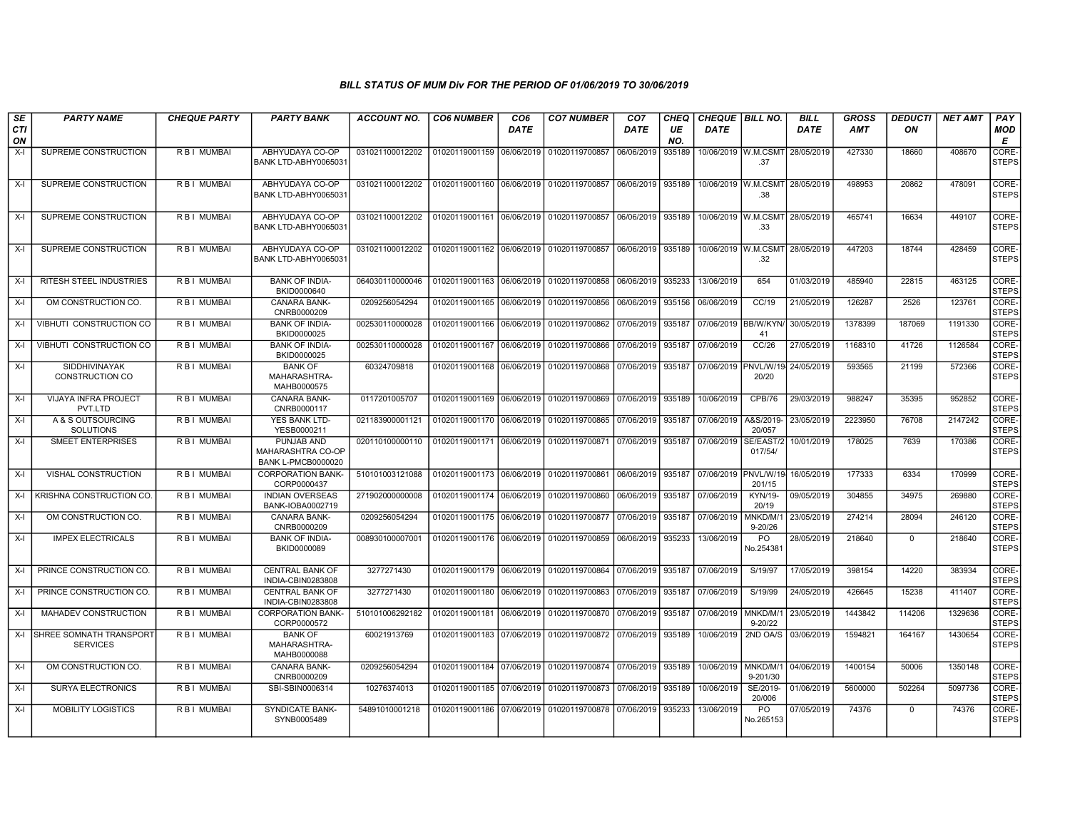| SE<br><b>CTI</b><br>ON | <b>PARTY NAME</b>                          | <b>CHEQUE PARTY</b> | <b>PARTY BANK</b>                                            | <b>ACCOUNT NO.</b> | <b>CO6 NUMBER</b>         | CO <sub>6</sub><br><b>DATE</b> | <b>CO7 NUMBER</b>                                                  | CO <sub>7</sub><br>DATE | CHEQ<br>UE<br>NO. | <b>CHEQUE BILL NO.</b><br><b>DATE</b> |                            | <b>BILL</b><br><b>DATE</b> | <b>GROSS</b><br><b>AMT</b> | <b>DEDUCTI</b><br>ON | <b>NET AMT</b> | PAY<br>MOD<br>Е       |
|------------------------|--------------------------------------------|---------------------|--------------------------------------------------------------|--------------------|---------------------------|--------------------------------|--------------------------------------------------------------------|-------------------------|-------------------|---------------------------------------|----------------------------|----------------------------|----------------------------|----------------------|----------------|-----------------------|
| $X-I$                  | SUPREME CONSTRUCTION                       | R B I MUMBAI        | ABHYUDAYA CO-OP<br>BANK LTD-ABHY0065031                      | 031021100012202    | 01020119001159            | 06/06/2019                     | 01020119700857                                                     | 06/06/2019              | 935189            |                                       | 10/06/2019 W.M.CSMT<br>.37 | 28/05/2019                 | 427330                     | 18660                | 408670         | CORE-<br><b>STEPS</b> |
| X-I                    | SUPREME CONSTRUCTION                       | R B I MUMBAI        | ABHYUDAYA CO-OP<br>BANK LTD-ABHY0065031                      | 031021100012202    |                           |                                | 01020119001160   06/06/2019   01020119700857   06/06/2019   935189 |                         |                   | 10/06/2019 W.M.CSMT                   | .38                        | 28/05/2019                 | 498953                     | 20862                | 478091         | CORE-<br><b>STEPS</b> |
| X-I                    | SUPREME CONSTRUCTION                       | R B I MUMBAI        | ABHYUDAYA CO-OP<br>BANK LTD-ABHY0065031                      | 031021100012202    | 01020119001161 06/06/2019 |                                | 01020119700857                                                     | 06/06/2019              | 935189            | 10/06/2019 W.M.CSMT                   | .33                        | 28/05/2019                 | 465741                     | 16634                | 449107         | CORE-<br><b>STEPS</b> |
| X-I                    | SUPREME CONSTRUCTION                       | R B I MUMBAI        | ABHYUDAYA CO-OP<br>BANK LTD-ABHY0065031                      | 031021100012202    | 01020119001162 06/06/2019 |                                | 01020119700857 06/06/2019                                          |                         | 935189            | 10/06/2019 W.M.CSMT                   | .32                        | 28/05/2019                 | 447203                     | 18744                | 428459         | CORE-<br><b>STEPS</b> |
| X-I                    | RITESH STEEL INDUSTRIES                    | <b>RBI MUMBAI</b>   | <b>BANK OF INDIA-</b><br>BKID0000640                         | 064030110000046    | 01020119001163 06/06/2019 |                                | 01020119700858                                                     | 06/06/2019              | 935233            | 13/06/2019                            | 654                        | 01/03/2019                 | 485940                     | 22815                | 463125         | CORE-<br><b>STEPS</b> |
| X-I                    | OM CONSTRUCTION CO.                        | R B I MUMBAI        | <b>CANARA BANK-</b><br>CNRB0000209                           | 0209256054294      | 01020119001165            | 06/06/2019                     | 01020119700856                                                     | 06/06/2019              | 935156            | 06/06/2019                            | CC/19                      | 21/05/2019                 | 126287                     | 2526                 | 123761         | CORE-<br><b>STEPS</b> |
| X-I                    | VIBHUTI CONSTRUCTION CO                    | R B I MUMBAI        | <b>BANK OF INDIA-</b><br>BKID0000025                         | 002530110000028    | 01020119001166            | 06/06/2019                     | 01020119700862                                                     | 07/06/2019              | 935187            | 07/06/2019 BB/W/KYN                   | 41                         | 30/05/2019                 | 1378399                    | 187069               | 1191330        | CORE-<br><b>STEPS</b> |
| X-I                    | VIBHUTI CONSTRUCTION CO                    | R B I MUMBAI        | <b>BANK OF INDIA-</b><br>BKID0000025                         | 002530110000028    | 01020119001167 06/06/2019 |                                | 01020119700866                                                     | 07/06/2019              | 935187            | 07/06/2019                            | CC/26                      | 27/05/2019                 | 1168310                    | 41726                | 1126584        | CORE-<br><b>STEPS</b> |
| X-I                    | <b>SIDDHIVINAYAK</b><br>CONSTRUCTION CO    | R B I MUMBAI        | <b>BANK OF</b><br>MAHARASHTRA-<br>MAHB0000575                | 60324709818        | 01020119001168 06/06/2019 |                                | 01020119700868                                                     | 07/06/2019              | 935187            | 07/06/2019                            | PNVL/W/19<br>20/20         | 24/05/2019                 | 593565                     | 21199                | 572366         | CORE-<br><b>STEPS</b> |
| X-I                    | VIJAYA INFRA PROJECT<br>PVT.LTD            | R B I MUMBAI        | CANARA BANK-<br>CNRB0000117                                  | 0117201005707      | 01020119001169            | 06/06/2019                     | 01020119700869                                                     | 07/06/2019              | 935189            | 10/06/2019                            | CPB/76                     | 29/03/2019                 | 988247                     | 35395                | 952852         | CORE-<br><b>STEPS</b> |
| X-I                    | A & S OUTSOURCING<br><b>SOLUTIONS</b>      | R B I MUMBAI        | YES BANK LTD-<br>YESB0000211                                 | 021183900001121    | 01020119001170 06/06/2019 |                                | 01020119700865                                                     | 07/06/2019              | 935187            | 07/06/2019                            | A&S/2019-<br>20/057        | 23/05/2019                 | 2223950                    | 76708                | 2147242        | CORE-<br><b>STEPS</b> |
| X-I                    | SMEET ENTERPRISES                          | R B I MUMBAI        | PUNJAB AND<br>MAHARASHTRA CO-OP<br><b>BANK L-PMCB0000020</b> | 020110100000110    | 01020119001171 06/06/2019 |                                | 01020119700871                                                     | 07/06/2019              | 935187            | 07/06/2019                            | SE/EAST/2<br>017/54/       | 10/01/2019                 | 178025                     | 7639                 | 170386         | CORE-<br><b>STEPS</b> |
| X-I                    | <b>VISHAL CONSTRUCTION</b>                 | <b>RBI MUMBAI</b>   | <b>CORPORATION BANK-</b><br>CORP0000437                      | 510101003121088    | 01020119001173            | 06/06/2019                     | 01020119700861                                                     | 06/06/2019              | 935187            | 07/06/2019                            | PNVL/W/19<br>201/15        | 16/05/2019                 | 177333                     | 6334                 | 170999         | CORE-<br><b>STEPS</b> |
| $X-I$                  | KRISHNA CONSTRUCTION CO.                   | R B I MUMBAI        | <b>INDIAN OVERSEAS</b><br>BANK-IOBA0002719                   | 271902000000008    | 01020119001174 06/06/2019 |                                | 01020119700860                                                     | 06/06/2019              | 935187            | 07/06/2019                            | <b>KYN/19-</b><br>20/19    | 09/05/2019                 | 304855                     | 34975                | 269880         | CORE-<br><b>STEPS</b> |
| $X-I$                  | OM CONSTRUCTION CO.                        | R B I MUMBAI        | CANARA BANK-<br>CNRB0000209                                  | 0209256054294      | 01020119001175            | 06/06/2019                     | 01020119700877                                                     | 07/06/2019              | 935187            | 07/06/2019                            | MNKD/M/1<br>$9 - 20/26$    | 23/05/2019                 | 274214                     | 28094                | 246120         | CORE-<br><b>STEPS</b> |
| X-I                    | <b>IMPEX ELECTRICALS</b>                   | R B I MUMBAI        | <b>BANK OF INDIA-</b><br>BKID0000089                         | 008930100007001    | 01020119001176            | 06/06/2019                     | 01020119700859                                                     | 06/06/2019              | 935233            | 13/06/2019                            | <b>PO</b><br>No.254381     | 28/05/2019                 | 218640                     | $\mathbf{0}$         | 218640         | CORE-<br><b>STEPS</b> |
| X-I                    | PRINCE CONSTRUCTION CO.                    | R B I MUMBAI        | <b>CENTRAL BANK OF</b><br>INDIA-CBIN0283808                  | 3277271430         | 01020119001179 06/06/2019 |                                | 01020119700864 07/06/2019                                          |                         | 935187            | 07/06/2019                            | S/19/97                    | 17/05/2019                 | 398154                     | 14220                | 383934         | CORE-<br><b>STEPS</b> |
| X-l                    | PRINCE CONSTRUCTION CO.                    | R B I MUMBAI        | CENTRAL BANK OF<br>INDIA-CBIN0283808                         | 3277271430         | 01020119001180            | 06/06/2019                     | 01020119700863                                                     | 07/06/2019              | 935187            | 07/06/2019                            | S/19/99                    | 24/05/2019                 | 426645                     | 15238                | 411407         | CORE-<br><b>STEPS</b> |
| X-I                    | MAHADEV CONSTRUCTION                       | R B I MUMBAI        | <b>CORPORATION BANK-</b><br>CORP0000572                      | 510101006292182    | 01020119001181 06/06/2019 |                                | 01020119700870 07/06/2019                                          |                         | 935187            | 07/06/2019                            | MNKD/M/1<br>$9 - 20/22$    | 23/05/2019                 | 1443842                    | 114206               | 1329636        | CORE-<br><b>STEPS</b> |
| X-I                    | SHREE SOMNATH TRANSPORT<br><b>SERVICES</b> | <b>RBI MUMBAI</b>   | <b>BANK OF</b><br>MAHARASHTRA-<br>MAHB0000088                | 60021913769        | 01020119001183            | 07/06/2019                     | 01020119700872                                                     | 07/06/2019              | 935189            | 10/06/2019                            | 2ND OA/S                   | 03/06/2019                 | 1594821                    | 164167               | 1430654        | CORE-<br><b>STEPS</b> |
| X-I                    | OM CONSTRUCTION CO.                        | R B I MUMBAI        | CANARA BANK-<br>CNRB0000209                                  | 0209256054294      | 01020119001184 07/06/2019 |                                | 01020119700874 07/06/2019                                          |                         | 935189            | 10/06/2019                            | MNKD/M/1<br>9-201/30       | 04/06/2019                 | 1400154                    | 50006                | 1350148        | CORE-<br><b>STEPS</b> |
| $X-I$                  | SURYA ELECTRONICS                          | R B I MUMBAI        | SBI-SBIN0006314                                              | 10276374013        | 01020119001185 07/06/2019 |                                | 01020119700873                                                     | 07/06/2019              | 935189            | 10/06/2019                            | SE/2019-<br>20/006         | 01/06/2019                 | 5600000                    | 502264               | 5097736        | CORE-<br><b>STEPS</b> |
| X-I                    | MOBILITY LOGISTICS                         | R B I MUMBAI        | SYNDICATE BANK-<br>SYNB0005489                               | 54891010001218     | 01020119001186 07/06/2019 |                                | 01020119700878 07/06/2019                                          |                         | 935233            | 13/06/2019                            | PO<br>No.265153            | 07/05/2019                 | 74376                      | $\mathbf{0}$         | 74376          | CORE-<br><b>STEPS</b> |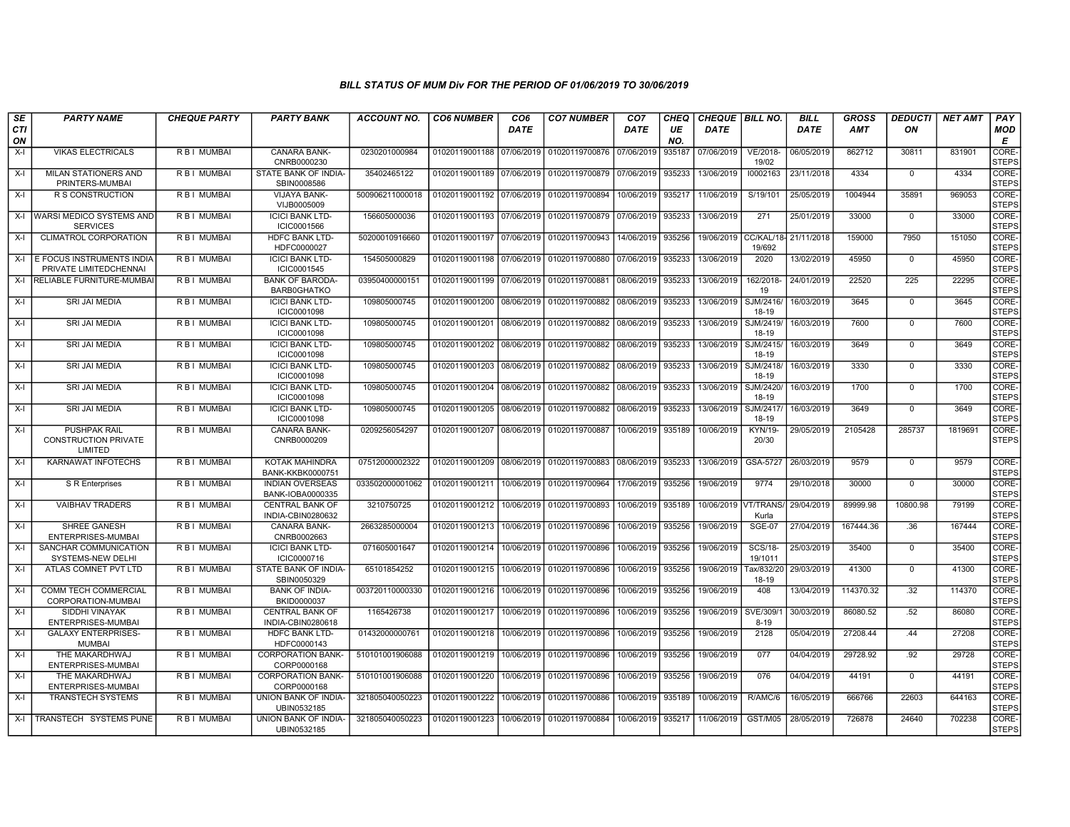| SE        | <b>PARTY NAME</b>                                             | <b>CHEQUE PARTY</b> | <b>PARTY BANK</b>                           | <b>ACCOUNT NO.</b> | <b>CO6 NUMBER</b>         | CO <sub>6</sub> | <b>CO7 NUMBER</b> | CO <sub>7</sub> | <b>CHEQ</b> | <b>CHEQUE BILL NO.</b> |                           | <b>BILL</b> | GROSS      | <i><b>DEDUCTI</b></i> | <b>NET AMT</b> | PAY                   |
|-----------|---------------------------------------------------------------|---------------------|---------------------------------------------|--------------------|---------------------------|-----------------|-------------------|-----------------|-------------|------------------------|---------------------------|-------------|------------|-----------------------|----------------|-----------------------|
| CTI<br>ON |                                                               |                     |                                             |                    |                           | DATE            |                   | DATE            | UE<br>NO.   | DATE                   |                           | <b>DATE</b> | <b>AMT</b> | ON                    |                | <b>MOD</b><br>Е       |
| $X-I$     | <b>VIKAS ELECTRICALS</b>                                      | R B I MUMBAI        | <b>CANARA BANK-</b><br>CNRB0000230          | 0230201000984      | 01020119001188            | 07/06/2019      | 01020119700876    | 07/06/2019      | 935187      | 07/06/2019             | VE/2018-<br>19/02         | 06/05/2019  | 862712     | 30811                 | 831901         | CORE-<br><b>STEPS</b> |
| $X-I$     | <b>MILAN STATIONERS AND</b><br>PRINTERS-MUMBAI                | R B I MUMBAI        | STATE BANK OF INDIA-<br>SBIN0008586         | 35402465122        | 01020119001189 07/06/2019 |                 | 01020119700879    | 07/06/2019      | 935233      | 13/06/2019             | 10002163                  | 23/11/2018  | 4334       | $\Omega$              | 4334           | CORE-<br>STEPS        |
| $X-I$     | R S CONSTRUCTION                                              | R B I MUMBAI        | VIJAYA BANK-<br>VIJB0005009                 | 500906211000018    | 01020119001192 07/06/2019 |                 | 01020119700894    | 10/06/2019      | 935217      | 11/06/2019             | S/19/101                  | 25/05/2019  | 1004944    | 35891                 | 969053         | CORE-<br><b>STEPS</b> |
|           | X-I WARSI MEDICO SYSTEMS AND<br><b>SERVICES</b>               | R B I MUMBAI        | <b>ICICI BANK LTD-</b><br>ICIC0001566       | 156605000036       | 01020119001193 07/06/2019 |                 | 01020119700879    | 07/06/2019      | 935233      | 13/06/2019             | 271                       | 25/01/2019  | 33000      | $\mathbf 0$           | 33000          | CORE-<br>STEPS        |
| $X-I$     | <b>CLIMATROL CORPORATION</b>                                  | R B I MUMBAI        | <b>HDFC BANK LTD-</b><br>HDFC0000027        | 50200010916660     | 01020119001197            | 07/06/2019      | 01020119700943    | 14/06/2019      | 935256      | 19/06/2019             | CC/KAL/18-<br>19/692      | 21/11/2018  | 159000     | 7950                  | 151050         | CORE-<br><b>STEPS</b> |
|           | X-I E FOCUS INSTRUMENTS INDIA<br>PRIVATE LIMITEDCHENNAI       | R B I MUMBAI        | <b>ICICI BANK LTD-</b><br>ICIC0001545       | 154505000829       | 01020119001198 07/06/2019 |                 | 01020119700880    | 07/06/2019      | 935233      | 13/06/2019             | 2020                      | 13/02/2019  | 45950      | $\Omega$              | 45950          | CORE-<br><b>STEPS</b> |
|           | X-I RELIABLE FURNITURE-MUMBA                                  | R B I MUMBAI        | <b>BANK OF BARODA-</b><br>BARB0GHATKO       | 03950400000151     | 01020119001199 07/06/2019 |                 | 01020119700881    | 08/06/2019      | 935233      | 13/06/2019             | 162/2018<br>19            | 24/01/2019  | 22520      | 225                   | 22295          | CORE-<br><b>STEPS</b> |
| X-I       | SRI JAI MEDIA                                                 | R B I MUMBAI        | <b>ICICI BANK LTD-</b><br>ICIC0001098       | 109805000745       | 01020119001200            | 08/06/2019      | 01020119700882    | 08/06/2019      | 935233      | 13/06/2019             | SJM/2416/<br>18-19        | 16/03/2019  | 3645       | $^{\circ}$            | 3645           | CORE-<br>STEPS        |
| $X-I$     | <b>SRI JAI MEDIA</b>                                          | R B I MUMBAI        | <b>ICICI BANK LTD-</b><br>ICIC0001098       | 109805000745       | 01020119001201            | 08/06/2019      | 01020119700882    | 08/06/2019      | 935233      | 13/06/2019             | SJM/2419<br>18-19         | 16/03/2019  | 7600       | $\mathbf 0$           | 7600           | CORE-<br><b>STEPS</b> |
| $X-I$     | SRI JAI MEDIA                                                 | R B I MUMBAI        | <b>ICICI BANK LTD-</b><br>ICIC0001098       | 109805000745       | 01020119001202 08/06/2019 |                 | 01020119700882    | 08/06/2019      | 935233      | 13/06/2019             | SJM/2415/<br>18-19        | 16/03/2019  | 3649       | $\mathbf 0$           | 3649           | CORE-<br>STEPS        |
| $X-I$     | <b>SRI JAI MEDIA</b>                                          | R B I MUMBAI        | <b>ICICI BANK LTD-</b><br>ICIC0001098       | 109805000745       | 01020119001203            | 08/06/2019      | 01020119700882    | 08/06/2019      | 935233      | 13/06/2019             | SJM/2418/<br>18-19        | 16/03/2019  | 3330       | $\overline{0}$        | 3330           | CORE-<br><b>STEPS</b> |
| $X-I$     | SRI JAI MEDIA                                                 | R B I MUMBAI        | <b>ICICI BANK LTD-</b><br>ICIC0001098       | 109805000745       | 01020119001204            | 08/06/2019      | 01020119700882    | 08/06/2019      | 935233      | 13/06/2019             | SJM/2420/<br>18-19        | 16/03/2019  | 1700       | $^{\circ}$            | 1700           | CORE-<br><b>STEPS</b> |
| $X-I$     | <b>SRI JAI MEDIA</b>                                          | R B I MUMBAI        | <b>ICICI BANK LTD-</b><br>ICIC0001098       | 109805000745       | 01020119001205            | 08/06/2019      | 01020119700882    | 08/06/2019      | 935233      | 13/06/2019             | SJM/2417<br>18-19         | 16/03/2019  | 3649       | $\Omega$              | 3649           | CORE-<br><b>STEPS</b> |
| X-I       | <b>PUSHPAK RAIL</b><br><b>CONSTRUCTION PRIVATE</b><br>LIMITED | R B I MUMBAI        | CANARA BANK-<br>CNRB0000209                 | 0209256054297      | 01020119001207            | 08/06/2019      | 01020119700887    | 10/06/2019      | 935189      | 10/06/2019             | KYN/19-<br>20/30          | 29/05/2019  | 2105428    | 285737                | 1819691        | CORE-<br><b>STEPS</b> |
| $X-I$     | <b>KARNAWAT INFOTECHS</b>                                     | <b>RBI MUMBAI</b>   | KOTAK MAHINDRA<br><b>BANK-KKBK0000751</b>   | 07512000002322     | 01020119001209 08/06/2019 |                 | 01020119700883    | 08/06/2019      | 935233      | 13/06/2019             | GSA-5727                  | 26/03/2019  | 9579       | $\mathbf 0$           | 9579           | CORE-<br><b>STEPS</b> |
| $X-I$     | S R Enterprises                                               | R B I MUMBAI        | <b>INDIAN OVERSEAS</b><br>BANK-IOBA0000335  | 033502000001062    | 01020119001211            | 10/06/2019      | 01020119700964    | 17/06/2019      | 935256      | 19/06/2019             | 9774                      | 29/10/2018  | 30000      | $\mathbf 0$           | 30000          | CORE-<br><b>STEPS</b> |
| $X-I$     | <b>VAIBHAV TRADERS</b>                                        | R B I MUMBAI        | <b>CENTRAL BANK OF</b><br>INDIA-CBIN0280632 | 3210750725         | 01020119001212            | 10/06/2019      | 01020119700893    | 10/06/2019      | 935189      | 10/06/2019 VT/TRANS    | Kurla                     | 29/04/2019  | 89999.98   | 10800.98              | 79199          | CORE-<br><b>STEPS</b> |
| $X-I$     | SHREE GANESH<br>ENTERPRISES-MUMBAI                            | R B I MUMBAI        | CANARA BANK-<br>CNRB0002663                 | 2663285000004      | 01020119001213            | 10/06/2019      | 01020119700896    | 10/06/2019      | 935256      | 19/06/2019             | <b>SGE-07</b>             | 27/04/2019  | 167444.36  | .36                   | 167444         | CORE-<br><b>STEPS</b> |
| $X-I$     | SANCHAR COMMUNICATION<br>SYSTEMS-NEW DELHI                    | R B I MUMBAI        | <b>ICICI BANK LTD-</b><br>ICIC0000716       | 071605001647       | 01020119001214            | 10/06/2019      | 01020119700896    | 10/06/2019      | 935256      | 19/06/2019             | <b>SCS/18-</b><br>19/1011 | 25/03/2019  | 35400      | 0                     | 35400          | CORE-<br><b>STEPS</b> |
| $X-I$     | ATLAS COMNET PVT LTD                                          | R B I MUMBAI        | STATE BANK OF INDIA-<br>SBIN0050329         | 65101854252        | 01020119001215            | 10/06/2019      | 01020119700896    | 10/06/2019      | 935256      | 19/06/2019             | Fax/832/20<br>18-19       | 29/03/2019  | 41300      | $\mathbf 0$           | 41300          | CORE-<br><b>STEPS</b> |
| $X-I$     | <b>COMM TECH COMMERCIAL</b><br>CORPORATION-MUMBAI             | R B I MUMBAI        | <b>BANK OF INDIA-</b><br>BKID0000037        | 003720110000330    | 01020119001216            | 10/06/2019      | 01020119700896    | 10/06/2019      | 935256      | 19/06/2019             | 408                       | 13/04/2019  | 114370.32  | .32                   | 114370         | CORE-<br><b>STEPS</b> |
| $X-I$     | SIDDHI VINAYAK<br>ENTERPRISES-MUMBAI                          | R B I MUMBAI        | <b>CENTRAL BANK OF</b><br>INDIA-CBIN0280618 | 1165426738         | 01020119001217            | 10/06/2019      | 01020119700896    | 10/06/2019      | 935256      | 19/06/2019             | SVE/309/<br>$8 - 19$      | 30/03/2019  | 86080.52   | .52                   | 86080          | CORE-<br>STEPS        |
| $X-I$     | <b>GALAXY ENTERPRISES-</b><br><b>MUMBAI</b>                   | R B I MUMBAI        | <b>HDFC BANK LTD-</b><br>HDFC0000143        | 01432000000761     | 01020119001218            | 10/06/2019      | 01020119700896    | 10/06/2019      | 935256      | 19/06/2019             | 2128                      | 05/04/2019  | 27208.44   | .44                   | 27208          | CORE-<br><b>STEPS</b> |
| $X-I$     | THE MAKARDHWAJ<br>ENTERPRISES-MUMBAI                          | R B I MUMBAI        | <b>CORPORATION BANK-</b><br>CORP0000168     | 510101001906088    | 01020119001219            | 10/06/2019      | 01020119700896    | 10/06/2019      | 935256      | 19/06/2019             | 077                       | 04/04/2019  | 29728.92   | .92                   | 29728          | CORE-<br><b>STEPS</b> |
| $X-I$     | THE MAKARDHWAJ<br>ENTERPRISES-MUMBAI                          | R B I MUMBAI        | <b>CORPORATION BANK-</b><br>CORP0000168     | 510101001906088    | 01020119001220            | 10/06/2019      | 01020119700896    | 10/06/2019      | 935256      | 19/06/2019             | 076                       | 04/04/2019  | 44191      | $\mathbf 0$           | 44191          | CORE-<br><b>STEPS</b> |
| X-I       | <b>TRANSTECH SYSTEMS</b>                                      | R B I MUMBAI        | UNION BANK OF INDIA-<br>UBIN0532185         | 321805040050223    | 01020119001222            | 10/06/2019      | 01020119700886    | 10/06/2019      | 935189      | 10/06/2019             | R/AMC/6                   | 16/05/2019  | 666766     | 22603                 | 644163         | CORE-<br><b>STEPS</b> |
|           | X-I   TRANSTECH SYSTEMS PUNE                                  | R B I MUMBAI        | UNION BANK OF INDIA-<br>UBIN0532185         | 321805040050223    | 01020119001223            | 10/06/2019      | 01020119700884    | 10/06/2019      | 935217      | 11/06/2019             | GST/M05                   | 28/05/2019  | 726878     | 24640                 | 702238         | CORE-<br>STEPS        |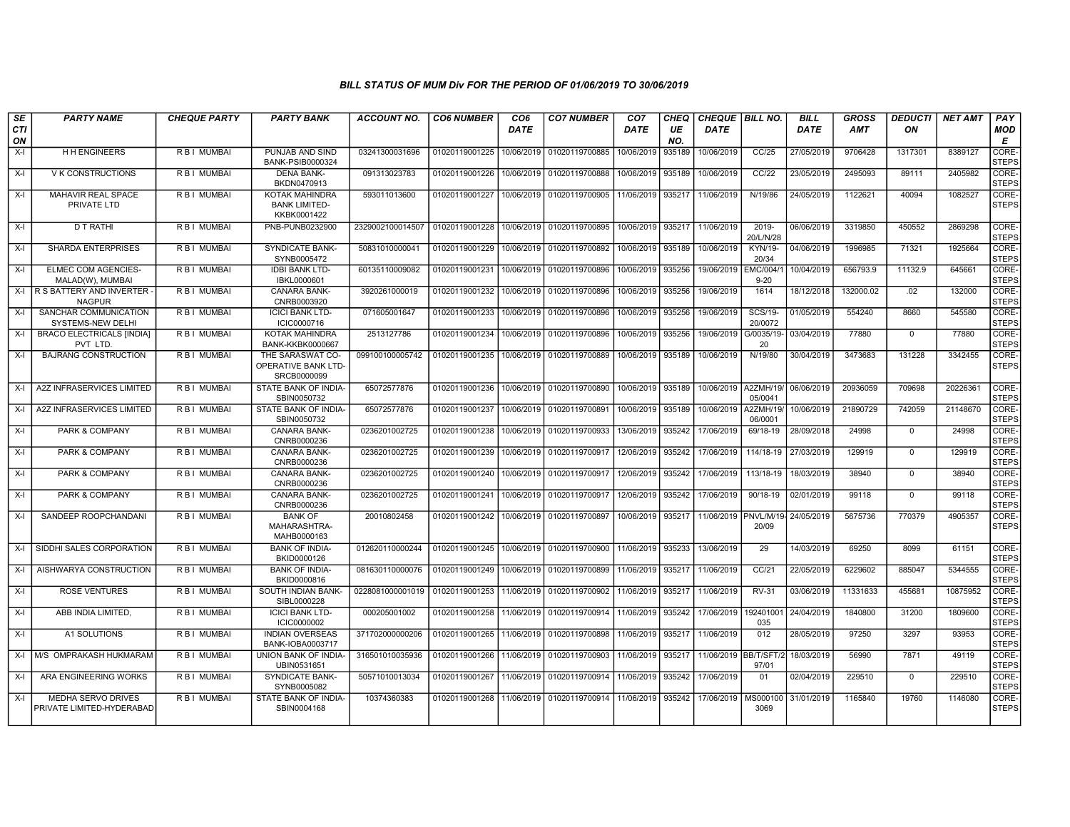| SE<br>CTI<br>ON | <b>PARTY NAME</b>                                      | <b>CHEQUE PARTY</b> | <b>PARTY BANK</b>                                      | ACCOUNT NO.      | <b>CO6 NUMBER</b> | CO <sub>6</sub><br><b>DATE</b> | <b>CO7 NUMBER</b>                | CO <sub>7</sub><br><b>DATE</b> | CHEQ<br>UE<br>NO. | CHEQUE   BILL NO.<br><b>DATE</b> |                             | <b>BILL</b><br><b>DATE</b> | <b>GROSS</b><br><b>AMT</b> | <b>DEDUCTI</b><br>ON | <b>NET AMT</b> | PAY<br><b>MOD</b><br>E |
|-----------------|--------------------------------------------------------|---------------------|--------------------------------------------------------|------------------|-------------------|--------------------------------|----------------------------------|--------------------------------|-------------------|----------------------------------|-----------------------------|----------------------------|----------------------------|----------------------|----------------|------------------------|
| $X-I$           | <b>H H ENGINEERS</b>                                   | R B I MUMBAI        | PUNJAB AND SIND<br><b>BANK-PSIB0000324</b>             | 03241300031696   | 01020119001225    | 10/06/2019                     | 01020119700885                   | 10/06/2019                     | 935189            | 10/06/2019                       | CC/25                       | 27/05/2019                 | 9706428                    | 1317301              | 8389127        | CORE-<br><b>STEPS</b>  |
| $X-I$           | <b>V K CONSTRUCTIONS</b>                               | R B I MUMBAI        | <b>DENA BANK-</b><br>BKDN0470913                       | 091313023783     | 01020119001226    | 10/06/2019                     | 01020119700888                   | 10/06/2019                     | 935189            | 10/06/2019                       | CC/22                       | 23/05/2019                 | 2495093                    | 89111                | 2405982        | CORE-<br><b>STEPS</b>  |
| X-I             | MAHAVIR REAL SPACE<br>PRIVATE LTD                      | R B I MUMBAI        | KOTAK MAHINDRA<br><b>BANK LIMITED-</b><br>KKBK0001422  | 593011013600     | 01020119001227    | 10/06/2019                     | 01020119700905 11/06/2019        |                                | 935217            | 11/06/2019                       | N/19/86                     | 24/05/2019                 | 1122621                    | 40094                | 1082527        | CORE-<br><b>STEPS</b>  |
| $X-I$           | D T RATHI                                              | R B I MUMBAI        | PNB-PUNB0232900                                        | 2329002100014507 | 01020119001228    | 10/06/2019                     | 01020119700895                   | 10/06/2019 935217              |                   | 11/06/2019                       | 2019-<br>20/L/N/28          | 06/06/2019                 | 3319850                    | 450552               | 2869298        | CORE-<br><b>STEPS</b>  |
| $X-I$           | <b>SHARDA ENTERPRISES</b>                              | <b>RBI MUMBAI</b>   | <b>SYNDICATE BANK-</b><br>SYNB0005472                  | 50831010000041   | 01020119001229    | 10/06/2019                     | 01020119700892                   | 10/06/2019                     | 935189            | 10/06/2019                       | KYN/19-<br>20/34            | 04/06/2019                 | 1996985                    | 71321                | 1925664        | CORE-<br><b>STEPS</b>  |
| $X-I$           | <b>ELMEC COM AGENCIES-</b><br>MALAD(W), MUMBAI         | <b>RBI MUMBAI</b>   | <b>IDBI BANK LTD-</b><br>IBKL0000601                   | 60135110009082   | 01020119001231    | 10/06/2019                     | 01020119700896                   | 10/06/2019                     | 935256            | 19/06/2019                       | <b>EMC/004/</b><br>$9 - 20$ | 10/04/2019                 | 656793.9                   | 11132.9              | 645661         | CORE-<br><b>STEPS</b>  |
|                 | X-I R S BATTERY AND INVERTER -<br><b>NAGPUR</b>        | R B I MUMBAI        | <b>CANARA BANK-</b><br>CNRB0003920                     | 3920261000019    | 01020119001232    | 10/06/2019                     | 01020119700896                   | 10/06/2019 935256              |                   | 19/06/2019                       | 1614                        | 18/12/2018                 | 132000.02                  | .02                  | 132000         | CORE-<br><b>STEPS</b>  |
| X-I             | SANCHAR COMMUNICATION<br><b>SYSTEMS-NEW DELHI</b>      | R B I MUMBAI        | <b>ICICI BANK LTD-</b><br>ICIC0000716                  | 071605001647     | 01020119001233    | 10/06/2019                     | 01020119700896                   | 10/06/2019                     | 935256            | 19/06/2019                       | <b>SCS/19-</b><br>20/0072   | 01/05/2019                 | 554240                     | 8660                 | 545580         | CORE-<br><b>STEPS</b>  |
| $X-I$           | <b>BRACO ELECTRICALS [INDIA]</b><br>PVT LTD            | R B I MUMBAI        | <b>KOTAK MAHINDRA</b><br>BANK-KKBK0000667              | 2513127786       | 01020119001234    | 10/06/2019                     | 01020119700896                   | 10/06/2019                     | 935256            | 19/06/2019                       | G/0035/19-<br>20            | 03/04/2019                 | 77880                      | $\mathbf 0$          | 77880          | CORE-<br><b>STEPS</b>  |
| $X-I$           | <b>BAJRANG CONSTRUCTION</b>                            | R B I MUMBAI        | THE SARASWAT CO-<br>OPERATIVE BANK LTD-<br>SRCB0000099 | 099100100005742  | 01020119001235    | 10/06/2019                     | 01020119700889                   | 10/06/2019 935189              |                   | 10/06/2019                       | N/19/80                     | 30/04/2019                 | 3473683                    | 131228               | 3342455        | CORE-<br><b>STEPS</b>  |
| $X-I$           | A2Z INFRASERVICES LIMITED                              | R B I MUMBAI        | STATE BANK OF INDIA-<br>SBIN0050732                    | 65072577876      | 01020119001236    | 10/06/2019                     | 01020119700890                   | 10/06/2019 935189              |                   | 10/06/2019                       | A2ZMH/19/<br>05/0041        | 06/06/2019                 | 20936059                   | 709698               | 20226361       | CORE-<br><b>STEPS</b>  |
| X-I             | A2Z INFRASERVICES LIMITED                              | R B I MUMBAI        | STATE BANK OF INDIA-<br>SBIN0050732                    | 65072577876      | 01020119001237    | 10/06/2019                     | 01020119700891                   | 10/06/2019                     | 935189            | 10/06/2019                       | A2ZMH/19/<br>06/0001        | 10/06/2019                 | 21890729                   | 742059               | 21148670       | CORE-<br><b>STEPS</b>  |
| $X-I$           | <b>PARK &amp; COMPANY</b>                              | R B I MUMBAI        | <b>CANARA BANK-</b><br>CNRB0000236                     | 0236201002725    | 01020119001238    | 10/06/2019                     | 01020119700933                   | 13/06/2019                     | 935242            | 17/06/2019                       | 69/18-19                    | 28/09/2018                 | 24998                      | $\Omega$             | 24998          | CORE-<br><b>STEPS</b>  |
| $X-I$           | PARK & COMPANY                                         | R B I MUMBAI        | CANARA BANK-<br>CNRB0000236                            | 0236201002725    | 01020119001239    | 10/06/2019                     | 01020119700917                   | 12/06/2019                     | 935242            | 17/06/2019                       | 114/18-19                   | 27/03/2019                 | 129919                     | $\mathbf 0$          | 129919         | CORE-<br><b>STEPS</b>  |
| $X-I$           | PARK & COMPANY                                         | R B I MUMBAI        | CANARA BANK-<br>CNRB0000236                            | 0236201002725    | 01020119001240    | 10/06/2019                     | 01020119700917                   | 12/06/2019                     | 935242            | 17/06/2019                       | 113/18-19                   | 18/03/2019                 | 38940                      | $\mathbf 0$          | 38940          | CORE-<br><b>STEPS</b>  |
| $X-I$           | PARK & COMPANY                                         | R B I MUMBAI        | <b>CANARA BANK-</b><br>CNRB0000236                     | 0236201002725    | 01020119001241    | 10/06/2019                     | 01020119700917                   | 12/06/2019                     | 935242            | 17/06/2019                       | 90/18-19                    | 02/01/2019                 | 99118                      | $\mathbf 0$          | 99118          | CORE-<br><b>STEPS</b>  |
| $X-I$           | SANDEEP ROOPCHANDANI                                   | R B I MUMBAI        | <b>BANK OF</b><br>MAHARASHTRA-<br>MAHB0000163          | 20010802458      | 01020119001242    | 10/06/2019                     | 01020119700897                   | 10/06/2019                     | 935217            | 11/06/2019 PNVL/M/19             | 20/09                       | 24/05/2019                 | 5675736                    | 770379               | 4905357        | CORE-<br><b>STEPS</b>  |
| $X-I$           | SIDDHI SALES CORPORATION                               | R B I MUMBAI        | <b>BANK OF INDIA-</b><br>BKID0000126                   | 012620110000244  | 01020119001245    | 10/06/2019                     | 01020119700900                   | 11/06/2019                     | 935233            | 13/06/2019                       | 29                          | 14/03/2019                 | 69250                      | 8099                 | 61151          | CORE-<br><b>STEPS</b>  |
| $X-I$           | AISHWARYA CONSTRUCTION                                 | R B I MUMBAI        | <b>BANK OF INDIA-</b><br>BKID0000816                   | 081630110000076  | 01020119001249    | 10/06/2019                     | 01020119700899                   | 11/06/2019 935217              |                   | 11/06/2019                       | CC/21                       | 22/05/2019                 | 6229602                    | 885047               | 5344555        | CORE-<br><b>STEPS</b>  |
| $X-I$           | <b>ROSE VENTURES</b>                                   | R B I MUMBAI        | SOUTH INDIAN BANK-<br>SIBL0000228                      | 0228081000001019 | 01020119001253    | 11/06/2019                     | 01020119700902 11/06/2019 935217 |                                |                   | 11/06/2019                       | <b>RV-31</b>                | 03/06/2019                 | 11331633                   | 455681               | 10875952       | CORE-<br><b>STEPS</b>  |
| $X-I$           | ABB INDIA LIMITED.                                     | R B I MUMBAI        | <b>ICICI BANK LTD-</b><br>ICIC0000002                  | 000205001002     | 01020119001258    | 11/06/2019                     | 01020119700914                   | 11/06/2019                     | 935242            | 17/06/2019                       | 192401001<br>035            | 24/04/2019                 | 1840800                    | 31200                | 1809600        | CORE-<br><b>STEPS</b>  |
| $X-I$           | A1 SOLUTIONS                                           | <b>RBI MUMBAI</b>   | <b>INDIAN OVERSEAS</b><br>BANK-IOBA0003717             | 371702000000206  | 01020119001265    | 11/06/2019                     | 01020119700898                   | 11/06/2019                     | 935217            | 11/06/2019                       | 012                         | 28/05/2019                 | 97250                      | 3297                 | 93953          | CORE-<br><b>STEPS</b>  |
|                 | X-I M/S OMPRAKASH HUKMARAM                             | <b>RBI MUMBAI</b>   | UNION BANK OF INDIA-<br>UBIN0531651                    | 316501010035936  | 01020119001266    | 11/06/2019                     | 01020119700903 11/06/2019        |                                | 935217            | 11/06/2019 BB/T/SFT/             | 97/01                       | 18/03/2019                 | 56990                      | 7871                 | 49119          | CORE-<br><b>STEPS</b>  |
| $X-I$           | ARA ENGINEERING WORKS                                  | R B I MUMBAI        | <b>SYNDICATE BANK-</b><br>SYNB0005082                  | 50571010013034   | 01020119001267    | 11/06/2019                     | 01020119700914                   | 11/06/2019                     | 935242            | 17/06/2019                       | 01                          | 02/04/2019                 | 229510                     | $\mathbf 0$          | 229510         | CORE-<br><b>STEPS</b>  |
| X-I             | <b>MEDHA SERVO DRIVES</b><br>PRIVATE LIMITED-HYDERABAD | R B I MUMBAI        | STATE BANK OF INDIA-<br>SBIN0004168                    | 10374360383      | 01020119001268    | 11/06/2019                     | 01020119700914 11/06/2019        |                                | 935242            | 17/06/2019                       | MS000100<br>3069            | 31/01/2019                 | 1165840                    | 19760                | 1146080        | CORE-<br><b>STEPS</b>  |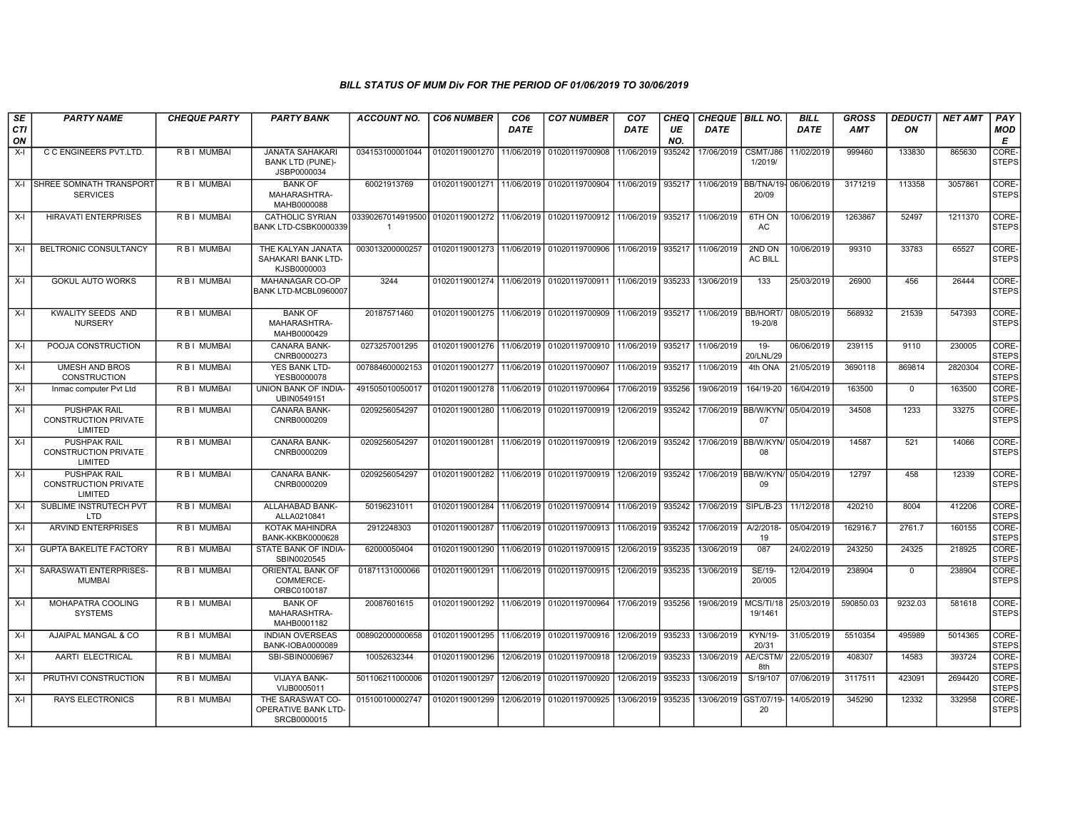| SE<br><b>CTI</b> | <b>PARTY NAME</b>                                             | <b>CHEQUE PARTY</b> | <b>PARTY BANK</b>                                                | <b>ACCOUNT NO.</b>                                            | <b>CO6 NUMBER</b>                        | CO <sub>6</sub><br><b>DATE</b> | <b>CO7 NUMBER</b>                        | CO <sub>7</sub><br>DATE | CHEQ<br>UE | CHEQUE   BILL NO.<br><b>DATE</b> |                           | <b>BILL</b><br><b>DATE</b> | <b>GROSS</b><br><b>AMT</b> | <b>DEDUCTI</b><br>ON | <b>NET AMT</b> | PAY<br>MOD            |
|------------------|---------------------------------------------------------------|---------------------|------------------------------------------------------------------|---------------------------------------------------------------|------------------------------------------|--------------------------------|------------------------------------------|-------------------------|------------|----------------------------------|---------------------------|----------------------------|----------------------------|----------------------|----------------|-----------------------|
| ON               |                                                               |                     |                                                                  |                                                               |                                          |                                |                                          |                         | NO.        |                                  |                           |                            |                            |                      |                | E                     |
| $X-I$            | C C ENGINEERS PVT.LTD.                                        | R B I MUMBAI        | <b>JANATA SAHAKARI</b><br><b>BANK LTD (PUNE)-</b><br>JSBP0000034 | 034153100001044                                               | 01020119001270                           | 11/06/2019                     | 01020119700908                           | 11/06/2019              | 935242     | 17/06/2019                       | CSMT/J86<br>1/2019/       | 1/02/2019                  | 999460                     | 133830               | 865630         | CORE-<br><b>STEPS</b> |
| $X-I$            | <b>SHREE SOMNATH TRANSPORT</b><br><b>SERVICES</b>             | <b>RBI MUMBAI</b>   | <b>BANK OF</b><br>MAHARASHTRA-<br>MAHB0000088                    | 60021913769                                                   |                                          |                                | 01020119001271 11/06/2019 01020119700904 | 11/06/2019              | 935217     | 11/06/2019                       | BB/TNA/19-<br>20/09       | 06/06/2019                 | 3171219                    | 113358               | 3057861        | CORE-<br><b>STEPS</b> |
| $X-I$            | <b>HIRAVATI ENTERPRISES</b>                                   | <b>RBI MUMBAI</b>   | <b>CATHOLIC SYRIAN</b><br>BANK LTD-CSBK0000339                   | 03390267014919500 01020119001272 11/06/2019<br>$\overline{1}$ |                                          |                                | 01020119700912                           | 11/06/2019              | 935217     | 11/06/2019                       | 6TH ON<br>AC              | 10/06/2019                 | 1263867                    | 52497                | 1211370        | CORE-<br><b>STEPS</b> |
| $X-I$            | BELTRONIC CONSULTANCY                                         | R B I MUMBAI        | THE KALYAN JANATA<br>SAHAKARI BANK LTD-<br>KJSB0000003           | 003013200000257                                               | 01020119001273 11/06/2019 01020119700906 |                                |                                          | 11/06/2019              | 935217     | 11/06/2019                       | 2ND ON<br><b>AC BILL</b>  | 10/06/2019                 | 99310                      | 33783                | 65527          | CORE-<br><b>STEPS</b> |
| $X-I$            | <b>GOKUL AUTO WORKS</b>                                       | <b>RBI MUMBAI</b>   | MAHANAGAR CO-OP<br>BANK LTD-MCBL0960007                          | 3244                                                          |                                          |                                | 01020119001274 11/06/2019 01020119700911 | 11/06/2019              | 935233     | 13/06/2019                       | 133                       | 25/03/2019                 | 26900                      | 456                  | 26444          | CORE-<br><b>STEPS</b> |
| X-I              | KWALITY SEEDS AND<br><b>NURSERY</b>                           | <b>RBI MUMBAI</b>   | <b>BANK OF</b><br>MAHARASHTRA-<br>MAHB0000429                    | 20187571460                                                   | 01020119001275 11/06/2019                |                                | 01020119700909                           | 11/06/2019              | 935217     | 11/06/2019                       | <b>BB/HORT</b><br>19-20/8 | 08/05/2019                 | 568932                     | 21539                | 547393         | CORE-<br><b>STEPS</b> |
| $X-I$            | POOJA CONSTRUCTION                                            | R B I MUMBAI        | <b>CANARA BANK-</b><br>CNRB0000273                               | 0273257001295                                                 | 01020119001276                           | 11/06/2019                     | 01020119700910                           | 11/06/2019              | 935217     | 11/06/2019                       | $19 -$<br>20/LNL/29       | 06/06/2019                 | 239115                     | 9110                 | 230005         | CORE-<br><b>STEPS</b> |
| X-I              | <b>UMESH AND BROS</b><br>CONSTRUCTION                         | R B I MUMBAI        | YES BANK LTD-<br>YESB0000078                                     | 007884600002153                                               | 01020119001277                           | 11/06/2019                     | 01020119700907                           | 11/06/2019              | 935217     | 11/06/2019                       | 4th ONA                   | 21/05/2019                 | 3690118                    | 869814               | 2820304        | CORE-<br><b>STEPS</b> |
| $X-I$            | Inmac computer Pvt Ltd                                        | <b>RBI MUMBAI</b>   | <b>UNION BANK OF INDIA-</b><br>UBIN0549151                       | 491505010050017                                               | 01020119001278                           | 11/06/2019                     | 01020119700964                           | 17/06/2019              | 935256     | 19/06/2019                       | 164/19-20                 | 16/04/2019                 | 163500                     | $\Omega$             | 163500         | CORE-<br><b>STEPS</b> |
| X-I              | <b>PUSHPAK RAIL</b><br><b>CONSTRUCTION PRIVATE</b><br>LIMITED | <b>RBI MUMBAI</b>   | <b>CANARA BANK-</b><br>CNRB0000209                               | 0209256054297                                                 | 01020119001280                           | 11/06/2019                     | 01020119700919                           | 12/06/2019              | 935242     | 17/06/2019 BB/W/KYN              | 07                        | 05/04/2019                 | 34508                      | 1233                 | 33275          | CORE-<br><b>STEPS</b> |
| $X-I$            | <b>PUSHPAK RAIL</b><br><b>CONSTRUCTION PRIVATE</b><br>LIMITED | <b>RBI MUMBAI</b>   | <b>CANARA BANK-</b><br>CNRB0000209                               | 0209256054297                                                 | 01020119001281                           |                                | 11/06/2019 01020119700919                | 12/06/2019              | 935242     | 17/06/2019 BB/W/KYN              | 08                        | 05/04/2019                 | 14587                      | 521                  | 14066          | CORE-<br><b>STEPS</b> |
| $X-I$            | PUSHPAK RAIL<br><b>CONSTRUCTION PRIVATE</b><br>LIMITED        | R B I MUMBAI        | CANARA BANK-<br>CNRB0000209                                      | 0209256054297                                                 | 01020119001282                           | 11/06/2019                     | 01020119700919                           | 12/06/2019              | 935242     | 17/06/2019 BB/W/KYN              | 09                        | 05/04/2019                 | 12797                      | 458                  | 12339          | CORE-<br><b>STEPS</b> |
| $X-I$            | SUBLIME INSTRUTECH PVT<br>LTD                                 | <b>RBI MUMBAI</b>   | ALLAHABAD BANK-<br>ALLA0210841                                   | 50196231011                                                   |                                          |                                | 01020119001284 11/06/2019 01020119700914 | 11/06/2019              | 935242     | 17/06/2019                       | SIPL/B-23                 | 11/12/2018                 | 420210                     | 8004                 | 412206         | CORE-<br><b>STEPS</b> |
| $X-I$            | <b>ARVIND ENTERPRISES</b>                                     | <b>RBI MUMBAI</b>   | KOTAK MAHINDRA<br><b>BANK-KKBK0000628</b>                        | 2912248303                                                    | 01020119001287                           | 11/06/2019                     | 01020119700913                           | 11/06/2019              | 935242     | 17/06/2019                       | A/2/2018-<br>19           | 05/04/2019                 | 162916.7                   | 2761.7               | 160155         | CORE-<br><b>STEPS</b> |
| $X-I$            | <b>GUPTA BAKELITE FACTORY</b>                                 | <b>RBI MUMBAI</b>   | STATE BANK OF INDIA-<br>SBIN0020545                              | 62000050404                                                   | 01020119001290                           | 11/06/2019                     | 01020119700915                           | 12/06/2019              | 935235     | 13/06/2019                       | 087                       | 24/02/2019                 | 243250                     | 24325                | 218925         | CORE-<br><b>STEPS</b> |
| $X-I$            | SARASWATI ENTERPRISES-<br><b>MUMBAI</b>                       | R B I MUMBAI        | ORIENTAL BANK OF<br>COMMERCE-<br>ORBC0100187                     | 01871131000066                                                | 01020119001291                           | 11/06/2019                     | 01020119700915                           | 12/06/2019              | 935235     | 13/06/2019                       | SE/19-<br>20/005          | 12/04/2019                 | 238904                     | $\mathbf 0$          | 238904         | CORE-<br><b>STEPS</b> |
| $X-I$            | MOHAPATRA COOLING<br><b>SYSTEMS</b>                           | R B I MUMBAI        | <b>BANK OF</b><br>MAHARASHTRA-<br>MAHB0001182                    | 20087601615                                                   |                                          |                                | 01020119001292 11/06/2019 01020119700964 | 17/06/2019              | 935256     | 19/06/2019                       | MCS/TI/18<br>19/1461      | 25/03/2019                 | 590850.03                  | 9232.03              | 581618         | CORE-<br><b>STEPS</b> |
| $X-I$            | AJAIPAL MANGAL & CO                                           | <b>RBI MUMBAI</b>   | <b>INDIAN OVERSEAS</b><br>BANK-IOBA0000089                       | 008902000000658                                               | 01020119001295                           | 11/06/2019                     | 01020119700916                           | 12/06/2019              | 935233     | 13/06/2019                       | <b>KYN/19-</b><br>20/31   | 31/05/2019                 | 5510354                    | 495989               | 5014365        | CORE-<br><b>STEPS</b> |
| $X-I$            | AARTI ELECTRICAL                                              | R B I MUMBAI        | SBI-SBIN0006967                                                  | 10052632344                                                   | 01020119001296                           | 12/06/2019                     | 01020119700918                           | 12/06/2019              | 935233     | 13/06/2019                       | AE/CSTM/<br>8th           | 22/05/2019                 | 408307                     | 14583                | 393724         | CORE-<br><b>STEPS</b> |
| $X-I$            | PRUTHVI CONSTRUCTION                                          | R B I MUMBAI        | VIJAYA BANK-<br>VIJB0005011                                      | 501106211000006                                               | 01020119001297                           | 12/06/2019                     | 01020119700920                           | 12/06/2019              | 935233     | 13/06/2019                       | S/19/107                  | 07/06/2019                 | 3117511                    | 423091               | 2694420        | CORE-<br><b>STEPS</b> |
| $X-I$            | <b>RAYS ELECTRONICS</b>                                       | R B I MUMBAI        | THE SARASWAT CO-<br>OPERATIVE BANK LTD-<br>SRCB0000015           | 015100100002747                                               | 01020119001299                           | 12/06/2019                     | 01020119700925                           | 13/06/2019              | 935235     | 13/06/2019                       | GST/07/19<br>20           | 14/05/2019                 | 345290                     | 12332                | 332958         | CORE-<br><b>STEPS</b> |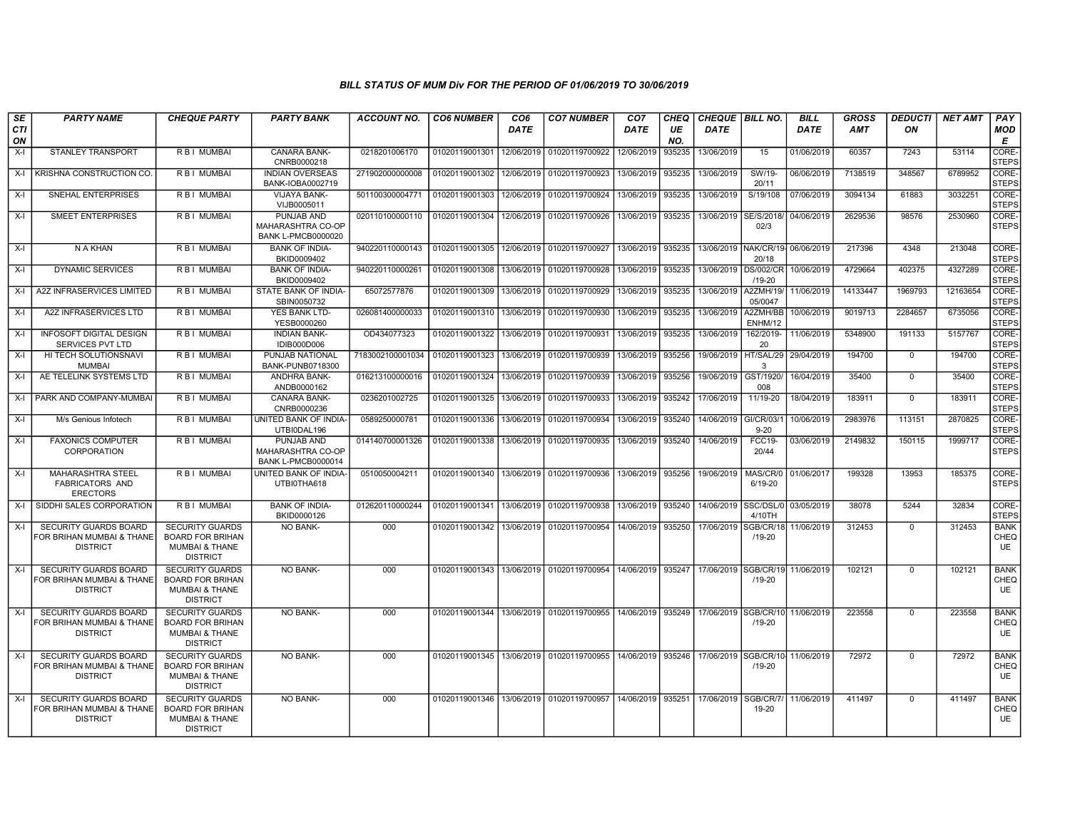| SE<br>CTI<br>ON | <b>PARTY NAME</b>                                                            | <b>CHEQUE PARTY</b>                                                                               | <b>PARTY BANK</b>                                                   | <b>ACCOUNT NO.</b> | <b>CO6 NUMBER</b> | CO <sub>6</sub><br><b>DATE</b> | <b>CO7 NUMBER</b>                        | CO <sub>7</sub><br><b>DATE</b> | CHEQ<br>UE<br>NO. | <b>CHEQUE BILL NO.</b><br><b>DATE</b> |                                    | <b>BILL</b><br><b>DATE</b> | <b>GROSS</b><br><b>AMT</b> | <b>DEDUCTI</b><br>ON | <b>NET AMT</b> | PAY<br>MOD<br>E                         |
|-----------------|------------------------------------------------------------------------------|---------------------------------------------------------------------------------------------------|---------------------------------------------------------------------|--------------------|-------------------|--------------------------------|------------------------------------------|--------------------------------|-------------------|---------------------------------------|------------------------------------|----------------------------|----------------------------|----------------------|----------------|-----------------------------------------|
| $X-I$           | <b>STANLEY TRANSPORT</b>                                                     | R B I MUMBAI                                                                                      | <b>CANARA BANK-</b><br>CNRB0000218                                  | 0218201006170      | 01020119001301    | 12/06/2019                     | 01020119700922                           | 12/06/2019                     | 935235            | 13/06/2019                            | 15                                 | 01/06/2019                 | 60357                      | 7243                 | 53114          | <b>CORE</b><br><b>STEPS</b>             |
| $X-I$           | I KRISHNA CONSTRUCTION CO.                                                   | R B I MUMBAI                                                                                      | <b>INDIAN OVERSEAS</b><br>BANK-IOBA0002719                          | 271902000000008    | 01020119001302    | 12/06/2019                     | 01020119700923                           | 13/06/2019                     | 935235            | 13/06/2019                            | SW/19-<br>20/11                    | 06/06/2019                 | 7138519                    | 348567               | 6789952        | CORE-<br><b>STEPS</b>                   |
| $X-I$           | SNEHAL ENTERPRISES                                                           | R B I MUMBAI                                                                                      | VIJAYA BANK-<br>VIJB0005011                                         | 501100300004771    | 01020119001303    | 12/06/2019                     | 01020119700924                           | 13/06/2019                     | 935235            | 13/06/2019                            | S/19/108                           | 07/06/2019                 | 3094134                    | 61883                | 3032251        | CORE-<br><b>STEPS</b>                   |
| $X-I$           | <b>SMEET ENTERPRISES</b>                                                     | <b>RBI MUMBAI</b>                                                                                 | <b>PUNJAB AND</b><br>MAHARASHTRA CO-OP<br><b>BANK L-PMCB0000020</b> | 020110100000110    | 01020119001304    | 12/06/2019                     | 01020119700926                           | 13/06/2019                     | 935235            | 13/06/2019                            | SE/S/2018/<br>02/3                 | 04/06/2019                 | 2629536                    | 98576                | 2530960        | CORE-<br><b>STEPS</b>                   |
| $X-I$           | N A KHAN                                                                     | R B I MUMBAI                                                                                      | <b>BANK OF INDIA-</b><br>BKID0009402                                | 940220110000143    | 01020119001305    | 12/06/2019                     | 01020119700927                           | 13/06/2019                     | 935235            |                                       | 13/06/2019 NAK/CR/19-<br>20/18     | 06/06/2019                 | 217396                     | 4348                 | 213048         | CORE-<br><b>STEPS</b>                   |
| $X-I$           | <b>DYNAMIC SERVICES</b>                                                      | <b>RBI MUMBAI</b>                                                                                 | <b>BANK OF INDIA-</b><br>BKID0009402                                | 940220110000261    | 01020119001308    | 13/06/2019                     | 01020119700928                           | 13/06/2019                     | 935235            |                                       | 13/06/2019 DS/002/CR<br>$/19 - 20$ | 10/06/2019                 | 4729664                    | 402375               | 4327289        | CORE-<br><b>STEPS</b>                   |
| X-I             | A2Z INFRASERVICES LIMITED                                                    | R B I MUMBAI                                                                                      | STATE BANK OF INDIA-<br>SBIN0050732                                 | 65072577876        | 01020119001309    | 13/06/2019                     | 01020119700929                           | 13/06/2019                     | 935235            | 13/06/2019                            | A2ZMH/19/<br>05/0047               | 11/06/2019                 | 14133447                   | 1969793              | 12163654       | CORE-<br><b>STEPS</b>                   |
| $X-I$           | A2Z INFRASERVICES LTD                                                        | R B I MUMBAI                                                                                      | YES BANK LTD-<br>YESB0000260                                        | 026081400000033    | 01020119001310    | 13/06/2019                     | 01020119700930                           | 13/06/2019                     | 935235            | 13/06/2019                            | A2ZMH/BB<br>ENHM/12                | 10/06/2019                 | 9019713                    | 2284657              | 6735056        | CORE-<br><b>STEPS</b>                   |
| $X-I$           | <b>INFOSOFT DIGITAL DESIGN</b><br><b>SERVICES PVT LTD</b>                    | R B I MUMBAI                                                                                      | <b>INDIAN BANK-</b><br>IDIB000D006                                  | OD434077323        | 01020119001322    | 13/06/2019                     | 01020119700931                           | 13/06/2019                     | 935235            | 13/06/2019                            | 162/2019-<br>20                    | 11/06/2019                 | 5348900                    | 191133               | 5157767        | CORE-<br><b>STEPS</b>                   |
| $X-I$           | HI TECH SOLUTIONSNAVI<br><b>MUMBAI</b>                                       | <b>RBI MUMBAI</b>                                                                                 | PUNJAB NATIONAL<br><b>BANK-PUNB0718300</b>                          | 7183002100001034   | 01020119001323    | 13/06/2019                     | 01020119700939                           | 13/06/2019                     | 935256            | 19/06/2019                            | HT/SAL/29<br>$\mathcal{B}$         | 29/04/2019                 | 194700                     | $\mathbf 0$          | 194700         | CORE-<br><b>STEPS</b>                   |
| X-I             | AE TELELINK SYSTEMS LTD                                                      | R B I MUMBAI                                                                                      | ANDHRA BANK-<br>ANDB0000162                                         | 016213100000016    | 01020119001324    | 13/06/2019                     | 01020119700939                           | 13/06/2019                     | 935256            | 19/06/2019                            | GST/1920<br>008                    | 16/04/2019                 | 35400                      | $\mathbf 0$          | 35400          | CORE-<br><b>STEPS</b>                   |
|                 | X-I PARK AND COMPANY-MUMBAL                                                  | R B I MUMBAI                                                                                      | <b>CANARA BANK-</b><br>CNRB0000236                                  | 0236201002725      | 01020119001325    | 13/06/2019                     | 01020119700933                           | 13/06/2019                     | 935242            | 17/06/2019                            | 11/19-20                           | 18/04/2019                 | 183911                     | $\Omega$             | 183911         | CORE-<br><b>STEPS</b>                   |
| $X-I$           | M/s Genious Infotech                                                         | R B I MUMBAI                                                                                      | <b>UNITED BANK OF INDIA-</b><br>UTBI0DAL196                         | 0589250000781      | 01020119001336    | 13/06/2019                     | 01020119700934                           | 13/06/2019                     | 935240            | 14/06/2019                            | GI/CR/03/1<br>$9 - 20$             | 10/06/2019                 | 2983976                    | 113151               | 2870825        | CORE-<br><b>STEPS</b>                   |
| $X-I$           | <b>FAXONICS COMPUTER</b><br><b>CORPORATION</b>                               | <b>RBI MUMBAI</b>                                                                                 | <b>PUNJAB AND</b><br>MAHARASHTRA CO-OP<br><b>BANK L-PMCB0000014</b> | 014140700001326    | 01020119001338    | 13/06/2019                     | 01020119700935                           | 13/06/2019                     | 935240            | 14/06/2019                            | <b>FCC19-</b><br>20/44             | 03/06/2019                 | 2149832                    | 150115               | 1999717        | CORE-<br><b>STEPS</b>                   |
| $X-I$           | MAHARASHTRA STEEL<br><b>FABRICATORS AND</b><br><b>ERECTORS</b>               | R B I MUMBAI                                                                                      | UNITED BANK OF INDIA-<br>UTBI0THA618                                | 0510050004211      | 01020119001340    | 13/06/2019                     | 01020119700936                           | 13/06/2019                     | 935256            | 19/06/2019                            | MAS/CR/0<br>6/19-20                | 01/06/2017                 | 199328                     | 13953                | 185375         | CORE-<br><b>STEPS</b>                   |
| $X-I$           | SIDDHI SALES CORPORATION                                                     | R B I MUMBAI                                                                                      | <b>BANK OF INDIA-</b><br>BKID0000126                                | 012620110000244    | 01020119001341    |                                | 13/06/2019 01020119700938                | 13/06/2019                     | 935240            | 14/06/2019 SSC/DSL/0                  | 4/10TH                             | 03/05/2019                 | 38078                      | 5244                 | 32834          | CORE-<br><b>STEPS</b>                   |
| $X-I$           | SECURITY GUARDS BOARD<br>FOR BRIHAN MUMBAI & THANE<br><b>DISTRICT</b>        | <b>SECURITY GUARDS</b><br><b>BOARD FOR BRIHAN</b><br><b>MUMBAI &amp; THANE</b><br><b>DISTRICT</b> | NO BANK-                                                            | 000                | 01020119001342    | 13/06/2019                     | 01020119700954                           | 14/06/2019                     | 935250            | 17/06/2019                            | SGB/CR/1<br>$/19 - 20$             | 11/06/2019                 | 312453                     | $\mathbf 0$          | 312453         | <b>BANK</b><br>CHEQ<br><b>UE</b>        |
| $X-I$           | <b>SECURITY GUARDS BOARD</b><br>FOR BRIHAN MUMBAI & THANE<br><b>DISTRICT</b> | <b>SECURITY GUARDS</b><br><b>BOARD FOR BRIHAN</b><br><b>MUMBAI &amp; THANE</b><br><b>DISTRICT</b> | <b>NO BANK-</b>                                                     | 000                |                   |                                | 01020119001343 13/06/2019 01020119700954 | 14/06/2019                     | 935247            | 17/06/2019 SGB/CR/19                  | /19-20                             | 11/06/2019                 | 102121                     | $\Omega$             | 102121         | <b>BANK</b><br>CHEQ<br><b>UE</b>        |
| $X-I$           | <b>SECURITY GUARDS BOARD</b><br>FOR BRIHAN MUMBAI & THANE<br><b>DISTRICT</b> | <b>SECURITY GUARDS</b><br><b>BOARD FOR BRIHAN</b><br><b>MUMBAI &amp; THANE</b><br><b>DISTRICT</b> | NO BANK-                                                            | 000                |                   |                                | 01020119001344 13/06/2019 01020119700955 | 14/06/2019                     | 935249            |                                       | 17/06/2019 SGB/CR/10<br>/19-20     | 11/06/2019                 | 223558                     | $\mathbf 0$          | 223558         | <b>BANK</b><br>CHEQ<br>UE               |
| $X-I$           | <b>SECURITY GUARDS BOARD</b><br>FOR BRIHAN MUMBAI & THANE<br><b>DISTRICT</b> | <b>SECURITY GUARDS</b><br><b>BOARD FOR BRIHAN</b><br><b>MUMBAI &amp; THANE</b><br><b>DISTRICT</b> | <b>NO BANK-</b>                                                     | 000                |                   |                                | 01020119001345 13/06/2019 01020119700955 | 14/06/2019                     | 935246            | 17/06/2019 SGB/CR/10                  | $/19 - 20$                         | 11/06/2019                 | 72972                      | $\Omega$             | 72972          | <b>BANK</b><br><b>CHEQ</b><br><b>UE</b> |
| $X-I$           | SECURITY GUARDS BOARD<br>FOR BRIHAN MUMBAI & THANE<br><b>DISTRICT</b>        | <b>SECURITY GUARDS</b><br><b>BOARD FOR BRIHAN</b><br><b>MUMBAI &amp; THANE</b><br><b>DISTRICT</b> | <b>NO BANK-</b>                                                     | 000                | 01020119001346    | 13/06/2019                     | 01020119700957                           | 14/06/2019                     | 935251            | 17/06/2019                            | SGB/CR/7<br>19-20                  | 11/06/2019                 | 411497                     | $\Omega$             | 411497         | <b>BANK</b><br>CHEQ<br><b>UE</b>        |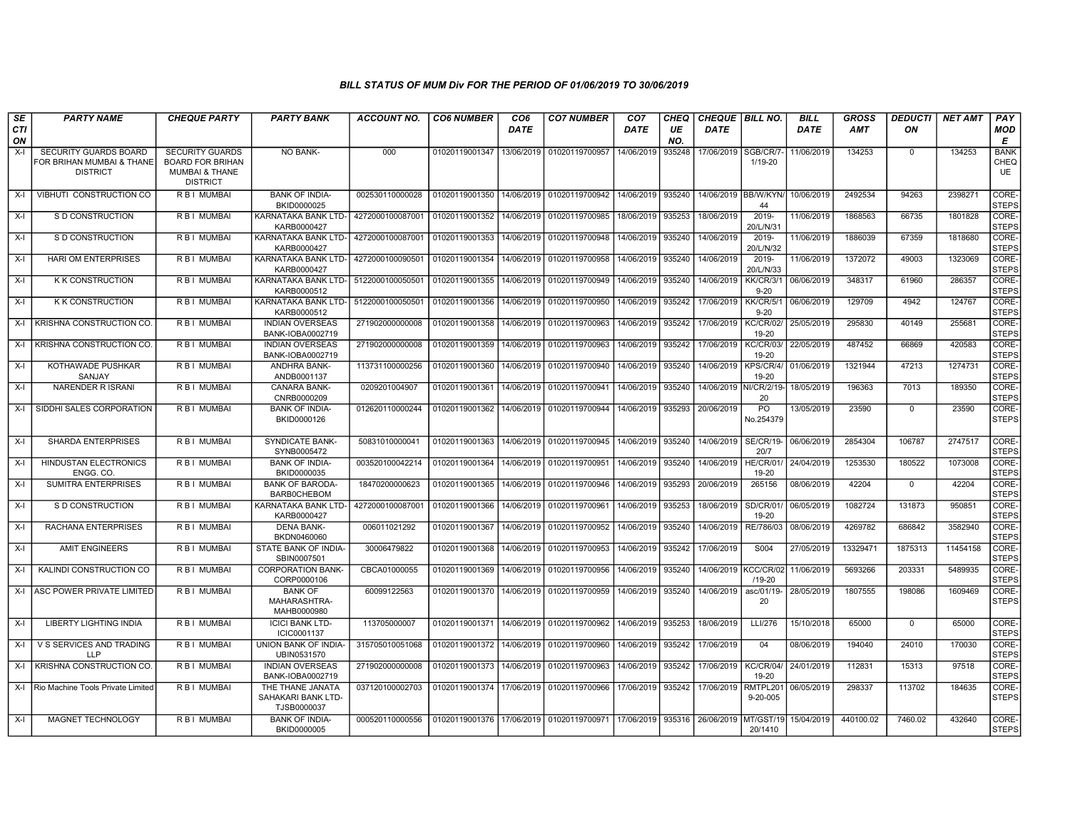| <b>SE</b> | <b>PARTY NAME</b>                            | <b>CHEQUE PARTY</b>                                  | <b>PARTY BANK</b>                                     | <b>ACCOUNT NO.</b> | <b>CO6 NUMBER</b> | CO <sub>6</sub> | <b>CO7 NUMBER</b>                                   | CO <sub>7</sub> | CHEQ      | <b>CHEQUE BILL NO.</b> |                           | <b>BILL</b> | <b>GROSS</b> | <b>DEDUCTI</b> | <b>NET AMT</b> | PAY                   |
|-----------|----------------------------------------------|------------------------------------------------------|-------------------------------------------------------|--------------------|-------------------|-----------------|-----------------------------------------------------|-----------------|-----------|------------------------|---------------------------|-------------|--------------|----------------|----------------|-----------------------|
| CTI<br>ON |                                              |                                                      |                                                       |                    |                   | <b>DATE</b>     |                                                     | <b>DATE</b>     | UE<br>NO. | <b>DATE</b>            |                           | <b>DATE</b> | <b>AMT</b>   | ON             |                | MOD<br>Е              |
| $X-I$     | <b>SECURITY GUARDS BOARD</b>                 | <b>SECURITY GUARDS</b>                               | <b>NO BANK-</b>                                       | 000                | 01020119001347    | 13/06/2019      | 01020119700957                                      | 14/06/2019      | 935248    | 17/06/2019             | SGB/CR/7-                 | 11/06/2019  | 134253       | $\mathbf{0}$   | 134253         | <b>BANK</b>           |
|           | FOR BRIHAN MUMBAI & THANE<br><b>DISTRICT</b> | <b>BOARD FOR BRIHAN</b><br><b>MUMBAI &amp; THANE</b> |                                                       |                    |                   |                 |                                                     |                 |           |                        | 1/19-20                   |             |              |                |                | CHEQ<br><b>UE</b>     |
|           |                                              | <b>DISTRICT</b>                                      |                                                       |                    |                   |                 |                                                     |                 |           |                        |                           |             |              |                |                |                       |
| $X-I$     | VIBHUTI CONSTRUCTION CO                      | <b>RBI MUMBAI</b>                                    | <b>BANK OF INDIA-</b><br>BKID0000025                  | 002530110000028    | 01020119001350    | 14/06/2019      | 01020119700942                                      | 14/06/2019      | 935240    | 14/06/2019 BB/W/KYN    | 44                        | 10/06/2019  | 2492534      | 94263          | 2398271        | CORE-<br><b>STEPS</b> |
| $X-I$     | S D CONSTRUCTION                             | R B I MUMBAI                                         | KARNATAKA BANK LTD-<br>KARB0000427                    | 4272000100087001   | 01020119001352    | 14/06/2019      | 01020119700985                                      | 18/06/2019      | 935253    | 18/06/2019             | 2019-<br>20/L/N/31        | 11/06/2019  | 1868563      | 66735          | 1801828        | CORE-<br><b>STEPS</b> |
| $X-I$     | S D CONSTRUCTION                             | R B I MUMBAI                                         | KARNATAKA BANK LTD-<br>KARB0000427                    | 4272000100087001   | 01020119001353    | 14/06/2019      | 01020119700948                                      | 14/06/2019      | 935240    | 14/06/2019             | 2019-<br>20/L/N/32        | 11/06/2019  | 1886039      | 67359          | 1818680        | CORE-<br><b>STEPS</b> |
| X-I       | <b>HARI OM ENTERPRISES</b>                   | R B I MUMBAI                                         | KARNATAKA BANK LTD- 427200010009050<br>KARB0000427    |                    | 01020119001354    | 14/06/2019      | 01020119700958                                      | 14/06/2019      | 935240    | 14/06/2019             | 2019-<br>20/L/N/33        | 11/06/2019  | 1372072      | 49003          | 1323069        | CORE-<br><b>STEPS</b> |
| $X-I$     | K K CONSTRUCTION                             | R B I MUMBAI                                         | KARNATAKA BANK LTD- 5122000100050501<br>KARB0000512   |                    | 01020119001355    | 14/06/2019      | 01020119700949                                      | 14/06/2019      | 935240    | 14/06/2019             | KK/CR/3/<br>$9 - 20$      | 06/06/2019  | 348317       | 61960          | 286357         | CORE-<br><b>STEPS</b> |
| $X-I$     | <b>K K CONSTRUCTION</b>                      | R B I MUMBAI                                         | KARNATAKA BANK LTD-<br>KARB0000512                    | 5122000100050501   | 01020119001356    | 14/06/2019      | 01020119700950                                      | 14/06/2019      | 935242    | 17/06/2019             | KK/CR/5/<br>$9 - 20$      | 06/06/2019  | 129709       | 4942           | 124767         | CORE-<br><b>STEPS</b> |
| $X-I$     | KRISHNA CONSTRUCTION CO                      | R B I MUMBAI                                         | <b>INDIAN OVERSEAS</b><br>BANK-IOBA0002719            | 271902000000008    | 01020119001358    | 14/06/2019      | 01020119700963                                      | 14/06/2019      | 935242    | 17/06/2019             | <b>KC/CR/02/</b><br>19-20 | 25/05/2019  | 295830       | 40149          | 255681         | CORE-<br><b>STEPS</b> |
| $X-I$     | KRISHNA CONSTRUCTION CO.                     | R B I MUMBAI                                         | <b>INDIAN OVERSEAS</b><br>BANK-IOBA0002719            | 271902000000008    | 01020119001359    | 14/06/2019      | 01020119700963                                      | 14/06/2019      | 935242    | 17/06/2019             | <b>KC/CR/03/</b><br>19-20 | 22/05/2019  | 487452       | 66869          | 420583         | CORE-<br><b>STEPS</b> |
| $X-I$     | KOTHAWADE PUSHKAR<br>SANJAY                  | R B I MUMBAI                                         | ANDHRA BANK-<br>ANDB0001137                           | 113731100000256    | 01020119001360    | 14/06/2019      | 01020119700940                                      | 14/06/2019      | 935240    | 14/06/2019             | KPS/CR/4/<br>19-20        | 01/06/2019  | 1321944      | 47213          | 1274731        | CORE-<br><b>STEPS</b> |
| $X-I$     | <b>NARENDER R ISRANI</b>                     | R B I MUMBAI                                         | <b>CANARA BANK-</b><br>CNRB0000209                    | 0209201004907      | 01020119001361    | 14/06/2019      | 01020119700941                                      | 14/06/2019      | 935240    | 14/06/2019             | NI/CR/2/19-<br>20         | 18/05/2019  | 196363       | 7013           | 189350         | CORE-<br><b>STEPS</b> |
| $X-I$     | SIDDHI SALES CORPORATION                     | R B I MUMBAI                                         | <b>BANK OF INDIA-</b><br>BKID0000126                  | 012620110000244    | 01020119001362    | 14/06/2019      | 01020119700944                                      | 14/06/2019      | 935293    | 20/06/2019             | <b>PO</b><br>No.254379    | 13/05/2019  | 23590        | $\Omega$       | 23590          | CORE-<br><b>STEPS</b> |
| $X-I$     | <b>SHARDA ENTERPRISES</b>                    | R B I MUMBAI                                         | <b>SYNDICATE BANK-</b><br>SYNB0005472                 | 50831010000041     | 01020119001363    | 14/06/2019      | 01020119700945                                      | 14/06/2019      | 935240    | 14/06/2019             | <b>SE/CR/19-</b><br>20/7  | 06/06/2019  | 2854304      | 106787         | 2747517        | CORE-<br><b>STEPS</b> |
| $X-I$     | <b>HINDUSTAN ELECTRONICS</b><br>ENGG, CO.    | R B I MUMBAI                                         | <b>BANK OF INDIA-</b><br>BKID0000035                  | 003520100042214    | 01020119001364    | 14/06/2019      | 01020119700951                                      | 14/06/2019      | 935240    | 14/06/2019             | <b>HE/CR/01/</b><br>19-20 | 24/04/2019  | 1253530      | 180522         | 1073008        | CORE-<br><b>STEPS</b> |
| $X-I$     | <b>SUMITRA ENTERPRISES</b>                   | <b>RBIMUMBAI</b>                                     | <b>BANK OF BARODA</b><br><b>BARB0CHEBOM</b>           | 18470200000623     | 01020119001365    | 14/06/2019      | 01020119700946                                      | 14/06/2019      | 935293    | 20/06/2019             | 265156                    | 08/06/2019  | 42204        | $\mathbf 0$    | 42204          | CORE-<br><b>STEPS</b> |
| $X-I$     | S D CONSTRUCTION                             | <b>RBI MUMBAI</b>                                    | KARNATAKA BANK LTD-<br>KARB0000427                    | 427200010008700    | 01020119001366    | 14/06/2019      | 01020119700961                                      | 14/06/2019      | 935253    | 18/06/2019             | <b>SD/CR/01</b><br>19-20  | 06/05/2019  | 1082724      | 131873         | 950851         | CORE-<br><b>STEPS</b> |
| X-I       | RACHANA ENTERPRISES                          | R B I MUMBAI                                         | <b>DENA BANK-</b><br>BKDN0460060                      | 006011021292       | 01020119001367    | 14/06/2019      | 01020119700952                                      | 14/06/2019      | 935240    | 14/06/2019             | RE/786/03                 | 08/06/2019  | 4269782      | 686842         | 3582940        | CORE-<br><b>STEPS</b> |
| $X-I$     | <b>AMIT ENGINEERS</b>                        | R B I MUMBAI                                         | STATE BANK OF INDIA-<br>SBIN0007501                   | 30006479822        | 01020119001368    | 14/06/2019      | 01020119700953                                      | 14/06/2019      | 935242    | 17/06/2019             | S004                      | 27/05/2019  | 13329471     | 1875313        | 11454158       | CORE-<br><b>STEPS</b> |
| $X-I$     | KALINDI CONSTRUCTION CO                      | R B I MUMBAI                                         | <b>CORPORATION BANK-</b><br>CORP0000106               | CBCA01000055       | 01020119001369    | 14/06/2019      | 01020119700956                                      | 14/06/2019      | 935240    | 14/06/2019 KCC/CR/02   | $/19 - 20$                | 11/06/2019  | 5693266      | 203331         | 5489935        | CORE-<br><b>STEPS</b> |
| $X-I$     | ASC POWER PRIVATE LIMITED                    | <b>RBI MUMBAI</b>                                    | <b>BANK OF</b><br>MAHARASHTRA-<br>MAHB0000980         | 60099122563        | 01020119001370    | 14/06/2019      | 01020119700959                                      | 14/06/2019      | 935240    | 14/06/2019             | asc/01/19-<br>20          | 28/05/2019  | 1807555      | 198086         | 1609469        | CORE-<br><b>STEPS</b> |
| $X-I$     | <b>LIBERTY LIGHTING INDIA</b>                | R B I MUMBAI                                         | <b>ICICI BANK LTD-</b><br>ICIC0001137                 | 113705000007       | 01020119001371    | 14/06/2019      | 01020119700962                                      | 14/06/2019      | 935253    | 18/06/2019             | LLI/276                   | 15/10/2018  | 65000        | $\Omega$       | 65000          | CORE-<br><b>STEPS</b> |
| $X-I$     | V S SERVICES AND TRADING<br><b>LLP</b>       | R B I MUMBAI                                         | UNION BANK OF INDIA-<br>UBIN0531570                   | 315705010051068    | 01020119001372    | 14/06/2019      | 01020119700960                                      | 14/06/2019      | 935242    | 17/06/2019             | 04                        | 08/06/2019  | 194040       | 24010          | 170030         | CORE-<br><b>STEPS</b> |
| $X-I$     | KRISHNA CONSTRUCTION CO.                     | R B I MUMBAI                                         | <b>INDIAN OVERSEAS</b><br>BANK-IOBA0002719            | 271902000000008    | 01020119001373    | 14/06/2019      | 01020119700963                                      | 14/06/2019      | 935242    | 17/06/2019             | <b>KC/CR/04/</b><br>19-20 | 24/01/2019  | 112831       | 15313          | 97518          | CORE-<br><b>STEPS</b> |
| X-I       | Rio Machine Tools Private Limited            | R B I MUMBAI                                         | THE THANE JANATA<br>SAHAKARI BANK LTD-<br>TJSB0000037 | 037120100002703    | 01020119001374    | 17/06/2019      | 01020119700966                                      | 17/06/2019      | 935242    | 17/06/2019             | RMTPL201<br>9-20-005      | 06/05/2019  | 298337       | 113702         | 184635         | CORE-<br><b>STEPS</b> |
| $X-I$     | MAGNET TECHNOLOGY                            | R B I MUMBAI                                         | <b>BANK OF INDIA-</b><br>BKID0000005                  | 000520110000556    |                   |                 | 01020119001376 17/06/2019 01020119700971 17/06/2019 |                 | 935316    | 26/06/2019 MT/GST/19   | 20/1410                   | 15/04/2019  | 440100.02    | 7460.02        | 432640         | CORE-<br><b>STEPS</b> |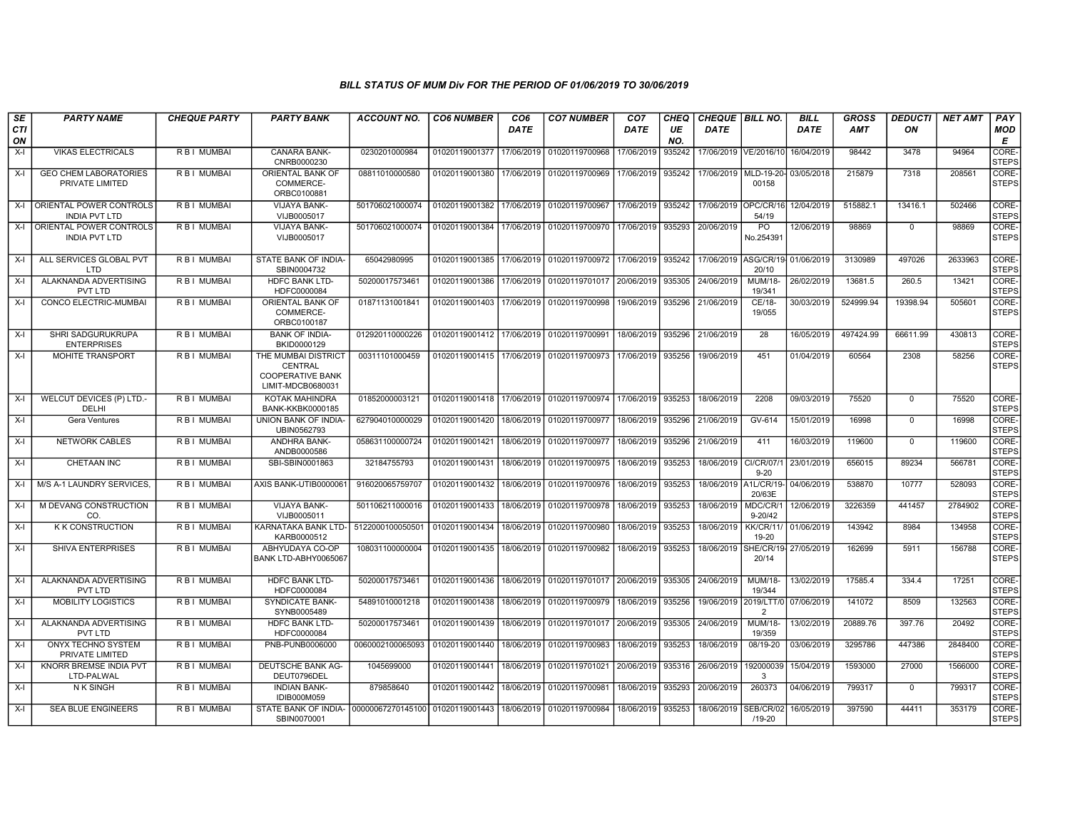| SE<br>CTI<br>ON | <b>PARTY NAME</b>                                   | <b>CHEQUE PARTY</b> | <b>PARTY BANK</b>                                                              | <b>ACCOUNT NO.</b> | <b>CO6 NUMBER</b> | CO <sub>6</sub><br><b>DATE</b> | <b>CO7 NUMBER</b>         | CO <sub>7</sub><br><b>DATE</b> | <b>CHEQ</b><br>UE<br>NO. | CHEQUE   BILL NO.<br><b>DATE</b> |                                           | <b>BILL</b><br><b>DATE</b> | <b>GROSS</b><br><b>AMT</b> | <b>DEDUCTI</b><br>ON | <b>NET AMT</b> | PAY<br>MOD<br>E       |
|-----------------|-----------------------------------------------------|---------------------|--------------------------------------------------------------------------------|--------------------|-------------------|--------------------------------|---------------------------|--------------------------------|--------------------------|----------------------------------|-------------------------------------------|----------------------------|----------------------------|----------------------|----------------|-----------------------|
| $X-I$           | <b>VIKAS ELECTRICALS</b>                            | R B I MUMBAI        | CANARA BANK-<br>CNRB0000230                                                    | 0230201000984      | 01020119001377    | 17/06/2019                     | 01020119700968            | 17/06/2019                     | 935242                   |                                  | 17/06/2019 VE/2016/10                     | 16/04/2019                 | 98442                      | 3478                 | 94964          | CORE-<br><b>STEPS</b> |
| $X-I$           | <b>GEO CHEM LABORATORIES</b><br>PRIVATE LIMITED     | R B I MUMBAI        | ORIENTAL BANK OF<br>COMMERCE-<br>ORBC0100881                                   | 08811010000580     | 01020119001380    | 17/06/2019                     | 01020119700969            | 17/06/2019                     | 935242                   |                                  | 17/06/2019 MLD-19-20- 03/05/2018<br>00158 |                            | 215879                     | 7318                 | 208561         | CORE-<br><b>STEPS</b> |
|                 | X-I ORIENTAL POWER CONTROLS<br><b>INDIA PVT LTD</b> | R B   MUMBAI        | <b>VIJAYA BANK-</b><br>VIJB0005017                                             | 501706021000074    | 01020119001382    | 17/06/2019                     | 01020119700967            | 17/06/2019                     | 935242                   | 17/06/2019                       | OPC/CR/16<br>54/19                        | 12/04/2019                 | 515882.1                   | 13416.1              | 502466         | CORE-<br><b>STEPS</b> |
|                 | X-I ORIENTAL POWER CONTROLS<br><b>INDIA PVT LTD</b> | R B I MUMBAI        | <b>VIJAYA BANK-</b><br>VIJB0005017                                             | 501706021000074    | 01020119001384    | 17/06/2019                     | 01020119700970            | 17/06/2019                     | 935293                   | 20/06/2019                       | PO<br>No.254391                           | 12/06/2019                 | 98869                      | $\mathbf{0}$         | 98869          | CORE-<br><b>STEPS</b> |
| X-I             | ALL SERVICES GLOBAL PVT<br><b>LTD</b>               | R B I MUMBAI        | STATE BANK OF INDIA-<br>SBIN0004732                                            | 65042980995        | 01020119001385    |                                | 17/06/2019 01020119700972 | 17/06/2019                     | 935242                   |                                  | 17/06/2019 ASG/CR/19 01/06/2019<br>20/10  |                            | 3130989                    | 497026               | 2633963        | CORE-<br><b>STEPS</b> |
| $X-I$           | ALAKNANDA ADVERTISING<br>PVT LTD                    | R B I MUMBAI        | HDFC BANK LTD-<br>HDFC0000084                                                  | 50200017573461     | 01020119001386    | 17/06/2019                     | 01020119701017            | 20/06/2019                     | 935305                   | 24/06/2019                       | <b>MUM/18-</b><br>19/341                  | 26/02/2019                 | 13681.5                    | 260.5                | 13421          | CORE-<br><b>STEPS</b> |
| X-I             | CONCO ELECTRIC-MUMBAI                               | R B I MUMBAI        | ORIENTAL BANK OF<br>COMMERCE-<br>ORBC0100187                                   | 01871131001841     | 01020119001403    | 17/06/2019                     | 01020119700998            | 19/06/2019                     | 935296                   | 21/06/2019                       | CE/18-<br>19/055                          | 30/03/2019                 | 524999.94                  | 19398.94             | 505601         | CORE-<br><b>STEPS</b> |
| $X-I$           | SHRI SADGURUKRUPA<br><b>ENTERPRISES</b>             | R B I MUMBAI        | <b>BANK OF INDIA-</b><br>BKID0000129                                           | 012920110000226    | 01020119001412    | 17/06/2019                     | 01020119700991            | 18/06/2019                     | 935296                   | 21/06/2019                       | 28                                        | 16/05/2019                 | 497424.99                  | 66611.99             | 430813         | CORE-<br><b>STEPS</b> |
| $X-I$           | MOHITE TRANSPORT                                    | R B I MUMBAI        | THE MUMBAI DISTRICT<br>CENTRAL<br><b>COOPERATIVE BANK</b><br>LIMIT-MDCB0680031 | 00311101000459     | 01020119001415    | 17/06/2019                     | 01020119700973            | 17/06/2019                     | 935256                   | 19/06/2019                       | 451                                       | 01/04/2019                 | 60564                      | 2308                 | 58256          | CORE-<br><b>STEPS</b> |
| $X-I$           | WELCUT DEVICES (P) LTD.-<br><b>DELHI</b>            | R B I MUMBAI        | KOTAK MAHINDRA<br><b>BANK-KKBK0000185</b>                                      | 01852000003121     | 01020119001418    | 17/06/2019                     | 01020119700974            | 17/06/2019                     | 935253                   | 18/06/2019                       | 2208                                      | 09/03/2019                 | 75520                      | $\mathbf 0$          | 75520          | CORE-<br><b>STEPS</b> |
| $X-I$           | <b>Gera Ventures</b>                                | R B I MUMBAI        | UNION BANK OF INDIA-<br>UBIN0562793                                            | 627904010000029    | 01020119001420    | 18/06/2019                     | 01020119700977            | 18/06/2019                     | 935296                   | 21/06/2019                       | GV-614                                    | 15/01/2019                 | 16998                      | $\mathbf{0}$         | 16998          | CORE-<br><b>STEPS</b> |
| $X-I$           | <b>NETWORK CABLES</b>                               | R B I MUMBAI        | ANDHRA BANK-<br>ANDB0000586                                                    | 058631100000724    | 01020119001421    | 18/06/2019                     | 01020119700977            | 18/06/2019                     | 935296                   | 21/06/2019                       | 411                                       | 16/03/2019                 | 119600                     | $\Omega$             | 119600         | CORE-<br><b>STEPS</b> |
| $X-I$           | CHETAAN INC                                         | R B I MUMBAI        | SBI-SBIN0001863                                                                | 32184755793        | 01020119001431    | 18/06/2019                     | 01020119700975            | 18/06/2019                     | 935253                   | 18/06/2019                       | CI/CR/07/<br>$9 - 20$                     | 23/01/2019                 | 656015                     | 89234                | 566781         | CORE-<br><b>STEPS</b> |
| $X-I$           | M/S A-1 LAUNDRY SERVICES.                           | R B I MUMBAI        | AXIS BANK-UTIB0000061                                                          | 916020065759707    | 01020119001432    | 18/06/2019                     | 01020119700976            | 18/06/2019                     | 935253                   | 18/06/2019                       | <b>A1L/CR/19-</b><br>20/63E               | 04/06/2019                 | 538870                     | 10777                | 528093         | CORE-<br><b>STEPS</b> |
| $X-I$           | M DEVANG CONSTRUCTION<br>CO.                        | R B I MUMBAI        | <b>VIJAYA BANK-</b><br>VIJB0005011                                             | 501106211000016    | 01020119001433    | 18/06/2019                     | 01020119700978            | 18/06/2019                     | 935253                   | 18/06/2019                       | MDC/CR/1<br>$9 - 20/42$                   | 12/06/2019                 | 3226359                    | 441457               | 2784902        | CORE-<br><b>STEPS</b> |
| $X-I$           | <b>K K CONSTRUCTION</b>                             | R B   MUMBAI        | KARNATAKA BANK LTD-<br>KARB0000512                                             | 5122000100050501   | 01020119001434    | 18/06/2019                     | 01020119700980            | 18/06/2019                     | 935253                   | 18/06/2019                       | KK/CR/11/<br>19-20                        | 01/06/2019                 | 143942                     | 8984                 | 134958         | CORE-<br><b>STEPS</b> |
| $X-I$           | <b>SHIVA ENTERPRISES</b>                            | R B I MUMBAI        | ABHYUDAYA CO-OP<br>BANK LTD-ABHY0065067                                        | 108031100000004    | 01020119001435    | 18/06/2019                     | 01020119700982            | 18/06/2019                     | 935253                   | 18/06/2019                       | SHE/CR/19<br>20/14                        | 27/05/2019                 | 162699                     | 5911                 | 156788         | CORE-<br><b>STEPS</b> |
| $X-I$           | ALAKNANDA ADVERTISING<br><b>PVT LTD</b>             | R B   MUMBAI        | <b>HDFC BANK LTD-</b><br>HDFC0000084                                           | 50200017573461     | 01020119001436    | 18/06/2019                     | 01020119701017            | 20/06/2019                     | 935305                   | 24/06/2019                       | <b>MUM/18-</b><br>19/344                  | 13/02/2019                 | 17585.4                    | 334.4                | 17251          | CORE-<br><b>STEPS</b> |
| $X-I$           | <b>MOBILITY LOGISTICS</b>                           | R B I MUMBAI        | SYNDICATE BANK-<br>SYNB0005489                                                 | 54891010001218     | 01020119001438    | 18/06/2019                     | 01020119700979            | 18/06/2019                     | 935256                   | 19/06/2019                       | 2019/LTT/0<br>$\overline{2}$              | 07/06/2019                 | 141072                     | 8509                 | 132563         | CORE-<br><b>STEPS</b> |
| $X-I$           | ALAKNANDA ADVERTISING<br>PVT LTD                    | R B I MUMBAI        | HDFC BANK LTD-<br>HDFC0000084                                                  | 50200017573461     | 01020119001439    | 18/06/2019                     | 01020119701017            | 20/06/2019                     | 935305                   | 24/06/2019                       | <b>MUM/18-</b><br>19/359                  | 13/02/2019                 | 20889.76                   | 397.76               | 20492          | CORE-<br><b>STEPS</b> |
| $X-I$           | ONYX TECHNO SYSTEM<br>PRIVATE LIMITED               | R B I MUMBAI        | PNB-PUNB0006000                                                                | 0060002100065093   | 01020119001440    | 18/06/2019                     | 01020119700983            | 18/06/2019                     | 935253                   | 18/06/2019                       | 08/19-20                                  | 03/06/2019                 | 3295786                    | 447386               | 2848400        | CORE-<br><b>STEPS</b> |
| X-I             | KNORR BREMSE INDIA PVT<br>LTD-PALWAL                | R B I MUMBAI        | DEUTSCHE BANK AG-<br>DEUT0796DEL                                               | 1045699000         | 01020119001441    | 18/06/2019                     | 01020119701021            | 20/06/2019                     | 935316                   | 26/06/2019                       | 192000039<br>3                            | 15/04/2019                 | 1593000                    | 27000                | 1566000        | CORE-<br><b>STEPS</b> |
| $X-I$           | N K SINGH                                           | R B I MUMBAI        | <b>INDIAN BANK-</b><br>IDIB000M059                                             | 879858640          | 01020119001442    | 18/06/2019                     | 01020119700981            | 18/06/2019                     | 935293                   | 20/06/2019                       | 260373                                    | 04/06/2019                 | 799317                     | $\mathbf{0}$         | 799317         | CORE-<br><b>STEPS</b> |
| $X-I$           | <b>SEA BLUE ENGINEERS</b>                           | R B I MUMBAI        | STATE BANK OF INDIA- 00000067270145100<br>SBIN0070001                          |                    | 01020119001443    | 18/06/2019                     | 01020119700984            | 18/06/2019                     | 935253                   | 18/06/2019                       | SEB/CR/02<br>$/19 - 20$                   | 16/05/2019                 | 397590                     | 44411                | 353179         | CORE-<br><b>STEPS</b> |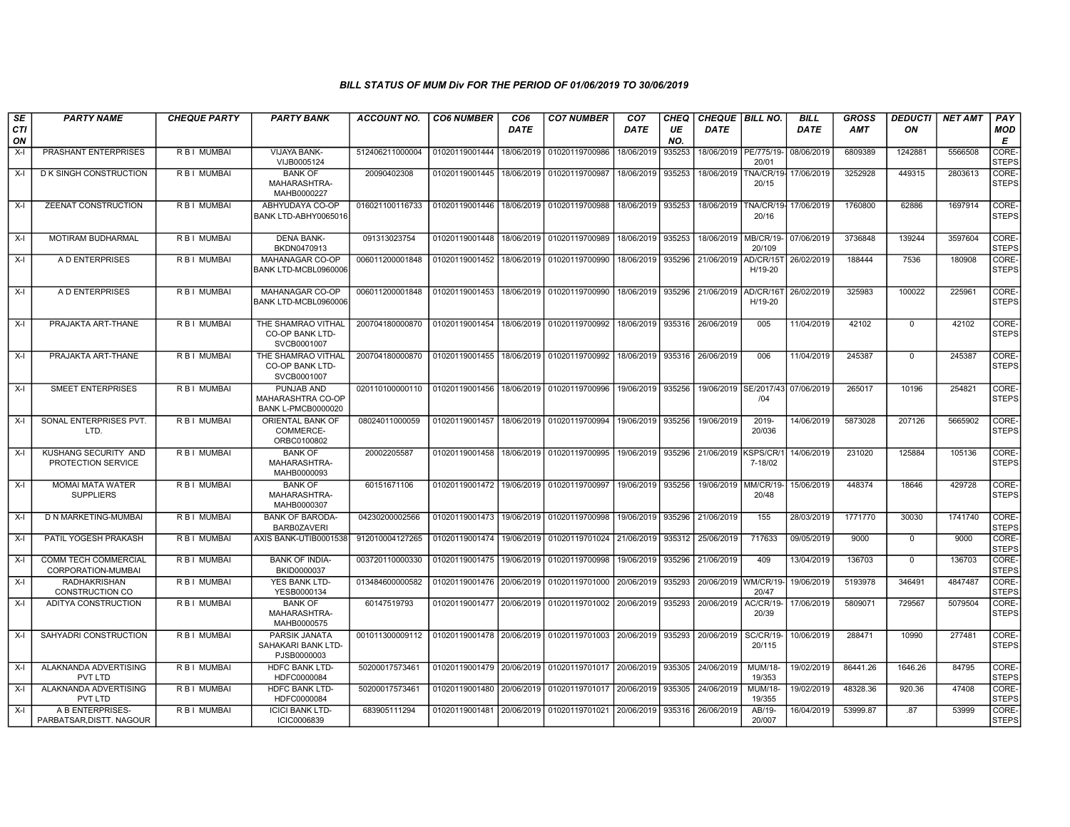| SE<br><b>CTI</b><br>ON | <b>PARTY NAME</b>                           | <b>CHEQUE PARTY</b> | <b>PARTY BANK</b>                                                   | ACCOUNT NO.     | <b>CO6 NUMBER</b>                            | CO <sub>6</sub><br><b>DATE</b> | <b>CO7 NUMBER</b>                                   | CO <sub>7</sub><br><b>DATE</b>   | CHEQ<br>UE<br>NO. | <b>CHEQUE   BILL NO.</b><br><b>DATE</b> |                             | <b>BILL</b><br><b>DATE</b> | <b>GROSS</b><br><b>AMT</b> | <b>DEDUCTI</b><br>ON | <b>NET AMT</b> | PAY<br>MOD<br>Е       |
|------------------------|---------------------------------------------|---------------------|---------------------------------------------------------------------|-----------------|----------------------------------------------|--------------------------------|-----------------------------------------------------|----------------------------------|-------------------|-----------------------------------------|-----------------------------|----------------------------|----------------------------|----------------------|----------------|-----------------------|
| $X-I$                  | PRASHANT ENTERPRISES                        | R B I MUMBAI        | VIJAYA BANK-<br>VIJB0005124                                         | 512406211000004 | 01020119001444                               | 18/06/2019                     | 01020119700986                                      | 18/06/2019                       | 935253            | 18/06/2019   PE/775/19-                 | 20/01                       | 08/06/2019                 | 6809389                    | 1242881              | 5566508        | CORE-<br><b>STEPS</b> |
| $X-I$                  | D K SINGH CONSTRUCTION                      | R B I MUMBAI        | <b>BANK OF</b><br>MAHARASHTRA-<br>MAHB0000227                       | 20090402308     | 01020119001445                               | 18/06/2019                     | 01020119700987                                      | 18/06/2019                       | 935253            | 18/06/2019                              | TNA/CR/19-<br>20/15         | 17/06/2019                 | 3252928                    | 449315               | 2803613        | CORE-<br><b>STEPS</b> |
| $X-I$                  | ZEENAT CONSTRUCTION                         | RBI MUMBAI          | ABHYUDAYA CO-OP<br>BANK LTD-ABHY0065016                             | 016021100116733 | 01020119001446                               | 18/06/2019                     | 01020119700988                                      | 18/06/2019                       | 935253            | 18/06/2019                              | FNA/CR/19-<br>20/16         | 17/06/2019                 | 1760800                    | 62886                | 1697914        | CORE-<br><b>STEPS</b> |
| $X-I$                  | MOTIRAM BUDHARMAL                           | R B I MUMBAI        | <b>DENA BANK-</b><br>BKDN0470913                                    | 091313023754    | 01020119001448                               | 18/06/2019                     | 01020119700989                                      | 18/06/2019                       | 935253            | 18/06/2019                              | MB/CR/19-<br>20/109         | 07/06/2019                 | 3736848                    | 139244               | 3597604        | CORE-<br><b>STEPS</b> |
| $X-I$                  | A D ENTERPRISES                             | R B I MUMBAI        | MAHANAGAR CO-OP<br>BANK LTD-MCBL0960006                             | 006011200001848 | 01020119001452                               | 18/06/2019                     | 01020119700990                                      | 18/06/2019                       | 935296            | 21/06/2019                              | <b>AD/CR/15T</b><br>H/19-20 | 26/02/2019                 | 188444                     | 7536                 | 180908         | CORE-<br><b>STEPS</b> |
| X-I                    | A D ENTERPRISES                             | R B I MUMBAI        | MAHANAGAR CO-OP<br>BANK LTD-MCBL0960006                             | 006011200001848 |                                              |                                | 01020119001453   18/06/2019   01020119700990        | 18/06/2019                       | 935296            | 21/06/2019                              | AD/CR/16T<br>H/19-20        | 26/02/2019                 | 325983                     | 100022               | 225961         | CORE-<br><b>STEPS</b> |
| $X-I$                  | PRAJAKTA ART-THANE                          | R B I MUMBAI        | THE SHAMRAO VITHAL<br><b>CO-OP BANK LTD-</b><br>SVCB0001007         | 200704180000870 | 01020119001454                               |                                | 18/06/2019   01020119700992                         | 18/06/2019                       | 935316            | 26/06/2019                              | 005                         | 11/04/2019                 | 42102                      | $\mathbf{0}$         | 42102          | CORE-<br><b>STEPS</b> |
| X-I                    | PRAJAKTA ART-THANE                          | R B I MUMBAI        | THE SHAMRAO VITHAL<br><b>CO-OP BANK LTD-</b><br>SVCB0001007         | 200704180000870 | 01020119001455   18/06/2019   01020119700992 |                                |                                                     | 18/06/2019   935316   26/06/2019 |                   |                                         | 006                         | 11/04/2019                 | 245387                     | $\mathbf{0}$         | 245387         | CORE-<br><b>STEPS</b> |
| X-I                    | <b>SMEET ENTERPRISES</b>                    | R B I MUMBAI        | PUNJAB AND<br><b>MAHARASHTRA CO-OP</b><br><b>BANK L-PMCB0000020</b> | 020110100000110 | 01020119001456                               |                                | 18/06/2019 01020119700996                           | 19/06/2019                       | 935256            | 19/06/2019   SE/2017/43   07/06/2019    | /04                         |                            | 265017                     | 10196                | 254821         | CORE-<br><b>STEPS</b> |
| X-I                    | SONAL ENTERPRISES PVT.<br>LTD.              | R B I MUMBAI        | ORIENTAL BANK OF<br>COMMERCE-<br>ORBC0100802                        | 08024011000059  | 01020119001457                               |                                | 18/06/2019 01020119700994                           | 19/06/2019                       | 935256            | 19/06/2019                              | 2019-<br>20/036             | 14/06/2019                 | 5873028                    | 207126               | 5665902        | CORE-<br><b>STEPS</b> |
| $X-I$                  | KUSHANG SECURITY AND<br>PROTECTION SERVICE  | R B I MUMBAI        | <b>BANK OF</b><br>MAHARASHTRA-<br>MAHB0000093                       | 20002205587     | 01020119001458                               |                                | 18/06/2019 01020119700995                           | 19/06/2019                       | 935296            | 21/06/2019                              | KSPS/CR/<br>7-18/02         | 14/06/2019                 | 231020                     | 125884               | 105136         | CORE-<br><b>STEPS</b> |
| $X-I$                  | <b>MOMAI MATA WATER</b><br><b>SUPPLIERS</b> | R B I MUMBAI        | <b>BANK OF</b><br>MAHARASHTRA-<br>MAHB0000307                       | 60151671106     | 01020119001472   19/06/2019   01020119700997 |                                |                                                     | 19/06/2019                       | 935256            | 19/06/2019 MM/CR/19                     | 20/48                       | 15/06/2019                 | 448374                     | 18646                | 429728         | CORE-<br><b>STEPS</b> |
| $X-I$                  | D N MARKETING-MUMBAI                        | R B I MUMBAI        | <b>BANK OF BARODA</b><br>BARB0ZAVERI                                | 04230200002566  | 01020119001473                               | 19/06/2019                     | 01020119700998                                      | 19/06/2019                       | 935296            | 21/06/2019                              | 155                         | 28/03/2019                 | 1771770                    | 30030                | 1741740        | CORE-<br><b>STEPS</b> |
| $X-I$                  | PATIL YOGESH PRAKASH                        | R B I MUMBAI        | AXIS BANK-UTIB0001538                                               | 912010004127265 | 01020119001474                               | 19/06/2019                     | 01020119701024                                      | 21/06/2019                       | 935312            | 25/06/2019                              | 717633                      | 09/05/2019                 | 9000                       | $\mathbf 0$          | 9000           | CORE-<br><b>STEPS</b> |
| $X-I$                  | COMM TECH COMMERCIAL<br>CORPORATION-MUMBAI  | R B I MUMBAI        | <b>BANK OF INDIA-</b><br>BKID0000037                                | 003720110000330 | 01020119001475                               | 19/06/2019                     | 01020119700998                                      | 19/06/2019                       | 935296            | 21/06/2019                              | 409                         | 13/04/2019                 | 136703                     | $\mathbf{0}$         | 136703         | CORE-<br><b>STEPS</b> |
| $X-I$                  | <b>RADHAKRISHAN</b><br>CONSTRUCTION CO      | R B I MUMBAI        | YES BANK LTD-<br>YESB0000134                                        | 013484600000582 | 01020119001476                               | 20/06/2019                     | 01020119701000                                      | 20/06/2019                       | 935293            | 20/06/2019                              | WM/CR/19-<br>20/47          | 19/06/2019                 | 5193978                    | 346491               | 4847487        | CORE-<br><b>STEPS</b> |
| X-I                    | ADITYA CONSTRUCTION                         | R B I MUMBAI        | <b>BANK OF</b><br>MAHARASHTRA-<br>MAHB0000575                       | 60147519793     | 01020119001477 20/06/2019                    |                                | 01020119701002                                      | 20/06/2019                       | 935293            | 20/06/2019                              | AC/CR/19-<br>20/39          | 17/06/2019                 | 5809071                    | 729567               | 5079504        | CORE-<br><b>STEPS</b> |
| $X-I$                  | SAHYADRI CONSTRUCTION                       | R B I MUMBAI        | <b>PARSIK JANATA</b><br>SAHAKARI BANK LTD-<br>PJSB0000003           | 001011300009112 |                                              |                                | 01020119001478 20/06/2019 01020119701003 20/06/2019 |                                  | 935293            | 20/06/2019                              | <b>SC/CR/19-</b><br>20/115  | 10/06/2019                 | 288471                     | 10990                | 277481         | CORE-<br><b>STEPS</b> |
| $X-I$                  | ALAKNANDA ADVERTISING<br><b>PVT LTD</b>     | R B I MUMBAI        | <b>HDFC BANK LTD-</b><br>HDFC0000084                                | 50200017573461  | 01020119001479 20/06/2019                    |                                | 01020119701017 20/06/2019                           |                                  | 935305            | 24/06/2019                              | MUM/18-<br>19/353           | 19/02/2019                 | 86441.26                   | 1646.26              | 84795          | CORE-<br><b>STEPS</b> |
| X-I                    | ALAKNANDA ADVERTISING<br>PVT LTD            | R B I MUMBAI        | <b>HDFC BANK LTD-</b><br>HDFC0000084                                | 50200017573461  | 01020119001480 20/06/2019                    |                                | 01020119701017 20/06/2019                           |                                  | 935305            | 24/06/2019                              | MUM/18-<br>19/355           | 19/02/2019                 | 48328.36                   | 920.36               | 47408          | CORE-<br><b>STEPS</b> |
| X-I                    | A B ENTERPRISES-<br>PARBATSAR.DISTT, NAGOUR | R B I MUMBAI        | <b>ICICI BANK LTD-</b><br><b>ICIC0006839</b>                        | 683905111294    | 01020119001481                               | 20/06/2019                     | 01020119701021                                      | 20/06/2019                       | 935316            | 26/06/2019                              | AB/19-<br>20/007            | 16/04/2019                 | 53999.87                   | .87                  | 53999          | CORE-<br><b>STEPS</b> |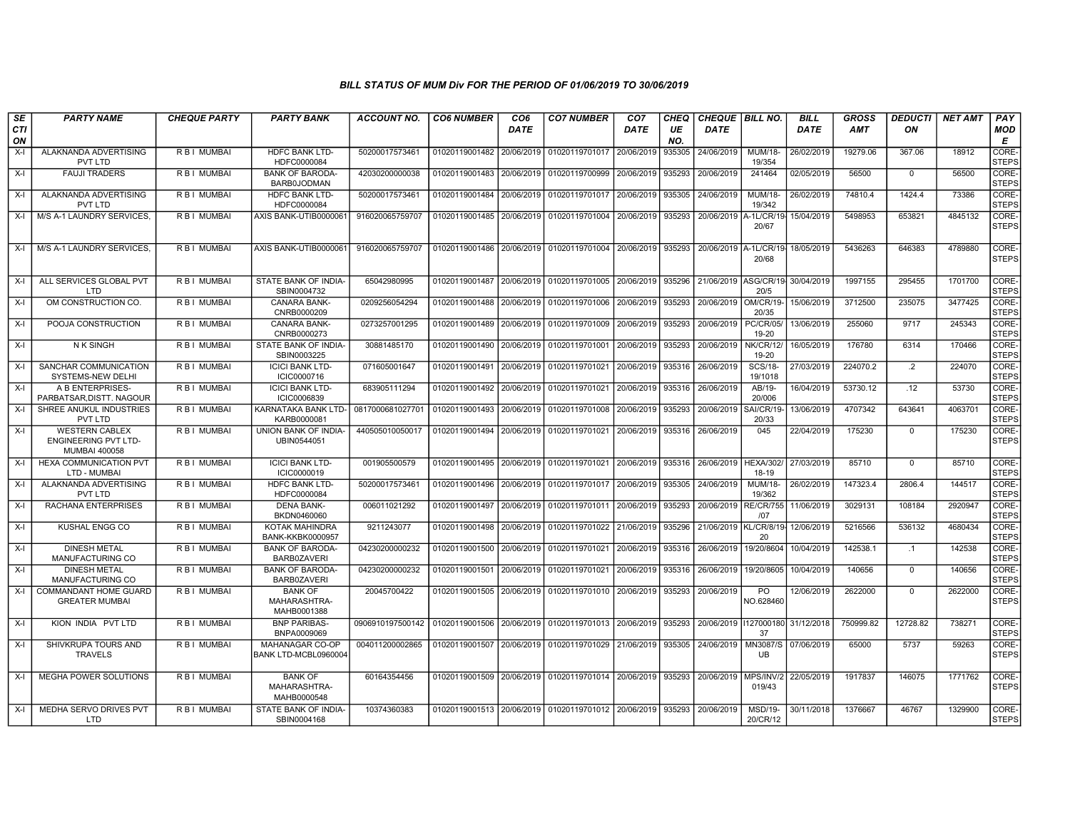| <b>SE</b><br>CTI<br>ON | <b>PARTY NAME</b>                                                            | <b>CHEQUE PARTY</b> | <b>PARTY BANK</b>                             | <b>ACCOUNT NO.</b>                                        | <b>CO6 NUMBER</b>                        | CO <sub>6</sub><br><b>DATE</b> | <b>CO7 NUMBER</b>                                         | CO <sub>7</sub><br><b>DATE</b> | <b>CHEQ</b><br>UE<br>NO. | <b>CHEQUE BILL NO.</b><br><b>DATE</b> |                              | <b>BILL</b><br>DATE | <b>GROSS</b><br>AMT | <b>DEDUCTI</b><br>ON | <b>NET AMT</b> | PAY<br><b>MOD</b><br>Е      |
|------------------------|------------------------------------------------------------------------------|---------------------|-----------------------------------------------|-----------------------------------------------------------|------------------------------------------|--------------------------------|-----------------------------------------------------------|--------------------------------|--------------------------|---------------------------------------|------------------------------|---------------------|---------------------|----------------------|----------------|-----------------------------|
| X-I                    | ALAKNANDA ADVERTISING<br>PVT LTD                                             | R B I MUMBAI        | <b>HDFC BANK LTD-</b><br>HDFC0000084          | 50200017573461                                            | 01020119001482 20/06/2019                |                                | 01020119701017                                            | 20/06/2019                     | 935305                   | 24/06/2019                            | MUM/18-<br>19/354            | 26/02/2019          | 19279.06            | 367.06               | 18912          | <b>CORE</b><br><b>STEPS</b> |
| $X-I$                  | <b>FAUJI TRADERS</b>                                                         | R B I MUMBAI        | <b>BANK OF BARODA-</b><br>BARB0JODMAN         | 42030200000038                                            | 01020119001483                           | 20/06/2019                     | 01020119700999                                            | 20/06/2019                     | 935293                   | 20/06/2019                            | 241464                       | 02/05/2019          | 56500               | $\mathbf 0$          | 56500          | CORE-<br><b>STEPS</b>       |
| $X-I$                  | ALAKNANDA ADVERTISING<br>PVT LTD                                             | R B I MUMBAI        | <b>HDFC BANK LTD-</b><br>HDFC0000084          | 50200017573461                                            | 01020119001484                           |                                | 20/06/2019 01020119701017                                 | 20/06/2019                     | 935305                   | 24/06/2019                            | <b>MUM/18-</b><br>19/342     | 26/02/2019          | 74810.4             | 1424.4               | 73386          | CORE-<br><b>STEPS</b>       |
| X-I                    | M/S A-1 LAUNDRY SERVICES.                                                    | R B I MUMBAI        | AXIS BANK-UTIB0000061                         | 916020065759707                                           |                                          |                                | 01020119001485   20/06/2019   01020119701004   20/06/2019 |                                | 935293                   | 20/06/2019                            | A-1L/CR/19<br>20/67          | 15/04/2019          | 5498953             | 653821               | 4845132        | CORE-<br><b>STEPS</b>       |
| X-I                    | M/S A-1 LAUNDRY SERVICES.                                                    | R B I MUMBAI        | AXIS BANK-UTIB0000061                         | 916020065759707                                           | 01020119001486                           |                                | 20/06/2019   01020119701004                               | 20/06/2019                     | 935293                   | 20/06/2019 A-1L/CR/19                 | 20/68                        | 18/05/2019          | 5436263             | 646383               | 4789880        | CORE-<br><b>STEPS</b>       |
| X-I                    | ALL SERVICES GLOBAL PVT<br><b>LTD</b>                                        | R B I MUMBAI        | STATE BANK OF INDIA-<br>SBIN0004732           | 65042980995                                               | 01020119001487                           |                                | 20/06/2019 01020119701005                                 | 20/06/2019                     | 935296                   |                                       | 21/06/2019 ASG/CR/19<br>20/5 | 30/04/2019          | 1997155             | 295455               | 1701700        | CORE-<br><b>STEPS</b>       |
| $X-I$                  | OM CONSTRUCTION CO.                                                          | R B I MUMBAI        | <b>CANARA BANK-</b><br>CNRB0000209            | 0209256054294                                             | 01020119001488                           |                                | 20/06/2019 01020119701006                                 | 20/06/2019                     | 935293                   | 20/06/2019                            | OM/CR/19-<br>20/35           | 15/06/2019          | 3712500             | 235075               | 3477425        | CORE-<br><b>STEPS</b>       |
| $X-I$                  | POOJA CONSTRUCTION                                                           | <b>RBI MUMBAI</b>   | <b>CANARA BANK-</b><br>CNRB0000273            | 0273257001295                                             | 01020119001489                           |                                | 20/06/2019 01020119701009                                 | 20/06/2019                     | 935293                   | 20/06/2019                            | <b>PC/CR/05/</b><br>19-20    | 13/06/2019          | 255060              | 9717                 | 245343         | CORE-<br><b>STEPS</b>       |
| X-I                    | N K SINGH                                                                    | R B I MUMBAI        | STATE BANK OF INDIA-<br>SBIN0003225           | 30881485170                                               | 01020119001490                           |                                | 20/06/2019 01020119701001                                 | 20/06/2019                     | 935293                   | 20/06/2019                            | <b>NK/CR/12/</b><br>19-20    | 16/05/2019          | 176780              | 6314                 | 170466         | CORE-<br><b>STEPS</b>       |
| $X-I$                  | SANCHAR COMMUNICATION<br>SYSTEMS-NEW DELHI                                   | R B I MUMBAI        | <b>ICICI BANK LTD-</b><br>ICIC0000716         | 071605001647                                              | 01020119001491                           |                                | 20/06/2019 01020119701021                                 | 20/06/2019                     | 935316                   | 26/06/2019                            | <b>SCS/18-</b><br>19/1018    | 27/03/2019          | 224070.2            | $\cdot$              | 224070         | CORE-<br><b>STEPS</b>       |
| $X-I$                  | A B ENTERPRISES-<br>PARBATSAR.DISTT. NAGOUR                                  | R B I MUMBAI        | <b>ICICI BANK LTD-</b><br><b>ICIC0006839</b>  | 683905111294                                              | 01020119001492                           | 20/06/2019                     | 01020119701021                                            | 20/06/2019                     | 935316                   | 26/06/2019                            | AB/19-<br>20/006             | 16/04/2019          | 53730.12            | .12                  | 53730          | CORE-<br><b>STEPS</b>       |
| X-I                    | SHREE ANUKUL INDUSTRIES<br>PVT LTD                                           | R B I MUMBAI        | KARNATAKA BANK LTD-<br>KARB0000081            | 0817000681027701                                          | 01020119001493                           |                                | 20/06/2019   01020119701008                               | 20/06/2019                     | 935293                   | 20/06/2019                            | SAI/CR/19<br>20/33           | 13/06/2019          | 4707342             | 643641               | 4063701        | CORE-<br><b>STEPS</b>       |
| $X-I$                  | <b>WESTERN CABLEX</b><br><b>ENGINEERING PVT LTD-</b><br><b>MUMBAI 400058</b> | R B I MUMBAI        | UNION BANK OF INDIA-<br>UBIN0544051           | 440505010050017                                           | 01020119001494                           |                                | 20/06/2019 01020119701021                                 | 20/06/2019                     | 935316                   | 26/06/2019                            | 045                          | 22/04/2019          | 175230              | $\Omega$             | 175230         | CORE-<br><b>STEPS</b>       |
| X-I                    | <b>HEXA COMMUNICATION PVT</b><br>LTD - MUMBAI                                | R B I MUMBAI        | <b>ICICI BANK LTD-</b><br>ICIC0000019         | 001905500579                                              | 01020119001495                           |                                | 20/06/2019 01020119701021                                 | 20/06/2019                     | 935316                   | 26/06/2019                            | <b>HEXA/302/</b><br>18-19    | 27/03/2019          | 85710               | $\Omega$             | 85710          | CORE-<br><b>STEPS</b>       |
| $X-I$                  | ALAKNANDA ADVERTISING<br>PVT LTD                                             | R B I MUMBAI        | HDFC BANK LTD-<br>HDFC0000084                 | 50200017573461                                            | 01020119001496                           | 20/06/2019                     | 01020119701017                                            | 20/06/2019                     | 935305                   | 24/06/2019                            | <b>MUM/18-</b><br>19/362     | 26/02/2019          | 147323.4            | 2806.4               | 144517         | CORE-<br><b>STEPS</b>       |
| X-I                    | RACHANA ENTERPRISES                                                          | R B I MUMBAI        | <b>DENA BANK-</b><br>BKDN0460060              | 006011021292                                              | 01020119001497 20/06/2019 01020119701011 |                                |                                                           | 20/06/2019                     | 935293                   | 20/06/2019                            | <b>RE/CR/755</b><br>107      | 11/06/2019          | 3029131             | 108184               | 2920947        | CORE-<br><b>STEPS</b>       |
| X-I                    | KUSHAL ENGG CO                                                               | R B I MUMBAI        | KOTAK MAHINDRA<br><b>BANK-KKBK0000957</b>     | 9211243077                                                | 01020119001498                           | 20/06/2019                     | 01020119701022                                            | 21/06/2019                     | 935296                   | 21/06/2019                            | <b>KL/CR/8/19-</b><br>20     | 12/06/2019          | 5216566             | 536132               | 4680434        | CORE-<br><b>STEPS</b>       |
| X-I                    | <b>DINESH METAL</b><br><b>MANUFACTURING CO</b>                               | R B I MUMBAI        | <b>BANK OF BARODA-</b><br>BARB0ZAVERI         | 04230200000232                                            | 01020119001500                           |                                | 20/06/2019 01020119701021                                 | 20/06/2019                     | 935316                   | 26/06/2019                            | 19/20/8604                   | 10/04/2019          | 142538.1            | $\cdot$ 1            | 142538         | CORE-<br><b>STEPS</b>       |
| $X-I$                  | <b>DINESH METAL</b><br><b>MANUFACTURING CO</b>                               | R B I MUMBAI        | <b>BANK OF BARODA-</b><br>BARB0ZAVERI         | 04230200000232                                            |                                          |                                | 01020119001501   20/06/2019   01020119701021              | 20/06/2019                     | 935316                   | 26/06/2019                            | 19/20/8605                   | 10/04/2019          | 140656              | $\mathbf{0}$         | 140656         | CORE-<br><b>STEPS</b>       |
| X-l                    | <b>COMMANDANT HOME GUARD</b><br><b>GREATER MUMBAI</b>                        | R B I MUMBAI        | <b>BANK OF</b><br>MAHARASHTRA-<br>MAHB0001388 | 20045700422                                               | 01020119001505                           |                                | 20/06/2019 01020119701010                                 | 20/06/2019                     | 935293                   | 20/06/2019                            | <b>PO</b><br>NO.628460       | 12/06/2019          | 2622000             | $\Omega$             | 2622000        | CORE-<br><b>STEPS</b>       |
| $X-I$                  | KION INDIA PVT LTD                                                           | R B I MUMBAI        | <b>BNP PARIBAS-</b><br>BNPA0009069            | 0906910197500142 01020119001506 20/06/2019 01020119701013 |                                          |                                |                                                           | 20/06/2019                     | 935293                   | 20/06/2019                            | 1127000180<br>37             | 31/12/2018          | 750999.82           | 12728.82             | 738271         | CORE-<br><b>STEPS</b>       |
| X-I                    | SHIVKRUPA TOURS AND<br><b>TRAVELS</b>                                        | R B I MUMBAI        | MAHANAGAR CO-OP<br>BANK LTD-MCBL0960004       | 004011200002865                                           | 01020119001507                           |                                | 20/06/2019 01020119701029                                 | 21/06/2019                     | 935305                   | 24/06/2019                            | <b>MN3087/S</b><br>UB.       | 07/06/2019          | 65000               | 5737                 | 59263          | CORE-<br><b>STEPS</b>       |
| $X-I$                  | <b>MEGHA POWER SOLUTIONS</b>                                                 | R B I MUMBAI        | <b>BANK OF</b><br>MAHARASHTRA-<br>MAHB0000548 | 60164354456                                               |                                          |                                | 01020119001509 20/06/2019 01020119701014 20/06/2019       |                                | 935293                   | 20/06/2019   MPS/INV/2                | 019/43                       | 22/05/2019          | 1917837             | 146075               | 1771762        | CORE-<br><b>STEPS</b>       |
| X-l                    | MEDHA SERVO DRIVES PVT<br>LTD                                                | R B I MUMBAI        | STATE BANK OF INDIA-<br>SBIN0004168           | 10374360383                                               |                                          |                                | 01020119001513 20/06/2019 01020119701012 20/06/2019       |                                | 935293                   | 20/06/2019                            | <b>MSD/19-</b><br>20/CR/12   | 30/11/2018          | 1376667             | 46767                | 1329900        | CORE-<br><b>STEPS</b>       |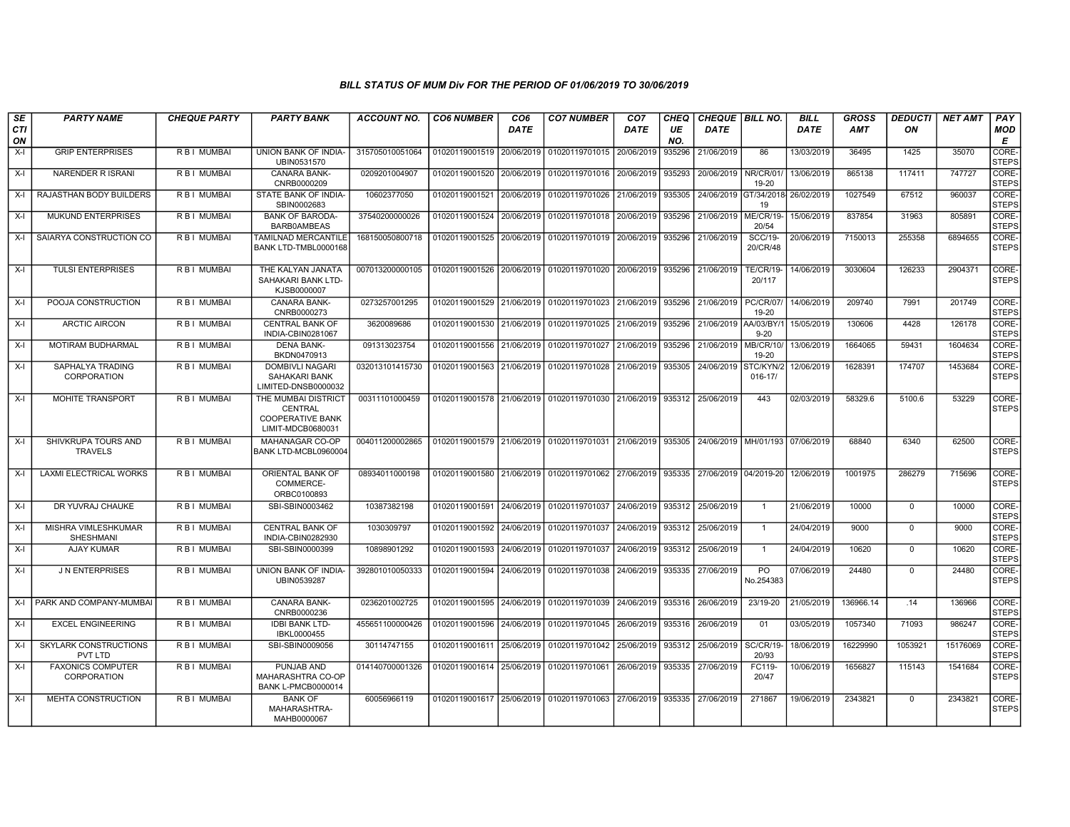| SE<br><b>CTI</b><br>ON | <b>PARTY NAME</b>                              | <b>CHEQUE PARTY</b> | <b>PARTY BANK</b>                                                                     | <b>ACCOUNT NO.</b> | <b>CO6 NUMBER</b>         | CO <sub>6</sub><br><b>DATE</b> | <b>CO7 NUMBER</b>                | CO <sub>7</sub><br><b>DATE</b> | CHEQ<br>UE<br>NO. | CHEQUE   BILL NO.<br><b>DATE</b> |                            | <b>BILL</b><br><b>DATE</b> | <b>GROSS</b><br><b>AMT</b> | DEDUCTI<br>ON | <b>NET AMT</b> | PAY<br>MOD<br>Е       |
|------------------------|------------------------------------------------|---------------------|---------------------------------------------------------------------------------------|--------------------|---------------------------|--------------------------------|----------------------------------|--------------------------------|-------------------|----------------------------------|----------------------------|----------------------------|----------------------------|---------------|----------------|-----------------------|
| X-I                    | <b>GRIP ENTERPRISES</b>                        | R B I MUMBAI        | UNION BANK OF INDIA-<br>UBIN0531570                                                   | 315705010051064    | 01020119001519            | 20/06/2019                     | 01020119701015 20/06/2019        |                                | 935296            | 21/06/2019                       | 86                         | 13/03/2019                 | 36495                      | 1425          | 35070          | CORE-<br><b>STEPS</b> |
| $X-I$                  | NARENDER R ISRANI                              | R B I MUMBAI        | CANARA BANK-<br>CNRB0000209                                                           | 0209201004907      | 01020119001520            | 20/06/2019                     | 01020119701016 20/06/2019        |                                | 935293            | 20/06/2019                       | NR/CR/01<br>19-20          | 13/06/2019                 | 865138                     | 117411        | 747727         | CORE-<br><b>STEPS</b> |
| $X-I$                  | RAJASTHAN BODY BUILDERS                        | <b>RBI MUMBAI</b>   | STATE BANK OF INDIA-<br>SBIN0002683                                                   | 10602377050        | 01020119001521            | 20/06/2019                     | 01020119701026 21/06/2019        |                                | 935305            | 24/06/2019 GT/34/2018            | 19                         | 26/02/2019                 | 1027549                    | 67512         | 960037         | CORE-<br><b>STEPS</b> |
| X-I                    | MUKUND ENTERPRISES                             | R B I MUMBAI        | <b>BANK OF BARODA-</b><br><b>BARB0AMBEAS</b>                                          | 37540200000026     | 01020119001524            | 20/06/2019                     | 01020119701018                   | 20/06/2019                     | 935296            | 21/06/2019                       | ME/CR/19<br>20/54          | 15/06/2019                 | 837854                     | 31963         | 805891         | CORE-<br><b>STEPS</b> |
| X-I                    | SAIARYA CONSTRUCTION CO                        | R B I MUMBAI        | TAMILNAD MERCANTILE<br>BANK LTD-TMBL0000168                                           | 168150050800718    | 01020119001525            | 20/06/2019                     | 01020119701019                   | 20/06/2019                     | 935296            | 21/06/2019                       | <b>SCC/19-</b><br>20/CR/48 | 20/06/2019                 | 7150013                    | 255358        | 6894655        | CORE-<br><b>STEPS</b> |
| X-I                    | <b>TULSI ENTERPRISES</b>                       | R B I MUMBAI        | THE KALYAN JANATA<br>SAHAKARI BANK LTD-<br>KJSB0000007                                | 007013200000105    | 01020119001526            | 20/06/2019                     | 01020119701020 20/06/2019        |                                | 935296            | 21/06/2019                       | <b>TE/CR/19-</b><br>20/117 | 14/06/2019                 | 3030604                    | 126233        | 2904371        | CORE-<br><b>STEPS</b> |
| X-I                    | POOJA CONSTRUCTION                             | R B I MUMBAI        | CANARA BANK-<br>CNRB0000273                                                           | 0273257001295      | 01020119001529            | 21/06/2019                     | 01020119701023 21/06/2019        |                                | 935296            | 21/06/2019                       | <b>PC/CR/07</b><br>19-20   | 14/06/2019                 | 209740                     | 7991          | 201749         | CORE-<br><b>STEPS</b> |
| $X-I$                  | <b>ARCTIC AIRCON</b>                           | <b>RBI MUMBAI</b>   | <b>CENTRAL BANK OF</b><br>INDIA-CBIN0281067                                           | 3620089686         | 01020119001530 21/06/2019 |                                | 01020119701025 21/06/2019        |                                | 935296            | 21/06/2019                       | AA/03/BY/<br>$9 - 20$      | 15/05/2019                 | 130606                     | 4428          | 126178         | CORE-<br><b>STEPS</b> |
| $X-I$                  | <b>MOTIRAM BUDHARMAL</b>                       | <b>RBI MUMBAI</b>   | <b>DENA BANK-</b><br>BKDN0470913                                                      | 091313023754       | 01020119001556 21/06/2019 |                                | 01020119701027 21/06/2019        |                                | 935296            | 21/06/2019                       | MB/CR/10<br>19-20          | 13/06/2019                 | 1664065                    | 59431         | 1604634        | CORE-<br><b>STEPS</b> |
| X-I                    | SAPHALYA TRADING<br><b>CORPORATION</b>         | R B I MUMBAI        | <b>DOMBIVLI NAGARI</b><br><b>SAHAKARI BANK</b><br>LIMITED-DNSB0000032                 | 032013101415730    | 01020119001563            | 21/06/2019                     | 01020119701028 21/06/2019        |                                | 935305            | 24/06/2019                       | STC/KYN/2<br>$016 - 17/$   | 12/06/2019                 | 1628391                    | 174707        | 1453684        | CORE-<br><b>STEPS</b> |
| X-I                    | <b>MOHITE TRANSPORT</b>                        | R B I MUMBAI        | THE MUMBAI DISTRICT<br><b>CENTRAL</b><br><b>COOPERATIVE BANK</b><br>LIMIT-MDCB0680031 | 00311101000459     | 01020119001578 21/06/2019 |                                | 01020119701030 21/06/2019        |                                |                   | 935312 25/06/2019                | 443                        | 02/03/2019                 | 58329.6                    | 5100.6        | 53229          | CORE-<br><b>STEPS</b> |
| X-I                    | SHIVKRUPA TOURS AND<br><b>TRAVELS</b>          | <b>RBI MUMBAI</b>   | MAHANAGAR CO-OP<br>BANK LTD-MCBL0960004                                               | 004011200002865    | 01020119001579 21/06/2019 |                                | 01020119701031 21/06/2019        |                                |                   | 935305 24/06/2019                | MH/01/193 07/06/2019       |                            | 68840                      | 6340          | 62500          | CORE-<br><b>STEPS</b> |
| $X-I$                  | <b>LAXMI ELECTRICAL WORKS</b>                  | <b>RBI MUMBAI</b>   | ORIENTAL BANK OF<br>COMMERCE-<br>ORBC0100893                                          | 08934011000198     | 01020119001580 21/06/2019 |                                | 01020119701062 27/06/2019        |                                | 935335            | 27/06/2019 04/2019-20            |                            | 12/06/2019                 | 1001975                    | 286279        | 715696         | CORE-<br><b>STEPS</b> |
| X-I                    | DR YUVRAJ CHAUKE                               | <b>RBI MUMBAI</b>   | SBI-SBIN0003462                                                                       | 10387382198        | 01020119001591 24/06/2019 |                                | 01020119701037 24/06/2019 935312 |                                |                   | 25/06/2019                       | $\overline{1}$             | 21/06/2019                 | 10000                      | $\Omega$      | 10000          | CORE-<br><b>STEPS</b> |
| X-I                    | MISHRA VIMLESHKUMAR<br><b>SHESHMANI</b>        | R B I MUMBAI        | <b>CENTRAL BANK OF</b><br>INDIA-CBIN0282930                                           | 1030309797         | 01020119001592            | 24/06/2019                     | 01020119701037                   | 24/06/2019                     | 935312            | 25/06/2019                       | $\mathbf{1}$               | 24/04/2019                 | 9000                       | $\mathbf{0}$  | 9000           | CORE-<br><b>STEPS</b> |
| X-I                    | <b>AJAY KUMAR</b>                              | <b>RBI MUMBAI</b>   | SBI-SBIN0000399                                                                       | 10898901292        | 01020119001593            | 24/06/2019                     | 01020119701037                   | 24/06/2019                     | 935312            | 25/06/2019                       | $\mathbf{1}$               | 24/04/2019                 | 10620                      | $\mathbf 0$   | 10620          | CORE-<br><b>STEPS</b> |
| X-I                    | <b>J N ENTERPRISES</b>                         | <b>RBI MUMBAI</b>   | <b>UNION BANK OF INDIA-</b><br>UBIN0539287                                            | 392801010050333    | 01020119001594            | 24/06/2019                     | 01020119701038                   | 24/06/2019                     | 935335            | 27/06/2019                       | PO<br>No.254383            | 07/06/2019                 | 24480                      | 0             | 24480          | CORE-<br><b>STEPS</b> |
| X-I                    | PARK AND COMPANY-MUMBAI                        | R B I MUMBAI        | <b>CANARA BANK-</b><br>CNRB0000236                                                    | 0236201002725      | 01020119001595            | 24/06/2019                     | 01020119701039                   | 24/06/2019                     | 935316            | 26/06/2019                       | 23/19-20                   | 21/05/2019                 | 136966.14                  | .14           | 136966         | CORE-<br><b>STEPS</b> |
| X-I                    | <b>EXCEL ENGINEERING</b>                       | R B I MUMBAI        | <b>IDBI BANK LTD-</b><br>IBKL0000455                                                  | 455651100000426    | 01020119001596            | 24/06/2019                     | 01020119701045                   | 26/06/2019                     | 935316            | 26/06/2019                       | 01                         | 03/05/2019                 | 1057340                    | 71093         | 986247         | CORE-<br><b>STEPS</b> |
| X-I                    | SKYLARK CONSTRUCTIONS<br>PVT LTD               | R B I MUMBAI        | SBI-SBIN0009056                                                                       | 30114747155        | 01020119001611            | 25/06/2019                     | 01020119701042                   | 25/06/2019                     | 935312            | 25/06/2019                       | <b>SC/CR/19-</b><br>20/93  | 18/06/2019                 | 16229990                   | 1053921       | 15176069       | CORE-<br><b>STEPS</b> |
| $X-I$                  | <b>FAXONICS COMPUTER</b><br><b>CORPORATION</b> | R B I MUMBAI        | PUNJAB AND<br>MAHARASHTRA CO-OP<br><b>BANK L-PMCB0000014</b>                          | 014140700001326    | 01020119001614 25/06/2019 |                                | 01020119701061 26/06/2019        |                                | 935335            | 27/06/2019                       | FC119-<br>20/47            | 10/06/2019                 | 1656827                    | 115143        | 1541684        | CORE-<br><b>STEPS</b> |
| $X-I$                  | <b>MEHTA CONSTRUCTION</b>                      | <b>RBI MUMBAI</b>   | <b>BANK OF</b><br>MAHARASHTRA-<br>MAHB0000067                                         | 60056966119        | 01020119001617 25/06/2019 |                                | 01020119701063 27/06/2019        |                                |                   | 935335 27/06/2019                | 271867                     | 19/06/2019                 | 2343821                    | $\Omega$      | 2343821        | CORE-<br><b>STEPS</b> |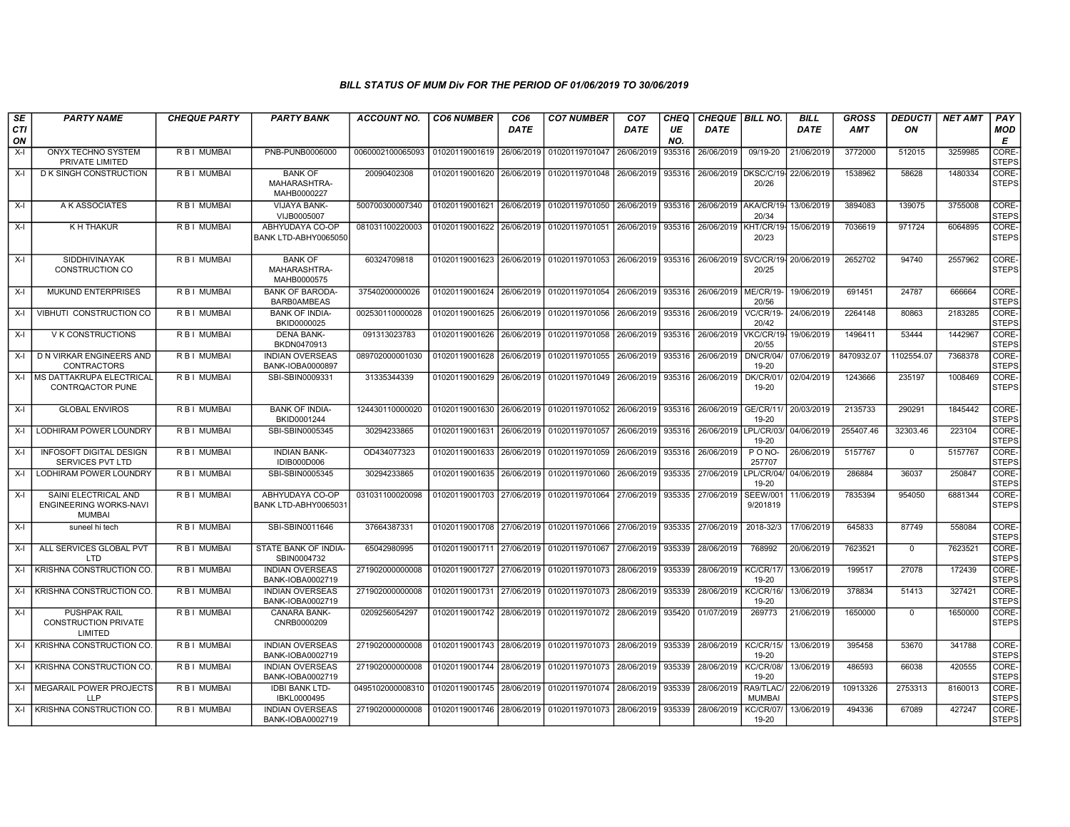| SE<br>CTI<br>ON | <b>PARTY NAME</b>                                               | <b>CHEQUE PARTY</b> | <b>PARTY BANK</b>                             | <b>ACCOUNT NO.</b> | <b>CO6 NUMBER</b>         | CO <sub>6</sub><br><b>DATE</b> | <b>CO7 NUMBER</b>         | CO <sub>7</sub><br><b>DATE</b> | CHEQ<br>UE<br>NO. | <b>CHEQUE   BILL NO.</b><br><b>DATE</b> |                             | <b>BILL</b><br><b>DATE</b> | GROSS<br>AMT | <b>DEDUCTI</b><br>ON | <b>NET AMT</b> | PAY<br><b>MOD</b><br>Е |
|-----------------|-----------------------------------------------------------------|---------------------|-----------------------------------------------|--------------------|---------------------------|--------------------------------|---------------------------|--------------------------------|-------------------|-----------------------------------------|-----------------------------|----------------------------|--------------|----------------------|----------------|------------------------|
| $X-I$           | ONYX TECHNO SYSTEM<br>PRIVATE LIMITED                           | R B I MUMBAI        | PNB-PUNB0006000                               | 0060002100065093   | 01020119001619            | 26/06/2019                     | 01020119701047            | 26/06/2019                     | 935316            | 26/06/2019                              | 09/19-20                    | 21/06/2019                 | 3772000      | 512015               | 3259985        | CORE-<br><b>STEPS</b>  |
| $X-I$           | <b>DK SINGH CONSTRUCTION</b>                                    | R B I MUMBAI        | <b>BANK OF</b><br>MAHARASHTRA-<br>MAHB0000227 | 20090402308        | 01020119001620            | 26/06/2019                     | 01020119701048            | 26/06/2019                     | 935316            | 26/06/2019 DKSC/C/19-                   | 20/26                       | 22/06/2019                 | 1538962      | 58628                | 1480334        | CORE-<br><b>STEPS</b>  |
| $X-I$           | A K ASSOCIATES                                                  | R B   MUMBAI        | <b>VIJAYA BANK-</b><br>VIJB0005007            | 500700300007340    | 01020119001621 26/06/2019 |                                | 01020119701050            | 26/06/2019                     | 935316            | 26/06/2019 AKA/CR/19                    | 20/34                       | 13/06/2019                 | 3894083      | 139075               | 3755008        | CORE-<br><b>STEPS</b>  |
| $X-I$           | K H THAKUR                                                      | R B I MUMBAI        | ABHYUDAYA CO-OP<br>BANK LTD-ABHY0065050       | 081031100220003    | 01020119001622            | 26/06/2019                     | 01020119701051            | 26/06/2019                     | 935316            | 26/06/2019                              | KHT/CR/19-<br>20/23         | 15/06/2019                 | 7036619      | 971724               | 6064895        | CORE-<br><b>STEPS</b>  |
| $X-I$           | SIDDHIVINAYAK<br>CONSTRUCTION CO                                | R B I MUMBAI        | <b>BANK OF</b><br>MAHARASHTRA-<br>MAHB0000575 | 60324709818        | 01020119001623 26/06/2019 |                                | 01020119701053 26/06/2019 |                                | 935316            | 26/06/2019 SVC/CR/19-                   | 20/25                       | 20/06/2019                 | 2652702      | 94740                | 2557962        | CORE-<br><b>STEPS</b>  |
| X-I             | MUKUND ENTERPRISES                                              | R B I MUMBAI        | <b>BANK OF BARODA-</b><br>BARB0AMBEAS         | 37540200000026     | 01020119001624 26/06/2019 |                                | 01020119701054 26/06/2019 |                                | 935316            | 26/06/2019                              | <b>ME/CR/19-</b><br>20/56   | 19/06/2019                 | 691451       | 24787                | 666664         | CORE-<br><b>STEPS</b>  |
| $X-I$           | VIBHUTI CONSTRUCTION CO                                         | <b>RBI MUMBAI</b>   | <b>BANK OF INDIA-</b><br>BKID0000025          | 002530110000028    | 01020119001625            | 26/06/2019                     | 01020119701056            | 26/06/2019                     | 935316            | 26/06/2019                              | <b>VC/CR/19-</b><br>20/42   | 24/06/2019                 | 2264148      | 80863                | 2183285        | CORE-<br><b>STEPS</b>  |
| $X-I$           | V K CONSTRUCTIONS                                               | R B I MUMBAI        | <b>DENA BANK-</b><br>BKDN0470913              | 091313023783       | 01020119001626            | 26/06/2019                     | 01020119701058            | 26/06/2019                     | 935316            | 26/06/2019                              | VKC/CR/19<br>20/55          | 19/06/2019                 | 1496411      | 53444                | 1442967        | CORE-<br><b>STEPS</b>  |
| $X-I$           | D N VIRKAR ENGINEERS AND<br>CONTRACTORS                         | R B I MUMBAI        | <b>INDIAN OVERSEAS</b><br>BANK-IOBA0000897    | 089702000001030    | 01020119001628            | 26/06/2019                     | 01020119701055            | 26/06/2019                     | 935316            | 26/06/2019                              | DN/CR/04<br>19-20           | 07/06/2019                 | 8470932.07   | 1102554.07           | 7368378        | CORE-<br><b>STEPS</b>  |
|                 | X-I MS DATTAKRUPA ELECTRICAL<br>CONTRQACTOR PUNE                | R B I MUMBAI        | SBI-SBIN0009331                               | 31335344339        | 01020119001629 26/06/2019 |                                | 01020119701049            | 26/06/2019                     | 935316            | 26/06/2019                              | DK/CR/01<br>19-20           | 02/04/2019                 | 1243666      | 235197               | 1008469        | CORE-<br><b>STEPS</b>  |
| $X-I$           | <b>GLOBAL ENVIROS</b>                                           | R B I MUMBAI        | <b>BANK OF INDIA-</b><br>BKID0001244          | 124430110000020    | 01020119001630            | 26/06/2019                     | 01020119701052            | 26/06/2019                     | 935316            | 26/06/2019                              | GE/CR/11<br>19-20           | 20/03/2019                 | 2135733      | 290291               | 1845442        | CORE-<br><b>STEPS</b>  |
| X-I             | <b>LODHIRAM POWER LOUNDRY</b>                                   | R B I MUMBAI        | SBI-SBIN0005345                               | 30294233865        | 01020119001631            | 26/06/2019                     | 01020119701057            | 26/06/2019                     | 935316            | 26/06/2019 LPL/CR/03/                   | 19-20                       | 04/06/2019                 | 255407.46    | 32303.46             | 223104         | CORE-<br><b>STEPS</b>  |
| $X-I$           | <b>INFOSOFT DIGITAL DESIGN</b><br>SERVICES PVT LTD              | R B I MUMBAI        | <b>INDIAN BANK-</b><br>IDIB000D006            | OD434077323        | 01020119001633            | 26/06/2019                     | 01020119701059            | 26/06/2019                     | 935316            | 26/06/2019                              | PO <sub>NO-</sub><br>257707 | 26/06/2019                 | 5157767      | $\mathbf 0$          | 5157767        | CORE-<br>STEPS         |
| $X-I$           | <b>LODHIRAM POWER LOUNDRY</b>                                   | R B I MUMBAI        | SBI-SBIN0005345                               | 30294233865        | 01020119001635 26/06/2019 |                                | 01020119701060            | 26/06/2019                     | 935335            | 27/06/2019                              | LPL/CR/04/<br>19-20         | 04/06/2019                 | 286884       | 36037                | 250847         | CORE-<br>STEPS         |
| $X-I$           | SAINI ELECTRICAL AND<br><b>ENGINEERING WORKS-NAVI</b><br>MUMBAI | R B I MUMBAI        | ABHYUDAYA CO-OP<br>BANK LTD-ABHY0065031       | 031031100020098    | 01020119001703            | 27/06/2019                     | 01020119701064            | 27/06/2019                     | 935335            | 27/06/2019                              | <b>SEEW/001</b><br>9/201819 | 11/06/2019                 | 7835394      | 954050               | 6881344        | CORE-<br><b>STEPS</b>  |
| X-I             | suneel hi tech                                                  | R B I MUMBAI        | SBI-SBIN0011646                               | 37664387331        | 01020119001708 27/06/2019 |                                | 01020119701066            | 27/06/2019                     | 935335            | 27/06/2019                              | 2018-32/3                   | 17/06/2019                 | 645833       | 87749                | 558084         | CORE-<br><b>STEPS</b>  |
| $X-I$           | ALL SERVICES GLOBAL PVT<br>LTD                                  | R B I MUMBAI        | STATE BANK OF INDIA-<br>SBIN0004732           | 65042980995        | 01020119001711            | 27/06/2019                     | 01020119701067            | 27/06/2019                     | 935339            | 28/06/2019                              | 768992                      | 20/06/2019                 | 7623521      | $\Omega$             | 7623521        | CORE-<br><b>STEPS</b>  |
| $X-I$           | KRISHNA CONSTRUCTION CO.                                        | R B I MUMBAI        | <b>INDIAN OVERSEAS</b><br>BANK-IOBA0002719    | 271902000000008    | 01020119001727            | 27/06/2019                     | 01020119701073            | 28/06/2019                     | 935339            | 28/06/2019                              | KC/CR/17<br>19-20           | 13/06/2019                 | 199517       | 27078                | 172439         | CORE-<br><b>STEPS</b>  |
|                 | X-I KRISHNA CONSTRUCTION CO.                                    | R B I MUMBAI        | <b>INDIAN OVERSEAS</b><br>BANK-IOBA0002719    | 271902000000008    | 01020119001731            | 27/06/2019                     | 01020119701073            | 28/06/2019                     | 935339            | 28/06/2019                              | <b>KC/CR/16/</b><br>19-20   | 13/06/2019                 | 378834       | 51413                | 327421         | CORE-<br><b>STEPS</b>  |
| $X-I$           | PUSHPAK RAIL<br><b>CONSTRUCTION PRIVATE</b><br>LIMITED          | R B I MUMBAI        | CANARA BANK-<br>CNRB0000209                   | 0209256054297      | 01020119001742 28/06/2019 |                                | 01020119701072            | 28/06/2019                     | 935420            | 01/07/2019                              | 269773                      | 21/06/2019                 | 1650000      | $\mathbf 0$          | 1650000        | CORE-<br>STEPS         |
|                 | X-I KRISHNA CONSTRUCTION CO.                                    | R B I MUMBAI        | <b>INDIAN OVERSEAS</b><br>BANK-IOBA0002719    | 271902000000008    | 01020119001743            | 28/06/2019                     | 01020119701073            | 28/06/2019                     | 935339            | 28/06/2019                              | <b>KC/CR/15/</b><br>19-20   | 13/06/2019                 | 395458       | 53670                | 341788         | CORE-<br><b>STEPS</b>  |
| X-I             | KRISHNA CONSTRUCTION CO                                         | R B I MUMBAI        | <b>INDIAN OVERSEAS</b><br>BANK-IOBA0002719    | 271902000000008    | 01020119001744            | 28/06/2019                     | 01020119701073            | 28/06/2019                     | 935339            | 28/06/2019                              | <b>KC/CR/08/</b><br>19-20   | 13/06/2019                 | 486593       | 66038                | 420555         | CORE-<br><b>STEPS</b>  |
|                 | X-I I MEGARAIL POWER PROJECTS<br><b>LLP</b>                     | R B I MUMBAI        | <b>IDBI BANK LTD-</b><br>IBKL0000495          | 0495102000008310   | 01020119001745            | 28/06/2019                     | 01020119701074            | 28/06/2019                     | 935339            | 28/06/2019                              | RA9/TLAC/<br><b>MUMBAI</b>  | 22/06/2019                 | 10913326     | 2753313              | 8160013        | CORE-<br><b>STEPS</b>  |
|                 | X-I KRISHNA CONSTRUCTION CO.                                    | R B I MUMBAI        | <b>INDIAN OVERSEAS</b><br>BANK-IOBA0002719    | 271902000000008    | 01020119001746 28/06/2019 |                                | 01020119701073            | 28/06/2019                     | 935339            | 28/06/2019                              | <b>KC/CR/07/</b><br>19-20   | 13/06/2019                 | 494336       | 67089                | 427247         | CORE-<br>STEPS         |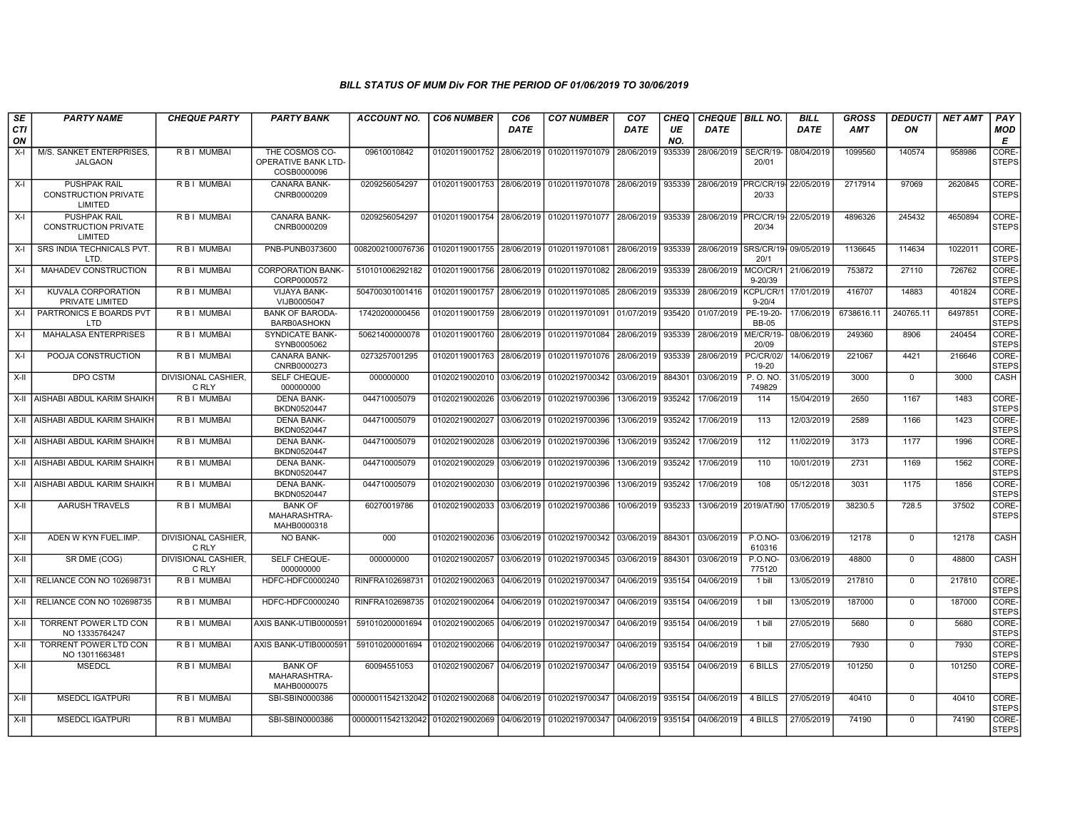| SE        | <b>PARTY NAME</b>                                             | <b>CHEQUE PARTY</b>                 | <b>PARTY BANK</b>                                    | ACCOUNT NO.                                 | <b>CO6 NUMBER</b> | CO <sub>6</sub> | <b>CO7 NUMBER</b>         | CO <sub>7</sub> | CHEQ      | <b>CHEQUE BILL NO.</b> |                              | <b>BILL</b> | <b>GROSS</b> | <b>DEDUCTI</b> | <b>NET AMT</b> | PAY                         |
|-----------|---------------------------------------------------------------|-------------------------------------|------------------------------------------------------|---------------------------------------------|-------------------|-----------------|---------------------------|-----------------|-----------|------------------------|------------------------------|-------------|--------------|----------------|----------------|-----------------------------|
| CTI<br>ON |                                                               |                                     |                                                      |                                             |                   | <b>DATE</b>     |                           | DATE            | UE<br>NO. | DATE                   |                              | <b>DATE</b> | <b>AMT</b>   | ON             |                | <b>MOD</b><br>Е             |
| $X-I$     | M/S. SANKET ENTERPRISES.<br><b>JALGAON</b>                    | R B I MUMBAI                        | THE COSMOS CO-<br>OPERATIVE BANK LTD-<br>COSB0000096 | 09610010842                                 | 01020119001752    | 28/06/2019      | 01020119701079            | 28/06/2019      | 935339    | 28/06/2019             | <b>SE/CR/19-</b><br>20/01    | 08/04/2019  | 1099560      | 140574         | 958986         | CORE-<br><b>STEPS</b>       |
| $X-I$     | <b>PUSHPAK RAIL</b><br><b>CONSTRUCTION PRIVATE</b><br>LIMITED | R B I MUMBAI                        | CANARA BANK-<br>CNRB0000209                          | 0209256054297                               | 01020119001753    | 28/06/2019      | 01020119701078            | 28/06/2019      | 935339    | 28/06/2019             | PRC/CR/19<br>20/33           | 22/05/2019  | 2717914      | 97069          | 2620845        | <b>CORE</b><br><b>STEPS</b> |
| $X-I$     | <b>PUSHPAK RAIL</b><br><b>CONSTRUCTION PRIVATE</b><br>LIMITED | R B I MUMBAI                        | <b>CANARA BANK-</b><br>CNRB0000209                   | 0209256054297                               | 01020119001754    | 28/06/2019      | 01020119701077 28/06/2019 |                 | 935339    | 28/06/2019             | PRC/CR/19<br>20/34           | 22/05/2019  | 4896326      | 245432         | 4650894        | CORE-<br><b>STEPS</b>       |
| $X-I$     | SRS INDIA TECHNICALS PVT.<br>LTD.                             | R B I MUMBAI                        | PNB-PUNB0373600                                      | 0082002100076736                            | 01020119001755    | 28/06/2019      | 01020119701081            | 28/06/2019      | 935339    | 28/06/2019             | SRS/CR/19 09/05/2019<br>20/1 |             | 1136645      | 114634         | 1022011        | CORE-<br><b>STEPS</b>       |
| $X-I$     | <b>MAHADEV CONSTRUCTION</b>                                   | R B I MUMBAI                        | <b>CORPORATION BANK-</b><br>CORP0000572              | 510101006292182                             | 01020119001756    | 28/06/2019      | 01020119701082            | 28/06/2019      | 935339    | 28/06/2019             | MCO/CR/1<br>$9 - 20/39$      | 21/06/2019  | 753872       | 27110          | 726762         | CORE-<br><b>STEPS</b>       |
| $X-I$     | <b>KUVALA CORPORATION</b><br>PRIVATE LIMITED                  | R B I MUMBAI                        | <b>VIJAYA BANK-</b><br>VIJB0005047                   | 504700301001416                             | 01020119001757    | 28/06/2019      | 01020119701085            | 28/06/2019      | 935339    | 28/06/2019             | KCPL/CR/1<br>$9 - 20/4$      | 17/01/2019  | 416707       | 14883          | 401824         | CORE-<br><b>STEPS</b>       |
| $X-I$     | PARTRONICS E BOARDS PVT<br><b>LTD</b>                         | R B I MUMBAI                        | <b>BANK OF BARODA</b><br><b>BARB0ASHOKN</b>          | 17420200000456                              | 01020119001759    | 28/06/2019      | 01020119701091            | 01/07/2019      | 935420    | 01/07/2019             | PE-19-20-<br><b>BB-05</b>    | 17/06/2019  | 6738616.11   | 240765.11      | 6497851        | CORE-<br><b>STEPS</b>       |
| $X-I$     | MAHALASA ENTERPRISES                                          | R B I MUMBAI                        | <b>SYNDICATE BANK-</b><br>SYNB0005062                | 50621400000078                              | 01020119001760    | 28/06/2019      | 01020119701084            | 28/06/2019      | 935339    | 28/06/2019             | ME/CR/19-<br>20/09           | 08/06/2019  | 249360       | 8906           | 240454         | CORE-<br><b>STEPS</b>       |
| $X-I$     | POOJA CONSTRUCTION                                            | R B I MUMBAI                        | <b>CANARA BANK-</b><br>CNRB0000273                   | 0273257001295                               | 01020119001763    | 28/06/2019      | 01020119701076            | 28/06/2019      | 935339    | 28/06/2019             | PC/CR/02/<br>19-20           | 14/06/2019  | 221067       | 4421           | 216646         | CORE-<br><b>STEPS</b>       |
| $X-II$    | DPO CSTM                                                      | DIVISIONAL CASHIER.<br>C RLY        | SELF CHEQUE-<br>000000000                            | 000000000                                   | 01020219002010    | 03/06/2019      | 01020219700342            | 03/06/2019      | 884301    | 03/06/2019             | P.O.NO.<br>749829            | 31/05/2019  | 3000         | $\Omega$       | 3000           | CASH                        |
| X-II      | <b>AISHABI ABDUL KARIM SHAIKH</b>                             | R B I MUMBAI                        | <b>DENA BANK-</b><br>BKDN0520447                     | 044710005079                                | 01020219002026    | 03/06/2019      | 01020219700396            | 13/06/2019      | 935242    | 17/06/2019             | 114                          | 15/04/2019  | 2650         | 1167           | 1483           | CORE-<br><b>STEPS</b>       |
| X-II      | AISHABI ABDUL KARIM SHAIKH                                    | R B I MUMBAI                        | <b>DENA BANK-</b><br>BKDN0520447                     | 044710005079                                | 01020219002027    | 03/06/2019      | 01020219700396            | 13/06/2019      | 935242    | 17/06/2019             | 113                          | 12/03/2019  | 2589         | 1166           | 1423           | CORE-<br><b>STEPS</b>       |
| X-II      | AISHABI ABDUL KARIM SHAIKH                                    | R B I MUMBAI                        | <b>DENA BANK-</b><br>BKDN0520447                     | 044710005079                                | 01020219002028    | 03/06/2019      | 01020219700396            | 13/06/2019      | 935242    | 17/06/2019             | 112                          | 11/02/2019  | 3173         | 1177           | 1996           | CORE-<br><b>STEPS</b>       |
| X-II      | AISHABI ABDUL KARIM SHAIKH                                    | R B I MUMBAI                        | <b>DENA BANK-</b><br>BKDN0520447                     | 044710005079                                | 01020219002029    | 03/06/2019      | 01020219700396            | 13/06/2019      | 935242    | 17/06/2019             | 110                          | 10/01/2019  | 2731         | 1169           | 1562           | CORE-<br><b>STEPS</b>       |
| X-II      | AISHABI ABDUL KARIM SHAIKH                                    | R B I MUMBAI                        | <b>DENA BANK-</b><br>BKDN0520447                     | 044710005079                                | 01020219002030    | 03/06/2019      | 01020219700396            | 13/06/2019      | 935242    | 17/06/2019             | 108                          | 05/12/2018  | 3031         | 1175           | 1856           | CORE-<br><b>STEPS</b>       |
| X-II      | <b>AARUSH TRAVELS</b>                                         | R B I MUMBAI                        | <b>BANK OF</b><br>MAHARASHTRA-<br>MAHB0000318        | 60270019786                                 | 01020219002033    | 03/06/2019      | 01020219700386            | 10/06/2019      | 935233    |                        | 13/06/2019 2019/AT/90        | 17/05/2019  | 38230.5      | 728.5          | 37502          | CORE-<br><b>STEPS</b>       |
| $X-H$     | ADEN W KYN FUEL.IMP.                                          | DIVISIONAL CASHIER,<br>C RLY        | <b>NO BANK-</b>                                      | 000                                         | 01020219002036    | 03/06/2019      | 01020219700342            | 03/06/2019      | 884301    | 03/06/2019             | <b>P.O.NO-</b><br>610316     | 03/06/2019  | 12178        | $\mathbf{0}$   | 12178          | <b>CASH</b>                 |
| X-II      | SR DME (COG)                                                  | <b>DIVISIONAL CASHIER.</b><br>C RLY | SELF CHEQUE-<br>000000000                            | 000000000                                   | 01020219002057    | 03/06/2019      | 01020219700345            | 03/06/2019      | 884301    | 03/06/2019             | <b>P.O.NO-</b><br>775120     | 03/06/2019  | 48800        | $\Omega$       | 48800          | CASH                        |
| $X-H$     | RELIANCE CON NO 102698731                                     | R B I MUMBAI                        | HDFC-HDFC0000240                                     | RINFRA10269873                              | 01020219002063    | 04/06/2019      | 01020219700347            | 04/06/2019      | 935154    | 04/06/2019             | 1 bill                       | 13/05/2019  | 217810       | $\mathbf 0$    | 217810         | CORE-<br><b>STEPS</b>       |
| $X-II$    | RELIANCE CON NO 102698735                                     | R B I MUMBAI                        | HDFC-HDFC0000240                                     | RINFRA102698735                             | 01020219002064    | 04/06/2019      | 01020219700347            | 04/06/2019      | 935154    | 04/06/2019             | 1 bill                       | 13/05/2019  | 187000       | $\mathbf 0$    | 187000         | CORE-<br><b>STEPS</b>       |
| $X-II$    | TORRENT POWER LTD CON<br>NO 13335764247                       | R B I MUMBAI                        | AXIS BANK-UTIB0000591                                | 591010200001694                             | 01020219002065    | 04/06/2019      | 01020219700347            | 04/06/2019      | 935154    | 04/06/2019             | 1 bill                       | 27/05/2019  | 5680         | $\mathbf 0$    | 5680           | CORE-<br><b>STEPS</b>       |
| $X-H$     | <b>TORRENT POWER LTD CON</b><br>NO 13011663481                | R B I MUMBAI                        | AXIS BANK-UTIB0000591                                | 591010200001694                             | 01020219002066    | 04/06/2019      | 01020219700347            | 04/06/2019      | 935154    | 04/06/2019             | 1 bill                       | 27/05/2019  | 7930         | $\Omega$       | 7930           | CORE-<br><b>STEPS</b>       |
| $X-II$    | <b>MSEDCL</b>                                                 | R B I MUMBAI                        | <b>BANK OF</b><br>MAHARASHTRA-<br>MAHB0000075        | 60094551053                                 | 01020219002067    | 04/06/2019      | 01020219700347            | 04/06/2019      | 935154    | 04/06/2019             | 6 BILLS                      | 27/05/2019  | 101250       | $\mathbf 0$    | 101250         | CORE-<br><b>STEPS</b>       |
| $X-H$     | <b>MSEDCL IGATPURI</b>                                        | R B I MUMBAI                        | SBI-SBIN0000386                                      | 00000011542132042                           | 01020219002068    | 04/06/2019      | 01020219700347            | 04/06/2019      | 935154    | 04/06/2019             | 4 BILLS                      | 27/05/2019  | 40410        | $\mathbf 0$    | 40410          | CORE-<br><b>STEPS</b>       |
| X-II      | <b>MSEDCL IGATPURI</b>                                        | R B I MUMBAI                        | SBI-SBIN0000386                                      | 00000011542132042 01020219002069 04/06/2019 |                   |                 | 01020219700347            | 04/06/2019      | 935154    | 04/06/2019             | 4 BILLS                      | 27/05/2019  | 74190        | $\mathbf 0$    | 74190          | CORE-<br><b>STEPS</b>       |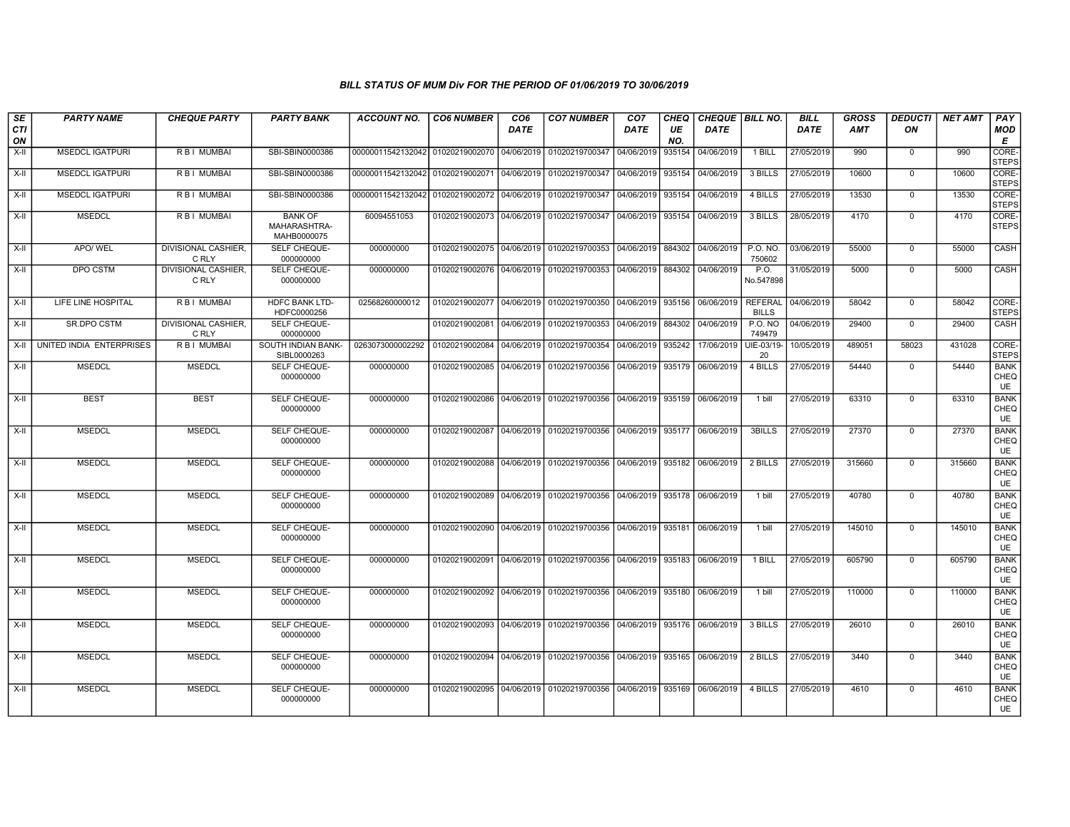| SE<br><b>CTI</b><br>ON | <b>PARTY NAME</b>        | <b>CHEQUE PARTY</b>                 | <b>PARTY BANK</b>                             | <b>ACCOUNT NO.</b>               | <b>CO6 NUMBER</b>         | CO <sub>6</sub><br><b>DATE</b> | <b>CO7 NUMBER</b>                           | CO <sub>7</sub><br><b>DATE</b> | CHEQ<br>UE<br>NO. | CHEQUE   BILL NO.<br><b>DATE</b> |                                | <b>BILL</b><br><b>DATE</b> | <b>GROSS</b><br>AMT | DEDUCTI<br>ON | <b>NET AMT</b> | PAY<br>MOD<br>Е                  |
|------------------------|--------------------------|-------------------------------------|-----------------------------------------------|----------------------------------|---------------------------|--------------------------------|---------------------------------------------|--------------------------------|-------------------|----------------------------------|--------------------------------|----------------------------|---------------------|---------------|----------------|----------------------------------|
| X-II                   | <b>MSEDCL IGATPURI</b>   | R B I MUMBAI                        | SBI-SBIN0000386                               | 00000011542132042                | 01020219002070            | 04/06/2019                     | 01020219700347                              | 04/06/2019                     | 935154            | 04/06/2019                       | 1 BILL                         | 27/05/2019                 | 990                 | $\mathbf 0$   | 990            | CORE-<br><b>STEPS</b>            |
| X-II                   | <b>MSEDCL IGATPURI</b>   | R B I MUMBAI                        | SBI-SBIN0000386                               | 00000011542132042 01020219002071 |                           | 04/06/2019                     | 01020219700347                              | 04/06/2019                     | 935154            | 04/06/2019                       | 3 BILLS                        | 27/05/2019                 | 10600               | 0             | 10600          | CORE-<br><b>STEPS</b>            |
| $X-II$                 | <b>MSEDCL IGATPURI</b>   | R B I MUMBAI                        | SBI-SBIN0000386                               | 00000011542132042 01020219002072 |                           | 04/06/2019                     | 01020219700347                              | 04/06/2019                     | 935154            | 04/06/2019                       | 4 BILLS                        | 27/05/2019                 | 13530               | $\mathbf 0$   | 13530          | CORE-<br><b>STEPS</b>            |
| X-II                   | <b>MSEDCL</b>            | R B I MUMBAI                        | <b>BANK OF</b><br>MAHARASHTRA-<br>MAHB0000075 | 60094551053                      | 01020219002073 04/06/2019 |                                | 01020219700347 04/06/2019                   |                                | 935154            | 04/06/2019                       | 3 BILLS                        | 28/05/2019                 | 4170                | $\mathbf{0}$  | 4170           | CORE-<br><b>STEPS</b>            |
| X-II                   | APO/ WEL                 | DIVISIONAL CASHIER,<br>C RLY        | SELF CHEQUE-<br>000000000                     | 000000000                        | 01020219002075 04/06/2019 |                                | 01020219700353                              | 04/06/2019                     | 884302            | 04/06/2019                       | P.O. NO.<br>750602             | 03/06/2019                 | 55000               | 0             | 55000          | CASH                             |
| X-II                   | <b>DPO CSTM</b>          | <b>DIVISIONAL CASHIER,</b><br>C RLY | SELF CHEQUE-<br>000000000                     | 000000000                        | 01020219002076 04/06/2019 |                                | 01020219700353                              | 04/06/2019                     | 884302            | 04/06/2019                       | P.O.<br>No.547898              | 31/05/2019                 | 5000                | 0             | 5000           | <b>CASH</b>                      |
| X-II                   | LIFE LINE HOSPITAL       | R B I MUMBAI                        | HDFC BANK LTD-<br>HDFC0000256                 | 02568260000012                   | 01020219002077 04/06/2019 |                                | 01020219700350                              | 04/06/2019                     | 935156            | 06/06/2019                       | <b>REFERAL</b><br><b>BILLS</b> | 04/06/2019                 | 58042               | $\mathbf 0$   | 58042          | CORE-<br><b>STEPS</b>            |
| X-II                   | SR.DPO CSTM              | DIVISIONAL CASHIER,<br>C RLY        | SELF CHEQUE-<br>000000000                     |                                  | 01020219002081            | 04/06/2019                     | 01020219700353                              | 04/06/2019                     | 884302            | 04/06/2019                       | <b>P.O. NO</b><br>749479       | 04/06/2019                 | 29400               | $\mathbf{0}$  | 29400          | CASH                             |
| X-II                   | UNITED INDIA ENTERPRISES | R B I MUMBAI                        | SOUTH INDIAN BANK-<br>SIBL0000263             | 0263073000002292                 | 01020219002084            | 04/06/2019                     | 01020219700354                              | 04/06/2019                     | 935242            | 17/06/2019                       | UIE-03/19-<br>20               | 10/05/2019                 | 489051              | 58023         | 431028         | CORE-<br><b>STEPS</b>            |
| X-II                   | <b>MSEDCL</b>            | <b>MSEDCL</b>                       | SELF CHEQUE-<br>000000000                     | 000000000                        | 01020219002085            | 04/06/2019                     | 01020219700356                              | 04/06/2019                     | 935179            | 06/06/2019                       | 4 BILLS                        | 27/05/2019                 | 54440               | $\mathbf 0$   | 54440          | <b>BANK</b><br>CHEQ<br>UE        |
| X-II                   | <b>BEST</b>              | <b>BEST</b>                         | SELF CHEQUE-<br>000000000                     | 000000000                        | 01020219002086 04/06/2019 |                                | 01020219700356 04/06/2019 935159            |                                |                   | 06/06/2019                       | 1 bill                         | 27/05/2019                 | 63310               | $\mathbf 0$   | 63310          | <b>BANK</b><br>CHEQ<br>UE        |
| $X-H$                  | <b>MSEDCL</b>            | <b>MSEDCL</b>                       | SELF CHEQUE-<br>000000000                     | 000000000                        | 01020219002087 04/06/2019 |                                | 01020219700356 04/06/2019 935177            |                                |                   | 06/06/2019                       | 3BILLS                         | 27/05/2019                 | 27370               | $\mathbf 0$   | 27370          | <b>BANK</b><br>CHEQ<br>UE        |
| X-II                   | <b>MSEDCL</b>            | <b>MSEDCL</b>                       | SELF CHEQUE-<br>000000000                     | 000000000                        | 01020219002088 04/06/2019 |                                | 01020219700356 04/06/2019 935182            |                                |                   | 06/06/2019                       | 2 BILLS                        | 27/05/2019                 | 315660              | 0             | 315660         | <b>BANK</b><br>CHEQ<br>UE        |
| $X-H$                  | <b>MSEDCL</b>            | <b>MSEDCL</b>                       | SELF CHEQUE-<br>000000000                     | 000000000                        | 01020219002089 04/06/2019 |                                | 01020219700356 04/06/2019 935178 06/06/2019 |                                |                   |                                  | 1 bill                         | 27/05/2019                 | 40780               | $\mathbf{0}$  | 40780          | <b>BANK</b><br>CHEQ<br>UE        |
| $X-H$                  | <b>MSEDCL</b>            | <b>MSEDCL</b>                       | SELF CHEQUE-<br>000000000                     | 000000000                        | 01020219002090 04/06/2019 |                                | 01020219700356 04/06/2019                   |                                | 935181            | 06/06/2019                       | 1 bill                         | 27/05/2019                 | 145010              | $\mathbf{0}$  | 145010         | <b>BANK</b><br>CHEQ<br>UE        |
| X-II                   | <b>MSEDCL</b>            | <b>MSEDCL</b>                       | SELF CHEQUE-<br>000000000                     | 000000000                        | 01020219002091            | 04/06/2019                     | 01020219700356 04/06/2019                   |                                | 935183            | 06/06/2019                       | 1 BILL                         | 27/05/2019                 | 605790              | $\mathbf 0$   | 605790         | <b>BANK</b><br>CHEQ<br>UE        |
| $X-H$                  | <b>MSEDCL</b>            | <b>MSEDCL</b>                       | SELF CHEQUE-<br>000000000                     | 000000000                        | 01020219002092 04/06/2019 |                                | 01020219700356 04/06/2019                   |                                | 935180            | 06/06/2019                       | 1 bill                         | 27/05/2019                 | 110000              | $\mathbf 0$   | 110000         | <b>BANK</b><br>CHEQ<br>UE        |
| $X-H$                  | <b>MSEDCL</b>            | <b>MSEDCL</b>                       | SELF CHEQUE-<br>000000000                     | 000000000                        | 01020219002093            | 04/06/2019                     | 01020219700356 04/06/2019                   |                                | 935176            | 06/06/2019                       | 3 BILLS                        | 27/05/2019                 | 26010               | 0             | 26010          | <b>BANK</b><br>CHEQ<br>UE        |
| X-II                   | <b>MSEDCL</b>            | <b>MSEDCL</b>                       | SELF CHEQUE-<br>000000000                     | 000000000                        | 01020219002094            | 04/06/2019                     | 01020219700356                              | 04/06/2019                     | 935165            | 06/06/2019                       | 2 BILLS                        | 27/05/2019                 | 3440                | 0             | 3440           | <b>BANK</b><br>CHEQ<br><b>UE</b> |
| X-II                   | <b>MSEDCL</b>            | <b>MSEDCL</b>                       | SELF CHEQUE-<br>000000000                     | 000000000                        | 01020219002095            | 04/06/2019                     | 01020219700356                              | 04/06/2019                     | 935169            | 06/06/2019                       | 4 BILLS                        | 27/05/2019                 | 4610                | 0             | 4610           | <b>BANK</b><br>CHEQ<br>UE        |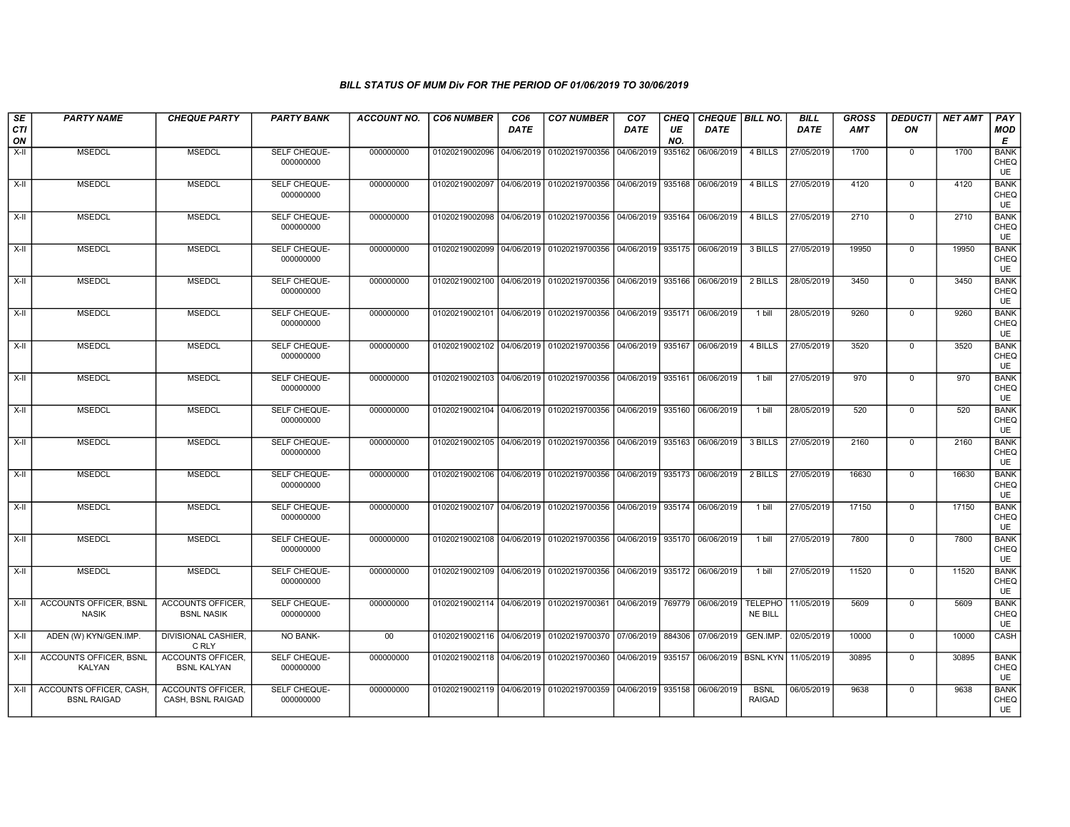| SE<br><b>CTI</b><br>ON | <b>PARTY NAME</b>                             | <b>CHEQUE PARTY</b>                            | <b>PARTY BANK</b>         | <b>ACCOUNT NO.</b> | <b>CO6 NUMBER</b>         | CO <sub>6</sub><br><b>DATE</b> | <b>CO7 NUMBER</b>                        | CO <sub>7</sub><br><b>DATE</b> | CHEQ<br>UE<br>NO. | CHEQUE   BILL NO.<br><b>DATE</b> |                                  | <b>BILL</b><br><b>DATE</b> | <b>GROSS</b><br><b>AMT</b> | <b>DEDUCTI</b><br>ON | <b>NET AMT</b> | PAY<br>MOD<br>Е                  |
|------------------------|-----------------------------------------------|------------------------------------------------|---------------------------|--------------------|---------------------------|--------------------------------|------------------------------------------|--------------------------------|-------------------|----------------------------------|----------------------------------|----------------------------|----------------------------|----------------------|----------------|----------------------------------|
| $X-H$                  | <b>MSEDCL</b>                                 | <b>MSEDCL</b>                                  | SELF CHEQUE-<br>000000000 | 000000000          | 01020219002096            | 04/06/2019                     | 01020219700356                           | 04/06/2019                     | 935162            | 06/06/2019                       | 4 BILLS                          | 27/05/2019                 | 1700                       | $\mathbf 0$          | 1700           | <b>BANK</b><br>CHEQ<br>UE        |
| X-II                   | <b>MSEDCL</b>                                 | <b>MSEDCL</b>                                  | SELF CHEQUE-<br>000000000 | 000000000          | 01020219002097            | 04/06/2019                     | 01020219700356                           | 04/06/2019                     | 935168            | 06/06/2019                       | 4 BILLS                          | 27/05/2019                 | 4120                       | $\mathbf 0$          | 4120           | <b>BANK</b><br>CHEQ<br>UE        |
| X-II                   | <b>MSEDCL</b>                                 | <b>MSEDCL</b>                                  | SELF CHEQUE-<br>000000000 | 000000000          | 01020219002098            | 04/06/2019                     | 01020219700356                           | 04/06/2019                     | 935164            | 06/06/2019                       | 4 BILLS                          | 27/05/2019                 | 2710                       | $\mathbf 0$          | 2710           | <b>BANK</b><br>CHEQ<br>UE        |
| X-II                   | <b>MSEDCL</b>                                 | <b>MSEDCL</b>                                  | SELF CHEQUE-<br>000000000 | 000000000          | 01020219002099            | 04/06/2019                     | 01020219700356                           | 04/06/2019                     | 935175            | 06/06/2019                       | 3 BILLS                          | 27/05/2019                 | 19950                      | $\mathbf{0}$         | 19950          | <b>BANK</b><br>CHEQ<br>UE        |
| $X-H$                  | <b>MSEDCL</b>                                 | <b>MSEDCL</b>                                  | SELF CHEQUE-<br>000000000 | 000000000          |                           |                                | 01020219002100 04/06/2019 01020219700356 | 04/06/2019                     | 935166            | 06/06/2019                       | 2 BILLS                          | 28/05/2019                 | 3450                       | $\mathbf{0}$         | 3450           | <b>BANK</b><br>CHEQ<br>UE        |
| $X-II$                 | <b>MSEDCL</b>                                 | <b>MSEDCL</b>                                  | SELF CHEQUE-<br>000000000 | 000000000          | 01020219002101            | 04/06/2019                     | 01020219700356                           | 04/06/2019                     | 935171            | 06/06/2019                       | 1 bill                           | 28/05/2019                 | 9260                       | $\mathbf 0$          | 9260           | <b>BANK</b><br>CHEQ<br>UE        |
| X-II                   | <b>MSEDCL</b>                                 | <b>MSEDCL</b>                                  | SELF CHEQUE-<br>000000000 | 000000000          | 01020219002102            | 04/06/2019                     | 01020219700356                           | 04/06/2019                     | 935167            | 06/06/2019                       | 4 BILLS                          | 27/05/2019                 | 3520                       | $\mathbf 0$          | 3520           | <b>BANK</b><br>CHEQ<br><b>UE</b> |
| $X-H$                  | <b>MSEDCL</b>                                 | <b>MSEDCL</b>                                  | SELF CHEQUE-<br>000000000 | 000000000          | 01020219002103            | 04/06/2019                     | 01020219700356                           | 04/06/2019                     | 935161            | 06/06/2019                       | 1 bill                           | 27/05/2019                 | 970                        | $\mathbf 0$          | 970            | <b>BANK</b><br>CHEQ<br>UE        |
| $X-II$                 | <b>MSEDCL</b>                                 | <b>MSEDCL</b>                                  | SELF CHEQUE-<br>000000000 | 000000000          | 01020219002104            | 04/06/2019                     | 01020219700356                           | 04/06/2019                     | 935160            | 06/06/2019                       | 1 bill                           | 28/05/2019                 | 520                        | $\overline{0}$       | 520            | <b>BANK</b><br>CHEQ<br><b>UE</b> |
| X-II                   | <b>MSEDCL</b>                                 | <b>MSEDCL</b>                                  | SELF CHEQUE-<br>000000000 | 000000000          | 01020219002105            | 04/06/2019                     | 01020219700356                           | 04/06/2019                     | 935163            | 06/06/2019                       | 3 BILLS                          | 27/05/2019                 | 2160                       | $\mathbf 0$          | 2160           | <b>BANK</b><br>CHEQ<br>UE        |
| X-II                   | <b>MSEDCL</b>                                 | <b>MSEDCL</b>                                  | SELF CHEQUE-<br>000000000 | 000000000          | 01020219002106 04/06/2019 |                                | 01020219700356                           | 04/06/2019                     | 935173            | 06/06/2019                       | 2 BILLS                          | 27/05/2019                 | 16630                      | $\mathbf 0$          | 16630          | <b>BANK</b><br>CHEQ<br>UE        |
| X-II                   | <b>MSEDCL</b>                                 | <b>MSEDCL</b>                                  | SELF CHEQUE-<br>000000000 | 000000000          | 01020219002107 04/06/2019 |                                | 01020219700356                           | 04/06/2019                     | 935174            | 06/06/2019                       | 1 bill                           | 27/05/2019                 | 17150                      | $\mathbf 0$          | 17150          | <b>BANK</b><br>CHEQ<br>UE        |
| X-II                   | <b>MSEDCL</b>                                 | <b>MSEDCL</b>                                  | SELF CHEQUE-<br>000000000 | 000000000          | 01020219002108            | 04/06/2019                     | 01020219700356                           | 04/06/2019                     | 935170            | 06/06/2019                       | 1 bill                           | 27/05/2019                 | 7800                       | $\mathbf 0$          | 7800           | <b>BANK</b><br>CHEQ<br>UE        |
| X-II                   | <b>MSEDCL</b>                                 | <b>MSEDCL</b>                                  | SELF CHEQUE-<br>000000000 | 000000000          | 01020219002109 04/06/2019 |                                | 01020219700356                           | 04/06/2019                     | 935172            | 06/06/2019                       | $1$ bill                         | 27/05/2019                 | 11520                      | $\mathbf 0$          | 11520          | <b>BANK</b><br>CHEQ<br>UE        |
| $X-H$                  | <b>ACCOUNTS OFFICER, BSNL</b><br><b>NASIK</b> | <b>ACCOUNTS OFFICER.</b><br><b>BSNL NASIK</b>  | SELF CHEQUE-<br>000000000 | 000000000          | 01020219002114            |                                | 04/06/2019 01020219700361                | 04/06/2019                     | 769779            | 06/06/2019                       | <b>TELEPHO</b><br><b>NE BILL</b> | 11/05/2019                 | 5609                       | $\overline{0}$       | 5609           | <b>BANK</b><br>CHEQ<br><b>UE</b> |
| X-II                   | ADEN (W) KYN/GEN.IMP.                         | DIVISIONAL CASHIER.<br>C RLY                   | <b>NO BANK-</b>           | 00                 | 01020219002116 04/06/2019 |                                | 01020219700370                           | 07/06/2019                     | 884306            | 07/06/2019                       | GEN.IMP.                         | 02/05/2019                 | 10000                      | $\mathbf{0}$         | 10000          | CASH                             |
| $X-II$                 | ACCOUNTS OFFICER. BSNL<br>KALYAN              | <b>ACCOUNTS OFFICER,</b><br><b>BSNL KALYAN</b> | SELF CHEQUE-<br>000000000 | 000000000          | 01020219002118 04/06/2019 |                                | 01020219700360                           | 04/06/2019                     | 935157            | 06/06/2019 BSNL KYN 11/05/2019   |                                  |                            | 30895                      | $\mathbf 0$          | 30895          | <b>BANK</b><br>CHEQ<br>UE        |
| $X-II$                 | ACCOUNTS OFFICER, CASH,<br><b>BSNL RAIGAD</b> | <b>ACCOUNTS OFFICER.</b><br>CASH, BSNL RAIGAD  | SELF CHEQUE-<br>000000000 | 000000000          |                           |                                | 01020219002119 04/06/2019 01020219700359 | 04/06/2019                     |                   | 935158 06/06/2019                | <b>BSNL</b><br><b>RAIGAD</b>     | 06/05/2019                 | 9638                       | $\mathbf 0$          | 9638           | <b>BANK</b><br>CHEQ<br><b>UE</b> |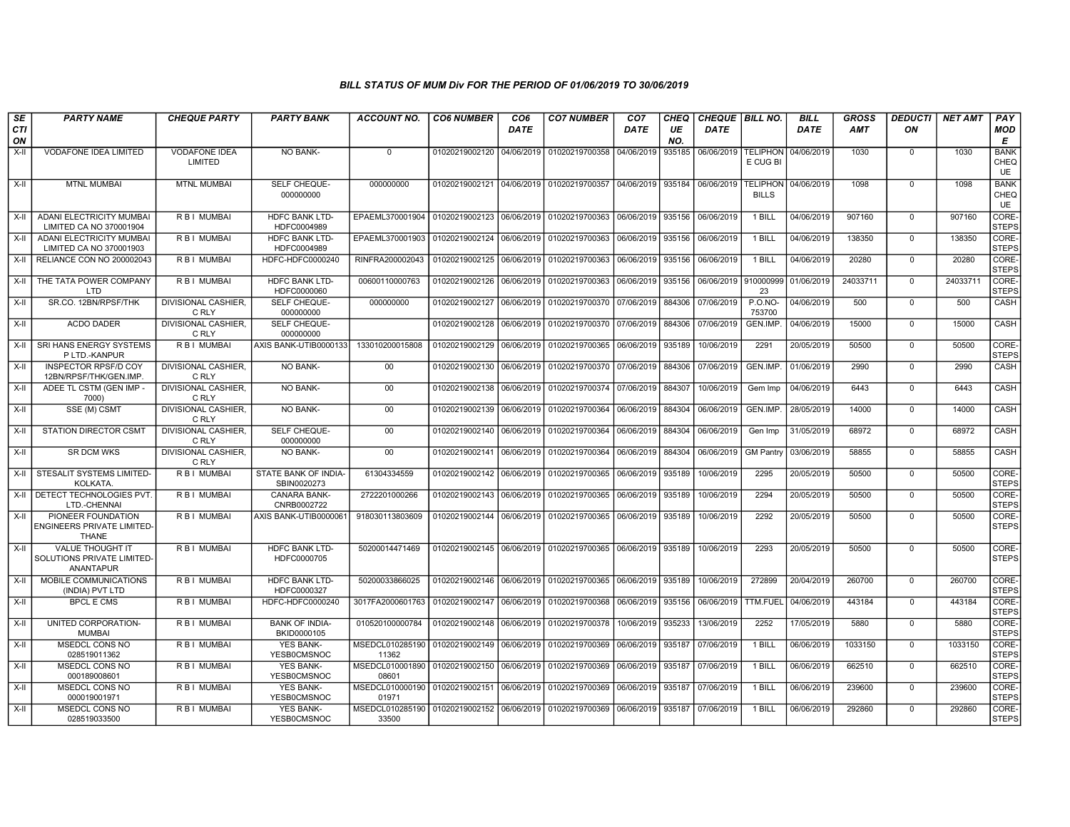| SE        | <b>PARTY NAME</b>                                                         | <b>CHEQUE PARTY</b>                 | <b>PARTY BANK</b>                      | <b>ACCOUNT NO.</b>                                     | <b>CO6 NUMBER</b>         | CO <sub>6</sub> | <b>CO7 NUMBER</b>                                   | CO <sub>7</sub> | CHEQ      | CHEQUE   BILL NO. |                                 | <b>BILL</b> | <b>GROSS</b> | <b>DEDUCTI</b> | <b>NET AMT</b> | PAY                              |
|-----------|---------------------------------------------------------------------------|-------------------------------------|----------------------------------------|--------------------------------------------------------|---------------------------|-----------------|-----------------------------------------------------|-----------------|-----------|-------------------|---------------------------------|-------------|--------------|----------------|----------------|----------------------------------|
| CTI<br>ON |                                                                           |                                     |                                        |                                                        |                           | <b>DATE</b>     |                                                     | <b>DATE</b>     | UE<br>NO. | <b>DATE</b>       |                                 | <b>DATE</b> | <b>AMT</b>   | ON             |                | <b>MOD</b><br>E                  |
| X-II      | VODAFONE IDEA LIMITED                                                     | <b>VODAFONE IDEA</b><br>LIMITED     | NO BANK-                               | $\mathbf{0}$                                           | 01020219002120            | 04/06/2019      | 01020219700358                                      | 04/06/2019      | 935185    | 06/06/2019        | <b>TELIPHON</b><br>E CUG BI     | 04/06/2019  | 1030         | $\Omega$       | 1030           | <b>BANK</b><br>CHEQ<br><b>UE</b> |
| X-II      | <b>MTNL MUMBAI</b>                                                        | <b>MTNL MUMBAI</b>                  | SELF CHEQUE-<br>000000000              | 000000000                                              |                           |                 | 01020219002121 04/06/2019 01020219700357 04/06/2019 |                 | 935184    | 06/06/2019        | <b>TELIPHON</b><br><b>BILLS</b> | 04/06/2019  | 1098         | $\mathbf 0$    | 1098           | <b>BANK</b><br>CHEQ<br><b>UE</b> |
| X-II      | ADANI ELECTRICITY MUMBAI<br>LIMITED CA NO 370001904                       | R B I MUMBAI                        | <b>HDFC BANK LTD-</b><br>HDFC0004989   | EPAEML370001904 01020219002123 06/06/2019              |                           |                 | 01020219700363                                      | 06/06/2019      | 935156    | 06/06/2019        | 1 BILL                          | 04/06/2019  | 907160       | $\mathbf 0$    | 907160         | CORE-<br><b>STEPS</b>            |
| X-II      | ADANI ELECTRICITY MUMBAI<br>LIMITED CA NO 370001903                       | R B I MUMBAI                        | <b>HDFC BANK LTD-</b><br>HDFC0004989   | EPAEML370001903                                        | 01020219002124            | 06/06/2019      | 01020219700363                                      | 06/06/2019      | 935156    | 06/06/2019        | 1 BILL                          | 04/06/2019  | 138350       | $\mathbf 0$    | 138350         | CORE-<br><b>STEPS</b>            |
| X-II      | RELIANCE CON NO 200002043                                                 | R B I MUMBAI                        | HDFC-HDFC0000240                       | RINFRA200002043                                        | 01020219002125            | 06/06/2019      | 01020219700363                                      | 06/06/2019      | 935156    | 06/06/2019        | 1 BILL                          | 04/06/2019  | 20280        | $\mathbf 0$    | 20280          | CORE-<br><b>STEPS</b>            |
| $X-H$     | THE TATA POWER COMPANY<br>LTD                                             | R B I MUMBAI                        | <b>HDFC BANK LTD-</b><br>HDFC0000060   | 00600110000763                                         | 01020219002126            | 06/06/2019      | 01020219700363                                      | 06/06/2019      | 935156    | 06/06/2019        | 910000999<br>23                 | 01/06/2019  | 24033711     | $\mathbf 0$    | 24033711       | CORE-<br>STEPS                   |
| $X-II$    | SR.CO. 12BN/RPSF/THK                                                      | DIVISIONAL CASHIER,<br>C RLY        | SELF CHEQUE-<br>000000000              | 000000000                                              | 01020219002127            | 06/06/2019      | 01020219700370                                      | 07/06/2019      | 884306    | 07/06/2019        | <b>P.O.NO-</b><br>753700        | 04/06/2019  | 500          | $\Omega$       | 500            | CASH                             |
| X-II      | <b>ACDO DADER</b>                                                         | DIVISIONAL CASHIER,<br>C RLY        | SELF CHEQUE-<br>000000000              |                                                        | 01020219002128            | 06/06/2019      | 01020219700370                                      | 07/06/2019      | 884306    | 07/06/2019        | GEN.IMP.                        | 04/06/2019  | 15000        | $\mathbf 0$    | 15000          | CASH                             |
| $X-H$     | SRI HANS ENERGY SYSTEMS<br>P LTD.-KANPUR                                  | R B I MUMBAI                        | AXIS BANK-UTIB0000133                  | 133010200015808                                        | 01020219002129 06/06/2019 |                 | 01020219700365                                      | 06/06/2019      | 935189    | 10/06/2019        | 2291                            | 20/05/2019  | 50500        | $\Omega$       | 50500          | CORE-<br><b>STEPS</b>            |
| X-II      | <b>INSPECTOR RPSF/D COY</b><br>12BN/RPSF/THK/GEN.IMP.                     | <b>DIVISIONAL CASHIER.</b><br>C RLY | NO BANK-                               | $00\,$                                                 | 01020219002130            | 06/06/2019      | 01020219700370                                      | 07/06/2019      | 884306    | 07/06/2019        | GEN.IMP.                        | 01/06/2019  | 2990         | $\mathbf 0$    | 2990           | CASH                             |
| X-II      | ADEE TL CSTM (GEN IMP -<br>7000)                                          | <b>DIVISIONAL CASHIER.</b><br>C RLY | <b>NO BANK-</b>                        | 00                                                     | 01020219002138            | 06/06/2019      | 01020219700374                                      | 07/06/2019      | 884307    | 10/06/2019        | Gem Imp                         | 04/06/2019  | 6443         | $\mathbf 0$    | 6443           | CASH                             |
| X-II      | SSE (M) CSMT                                                              | <b>DIVISIONAL CASHIER.</b><br>C RLY | <b>NO BANK-</b>                        | 00                                                     | 01020219002139            | 06/06/2019      | 01020219700364                                      | 06/06/2019      | 884304    | 06/06/2019        | GEN.IMP                         | 28/05/2019  | 14000        | $\Omega$       | 14000          | CASH                             |
| X-II      | <b>STATION DIRECTOR CSMT</b>                                              | <b>DIVISIONAL CASHIER,</b><br>C RLY | SELF CHEQUE-<br>000000000              | 00                                                     | 01020219002140 06/06/2019 |                 | 01020219700364                                      | 06/06/2019      | 884304    | 06/06/2019        | Gen Imp                         | 31/05/2019  | 68972        | $\mathbf 0$    | 68972          | CASH                             |
| X-II      | <b>SR DCM WKS</b>                                                         | DIVISIONAL CASHIER,<br>C RLY        | NO BANK-                               | $00\,$                                                 | 01020219002141            | 06/06/2019      | 01020219700364                                      | 06/06/2019      | 884304    | 06/06/2019        | <b>GM Pantry</b>                | 03/06/2019  | 58855        | $\mathbf 0$    | 58855          | CASH                             |
| X-II      | STESALIT SYSTEMS LIMITED-<br><b>KOLKATA</b>                               | R B I MUMBAI                        | STATE BANK OF INDIA-<br>SBIN0020273    | 61304334559                                            | 01020219002142            | 06/06/2019      | 01020219700365                                      | 06/06/2019      | 935189    | 10/06/2019        | 2295                            | 20/05/2019  | 50500        | $\Omega$       | 50500          | CORE-<br><b>STEPS</b>            |
|           | X-II I DETECT TECHNOLOGIES PVT.<br>LTD.-CHENNAI                           | R B I MUMBAI                        | <b>CANARA BANK-</b><br>CNRB0002722     | 2722201000266                                          | 01020219002143            | 06/06/2019      | 01020219700365                                      | 06/06/2019      | 935189    | 10/06/2019        | 2294                            | 20/05/2019  | 50500        | $\mathbf 0$    | 50500          | CORE-<br><b>STEPS</b>            |
| $X-H$     | PIONEER FOUNDATION<br><b>ENGINEERS PRIVATE LIMITED-</b><br><b>THANE</b>   | <b>RBI MUMBAI</b>                   | AXIS BANK-UTIB0000061                  | 918030113803609                                        | 01020219002144 06/06/2019 |                 | 01020219700365                                      | 06/06/2019      | 935189    | 10/06/2019        | 2292                            | 20/05/2019  | 50500        | $\Omega$       | 50500          | CORE-<br><b>STEPS</b>            |
| X-II      | <b>VALUE THOUGHT IT</b><br>SOLUTIONS PRIVATE LIMITED-<br><b>ANANTAPUR</b> | R B I MUMBAI                        | <b>HDFC BANK LTD-</b><br>HDFC0000705   | 50200014471469                                         |                           |                 | 01020219002145 06/06/2019 01020219700365            | 06/06/2019      | 935189    | 10/06/2019        | 2293                            | 20/05/2019  | 50500        | $\Omega$       | 50500          | CORE-<br><b>STEPS</b>            |
| X-II      | MOBILE COMMUNICATIONS<br>(INDIA) PVT LTD                                  | R B I MUMBAI                        | <b>HDFC BANK LTD-</b><br>HDFC0000327   | 50200033866025                                         | 01020219002146            | 06/06/2019      | 01020219700365                                      | 06/06/2019      | 935189    | 10/06/2019        | 272899                          | 20/04/2019  | 260700       | $\Omega$       | 260700         | CORE-<br><b>STEPS</b>            |
| X-II      | <b>BPCL E CMS</b>                                                         | R B I MUMBAI                        | HDFC-HDFC0000240                       | 3017FA2000601763                                       | 01020219002147            | 06/06/2019      | 01020219700368                                      | 06/06/2019      | 935156    | 06/06/2019        | TTM.FUEL                        | 04/06/2019  | 443184       | $\mathbf 0$    | 443184         | CORE-<br><b>STEPS</b>            |
| $X-II$    | UNITED CORPORATION-<br><b>MUMBAI</b>                                      | R B I MUMBAI                        | <b>BANK OF INDIA-</b><br>BKID0000105   | 010520100000784                                        | 01020219002148            | 06/06/2019      | 01020219700378                                      | 10/06/2019      | 935233    | 13/06/2019        | 2252                            | 17/05/2019  | 5880         | $\overline{0}$ | 5880           | CORE-<br><b>STEPS</b>            |
| $X-H$     | <b>MSEDCL CONS NO</b><br>028519011362                                     | R B I MUMBAI                        | <b>YES BANK-</b><br><b>YESB0CMSNOC</b> | MSEDCL010285190   01020219002149   06/06/2019<br>11362 |                           |                 | 01020219700369                                      | 06/06/2019      | 935187    | 07/06/2019        | 1 BILL                          | 06/06/2019  | 1033150      | $\mathbf 0$    | 1033150        | CORE-<br><b>STEPS</b>            |
| X-II      | MSEDCL CONS NO<br>000189008601                                            | R B I MUMBAI                        | <b>YES BANK-</b><br>YESB0CMSNOC        | MSEDCL010001890<br>08601                               | 01020219002150 06/06/2019 |                 | 01020219700369                                      | 06/06/2019      | 935187    | 07/06/2019        | 1 BILL                          | 06/06/2019  | 662510       | $\mathbf 0$    | 662510         | CORE-<br><b>STEPS</b>            |
| $X-II$    | MSEDCL CONS NO<br>000019001971                                            | R B I MUMBAI                        | <b>YES BANK-</b><br>YESB0CMSNOC        | MSEDCL010000190 01020219002151<br>01971                |                           | 06/06/2019      | 01020219700369                                      | 06/06/2019      | 935187    | 07/06/2019        | 1 BILL                          | 06/06/2019  | 239600       | $\Omega$       | 239600         | CORE-<br><b>STEPS</b>            |
| X-II      | MSEDCL CONS NO<br>028519033500                                            | R B I MUMBAI                        | <b>YES BANK-</b><br>YESB0CMSNOC        | MSEDCL010285190 01020219002152 06/06/2019<br>33500     |                           |                 | 01020219700369                                      | 06/06/2019      | 935187    | 07/06/2019        | 1 BILL                          | 06/06/2019  | 292860       | $\Omega$       | 292860         | CORE-<br><b>STEPS</b>            |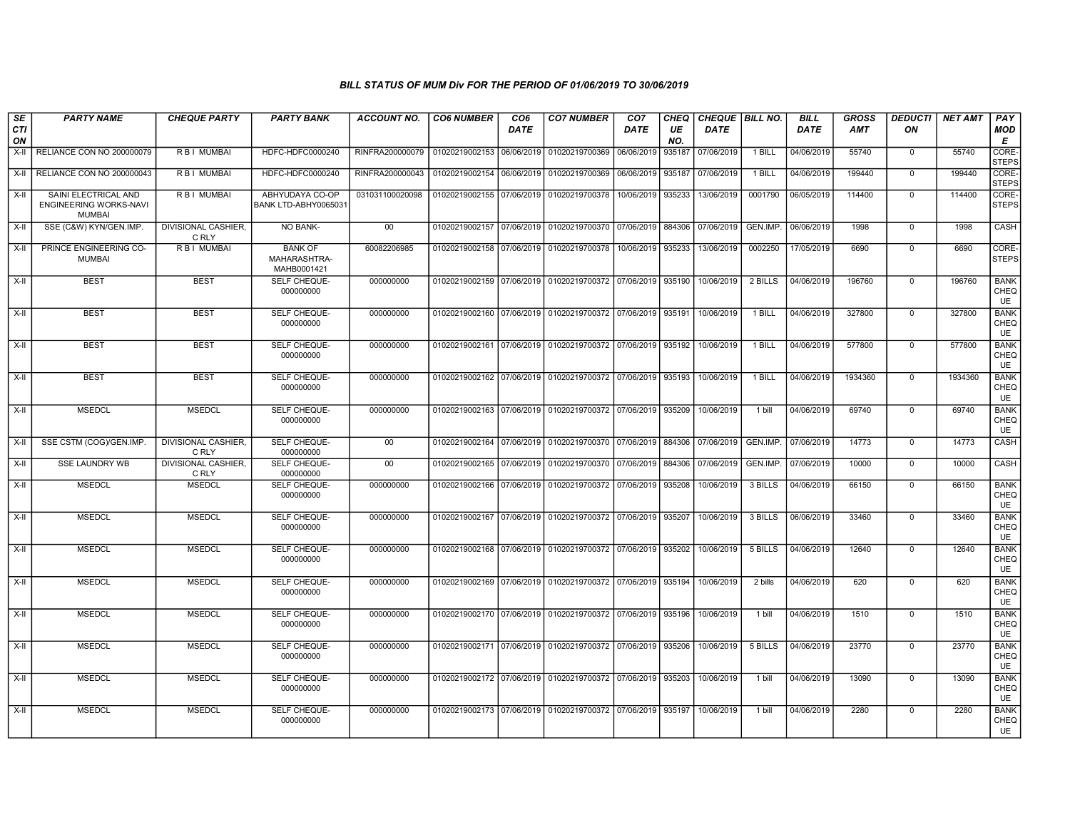| SE<br><b>CTI</b><br>ON | <b>PARTY NAME</b>                                               | <b>CHEQUE PARTY</b>                 | <b>PARTY BANK</b>                             | <b>ACCOUNT NO.</b> | <b>CO6 NUMBER</b>         | CO <sub>6</sub><br><b>DATE</b> | <b>CO7 NUMBER</b>                                                     | CO <sub>7</sub><br><b>DATE</b> | CHEQ<br>UE<br>NO. | CHEQUE   BILL NO.<br><b>DATE</b> |          | <b>BILL</b><br><b>DATE</b> | <b>GROSS</b><br><b>AMT</b> | <b>DEDUCTI</b><br>ON | <b>NET AMT</b> | PAY<br><b>MOD</b><br>E           |
|------------------------|-----------------------------------------------------------------|-------------------------------------|-----------------------------------------------|--------------------|---------------------------|--------------------------------|-----------------------------------------------------------------------|--------------------------------|-------------------|----------------------------------|----------|----------------------------|----------------------------|----------------------|----------------|----------------------------------|
| X-II                   | RELIANCE CON NO 200000079                                       | R B I MUMBAI                        | HDFC-HDFC0000240                              | RINFRA200000079    | 01020219002153            | 06/06/2019                     | 01020219700369                                                        | 06/06/2019                     | 935187            | 07/06/2019                       | 1 BILL   | 04/06/2019                 | 55740                      | $\mathbf 0$          | 55740          | <b>CORE</b><br><b>STEPS</b>      |
| X-II                   | RELIANCE CON NO 200000043                                       | R B I MUMBAI                        | HDFC-HDFC0000240                              | RINFRA200000043    | 01020219002154            | 06/06/2019                     | 01020219700369 06/06/2019                                             |                                | 935187            | 07/06/2019                       | $1$ BILL | 04/06/2019                 | 199440                     | $\overline{0}$       | 199440         | CORE-<br><b>STEPS</b>            |
| $X-II$                 | SAINI ELECTRICAL AND<br>ENGINEERING WORKS-NAVI<br><b>MUMBAI</b> | R B I MUMBAI                        | ABHYUDAYA CO-OP<br>BANK LTD-ABHY0065031       | 031031100020098    | 01020219002155 07/06/2019 |                                | 01020219700378                                                        | 10/06/2019                     | 935233            | 13/06/2019                       | 0001790  | 06/05/2019                 | 114400                     | $\mathbf 0$          | 114400         | CORE-<br><b>STEPS</b>            |
| X-II                   | SSE (C&W) KYN/GEN.IMP.                                          | <b>DIVISIONAL CASHIER,</b><br>C RLY | <b>NO BANK-</b>                               | 00                 | 01020219002157 07/06/2019 |                                | 01020219700370 07/06/2019 884306                                      |                                |                   | 07/06/2019                       | GEN.IMP. | 06/06/2019                 | 1998                       | $\mathbf 0$          | 1998           | CASH                             |
| $X-II$                 | PRINCE ENGINEERING CO-<br><b>MUMBAI</b>                         | R B I MUMBAI                        | <b>BANK OF</b><br>MAHARASHTRA-<br>MAHB0001421 | 60082206985        | 01020219002158 07/06/2019 |                                | 01020219700378                                                        | 10/06/2019                     | 935233            | 13/06/2019                       | 0002250  | 17/05/2019                 | 6690                       | $\overline{0}$       | 6690           | CORE-<br>Isteps                  |
| $X-II$                 | <b>BEST</b>                                                     | <b>BEST</b>                         | SELF CHEQUE-<br>000000000                     | 000000000          | 01020219002159            | 07/06/2019                     | 01020219700372 07/06/2019                                             |                                | 935190            | 10/06/2019                       | 2 BILLS  | 04/06/2019                 | 196760                     | $\mathsf 0$          | 196760         | <b>BANK</b><br>CHEQ<br>UE        |
| X-II                   | <b>BEST</b>                                                     | <b>BEST</b>                         | <b>SELF CHEQUE-</b><br>000000000              | 000000000          |                           |                                | 01020219002160 07/06/2019 01020219700372 07/06/2019 935191 10/06/2019 |                                |                   |                                  | 1 BILL   | 04/06/2019                 | 327800                     | $\mathbf 0$          | 327800         | <b>BANK</b><br>CHEQ<br>UE        |
| $X-II$                 | <b>BEST</b>                                                     | <b>BEST</b>                         | SELF CHEQUE-<br>000000000                     | 000000000          | 01020219002161 07/06/2019 |                                | 01020219700372 07/06/2019 935192                                      |                                |                   | 10/06/2019                       | 1 BILL   | 04/06/2019                 | 577800                     | $\overline{0}$       | 577800         | <b>BANK</b><br>CHEQ<br><b>UE</b> |
| X-II                   | <b>BEST</b>                                                     | <b>BEST</b>                         | SELF CHEQUE-<br>000000000                     | 000000000          | 01020219002162 07/06/2019 |                                | 01020219700372 07/06/2019 935193                                      |                                |                   | 10/06/2019                       | 1 BILL   | 04/06/2019                 | 1934360                    | $\mathbf 0$          | 1934360        | <b>BANK</b><br>CHEQ<br>UE        |
| $X-H$                  | <b>MSEDCL</b>                                                   | <b>MSEDCL</b>                       | SELF CHEQUE-<br>000000000                     | 000000000          |                           |                                | 01020219002163 07/06/2019 01020219700372 07/06/2019 935209            |                                |                   | 10/06/2019                       | 1 bill   | 04/06/2019                 | 69740                      | $\overline{0}$       | 69740          | <b>BANK</b><br>CHEQ<br>UE        |
| $X-II$                 | SSE CSTM (COG)/GEN.IMP.                                         | <b>DIVISIONAL CASHIER,</b><br>C RLY | SELF CHEQUE-<br>000000000                     | 00                 | 01020219002164 07/06/2019 |                                | 01020219700370 07/06/2019                                             |                                | 884306            | 07/06/2019                       | GEN.IMP. | 07/06/2019                 | 14773                      | $\overline{0}$       | 14773          | CASH                             |
| $X-H$                  | <b>SSE LAUNDRY WB</b>                                           | <b>DIVISIONAL CASHIER.</b><br>C RLY | <b>SELF CHEQUE-</b><br>000000000              | 00                 | 01020219002165 07/06/2019 |                                | 01020219700370 07/06/2019 884306                                      |                                |                   | 07/06/2019                       | GEN.IMP. | 07/06/2019                 | 10000                      | $\mathbf 0$          | 10000          | <b>CASH</b>                      |
| $X-II$                 | <b>MSEDCL</b>                                                   | <b>MSEDCL</b>                       | SELF CHEQUE-<br>000000000                     | 000000000          | 01020219002166            | 07/06/2019                     | 01020219700372 07/06/2019 935208                                      |                                |                   | 10/06/2019                       | 3 BILLS  | 04/06/2019                 | 66150                      | $\mathsf 0$          | 66150          | <b>BANK</b><br>CHEQ<br>UE        |
| $X-H$                  | <b>MSEDCL</b>                                                   | <b>MSEDCL</b>                       | SELF CHEQUE-<br>000000000                     | 000000000          | 01020219002167 07/06/2019 |                                | 01020219700372 07/06/2019 935207                                      |                                |                   | 10/06/2019                       | 3 BILLS  | 06/06/2019                 | 33460                      | $\overline{0}$       | 33460          | <b>BANK</b><br>CHEQ<br><b>UE</b> |
| $X-II$                 | <b>MSEDCL</b>                                                   | <b>MSEDCL</b>                       | <b>SELF CHEQUE-</b><br>000000000              | 000000000          | 01020219002168 07/06/2019 |                                | 01020219700372 07/06/2019 935202                                      |                                |                   | 10/06/2019                       | 5 BILLS  | 04/06/2019                 | 12640                      | $\mathbf 0$          | 12640          | <b>BANK</b><br>CHEQ<br>UE        |
| X-II                   | <b>MSEDCL</b>                                                   | <b>MSEDCL</b>                       | SELF CHEQUE-<br>000000000                     | 000000000          | 01020219002169            | 07/06/2019                     | 01020219700372 07/06/2019 935194                                      |                                |                   | 10/06/2019                       | 2 bills  | 04/06/2019                 | 620                        | $\mathsf 0$          | 620            | <b>BANK</b><br>CHEQ<br>UE        |
| $X-H$                  | <b>MSEDCL</b>                                                   | <b>MSEDCL</b>                       | SELF CHEQUE-<br>000000000                     | 000000000          | 01020219002170 07/06/2019 |                                | 01020219700372 07/06/2019 935196                                      |                                |                   | 10/06/2019                       | $1$ bill | 04/06/2019                 | 1510                       | $\mathbf 0$          | 1510           | <b>BANK</b><br>CHEQ<br>UE        |
| $X-II$                 | <b>MSEDCL</b>                                                   | <b>MSEDCL</b>                       | SELF CHEQUE-<br>000000000                     | 000000000          |                           |                                | 01020219002171 07/06/2019 01020219700372 07/06/2019 935206            |                                |                   | 10/06/2019                       | 5 BILLS  | 04/06/2019                 | 23770                      | $\mathbf 0$          | 23770          | <b>BANK</b><br>CHEQ<br>UE        |
| X-II                   | <b>MSEDCL</b>                                                   | <b>MSEDCL</b>                       | SELF CHEQUE-<br>000000000                     | 000000000          | 01020219002172 07/06/2019 |                                | 01020219700372 07/06/2019                                             |                                | 935203            | 10/06/2019                       | 1 bill   | 04/06/2019                 | 13090                      | $\mathbf 0$          | 13090          | <b>BANK</b><br>CHEQ<br><b>UE</b> |
| X-II                   | <b>MSEDCL</b>                                                   | <b>MSEDCL</b>                       | <b>SELF CHEQUE-</b><br>000000000              | 000000000          |                           |                                | 01020219002173 07/06/2019 01020219700372 07/06/2019 935197            |                                |                   | 10/06/2019                       | 1 bill   | 04/06/2019                 | 2280                       | $\mathbf 0$          | 2280           | <b>BANK</b><br>CHEQ<br>UE        |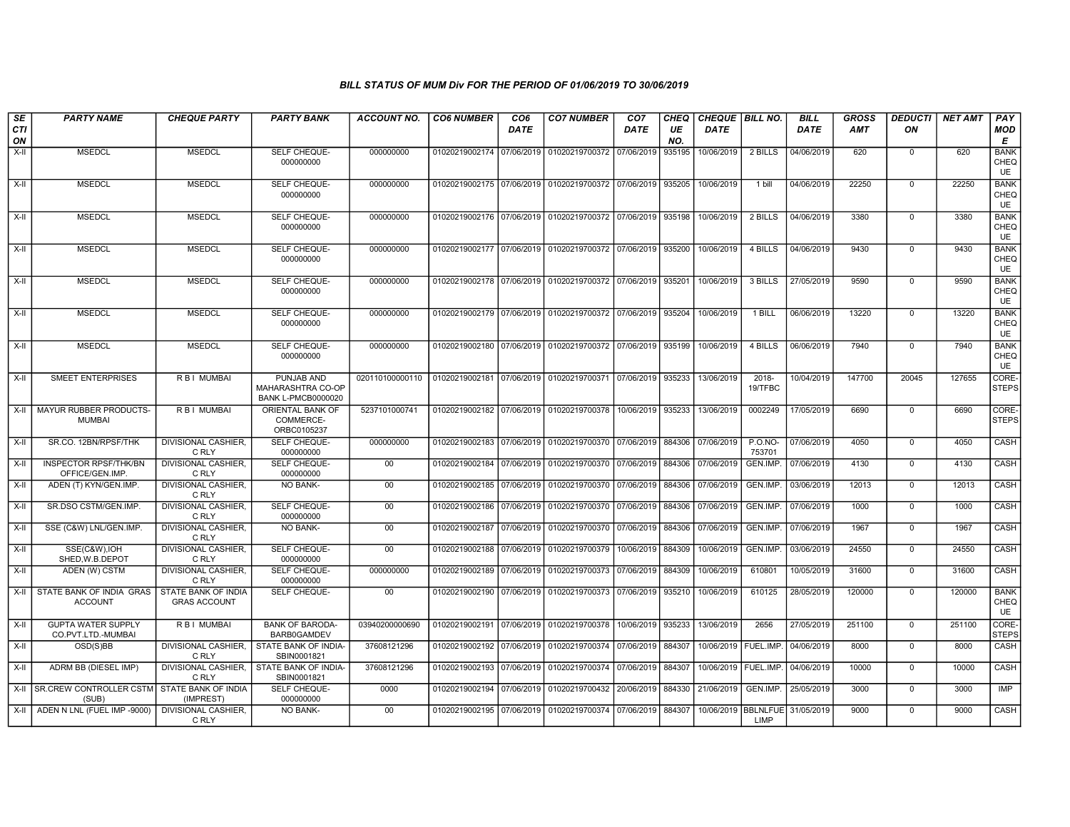| SE<br>CTI | <b>PARTY NAME</b>                                    | <b>CHEQUE PARTY</b>                               | <b>PARTY BANK</b>                                            | ACCOUNT NO.     | <b>CO6 NUMBER</b>         | CO <sub>6</sub><br><b>DATE</b> | <b>CO7 NUMBER</b>                                          | CO <sub>7</sub><br><b>DATE</b> | CHEQ<br>UE | CHEQUE   BILL NO.<br><b>DATE</b> |                                            | <b>BILL</b><br><b>DATE</b> | <b>GROSS</b><br><b>AMT</b> | <b>DEDUCTI</b><br>ON | <b>NET AMT</b> | PAY<br><b>MOD</b>                |
|-----------|------------------------------------------------------|---------------------------------------------------|--------------------------------------------------------------|-----------------|---------------------------|--------------------------------|------------------------------------------------------------|--------------------------------|------------|----------------------------------|--------------------------------------------|----------------------------|----------------------------|----------------------|----------------|----------------------------------|
| ON        |                                                      |                                                   |                                                              |                 |                           |                                |                                                            |                                | NO.        |                                  |                                            |                            |                            |                      |                | Е                                |
| X-II      | <b>MSEDCL</b>                                        | <b>MSEDCL</b>                                     | SELF CHEQUE-<br>000000000                                    | 000000000       | 01020219002174 07/06/2019 |                                | 01020219700372                                             | 07/06/2019                     | 935195     | 10/06/2019                       | 2 BILLS                                    | 04/06/2019                 | 620                        | $\mathbf 0$          | 620            | <b>BANK</b><br>CHEQ<br><b>UE</b> |
| X-II      | <b>MSEDCL</b>                                        | <b>MSEDCL</b>                                     | SELF CHEQUE-<br>000000000                                    | 000000000       | 01020219002175 07/06/2019 |                                | 01020219700372 07/06/2019                                  |                                | 935205     | 10/06/2019                       | 1 bill                                     | 04/06/2019                 | 22250                      | $\mathbf 0$          | 22250          | <b>BANK</b><br>CHEQ<br><b>UE</b> |
| X-II      | <b>MSEDCL</b>                                        | <b>MSEDCL</b>                                     | SELF CHEQUE-<br>000000000                                    | 000000000       |                           |                                | 01020219002176 07/06/2019 01020219700372 07/06/2019 935198 |                                |            | 10/06/2019                       | 2 BILLS                                    | 04/06/2019                 | 3380                       | $\mathbf 0$          | 3380           | <b>BANK</b><br>CHEQ<br><b>UE</b> |
| X-II      | <b>MSEDCL</b>                                        | <b>MSEDCL</b>                                     | SELF CHEQUE-<br>000000000                                    | 000000000       | 01020219002177 07/06/2019 |                                | 01020219700372 07/06/2019 935200                           |                                |            | 10/06/2019                       | 4 BILLS                                    | 04/06/2019                 | 9430                       | $\mathbf 0$          | 9430           | <b>BANK</b><br>CHEQ<br><b>UE</b> |
| X-II      | <b>MSEDCL</b>                                        | <b>MSEDCL</b>                                     | SELF CHEQUE-<br>000000000                                    | 000000000       | 01020219002178 07/06/2019 |                                | 01020219700372 07/06/2019 935201                           |                                |            | 10/06/2019                       | 3 BILLS                                    | 27/05/2019                 | 9590                       | $\mathbf 0$          | 9590           | <b>BANK</b><br>CHEQ<br><b>UE</b> |
| X-II      | <b>MSEDCL</b>                                        | <b>MSEDCL</b>                                     | SELF CHEQUE-<br>000000000                                    | 000000000       | 01020219002179 07/06/2019 |                                | 01020219700372 07/06/2019 935204                           |                                |            | 10/06/2019                       | 1 BILL                                     | 06/06/2019                 | 13220                      | $\mathbf 0$          | 13220          | <b>BANK</b><br>CHEQ<br><b>UE</b> |
| X-II      | <b>MSEDCL</b>                                        | <b>MSEDCL</b>                                     | SELF CHEQUE-<br>000000000                                    | 000000000       | 01020219002180            | 07/06/2019                     | 01020219700372 07/06/2019 935199                           |                                |            | 10/06/2019                       | 4 BILLS                                    | 06/06/2019                 | 7940                       | $\mathbf 0$          | 7940           | <b>BANK</b><br>CHEQ<br>UE        |
| X-II      | <b>SMEET ENTERPRISES</b>                             | R B I MUMBAI                                      | PUNJAB AND<br>MAHARASHTRA CO-OP<br><b>BANK L-PMCB0000020</b> | 020110100000110 | 01020219002181 07/06/2019 |                                | 01020219700371 07/06/2019 935233                           |                                |            | 13/06/2019                       | 2018-<br>19/TFBC                           | 10/04/2019                 | 147700                     | 20045                | 127655         | CORE-<br><b>STEPS</b>            |
| X-II      | MAYUR RUBBER PRODUCTS-<br><b>MUMBAI</b>              | R B I MUMBAI                                      | ORIENTAL BANK OF<br>COMMERCE-<br>ORBC0105237                 | 5237101000741   |                           |                                | 01020219002182 07/06/2019 01020219700378 10/06/2019 935233 |                                |            | 13/06/2019                       | 0002249                                    | 17/05/2019                 | 6690                       | $\mathbf 0$          | 6690           | CORE-<br><b>STEPS</b>            |
| X-II      | SR.CO. 12BN/RPSF/THK                                 | <b>DIVISIONAL CASHIER.</b><br>C RLY               | SELF CHEQUE-<br>000000000                                    | 000000000       | 01020219002183 07/06/2019 |                                | 01020219700370 07/06/2019 884306                           |                                |            | 07/06/2019                       | P.O.NO-<br>753701                          | 07/06/2019                 | 4050                       | $\mathbf 0$          | 4050           | CASH                             |
| X-II      | <b>INSPECTOR RPSF/THK/BN</b><br>OFFICE/GEN.IMP       | <b>DIVISIONAL CASHIER.</b><br>C RLY               | SELF CHEQUE-<br>000000000                                    | 00              | 01020219002184            | 07/06/2019                     | 01020219700370 07/06/2019                                  |                                | 884306     | 07/06/2019                       | GEN.IMP.                                   | 07/06/2019                 | 4130                       | $\overline{0}$       | 4130           | CASH                             |
| X-II      | ADEN (T) KYN/GEN.IMP.                                | <b>DIVISIONAL CASHIER,</b><br>C RLY               | <b>NO BANK-</b>                                              | 00              | 01020219002185 07/06/2019 |                                | 01020219700370 07/06/2019                                  |                                | 884306     | 07/06/2019                       | GEN.IMP.                                   | 03/06/2019                 | 12013                      | $\overline{0}$       | 12013          | CASH                             |
| X-II      | SR.DSO CSTM/GEN.IMP.                                 | DIVISIONAL CASHIER,<br>C RLY                      | SELF CHEQUE-<br>000000000                                    | 00              | 01020219002186 07/06/2019 |                                | 01020219700370 07/06/2019 884306                           |                                |            | 07/06/2019                       | GEN.IMP.                                   | 07/06/2019                 | 1000                       | $\mathbf 0$          | 1000           | <b>CASH</b>                      |
| X-II      | SSE (C&W) LNL/GEN.IMP.                               | <b>DIVISIONAL CASHIER.</b><br>C RLY               | <b>NO BANK-</b>                                              | $00\,$          | 01020219002187 07/06/2019 |                                | 01020219700370 07/06/2019                                  |                                | 884306     | 07/06/2019                       | GEN.IMP.                                   | 07/06/2019                 | 1967                       | $\mathbf{0}$         | 1967           | CASH                             |
| X-II      | SSE(C&W).IOH<br>SHED.W.B.DEPOT                       | <b>DIVISIONAL CASHIER.</b><br>C RLY               | SELF CHEQUE-<br>000000000                                    | 00              | 01020219002188            | 07/06/2019                     | 01020219700379                                             | 10/06/2019                     | 884309     | 10/06/2019                       | GEN.IMP.                                   | 03/06/2019                 | 24550                      | $\mathbf 0$          | 24550          | CASH                             |
| X-II      | ADEN (W) CSTM                                        | <b>DIVISIONAL CASHIER,</b><br>C RLY               | SELF CHEQUE-<br>000000000                                    | 000000000       | 01020219002189 07/06/2019 |                                | 01020219700373 07/06/2019 884309                           |                                |            | 10/06/2019                       | 610801                                     | 10/05/2019                 | 31600                      | $\mathbf 0$          | 31600          | <b>CASH</b>                      |
| X-II      | STATE BANK OF INDIA GRAS<br><b>ACCOUNT</b>           | <b>STATE BANK OF INDIA</b><br><b>GRAS ACCOUNT</b> | SELF CHEQUE-                                                 | 00              | 01020219002190 07/06/2019 |                                | 01020219700373 07/06/2019 935210                           |                                |            | 10/06/2019                       | 610125                                     | 28/05/2019                 | 120000                     | $\overline{0}$       | 120000         | <b>BANK</b><br>CHEQ<br>UE        |
| $X-H$     | <b>GUPTA WATER SUPPLY</b><br>CO.PVT.LTD.-MUMBAI      | <b>RBI MUMBAI</b>                                 | <b>BANK OF BARODA-</b><br>BARB0GAMDEV                        | 03940200000690  |                           |                                | 01020219002191 07/06/2019 01020219700378 10/06/2019        |                                | 935233     | 13/06/2019                       | 2656                                       | 27/05/2019                 | 251100                     | $\overline{0}$       | 251100         | CORE-<br><b>STEPS</b>            |
| X-II      | OSD(S)BB                                             | <b>DIVISIONAL CASHIER.</b><br>C RLY               | STATE BANK OF INDIA-<br>SBIN0001821                          | 37608121296     | 01020219002192 07/06/2019 |                                | 01020219700374 07/06/2019 884307                           |                                |            | 10/06/2019   FUEL.IMP.           |                                            | 04/06/2019                 | 8000                       | $\mathbf 0$          | 8000           | CASH                             |
| X-II      | ADRM BB (DIESEL IMP)                                 | <b>DIVISIONAL CASHIER,</b><br>C RLY               | STATE BANK OF INDIA-<br>SBIN0001821                          | 37608121296     | 01020219002193            | 07/06/2019                     | 01020219700374 07/06/2019                                  |                                | 884307     |                                  | 10/06/2019   FUEL.IMP.                     | 04/06/2019                 | 10000                      | $\mathbf 0$          | 10000          | CASH                             |
| X-II      | SR.CREW CONTROLLER CSTM STATE BANK OF INDIA<br>(SUB) | (IMPREST)                                         | SELF CHEQUE-<br>000000000                                    | 0000            | 01020219002194 07/06/2019 |                                | 01020219700432 20/06/2019 884330                           |                                |            | 21/06/2019                       | GEN.IMP.                                   | 25/05/2019                 | 3000                       | $\Omega$             | 3000           | <b>IMP</b>                       |
| X-II      | ADEN N LNL (FUEL IMP -9000)                          | DIVISIONAL CASHIER.<br>C RLY                      | NO BANK-                                                     | $00\,$          | 01020219002195 07/06/2019 |                                | 01020219700374 07/06/2019 884307                           |                                |            |                                  | 10/06/2019   BBLNLFUE   31/05/2019<br>LIMP |                            | 9000                       | $\mathbf 0$          | 9000           | CASH                             |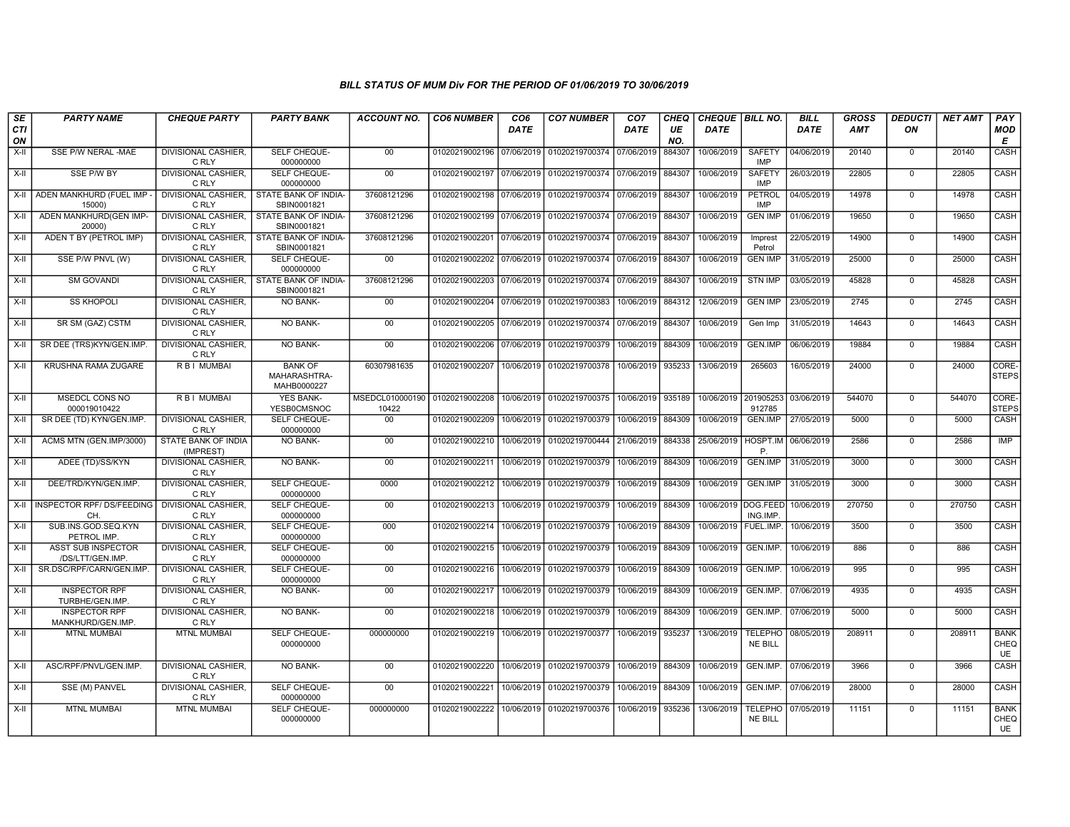| SE<br>CTI<br>ON | <b>PARTY NAME</b>                            | <b>CHEQUE PARTY</b>                 | <b>PARTY BANK</b>                                         | <b>ACCOUNT NO.</b>       | <b>CO6 NUMBER</b>         | CO <sub>6</sub><br><b>DATE</b> | <b>CO7 NUMBER</b>         | CO <sub>7</sub><br>DATE | CHEQ<br>UE<br>NO. | CHEQUE   BILL NO.<br><b>DATE</b> |                                  | <b>BILL</b><br><b>DATE</b> | <b>GROSS</b><br><b>AMT</b> | <b>DEDUCTI</b><br>ON | <b>NET AMT</b> | PAY<br><b>MOD</b><br>E           |
|-----------------|----------------------------------------------|-------------------------------------|-----------------------------------------------------------|--------------------------|---------------------------|--------------------------------|---------------------------|-------------------------|-------------------|----------------------------------|----------------------------------|----------------------------|----------------------------|----------------------|----------------|----------------------------------|
| X-II            | SSE P/W NERAL -MAE                           | DIVISIONAL CASHIER,<br>C RLY        | SELF CHEQUE-<br>000000000                                 | $00\,$                   | 01020219002196 07/06/2019 |                                | 01020219700374 07/06/2019 |                         | 884307            | 10/06/2019                       | SAFETY<br><b>IMP</b>             | 04/06/2019                 | 20140                      | $\Omega$             | 20140          | CASH                             |
| $X-H$           | SSE P/W BY                                   | <b>DIVISIONAL CASHIER.</b><br>C RLY | SELF CHEQUE-<br>000000000                                 | 00                       | 01020219002197 07/06/2019 |                                | 01020219700374 07/06/2019 |                         | 884307            | 10/06/2019                       | <b>SAFETY</b><br><b>IMP</b>      | 26/03/2019                 | 22805                      | $\Omega$             | 22805          | CASH                             |
| $X-H$           | ADEN MANKHURD (FUEL IMP<br>15000)            | DIVISIONAL CASHIER,<br>C RLY        | STATE BANK OF INDIA-<br>SBIN0001821                       | 37608121296              | 01020219002198 07/06/2019 |                                | 01020219700374            | 07/06/2019              | 884307            | 10/06/2019                       | PETROL<br>IMP                    | 04/05/2019                 | 14978                      | $\overline{0}$       | 14978          | CASH                             |
| X-II            | ADEN MANKHURD(GEN IMP-<br>20000)             | C RLY                               | DIVISIONAL CASHIER. I STATE BANK OF INDIA-<br>SBIN0001821 | 37608121296              | 01020219002199 07/06/2019 |                                | 01020219700374 07/06/2019 |                         | 884307            | 10/06/2019                       | <b>GEN IMP</b>                   | 01/06/2019                 | 19650                      | $\mathbf 0$          | 19650          | <b>CASH</b>                      |
| X-II            | ADEN T BY (PETROL IMP)                       | <b>DIVISIONAL CASHIER.</b><br>C RLY | STATE BANK OF INDIA-<br>SBIN0001821                       | 37608121296              | 01020219002201            | 07/06/2019                     | 01020219700374 07/06/2019 |                         | 884307            | 10/06/2019                       | Imprest<br>Petrol                | 22/05/2019                 | 14900                      | $\Omega$             | 14900          | CASH                             |
| $X-II$          | SSE P/W PNVL (W)                             | DIVISIONAL CASHIER,<br>C RLY        | SELF CHEQUE-<br>000000000                                 | 00                       | 01020219002202            | 07/06/2019                     | 01020219700374            | 07/06/2019              | 884307            | 10/06/2019                       | <b>GEN IMP</b>                   | 31/05/2019                 | 25000                      | $\mathbf 0$          | 25000          | CASH                             |
| $X-II$          | <b>SM GOVANDI</b>                            | <b>DIVISIONAL CASHIER,</b><br>C RLY | STATE BANK OF INDIA-<br>SBIN0001821                       | 37608121296              | 01020219002203            | 07/06/2019                     | 01020219700374 07/06/2019 |                         | 884307            | 10/06/2019                       | <b>STN IMP</b>                   | 03/05/2019                 | 45828                      | $\overline{0}$       | 45828          | CASH                             |
| X-II            | <b>SS KHOPOLI</b>                            | <b>DIVISIONAL CASHIER.</b><br>C RLY | NO BANK-                                                  | 00                       | 01020219002204            | 07/06/2019                     | 01020219700383            | 10/06/2019 884312       |                   | 12/06/2019                       | <b>GEN IMP</b>                   | 23/05/2019                 | 2745                       | $\mathbf 0$          | 2745           | <b>CASH</b>                      |
| $X-H$           | SR SM (GAZ) CSTM                             | <b>DIVISIONAL CASHIER.</b><br>C RLY | <b>NO BANK-</b>                                           | 00                       | 01020219002205 07/06/2019 |                                | 01020219700374 07/06/2019 |                         | 884307            | 10/06/2019                       | Gen Imp                          | 31/05/2019                 | 14643                      | $\mathbf 0$          | 14643          | CASH                             |
| $X-II$          | SR DEE (TRS)KYN/GEN.IMP.                     | <b>DIVISIONAL CASHIER,</b><br>C RLY | NO BANK-                                                  | 00                       | 01020219002206 07/06/2019 |                                | 01020219700379            | 10/06/2019              | 884309            | 10/06/2019                       | <b>GEN.IMP</b>                   | 06/06/2019                 | 19884                      | $\Omega$             | 19884          | CASH                             |
| $X-II$          | KRUSHNA RAMA ZUGARE                          | R B I MUMBAI                        | <b>BANK OF</b><br>MAHARASHTRA-<br>MAHB0000227             | 60307981635              | 01020219002207            | 10/06/2019                     | 01020219700378            | 10/06/2019              | 935233            | 13/06/2019                       | 265603                           | 16/05/2019                 | 24000                      | $\overline{0}$       | 24000          | CORE-<br><b>STEPS</b>            |
| X-II            | MSEDCL CONS NO<br>000019010422               | R B I MUMBAI                        | <b>YES BANK-</b><br><b>YESB0CMSNOC</b>                    | MSEDCL010000190<br>10422 | 01020219002208            | 10/06/2019                     | 01020219700375            | 10/06/2019              | 935189            | 10/06/2019                       | 201905253<br>912785              | 03/06/2019                 | 544070                     | $\mathbf 0$          | 544070         | CORE-<br><b>STEPS</b>            |
| X-II            | SR DEE (TD) KYN/GEN.IMP.                     | DIVISIONAL CASHIER,<br>C RLY        | SELF CHEQUE-<br>000000000                                 | 00                       | 01020219002209            | 10/06/2019                     | 01020219700379            | 10/06/2019              | 884309            | 10/06/2019                       | <b>GEN.IMP</b>                   | 27/05/2019                 | 5000                       | $\mathbf 0$          | 5000           | CASH                             |
| X-II            | ACMS MTN (GEN.IMP/3000)                      | STATE BANK OF INDIA<br>(IMPREST)    | <b>NO BANK-</b>                                           | 00                       | 01020219002210            | 10/06/2019                     | 01020219700444 21/06/2019 |                         | 884338            | 25/06/2019                       | HOSPT.IM<br>P.                   | 06/06/2019                 | 2586                       | $\overline{0}$       | 2586           | <b>IMP</b>                       |
| $X-H$           | ADEE (TD)/SS/KYN                             | <b>DIVISIONAL CASHIER,</b><br>C RLY | NO BANK-                                                  | 00                       | 01020219002211            | 10/06/2019                     | 01020219700379            | 10/06/2019              | 884309            | 10/06/2019                       | GEN.IMP                          | 31/05/2019                 | 3000                       | $\overline{0}$       | 3000           | CASH                             |
| $X-H$           | DEE/TRD/KYN/GEN.IMP.                         | <b>DIVISIONAL CASHIER,</b><br>C RLY | SELF CHEQUE-<br>000000000                                 | 0000                     | 01020219002212            | 10/06/2019                     | 01020219700379            | 10/06/2019              | 884309            | 10/06/2019                       | GEN.IMP                          | 31/05/2019                 | 3000                       | $\mathbf 0$          | 3000           | CASH                             |
|                 | X-II   INSPECTOR RPF/ DS/FEEDING<br>CH.      | DIVISIONAL CASHIER,<br>C RLY        | SELF CHEQUE-<br>000000000                                 | 00                       | 01020219002213            | 10/06/2019                     | 01020219700379            | 10/06/2019              | 884309            | 10/06/2019 DOG.FEED              | ING.IMP.                         | 10/06/2019                 | 270750                     | $\mathbf 0$          | 270750         | CASH                             |
| $X-II$          | SUB.INS.GOD.SEQ.KYN<br>PETROL IMP            | <b>DIVISIONAL CASHIER.</b><br>C RLY | <b>SELF CHEQUE-</b><br>000000000                          | 000                      | 01020219002214            | 10/06/2019                     | 01020219700379            | 10/06/2019              | 884309            | 10/06/2019                       | FUEL.IMP                         | 10/06/2019                 | 3500                       | $\mathbf 0$          | 3500           | CASH                             |
| $X-H$           | <b>ASST SUB INSPECTOR</b><br>/DS/LTT/GEN.IMP | <b>DIVISIONAL CASHIER,</b><br>C RLY | SELF CHEQUE-<br>000000000                                 | 00                       | 01020219002215            | 10/06/2019                     | 01020219700379            | 10/06/2019              | 884309            | 10/06/2019                       | GEN.IMP.                         | 10/06/2019                 | 886                        | $\overline{0}$       | 886            | CASH                             |
| X-II            | SR.DSC/RPF/CARN/GEN.IMP                      | <b>DIVISIONAL CASHIER,</b><br>C RLY | <b>SELF CHEQUE-</b><br>000000000                          | $00\,$                   | 01020219002216            | 10/06/2019                     | 01020219700379            | 10/06/2019              | 884309            | 10/06/2019                       | GEN.IMP.                         | 10/06/2019                 | 995                        | $\mathbf 0$          | 995            | CASH                             |
| X-II            | <b>INSPECTOR RPF</b><br>TURBHE/GEN.IMP       | DIVISIONAL CASHIER.<br>C RLY        | <b>NO BANK-</b>                                           | 00                       | 01020219002217            | 10/06/2019                     | 01020219700379            | 10/06/2019              | 884309            | 10/06/2019                       | GEN.IMP.                         | 07/06/2019                 | 4935                       | $\mathbf 0$          | 4935           | CASH                             |
| $X-H$           | <b>INSPECTOR RPF</b><br>MANKHURD/GEN.IMP     | DIVISIONAL CASHIER.<br>C RLY        | <b>NO BANK-</b>                                           | 00                       | 01020219002218            | 10/06/2019                     | 01020219700379 10/06/2019 |                         | 884309            | 10/06/2019                       | GEN.IMP.                         | 07/06/2019                 | 5000                       | $\overline{0}$       | 5000           | CASH                             |
| $X-H$           | <b>MTNL MUMBAI</b>                           | <b>MTNL MUMBAI</b>                  | SELF CHEQUE-<br>000000000                                 | 000000000                | 01020219002219            | 10/06/2019                     | 01020219700377            | 10/06/2019              | 935237            | 13/06/2019                       | <b>TELEPHO</b><br><b>NE BILL</b> | 08/05/2019                 | 208911                     | $\overline{0}$       | 208911         | <b>BANK</b><br>CHEQ<br>UE        |
| X-II            | ASC/RPF/PNVL/GEN.IMP.                        | DIVISIONAL CASHIER,<br>C RLY        | <b>NO BANK-</b>                                           | 00                       | 01020219002220            | 10/06/2019                     | 01020219700379            | 10/06/2019              | 884309            | 10/06/2019                       | GEN.IMP.                         | 07/06/2019                 | 3966                       | $\overline{0}$       | 3966           | CASH                             |
| $X-H$           | SSE (M) PANVEL                               | <b>DIVISIONAL CASHIER,</b><br>C RLY | SELF CHEQUE-<br>000000000                                 | $\overline{00}$          | 01020219002221            | 10/06/2019                     | 01020219700379            | 10/06/2019              | 884309            | 10/06/2019                       | GEN.IMP.                         | 07/06/2019                 | 28000                      | $\overline{0}$       | 28000          | CASH                             |
| $X-H$           | <b>MTNL MUMBAI</b>                           | <b>MTNL MUMBAI</b>                  | SELF CHEQUE-<br>000000000                                 | 000000000                | 01020219002222            | 10/06/2019                     | 01020219700376            | 10/06/2019              | 935236            | 13/06/2019                       | <b>TELEPHO</b><br>NE BILL        | 07/05/2019                 | 11151                      | $\overline{0}$       | 11151          | <b>BANK</b><br>CHEQ<br><b>UE</b> |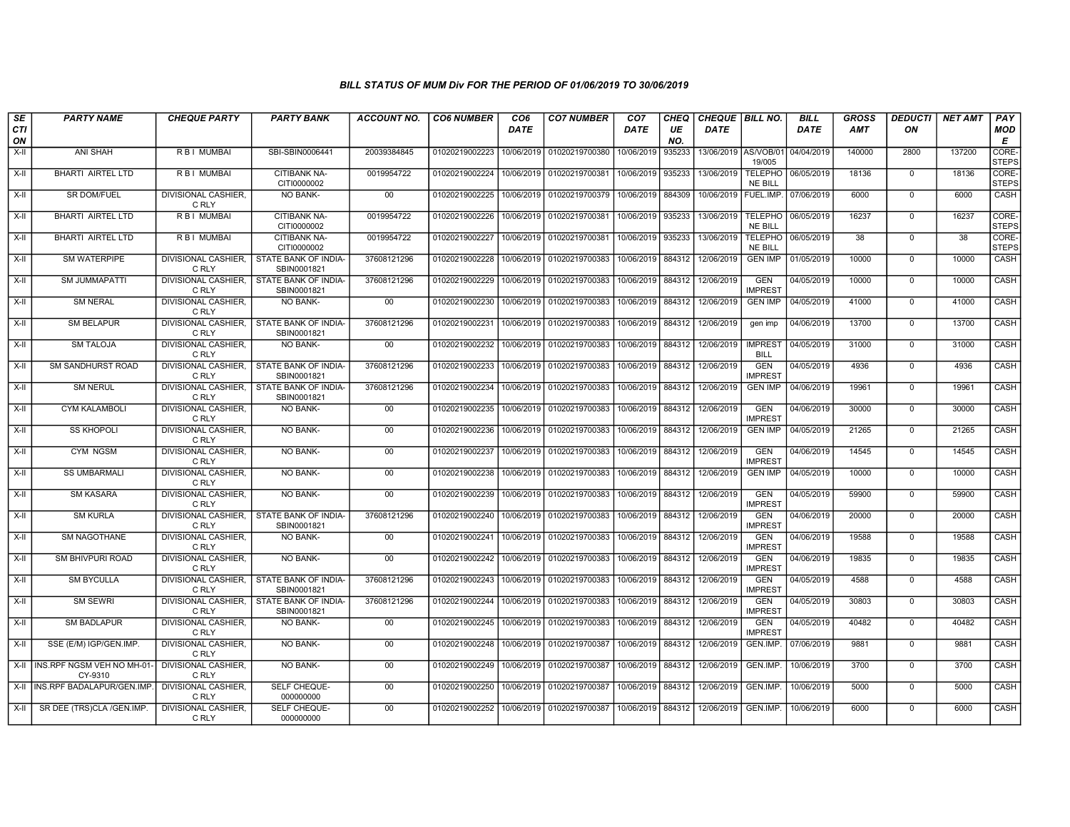| SE<br><b>CTI</b> | <b>PARTY NAME</b>                         | <b>CHEQUE PARTY</b>                 | <b>PARTY BANK</b>                   | <b>ACCOUNT NO.</b> | <b>CO6 NUMBER</b>           | CO <sub>6</sub><br><b>DATE</b> | <b>CO7 NUMBER</b>                            | CO <sub>7</sub><br><b>DATE</b> | <b>CHEQ</b><br>UE | CHEQUE   BILL NO.<br><b>DATE</b> |                                  | <b>BILL</b><br><b>DATE</b> | GROSS<br><b>AMT</b> | <b>DEDUCTI</b><br>ON | <b>NET AMT</b> | PAY<br>MOD                 |
|------------------|-------------------------------------------|-------------------------------------|-------------------------------------|--------------------|-----------------------------|--------------------------------|----------------------------------------------|--------------------------------|-------------------|----------------------------------|----------------------------------|----------------------------|---------------------|----------------------|----------------|----------------------------|
| ON<br>X-II       | ANI SHAH                                  | R B I MUMBAI                        | SBI-SBIN0006441                     | 20039384845        | 01020219002223              | 10/06/2019                     | 01020219700380                               | 10/06/2019                     | NO.<br>935233     | 13/06/2019 AS/VOB/01             | 19/005                           | 04/04/2019                 | 140000              | 2800                 | 137200         | E<br>CORE-<br><b>STEPS</b> |
| X-II             | <b>BHARTI AIRTEL LTD</b>                  | R B I MUMBAI                        | CITIBANK NA-<br>CITI0000002         | 0019954722         | 01020219002224              | 10/06/2019                     | 01020219700381                               | 10/06/2019                     | 935233            | 13/06/2019                       | <b>TELEPHO</b><br><b>NE BILL</b> | 06/05/2019                 | 18136               | $\mathbf{0}$         | 18136          | CORE-<br><b>STEPS</b>      |
| X-II             | <b>SR DOM/FUEL</b>                        | <b>DIVISIONAL CASHIER.</b><br>C RLY | <b>NO BANK-</b>                     | $00\,$             | 01020219002225              |                                | 10/06/2019 01020219700379                    | 10/06/2019                     | 884309            | 10/06/2019                       | FUEL.IMP.                        | 07/06/2019                 | 6000                | $\mathbf 0$          | 6000           | <b>CASH</b>                |
| X-II             | BHARTI AIRTEL LTD                         | <b>RBI MUMBAI</b>                   | <b>CITIBANK NA-</b><br>CITI0000002  | 0019954722         | 01020219002226              |                                | 10/06/2019 01020219700381                    | 10/06/2019                     | 935233            | 13/06/2019                       | <b>TELEPHO</b><br>NE BILL        | 06/05/2019                 | 16237               | $\overline{0}$       | 16237          | CORE-<br>STEPS             |
| X-II             | <b>BHARTI AIRTEL LTD</b>                  | R B I MUMBAI                        | <b>CITIBANK NA-</b><br>CITI0000002  | 0019954722         | 01020219002227              | 10/06/2019                     | 01020219700381                               | 10/06/2019                     | 935233            | 13/06/2019                       | <b>TELEPHO</b><br><b>NE BILL</b> | 06/05/2019                 | 38                  | $\mathbf 0$          | 38             | CORE-<br><b>STEPS</b>      |
| X-II             | SM WATERPIPE                              | DIVISIONAL CASHIER,<br>C RLY        | STATE BANK OF INDIA-<br>SBIN0001821 | 37608121296        | 01020219002228              |                                | 10/06/2019 01020219700383                    | 10/06/2019 884312              |                   | 12/06/2019                       | <b>GEN IMP</b>                   | 01/05/2019                 | 10000               | $^{\circ}$           | 10000          | CASH                       |
| X-II             | <b>SM JUMMAPATTI</b>                      | DIVISIONAL CASHIER.<br>C RLY        | STATE BANK OF INDIA-<br>SBIN0001821 | 37608121296        | 01020219002229              | 10/06/2019                     | 01020219700383                               | 10/06/2019                     | 884312            | 12/06/2019                       | <b>GEN</b><br><b>IMPREST</b>     | 04/05/2019                 | 10000               | $\overline{0}$       | 10000          | CASH                       |
| X-II             | <b>SM NERAL</b>                           | <b>DIVISIONAL CASHIER.</b><br>C RLY | <b>NO BANK-</b>                     | 00                 | 01020219002230              |                                | 10/06/2019   01020219700383                  | 10/06/2019                     | 884312            | 12/06/2019                       | <b>GEN IMP</b>                   | 04/05/2019                 | 41000               | $\mathbf 0$          | 41000          | <b>CASH</b>                |
| X-II             | <b>SM BELAPUR</b>                         | DIVISIONAL CASHIER.<br>C RLY        | STATE BANK OF INDIA-<br>SBIN0001821 | 37608121296        | 01020219002231              |                                | 10/06/2019 01020219700383                    | 10/06/2019                     | 884312            | 12/06/2019                       | gen imp                          | 04/06/2019                 | 13700               | $\Omega$             | 13700          | CASH                       |
| X-II             | <b>SM TALOJA</b>                          | <b>DIVISIONAL CASHIER.</b><br>C RLY | NO BANK-                            | $00\,$             | 01020219002232 10/06/2019   |                                | 01020219700383                               | 10/06/2019                     | 884312            | 12/06/2019                       | <b>IMPREST</b><br><b>BILL</b>    | 04/05/2019                 | 31000               | $\mathbf 0$          | 31000          | CASH                       |
| X-II             | SM SANDHURST ROAD                         | DIVISIONAL CASHIER,<br>C RLY        | STATE BANK OF INDIA-<br>SBIN0001821 | 37608121296        | 01020219002233              |                                | 10/06/2019 01020219700383                    | 10/06/2019 884312              |                   | 12/06/2019                       | <b>GEN</b><br><b>IMPREST</b>     | 04/05/2019                 | 4936                | $\mathbf 0$          | 4936           | CASH                       |
| X-II             | <b>SM NERUL</b>                           | DIVISIONAL CASHIER.<br>C RLY        | STATE BANK OF INDIA-<br>SBIN0001821 | 37608121296        | 01020219002234              | 10/06/2019                     | 01020219700383                               | 10/06/2019                     | 884312            | 12/06/2019                       | <b>GEN IMP</b>                   | 04/06/2019                 | 19961               | $\mathbf{0}$         | 19961          | <b>CASH</b>                |
| X-II             | <b>CYM KALAMBOLI</b>                      | <b>DIVISIONAL CASHIER.</b><br>C RLY | <b>NO BANK-</b>                     | 00                 |                             |                                | 01020219002235   10/06/2019   01020219700383 | 10/06/2019                     | 884312            | 12/06/2019                       | <b>GEN</b><br><b>IMPREST</b>     | 04/06/2019                 | 30000               | $^{\circ}$           | 30000          | CASH                       |
| X-II             | <b>SS KHOPOLI</b>                         | <b>DIVISIONAL CASHIER.</b><br>C RLY | NO BANK-                            | $00\,$             | 01020219002236              | 10/06/2019                     | 01020219700383                               | 10/06/2019                     | 884312            | 12/06/2019                       | <b>GEN IMP</b>                   | 04/05/2019                 | 21265               | $\mathbf{0}$         | 21265          | CASH                       |
| X-II             | <b>CYM NGSM</b>                           | <b>DIVISIONAL CASHIER.</b><br>C RLY | <b>NO BANK-</b>                     | 00                 | 01020219002237              | 10/06/2019                     | 01020219700383                               | 10/06/2019                     | 884312            | 12/06/2019                       | <b>GEN</b><br><b>IMPREST</b>     | 04/06/2019                 | 14545               | $\mathbf 0$          | 14545          | CASH                       |
| X-II             | <b>SS UMBARMALI</b>                       | <b>DIVISIONAL CASHIER,</b><br>C RLY | <b>NO BANK-</b>                     | 00                 | 01020219002238 10/06/2019   |                                | 01020219700383                               | 10/06/2019 884312              |                   | 12/06/2019                       | <b>GEN IMP</b>                   | 04/05/2019                 | 10000               | $\Omega$             | 10000          | CASH                       |
| X-II             | <b>SM KASARA</b>                          | <b>DIVISIONAL CASHIER.</b><br>C RLY | <b>NO BANK-</b>                     | 00                 | 01020219002239              | 10/06/2019                     | 01020219700383                               | 10/06/2019                     | 884312            | 12/06/2019                       | <b>GEN</b><br><b>IMPREST</b>     | 04/05/2019                 | 59900               | $\overline{0}$       | 59900          | CASH                       |
| X-II             | <b>SM KURLA</b>                           | <b>DIVISIONAL CASHIER,</b><br>C RLY | STATE BANK OF INDIA-<br>SBIN0001821 | 37608121296        | 01020219002240              |                                | 10/06/2019 01020219700383                    | 10/06/2019                     | 884312            | 12/06/2019                       | <b>GEN</b><br><b>IMPREST</b>     | 04/06/2019                 | 20000               | $\mathbf 0$          | 20000          | CASH                       |
| X-II             | SM NAGOTHANE                              | <b>DIVISIONAL CASHIER.</b><br>C RLY | NO BANK-                            | $00\,$             | 01020219002241              | 10/06/2019                     | 01020219700383                               | 10/06/2019                     | 884312            | 12/06/2019                       | <b>GEN</b><br><b>IMPREST</b>     | 04/06/2019                 | 19588               | $\mathbf 0$          | 19588          | CASH                       |
| X-II             | <b>SM BHIVPURI ROAD</b>                   | <b>DIVISIONAL CASHIER.</b><br>C RLY | <b>NO BANK-</b>                     | 00                 | 01020219002242 10/06/2019   |                                | 01020219700383                               | 10/06/2019                     | 884312            | 12/06/2019<br>12/06/2019         | <b>GEN</b><br><b>IMPREST</b>     | 04/06/2019                 | 19835<br>4588       | $\mathbf 0$          | 19835          | CASH                       |
| X-II             | <b>SM BYCULLA</b>                         | DIVISIONAL CASHIER,<br>C RLY        | STATE BANK OF INDIA-<br>SBIN0001821 | 37608121296        | 01020219002243              |                                | 10/06/2019 01020219700383                    | 10/06/2019                     | 884312            |                                  | <b>GEN</b><br><b>IMPREST</b>     | 04/05/2019                 |                     | $\mathbf 0$          | 4588           | CASH                       |
| X-II             | <b>SM SEWRI</b>                           | DIVISIONAL CASHIER.<br>C RLY        | STATE BANK OF INDIA-<br>SBIN0001821 | 37608121296        | 01020219002244              |                                | 10/06/2019 01020219700383                    | 10/06/2019                     | 884312            | 12/06/2019                       | <b>GEN</b><br><b>IMPREST</b>     | 04/05/2019                 | 30803               | $\mathbf 0$          | 30803          | CASH                       |
| X-II             | <b>SM BADLAPUR</b>                        | DIVISIONAL CASHIER,<br>C RLY        | NO BANK-                            | $00\,$             | 01020219002245   10/06/2019 |                                | 01020219700383                               | 10/06/2019                     | 884312            | 12/06/2019                       | <b>GEN</b><br><b>IMPREST</b>     | 04/05/2019                 | 40482               | $^{\circ}$           | 40482          | CASH                       |
| X-II             | SSE (E/M) IGP/GEN.IMP.                    | DIVISIONAL CASHIER,<br>C RLY        | NO BANK-                            | 00                 | 01020219002248              | 10/06/2019                     | 01020219700387                               | 10/06/2019                     | 884312            | 12/06/2019                       | GEN.IMP.                         | 07/06/2019                 | 9881                | $\mathbf{0}$         | 9881           | CASH                       |
|                  | X-II INS.RPF NGSM VEH NO MH-01<br>CY-9310 | <b>DIVISIONAL CASHIER.</b><br>C RLY | <b>NO BANK-</b>                     | 00                 | 01020219002249              | 10/06/2019                     | 01020219700387                               | 10/06/2019                     | 884312            | 12/06/2019                       | GEN.IMP.                         | 10/06/2019                 | 3700                | $\mathbf 0$          | 3700           | CASH                       |
|                  | X-II INS.RPF BADALAPUR/GEN.IMP.           | <b>DIVISIONAL CASHIER.</b><br>C RLY | SELF CHEQUE-<br>000000000           | $00\,$             | 01020219002250              |                                | 10/06/2019 01020219700387                    | 10/06/2019                     | 884312            | 12/06/2019                       | GEN.IMP.                         | 10/06/2019                 | 5000                | $\mathbf 0$          | 5000           | CASH                       |
|                  | X-II SR DEE (TRS)CLA /GEN.IMP.            | <b>DIVISIONAL CASHIER.</b><br>C RLY | SELF CHEQUE-<br>000000000           | 00 <sub>0</sub>    | 01020219002252              |                                | 10/06/2019 01020219700387                    | 10/06/2019                     | 884312            | 12/06/2019                       | GEN.IMP.                         | 10/06/2019                 | 6000                | $\mathbf 0$          | 6000           | CASH                       |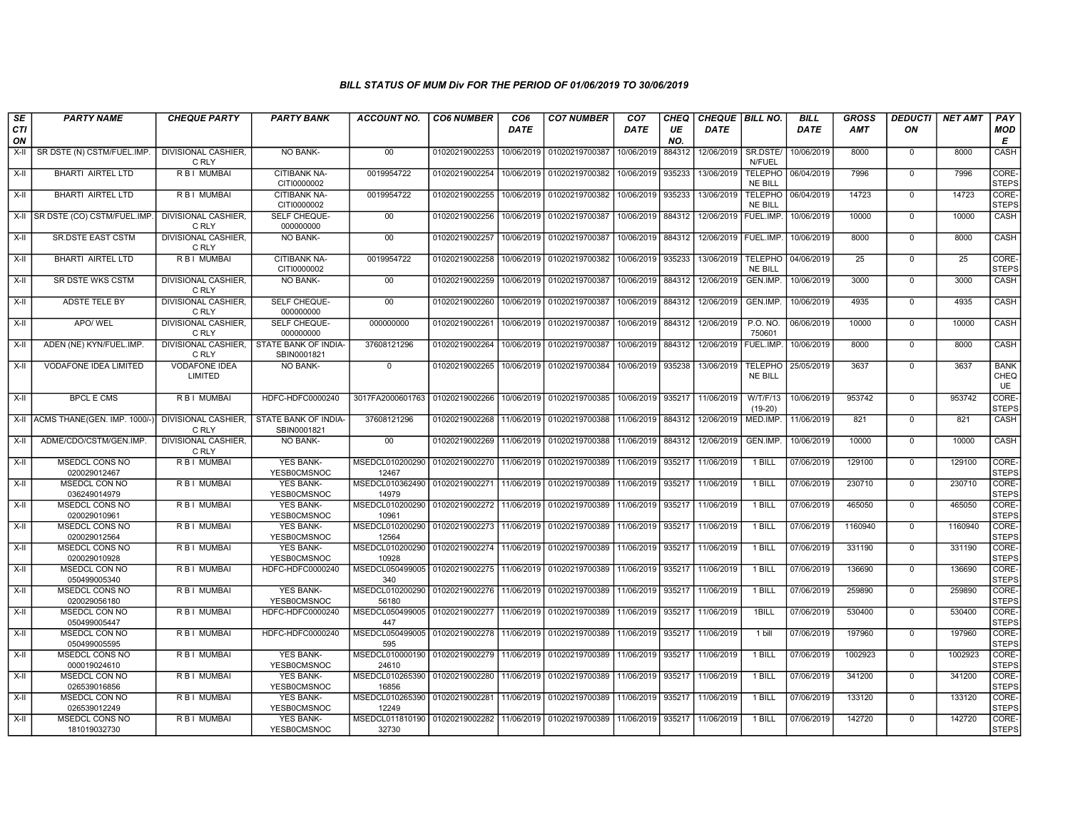| SE<br>CTI<br>ON | <b>PARTY NAME</b>                     | <b>CHEQUE PARTY</b>                    | <b>PARTY BANK</b>                      | <b>ACCOUNT NO.</b>                      | <b>CO6 NUMBER</b>         | CO <sub>6</sub><br>DATE | <b>CO7 NUMBER</b> | CO <sub>7</sub><br>DATE | CHEQ<br>UE<br>NO. | CHEQUE BILL NO.<br><b>DATE</b> |                                  | <b>BILL</b><br>DATE | <b>GROSS</b><br><b>AMT</b> | <b>DEDUCTI</b><br>ON | <b>NET AMT</b> | PAY<br><b>MOD</b><br>Е    |
|-----------------|---------------------------------------|----------------------------------------|----------------------------------------|-----------------------------------------|---------------------------|-------------------------|-------------------|-------------------------|-------------------|--------------------------------|----------------------------------|---------------------|----------------------------|----------------------|----------------|---------------------------|
| X-II            | SR DSTE (N) CSTM/FUEL.IMP.            | <b>DIVISIONAL CASHIER.</b><br>C RLY    | <b>NO BANK-</b>                        | 00                                      | 01020219002253            | 10/06/2019              | 01020219700387    | 10/06/2019              | 884312            | 12/06/2019                     | SR.DSTE/<br>N/FUEL               | 10/06/2019          | 8000                       | $\mathbf 0$          | 8000           | CASH                      |
| $X-II$          | <b>BHARTI AIRTEL LTD</b>              | <b>RBI MUMBAI</b>                      | CITIBANK NA-<br>CITI0000002            | 0019954722                              | 01020219002254            | 10/06/2019              | 01020219700382    | 10/06/2019              | 935233            | 13/06/2019                     | <b>TELEPHO</b><br>NE BILL        | 06/04/2019          | 7996                       | $\Omega$             | 7996           | CORE-<br><b>STEPS</b>     |
| $X-H$           | <b>BHARTI AIRTEL LTD</b>              | <b>RBI MUMBAI</b>                      | <b>CITIBANK NA-</b><br>CITI0000002     | 0019954722                              | 01020219002255            | 10/06/2019              | 01020219700382    | 10/06/2019              | 935233            | 13/06/2019                     | <b>TELEPHO</b><br><b>NE BILL</b> | 06/04/2019          | 14723                      | 0                    | 14723          | CORE-<br><b>STEPS</b>     |
| X-II            | SR DSTE (CO) CSTM/FUEL.IMP.           | <b>DIVISIONAL CASHIER.</b><br>C RLY    | SELF CHEQUE-<br>000000000              | $00\,$                                  | 01020219002256            | 10/06/2019              | 01020219700387    | 10/06/2019              | 884312            | 12/06/2019                     | FUEL.IMP.                        | 10/06/2019          | 10000                      | $\mathbf 0$          | 10000          | <b>CASH</b>               |
| $X-H$           | <b>SR.DSTE EAST CSTM</b>              | <b>DIVISIONAL CASHIER.</b><br>C RLY    | <b>NO BANK-</b>                        | 00                                      | 01020219002257            | 10/06/2019              | 01020219700387    | 10/06/2019              | 884312            | 12/06/2019                     | FUEL IMP                         | 10/06/2019          | 8000                       | $\mathbf 0$          | 8000           | CASH                      |
| $X-II$          | <b>BHARTI AIRTEL LTD</b>              | R B I MUMBAI                           | CITIBANK NA-<br>CITI0000002            | 0019954722                              | 01020219002258            | 10/06/2019              | 01020219700382    | 10/06/2019              | 935233            | 13/06/2019                     | <b>TELEPHO</b><br><b>NE BILL</b> | 04/06/2019          | 25                         | 0                    | 25             | CORE-<br><b>STEPS</b>     |
| $X-II$          | SR DSTE WKS CSTM                      | DIVISIONAL CASHIER,<br>C RLY           | <b>NO BANK-</b>                        | 00                                      | 01020219002259            | 10/06/2019              | 01020219700387    | 10/06/2019              | 884312            | 12/06/2019                     | GEN.IMP                          | 10/06/2019          | 3000                       | $\overline{0}$       | 3000           | CASH                      |
| $X-H$           | ADSTE TELE BY                         | <b>DIVISIONAL CASHIER,</b><br>C RLY    | SELF CHEQUE-<br>000000000              | 00                                      | 01020219002260            | 10/06/2019              | 01020219700387    | 10/06/2019              | 884312            | 12/06/2019                     | GEN.IMP.                         | 10/06/2019          | 4935                       | $\mathbf 0$          | 4935           | <b>CASH</b>               |
| $X-H$           | APO/WEL                               | <b>DIVISIONAL CASHIER.</b><br>C RLY    | SELF CHEQUE-<br>000000000              | 000000000                               | 01020219002261            | 10/06/2019              | 01020219700387    | 10/06/2019              | 884312            | 12/06/2019                     | P.O. NO.<br>750601               | 06/06/2019          | 10000                      | $\mathbf 0$          | 10000          | CASH                      |
| $X-II$          | ADEN (NE) KYN/FUEL.IMP.               | DIVISIONAL CASHIER,<br>C RLY           | STATE BANK OF INDIA-<br>SBIN0001821    | 37608121296                             | 01020219002264            | 10/06/2019              | 01020219700387    | 10/06/2019              | 884312            | 12/06/2019                     | <b>FUEL.IMP</b>                  | 10/06/2019          | 8000                       | $\mathbf 0$          | 8000           | CASH                      |
| $X-H$           | <b>VODAFONE IDEA LIMITED</b>          | <b>VODAFONE IDEA</b><br><b>LIMITED</b> | NO BANK-                               | $\overline{0}$                          | 01020219002265            | 10/06/2019              | 01020219700384    | 10/06/2019              | 935238            | 13/06/2019                     | <b>TELEPHO</b><br><b>NE BILL</b> | 25/05/2019          | 3637                       | $\overline{0}$       | 3637           | <b>BANK</b><br>CHEQ<br>UE |
| $X-II$          | <b>BPCL E CMS</b>                     | R B I MUMBAI                           | HDFC-HDFC0000240                       | 3017FA2000601763                        | 01020219002266            | 10/06/2019              | 01020219700385    | 10/06/2019              | 935217            | 11/06/2019                     | W/T/F/13<br>$(19-20)$            | 10/06/2019          | 953742                     | $\mathbf 0$          | 953742         | CORE-<br><b>STEPS</b>     |
| X-II            | ACMS THANE(GEN. IMP. 1000/-           | DIVISIONAL CASHIER,<br>C RLY           | STATE BANK OF INDIA-<br>SBIN0001821    | 37608121296                             | 01020219002268            | 11/06/2019              | 01020219700388    | 11/06/2019              | 884312            | 12/06/2019                     | MED.IMP.                         | 11/06/2019          | 821                        | $\mathbf 0$          | 821            | CASH                      |
| X-II            | ADME/CDO/CSTM/GEN.IMP.                | <b>DIVISIONAL CASHIER.</b><br>C RLY    | <b>NO BANK-</b>                        | $00 \,$                                 | 01020219002269            | 11/06/2019              | 01020219700388    | 11/06/2019              | 884312            | 12/06/2019                     | GEN.IMP                          | 10/06/2019          | 10000                      | $\mathbf 0$          | 10000          | CASH                      |
| $X-H$           | <b>MSEDCL CONS NO</b><br>020029012467 | <b>RBI MUMBAI</b>                      | <b>YES BANK-</b><br>YESB0CMSNOC        | MSEDCL010200290<br>12467                | 01020219002270 11/06/2019 |                         | 01020219700389    | 11/06/2019              | 935217            | 11/06/2019                     | 1 BILL                           | 07/06/2019          | 129100                     | $\mathbf 0$          | 129100         | CORE-<br><b>STEPS</b>     |
| X-II            | MSEDCL CON NO<br>036249014979         | R B I MUMBAI                           | <b>YES BANK-</b><br>YESB0CMSNOC        | MSEDCL010362490<br>14979                | 01020219002271            | 11/06/2019              | 01020219700389    | 11/06/2019              | 935217            | 11/06/2019                     | 1 BILL                           | 07/06/2019          | 230710                     | $\mathbf 0$          | 230710         | CORE-<br><b>STEPS</b>     |
| X-II            | <b>MSEDCL CONS NO</b><br>020029010961 | R B I MUMBAI                           | <b>YES BANK-</b><br>YESB0CMSNOC        | MSEDCL010200290<br>10961                | 01020219002272            | 11/06/2019              | 01020219700389    | 11/06/2019              | 935217            | 11/06/2019                     | 1 BILL                           | 07/06/2019          | 465050                     | $\mathbf 0$          | 465050         | CORE-<br><b>STEPS</b>     |
| X-II            | MSEDCL CONS NO<br>020029012564        | R B I MUMBAI                           | <b>YES BANK-</b><br>YESB0CMSNOC        | MSEDCL010200290<br>12564                | 01020219002273            | 11/06/2019              | 01020219700389    | 11/06/2019              | 935217            | 11/06/2019                     | 1 BILL                           | 07/06/2019          | 1160940                    | $\mathbf 0$          | 1160940        | CORE-<br><b>STEPS</b>     |
| $X-H$           | <b>MSEDCL CONS NO</b><br>020029010928 | <b>RBI MUMBAI</b>                      | <b>YES BANK-</b><br><b>YESB0CMSNOC</b> | MSEDCL010200290<br>10928                | 01020219002274            | 11/06/2019              | 01020219700389    | 11/06/2019              | 935217            | 11/06/2019                     | 1 BILL                           | 07/06/2019          | 331190                     | 0                    | 331190         | CORE-<br><b>STEPS</b>     |
| $X-H$           | MSEDCL CON NO<br>050499005340         | R B I MUMBAI                           | HDFC-HDFC0000240                       | MSEDCL050499005<br>340                  | 01020219002275            | 11/06/2019              | 01020219700389    | 11/06/2019              | 935217            | 11/06/2019                     | 1 BILL                           | 07/06/2019          | 136690                     | $\mathbf 0$          | 136690         | CORE-<br><b>STEPS</b>     |
| X-II            | MSEDCL CONS NO<br>020029056180        | R B I MUMBAI                           | YES BANK-<br>YESB0CMSNOC               | MSEDCL010200290<br>56180                | 01020219002276            | 11/06/2019              | 01020219700389    | 11/06/2019              | 935217            | 11/06/2019                     | 1 BILL                           | 07/06/2019          | 259890                     | $\mathbf 0$          | 259890         | CORE-<br><b>STEPS</b>     |
| $X-II$          | MSEDCL CON NO<br>050499005447         | R B I MUMBAI                           | HDFC-HDFC0000240                       | MSEDCL050499005<br>447                  | 01020219002277            | 11/06/2019              | 01020219700389    | 11/06/2019              | 935217            | 11/06/2019                     | 1BILL                            | 07/06/2019          | 530400                     | $\mathbf 0$          | 530400         | CORE-<br>STEPS            |
| $X-H$           | <b>MSEDCL CON NO</b><br>050499005595  | R B I MUMBAI                           | HDFC-HDFC0000240                       | MSEDCL050499005<br>595                  | 01020219002278            | 11/06/2019              | 01020219700389    | 11/06/2019              | 935217            | 11/06/2019                     | 1 bill                           | 07/06/2019          | 197960                     | $\overline{0}$       | 197960         | CORE-<br><b>STEPS</b>     |
| X-II            | <b>MSEDCL CONS NO</b><br>000019024610 | R B I MUMBAI                           | <b>YES BANK-</b><br>YESB0CMSNOC        | MSEDCL010000190<br>24610                | 01020219002279            | 11/06/2019              | 01020219700389    | 11/06/2019              | 935217            | 11/06/2019                     | 1 BILL                           | 07/06/2019          | 1002923                    | $\mathbf 0$          | 1002923        | CORE-<br><b>STEPS</b>     |
| X-II            | MSEDCL CON NO<br>026539016856         | R B I MUMBAI                           | <b>YES BANK-</b><br>YESB0CMSNOC        | MSEDCL010265390<br>16856                | 01020219002280            | 11/06/2019              | 01020219700389    | 11/06/2019              | 935217            | 11/06/2019                     | 1 BILL                           | 07/06/2019          | 341200                     | $\mathbf 0$          | 341200         | CORE-<br><b>STEPS</b>     |
| $X-II$          | MSEDCL CON NO<br>026539012249         | R B I MUMBAI                           | <b>YES BANK-</b><br>YESB0CMSNOC        | MSEDCL010265390 01020219002281<br>12249 |                           | 11/06/2019              | 01020219700389    | 11/06/2019              | 935217            | 11/06/2019                     | 1 BILL                           | 07/06/2019          | 133120                     | $\mathbf 0$          | 133120         | CORE-<br><b>STEPS</b>     |
| $X-H$           | <b>MSEDCL CONS NO</b><br>181019032730 | R B I MUMBAI                           | <b>YES BANK-</b><br>YESB0CMSNOC        | MSEDCL011810190<br>32730                | 01020219002282            | 11/06/2019              | 01020219700389    | 11/06/2019              |                   | 935217 11/06/2019              | 1 BILL                           | 07/06/2019          | 142720                     | $\mathbf 0$          | 142720         | CORE-<br>STEPS            |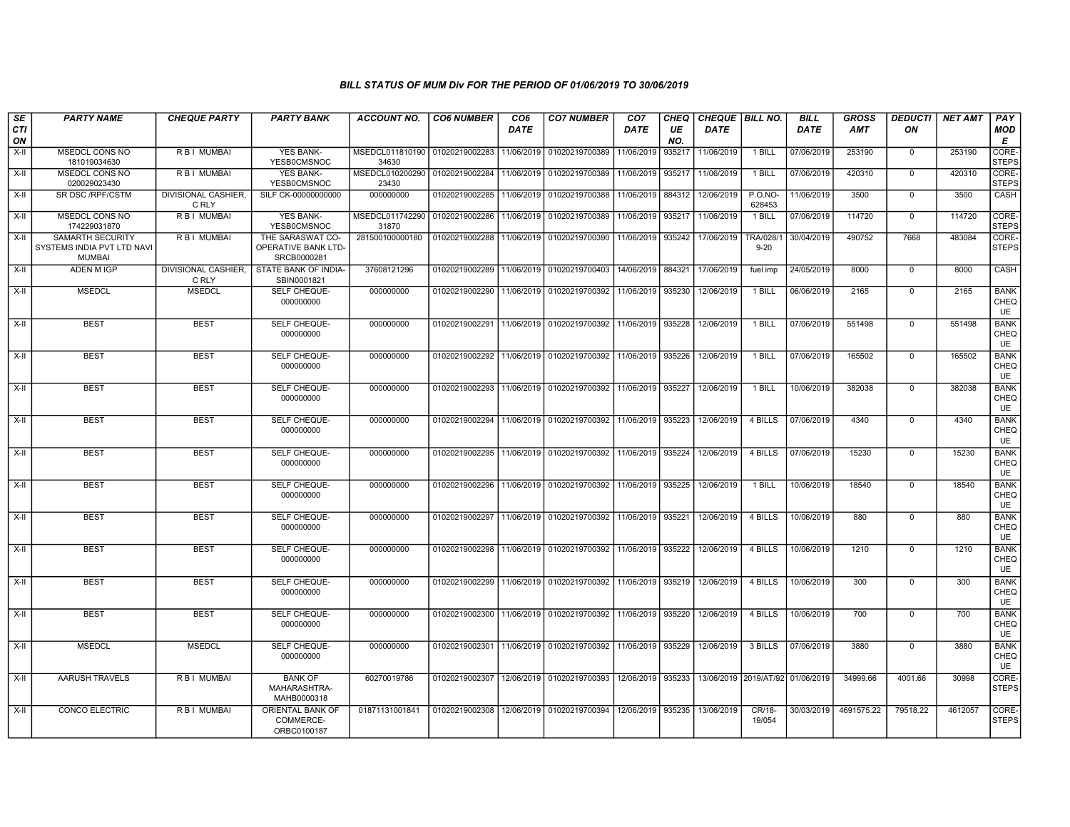| SE<br><b>CTI</b><br>ON | <b>PARTY NAME</b>                                                      | <b>CHEQUE PARTY</b>          | <b>PARTY BANK</b>                                      | <b>ACCOUNT NO.</b>                      | <b>CO6 NUMBER</b> | CO <sub>6</sub><br><b>DATE</b> | <b>CO7 NUMBER</b>                                 | CO <sub>7</sub><br><b>DATE</b> | CHEQ<br>UE<br>NO. | CHEQUE   BILL NO.<br><b>DATE</b> |                                  | <b>BILL</b><br><b>DATE</b> | <b>GROSS</b><br>AMT | <b>DEDUCTI</b><br>ON | <b>NET AMT</b> | PAY<br><b>MOD</b><br>E           |
|------------------------|------------------------------------------------------------------------|------------------------------|--------------------------------------------------------|-----------------------------------------|-------------------|--------------------------------|---------------------------------------------------|--------------------------------|-------------------|----------------------------------|----------------------------------|----------------------------|---------------------|----------------------|----------------|----------------------------------|
| X-II                   | MSEDCL CONS NO<br>181019034630                                         | <b>RBI MUMBAI</b>            | <b>YES BANK-</b><br>YESB0CMSNOC                        | MSEDCL011810190 01020219002283<br>34630 |                   | 11/06/2019                     | 01020219700389                                    | 11/06/2019                     | 935217            | 11/06/2019                       | 1 BILL                           | 07/06/2019                 | 253190              | $\mathbf 0$          | 253190         | CORE <sub></sub><br><b>STEPS</b> |
| X-II                   | MSEDCL CONS NO<br>020029023430                                         | R B I MUMBAI                 | <b>YES BANK-</b><br>YESB0CMSNOC                        | MSEDCL010200290<br>23430                | 01020219002284    | 11/06/2019                     | 01020219700389                                    | 11/06/2019                     | 935217            | 11/06/2019                       | $1$ BILL                         | 07/06/2019                 | 420310              | $\overline{0}$       | 420310         | CORE-<br><b>STEPS</b>            |
| X-II                   | SR DSC/RPF/CSTM                                                        | DIVISIONAL CASHIER,<br>C RLY | SILF CK-00000000000                                    | 000000000                               | 01020219002285    | 11/06/2019                     | 01020219700388   11/06/2019   884312              |                                |                   | 12/06/2019                       | $P.O.NO-$<br>628453              | 11/06/2019                 | 3500                | $\mathbf 0$          | 3500           | CASH                             |
| X-II                   | <b>MSEDCL CONS NO</b><br>174229031870                                  | <b>RBI MUMBAI</b>            | <b>YES BANK-</b><br>YESB0CMSNOC                        | MSEDCL011742290<br>31870                | 01020219002286    | 11/06/2019                     | 01020219700389                                    | 11/06/2019 935217              |                   | 11/06/2019                       | 1 BILL                           | 07/06/2019                 | 114720              | $\mathbf 0$          | 114720         | CORE-<br><b>STEPS</b>            |
| X-II                   | <b>SAMARTH SECURITY</b><br>SYSTEMS INDIA PVT LTD NAVI<br><b>MUMBAI</b> | R B I MUMBAI                 | THE SARASWAT CO-<br>OPERATIVE BANK LTD-<br>SRCB0000281 | 281500100000180                         | 01020219002288    | 11/06/2019                     | 01020219700390                                    | 11/06/2019 935242              |                   | 17/06/2019                       | TRA/028/<br>$9 - 20$             | 30/04/2019                 | 490752              | 7668                 | 483084         | CORE-<br><b>STEPS</b>            |
| $X-H$                  | <b>ADEN M IGP</b>                                                      | DIVISIONAL CASHIER,<br>C RLY | STATE BANK OF INDIA-<br>SBIN0001821                    | 37608121296                             |                   |                                | 01020219002289 11/06/2019 01020219700403          | 14/06/2019                     | 884321            | 17/06/2019                       | fuel imp                         | 24/05/2019                 | 8000                | $\overline{0}$       | 8000           | CASH                             |
| X-II                   | <b>MSEDCL</b>                                                          | <b>MSEDCL</b>                | <b>SELF CHEQUE-</b><br>000000000                       | 000000000                               | 01020219002290    | 11/06/2019                     | 01020219700392                                    | 11/06/2019                     | 935230            | 12/06/2019                       | 1 BILL                           | 06/06/2019                 | 2165                | $\overline{0}$       | 2165           | <b>BANK</b><br>CHEQ<br>UE        |
| $X-H$                  | <b>BEST</b>                                                            | <b>BEST</b>                  | SELF CHEQUE-<br>000000000                              | 000000000                               | 01020219002291    | 11/06/2019                     | 01020219700392 11/06/2019 935228                  |                                |                   | 12/06/2019                       | 1 BILL                           | 07/06/2019                 | 551498              | $\mathbf 0$          | 551498         | <b>BANK</b><br>CHEQ<br>UE        |
| X-II                   | <b>BEST</b>                                                            | <b>BEST</b>                  | SELF CHEQUE-<br>000000000                              | 000000000                               | 01020219002292    | 11/06/2019                     | 01020219700392                                    | 11/06/2019 935226              |                   | 12/06/2019                       | 1 BILL                           | 07/06/2019                 | 165502              | $\overline{0}$       | 165502         | <b>BANK</b><br>CHEQ<br>UE        |
| X-II                   | <b>BEST</b>                                                            | <b>BEST</b>                  | SELF CHEQUE-<br>000000000                              | 000000000                               | 01020219002293    | 11/06/2019                     | 01020219700392                                    | 11/06/2019 935227              |                   | 12/06/2019                       | 1 BILL                           | 10/06/2019                 | 382038              | $\mathbf 0$          | 382038         | <b>BANK</b><br>CHEQ<br>UE        |
| $X-H$                  | <b>BEST</b>                                                            | <b>BEST</b>                  | SELF CHEQUE-<br>000000000                              | 000000000                               | 01020219002294    |                                | 11/06/2019 01020219700392                         | 11/06/2019   935223            |                   | 12/06/2019                       | 4 BILLS                          | 07/06/2019                 | 4340                | $\mathbf 0$          | 4340           | <b>BANK</b><br>CHEQ<br>UE        |
| $X-H$                  | <b>BEST</b>                                                            | <b>BEST</b>                  | SELF CHEQUE-<br>000000000                              | 000000000                               | 01020219002295    |                                | 11/06/2019 01020219700392                         | 11/06/2019 935224              |                   | 12/06/2019                       | 4 BILLS                          | 07/06/2019                 | 15230               | $\mathsf 0$          | 15230          | <b>BANK</b><br>CHEQ<br>UE        |
| X-II                   | <b>BEST</b>                                                            | <b>BEST</b>                  | SELF CHEQUE-<br>000000000                              | 000000000                               | 01020219002296    |                                | 11/06/2019 01020219700392 11/06/2019 935225       |                                |                   | 12/06/2019                       | 1 BILL                           | 10/06/2019                 | 18540               | $\mathsf 0$          | 18540          | <b>BANK</b><br>CHEQ<br>UE        |
| $X-H$                  | <b>BEST</b>                                                            | <b>BEST</b>                  | SELF CHEQUE-<br>000000000                              | 000000000                               | 01020219002297    |                                | 11/06/2019 01020219700392 11/06/2019 935221       |                                |                   | 12/06/2019                       | 4 BILLS                          | 10/06/2019                 | 880                 | $\overline{0}$       | 880            | <b>BANK</b><br>CHEQ<br>UE        |
| $X-I$                  | <b>BEST</b>                                                            | <b>BEST</b>                  | <b>SELF CHEQUE-</b><br>000000000                       | 000000000                               | 01020219002298    | 11/06/2019                     | 01020219700392 11/06/2019 935222                  |                                |                   | 12/06/2019                       | 4 BILLS                          | 10/06/2019                 | 1210                | $\mathbf 0$          | 1210           | <b>BANK</b><br>CHEQ<br>UE        |
| X-II                   | <b>BEST</b>                                                            | <b>BEST</b>                  | SELF CHEQUE-<br>000000000                              | 000000000                               | 01020219002299    | 11/06/2019                     | 01020219700392 11/06/2019 935219                  |                                |                   | 12/06/2019                       | 4 BILLS                          | 10/06/2019                 | 300                 | $\mathsf 0$          | 300            | <b>BANK</b><br>CHEQ<br>UE        |
| $X-H$                  | <b>BEST</b>                                                            | <b>BEST</b>                  | <b>SELF CHEQUE-</b><br>000000000                       | 000000000                               | 01020219002300    |                                | 11/06/2019 01020219700392 11/06/2019 935220       |                                |                   | 12/06/2019                       | 4 BILLS                          | 10/06/2019                 | 700                 | $\mathbf 0$          | 700            | <b>BANK</b><br>CHEQ<br>UE        |
| $X-H$                  | <b>MSEDCL</b>                                                          | <b>MSEDCL</b>                | SELF CHEQUE-<br>000000000                              | 000000000                               | 01020219002301    |                                | 11/06/2019 01020219700392 11/06/2019 935229       |                                |                   | 12/06/2019                       | 3 BILLS                          | 07/06/2019                 | 3880                | $\mathbf 0$          | 3880           | <b>BANK</b><br>CHEQ<br>UE        |
| X-II                   | <b>AARUSH TRAVELS</b>                                                  | R B I MUMBAI                 | <b>BANK OF</b><br>MAHARASHTRA-<br>MAHB0000318          | 60270019786                             | 01020219002307    | 12/06/2019                     | 01020219700393                                    | 12/06/2019 935233              |                   |                                  | 13/06/2019 2019/AT/92 01/06/2019 |                            | 34999.66            | 4001.66              | 30998          | CORE-<br><b>STEPS</b>            |
| X-II                   | <b>CONCO ELECTRIC</b>                                                  | <b>RBI MUMBAI</b>            | ORIENTAL BANK OF<br>COMMERCE-<br>ORBC0100187           | 01871131001841                          | 01020219002308    |                                | 12/06/2019   01020219700394   12/06/2019   935235 |                                |                   | 13/06/2019                       | CR/18-<br>19/054                 | 30/03/2019                 | 4691575.22          | 79518.22             | 4612057        | CORE-<br><b>STEPS</b>            |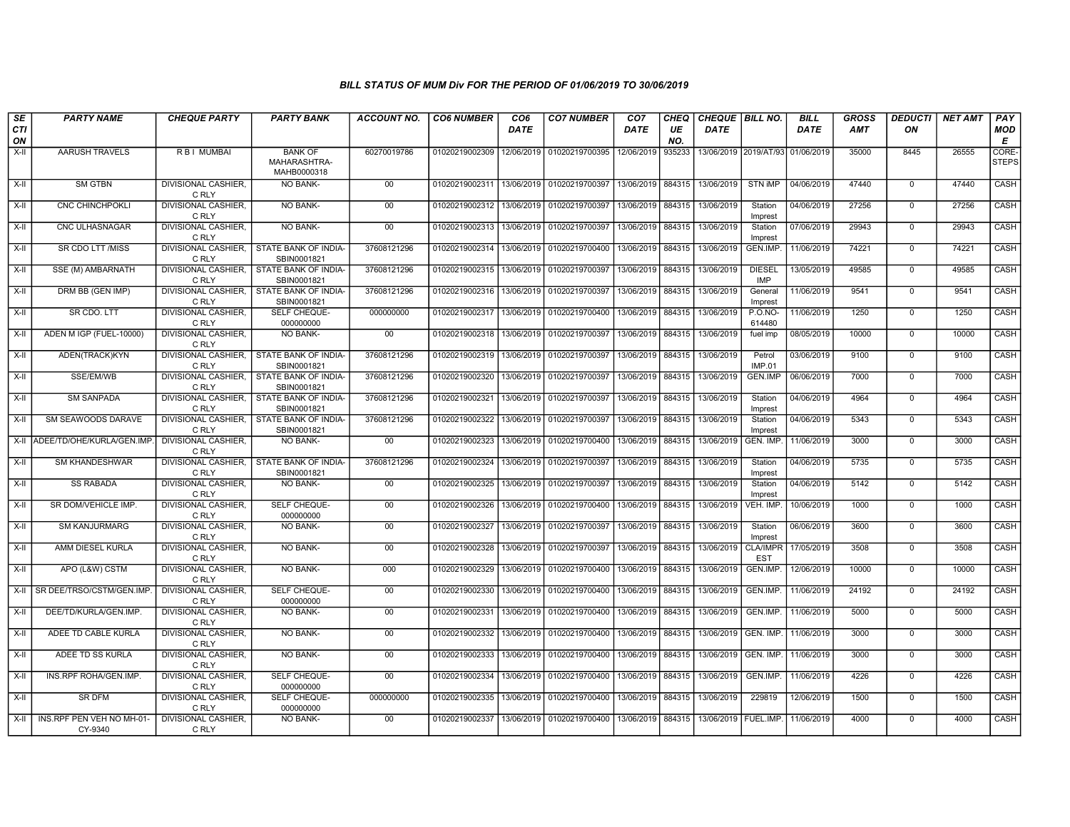| SE        | <b>PARTY NAME</b>                           | <b>CHEQUE PARTY</b>                 | <b>PARTY BANK</b>                                         | <b>ACCOUNT NO.</b> | <b>CO6 NUMBER</b>                        | CO <sub>6</sub> | <b>CO7 NUMBER</b>         | CO <sub>7</sub> | <b>CHEQ</b> | CHEQUE   BILL NO.      |                               | <b>BILL</b> | GROSS | <b>DEDUCTI</b> | <b>NET AMT</b> | PAY                   |
|-----------|---------------------------------------------|-------------------------------------|-----------------------------------------------------------|--------------------|------------------------------------------|-----------------|---------------------------|-----------------|-------------|------------------------|-------------------------------|-------------|-------|----------------|----------------|-----------------------|
| CTI<br>ON |                                             |                                     |                                                           |                    |                                          | <b>DATE</b>     |                           | DATE            | UE<br>NO.   | DATE                   |                               | DATE        | AMT   | ON             |                | <b>MOD</b><br>E       |
| X-II      | <b>AARUSH TRAVELS</b>                       | R B I MUMBAI                        | <b>BANK OF</b><br>MAHARASHTRA-<br>MAHB0000318             | 60270019786        | 01020219002309                           | 12/06/2019      | 01020219700395            | 12/06/2019      | 935233      |                        | 13/06/2019 2019/AT/93         | 01/06/2019  | 35000 | 8445           | 26555          | CORE-<br><b>STEPS</b> |
| X-II      | <b>SM GTBN</b>                              | <b>DIVISIONAL CASHIER.</b><br>C RLY | <b>NO BANK-</b>                                           | 00                 | 01020219002311                           | 13/06/2019      | 01020219700397            | 13/06/2019      | 884315      | 13/06/2019             | STN IMP                       | 04/06/2019  | 47440 | $\mathbf{0}$   | 47440          | CASH                  |
| X-II      | <b>CNC CHINCHPOKLI</b>                      | <b>DIVISIONAL CASHIER.</b><br>C RLY | <b>NO BANK-</b>                                           | 00                 | 01020219002312                           | 13/06/2019      | 01020219700397            | 13/06/2019      | 884315      | 13/06/2019             | Station<br>Imprest            | 04/06/2019  | 27256 | $\Omega$       | 27256          | CASH                  |
| $X-II$    | CNC ULHASNAGAR                              | DIVISIONAL CASHIER,<br>C RLY        | NO BANK-                                                  | 00                 | 01020219002313 13/06/2019                |                 | 01020219700397            | 13/06/2019      | 884315      | 13/06/2019             | Station<br>Imprest            | 07/06/2019  | 29943 | $\mathsf 0$    | 29943          | CASH                  |
| $X-II$    | SR CDO LTT /MISS                            | DIVISIONAL CASHIER,<br>C RLY        | STATE BANK OF INDIA-<br>SBIN0001821                       | 37608121296        | 01020219002314 13/06/2019                |                 | 01020219700400            | 13/06/2019      | 884315      | 13/06/2019             | GEN.IMP.                      | 11/06/2019  | 74221 | $\overline{0}$ | 74221          | CASH                  |
| X-II      | SSE (M) AMBARNATH                           | DIVISIONAL CASHIER,<br>C RLY        | STATE BANK OF INDIA-<br>SBIN0001821                       | 37608121296        | 01020219002315   13/06/2019              |                 | 01020219700397            | 13/06/2019      | 884315      | 13/06/2019             | <b>DIESEL</b><br><b>IMP</b>   | 13/05/2019  | 49585 | $\mathbf{0}$   | 49585          | <b>CASH</b>           |
| X-II      | DRM BB (GEN IMP)                            | <b>DIVISIONAL CASHIER.</b><br>C RLY | STATE BANK OF INDIA-<br>SBIN0001821                       | 37608121296        | 01020219002316                           | 13/06/2019      | 01020219700397            | 13/06/2019      | 884315      | 13/06/2019             | General<br>Imprest            | 11/06/2019  | 9541  | $\mathbf 0$    | 9541           | CASH                  |
| X-II      | SR CDO. LTT                                 | DIVISIONAL CASHIER,<br>C RLY        | SELF CHEQUE-<br>000000000                                 | 000000000          | 01020219002317                           |                 | 13/06/2019 01020219700400 | 13/06/2019      | 884315      | 13/06/2019             | <b>P.O.NO-</b><br>614480      | 11/06/2019  | 1250  | $\mathbf 0$    | 1250           | CASH                  |
| $X-II$    | ADEN M IGP (FUEL-10000)                     | DIVISIONAL CASHIER,<br>C RLY        | NO BANK-                                                  | 00                 | 01020219002318                           | 13/06/2019      | 01020219700397            | 13/06/2019      | 884315      | 13/06/2019             | fuel imp                      | 08/05/2019  | 10000 | $\overline{0}$ | 10000          | CASH                  |
| X-II      | ADEN(TRACK)KYN                              | <b>DIVISIONAL CASHIER.</b><br>C RLY | STATE BANK OF INDIA-<br>SBIN0001821                       | 37608121296        | 01020219002319                           |                 | 13/06/2019 01020219700397 | 13/06/2019      | 884315      | 13/06/2019             | Petrol<br><b>IMP.01</b>       | 03/06/2019  | 9100  | $\mathbf 0$    | 9100           | CASH                  |
| X-II      | SSE/EM/WB                                   | <b>DIVISIONAL CASHIER.</b><br>C RLY | <b>STATE BANK OF INDIA-</b><br>SBIN0001821                | 37608121296        | 01020219002320                           | 13/06/2019      | 01020219700397            | 13/06/2019      | 884315      | 13/06/2019             | <b>GEN.IMP</b>                | 06/06/2019  | 7000  | $\mathbf{0}$   | 7000           | <b>CASH</b>           |
| X-II      | <b>SM SANPADA</b>                           | DIVISIONAL CASHIER.<br>C RLY        | STATE BANK OF INDIA-<br>SBIN0001821                       | 37608121296        | 01020219002321                           |                 | 13/06/2019 01020219700397 | 13/06/2019      | 884315      | 13/06/2019             | Station<br>Imprest            | 04/06/2019  | 4964  | $\Omega$       | 4964           | CASH                  |
| X-II      | SM SEAWOODS DARAVE                          | <b>DIVISIONAL CASHIER,</b><br>C RLY | <b>STATE BANK OF INDIA-</b><br>SBIN0001821                | 37608121296        | 01020219002322                           |                 | 13/06/2019 01020219700397 | 13/06/2019      | 884315      | 13/06/2019             | Station<br>Imprest            | 04/06/2019  | 5343  | $\mathbf 0$    | 5343           | CASH                  |
|           | X-II ADEE/TD/OHE/KURLA/GEN.IMP              | <b>DIVISIONAL CASHIER,</b><br>C RLY | <b>NO BANK-</b>                                           | $00\,$             | 01020219002323                           | 13/06/2019      | 01020219700400            | 13/06/2019      | 884315      | 13/06/2019             | GEN. IMP.                     | 11/06/2019  | 3000  | $\mathbf 0$    | 3000           | CASH                  |
| X-II      | <b>SM KHANDESHWAR</b>                       | C RLY                               | DIVISIONAL CASHIER. I STATE BANK OF INDIA-<br>SBIN0001821 | 37608121296        | 01020219002324 13/06/2019 01020219700397 |                 |                           | 13/06/2019      | 884315      | 13/06/2019             | Station<br>Imprest            | 04/06/2019  | 5735  | $\mathbf 0$    | 5735           | CASH                  |
| X-II      | <b>SS RABADA</b>                            | DIVISIONAL CASHIER,<br>C RLY        | NO BANK-                                                  | $00\,$             | 01020219002325                           | 13/06/2019      | 01020219700397            | 13/06/2019      | 884315      | 13/06/2019             | Station<br>Imprest            | 04/06/2019  | 5142  | $\mathbf 0$    | 5142           | CASH                  |
| X-II      | SR DOM/VEHICLE IMP.                         | DIVISIONAL CASHIER,<br>C RLY        | SELF CHEQUE-<br>000000000                                 | $00\,$             | 01020219002326                           | 13/06/2019      | 01020219700400            | 13/06/2019      | 884315      | 13/06/2019             | VEH. IMP.                     | 10/06/2019  | 1000  | $\mathbf{0}$   | 1000           | CASH                  |
| X-II      | <b>SM KANJURMARG</b>                        | <b>DIVISIONAL CASHIER.</b><br>C RLY | <b>NO BANK-</b>                                           | 00                 | 01020219002327                           | 13/06/2019      | 01020219700397            | 13/06/2019      | 884315      | 13/06/2019             | Station<br>Imprest            | 06/06/2019  | 3600  | $\mathbf{0}$   | 3600           | CASH                  |
| X-II      | AMM DIESEL KURLA                            | <b>DIVISIONAL CASHIER.</b><br>C RLY | <b>NO BANK-</b>                                           | 00                 | 01020219002328                           | 13/06/2019      | 01020219700397            | 13/06/2019      | 884315      | 13/06/2019             | <b>CLA/IMPR</b><br><b>EST</b> | 17/05/2019  | 3508  | $\mathbf 0$    | 3508           | CASH                  |
| X-II      | APO (L&W) CSTM                              | <b>DIVISIONAL CASHIER,</b><br>C RLY | NO BANK-                                                  | 000                | 01020219002329                           | 13/06/2019      | 01020219700400            | 13/06/2019      | 884315      | 13/06/2019             | GEN.IMP.                      | 12/06/2019  | 10000 | $\Omega$       | 10000          | CASH                  |
| X-II      | SR DEE/TRSO/CSTM/GEN.IMP                    | DIVISIONAL CASHIER.<br>C RLY        | SELF CHEQUE-<br>000000000                                 | $00\,$             | 01020219002330                           | 13/06/2019      | 01020219700400            | 13/06/2019      | 884315      | 13/06/2019             | GEN.IMP.                      | 11/06/2019  | 24192 | $\mathbf 0$    | 24192          | CASH                  |
| X-II      | DEE/TD/KURLA/GEN.IMP.                       | <b>DIVISIONAL CASHIER.</b><br>C RLY | <b>NO BANK-</b>                                           | 00                 | 01020219002331                           | 13/06/2019      | 01020219700400            | 13/06/2019      | 884315      | 13/06/2019             | GEN.IMP.                      | 11/06/2019  | 5000  | $\mathbf 0$    | 5000           | <b>CASH</b>           |
| X-II      | ADEE TD CABLE KURLA                         | DIVISIONAL CASHIER,<br>C RLY        | <b>NO BANK-</b>                                           | 00                 | 01020219002332                           | 13/06/2019      | 01020219700400            | 13/06/2019      | 884315      | 13/06/2019             | GEN. IMP.                     | 11/06/2019  | 3000  | $\mathbf 0$    | 3000           | CASH                  |
| X-II      | ADEE TD SS KURLA                            | DIVISIONAL CASHIER,<br>C RLY        | NO BANK-                                                  | 00                 | 01020219002333                           | 13/06/2019      | 01020219700400            | 13/06/2019      | 884315      | 13/06/2019             | GEN. IMP.                     | 11/06/2019  | 3000  | $\Omega$       | 3000           | CASH                  |
| X-II      | INS.RPF ROHA/GEN.IMP.                       | <b>DIVISIONAL CASHIER.</b><br>C RLY | SELF CHEQUE-<br>000000000                                 | $00\,$             | 01020219002334                           | 13/06/2019      | 01020219700400            | 13/06/2019      | 884315      | 13/06/2019             | GEN.IMP.                      | 11/06/2019  | 4226  | $\mathbf{0}$   | 4226           | CASH                  |
| X-II      | <b>SR DFM</b>                               | <b>DIVISIONAL CASHIER.</b><br>C RLY | SELF CHEQUE-<br>000000000                                 | 000000000          | 01020219002335                           |                 | 13/06/2019 01020219700400 | 13/06/2019      | 884315      | 13/06/2019             | 229819                        | 12/06/2019  | 1500  | $\mathbf 0$    | 1500           | CASH                  |
|           | X-II   INS.RPF PEN VEH NO MH-01-<br>CY-9340 | DIVISIONAL CASHIER,<br>C RLY        | <b>NO BANK-</b>                                           | 00                 | 01020219002337                           |                 | 13/06/2019 01020219700400 | 13/06/2019      | 884315      | 13/06/2019   FUEL.IMP. |                               | 11/06/2019  | 4000  | $\mathbf 0$    | 4000           | <b>CASH</b>           |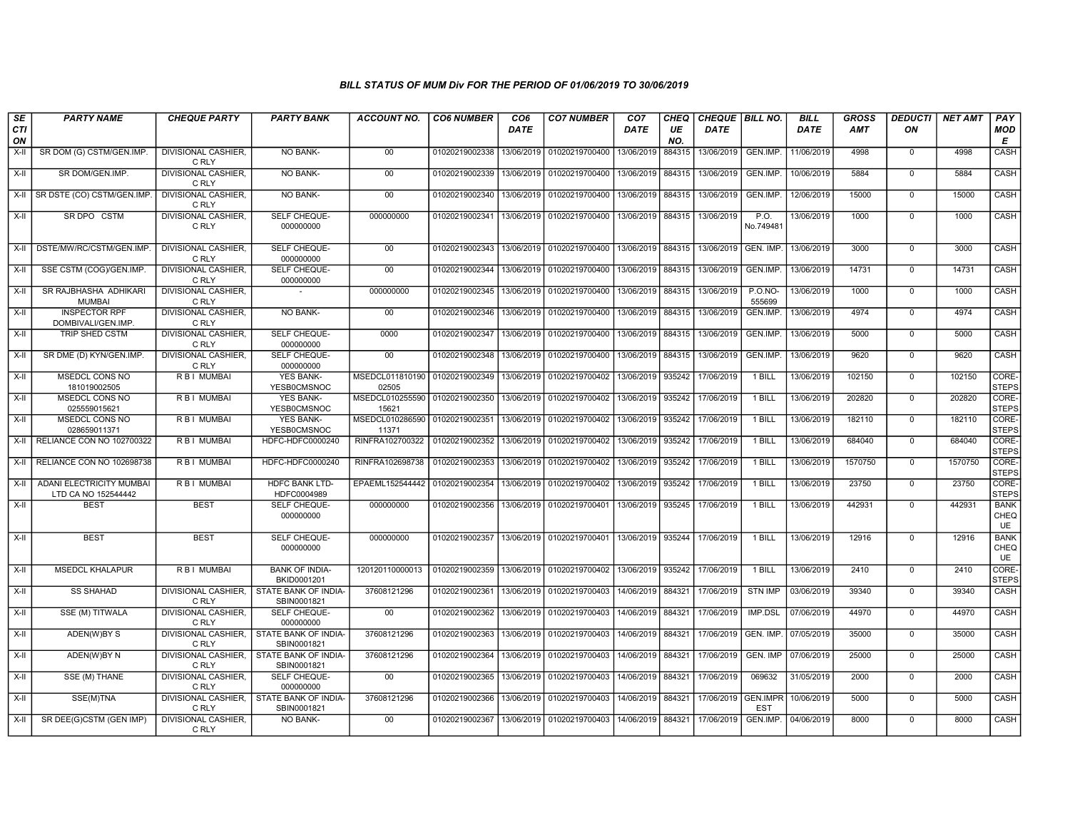| SE<br><b>CTI</b><br>ON | <b>PARTY NAME</b>                                      | <b>CHEQUE PARTY</b>                 | <b>PARTY BANK</b>                    | <b>ACCOUNT NO.</b>                        | <b>CO6 NUMBER</b> | CO <sub>6</sub><br><b>DATE</b> | <b>CO7 NUMBER</b>         | CO <sub>7</sub><br>DATE | <b>CHEQ</b><br>UE<br>NO. | CHEQUE BILL NO.<br><b>DATE</b> |                               | <b>BILL</b><br><b>DATE</b> | <b>GROSS</b><br>AMT | <b>DEDUCTI</b><br>ON | <b>NET AMT</b> | PAY<br><b>MOD</b><br>Е           |
|------------------------|--------------------------------------------------------|-------------------------------------|--------------------------------------|-------------------------------------------|-------------------|--------------------------------|---------------------------|-------------------------|--------------------------|--------------------------------|-------------------------------|----------------------------|---------------------|----------------------|----------------|----------------------------------|
| $X-I$                  | SR DOM (G) CSTM/GEN.IMP                                | <b>DIVISIONAL CASHIER.</b><br>C RLY | <b>NO BANK-</b>                      | $00\,$                                    | 01020219002338    | 13/06/2019                     | 01020219700400            | 13/06/2019              | 884315                   | 13/06/2019                     | GEN.IMP.                      | 11/06/2019                 | 4998                | $\Omega$             | 4998           | CASH                             |
| X-II                   | SR DOM/GEN.IMP.                                        | <b>DIVISIONAL CASHIER.</b><br>C RLY | <b>NO BANK-</b>                      | 00                                        | 01020219002339    | 13/06/2019                     | 01020219700400            | 13/06/2019              | 884315                   | 13/06/2019                     | GEN.IMP.                      | 10/06/2019                 | 5884                | $\Omega$             | 5884           | CASH                             |
| $X-H$                  | SR DSTE (CO) CSTM/GEN.IMP                              | <b>DIVISIONAL CASHIER,</b><br>C RLY | <b>NO BANK-</b>                      | 00                                        | 01020219002340    | 13/06/2019                     | 01020219700400            | 13/06/2019              | 884315                   | 13/06/2019                     | GEN.IMP.                      | 12/06/2019                 | 15000               | $\mathbf 0$          | 15000          | CASH                             |
| X-II                   | SR DPO CSTM                                            | <b>DIVISIONAL CASHIER,</b><br>C RLY | SELF CHEQUE-<br>000000000            | 000000000                                 | 01020219002341    | 13/06/2019                     | 01020219700400            | 13/06/2019              | 884315                   | 13/06/2019                     | P.O.<br>No.749481             | 13/06/2019                 | 1000                | $\overline{0}$       | 1000           | <b>CASH</b>                      |
| $X-H$                  | DSTE/MW/RC/CSTM/GEN.IMP                                | <b>DIVISIONAL CASHIER.</b><br>C RLY | SELF CHEQUE-<br>000000000            | 00                                        | 01020219002343    | 13/06/2019                     | 01020219700400            | 13/06/2019 884315       |                          | 13/06/2019                     | GEN. IMP                      | 13/06/2019                 | 3000                | $\overline{0}$       | 3000           | CASH                             |
| X-II                   | SSE CSTM (COG)/GEN.IMP.                                | <b>DIVISIONAL CASHIER,</b><br>C RLY | SELF CHEQUE-<br>000000000            | 00                                        | 01020219002344    | 13/06/2019                     | 01020219700400            | 13/06/2019              | 884315                   | 13/06/2019                     | GEN.IMP.                      | 13/06/2019                 | 14731               | $\mathbf 0$          | 14731          | <b>CASH</b>                      |
| $X-H$                  | SR RAJBHASHA ADHIKARI<br><b>MUMBAI</b>                 | <b>DIVISIONAL CASHIER.</b><br>C RLY |                                      | 000000000                                 | 01020219002345    | 13/06/2019                     | 01020219700400            | 13/06/2019              | 884315                   | 13/06/2019                     | $P. O. NO -$<br>555699        | 13/06/2019                 | 1000                | $\overline{0}$       | 1000           | CASH                             |
| X-II                   | <b>INSPECTOR RPF</b><br>DOMBIVALI/GEN.IMP.             | DIVISIONAL CASHIER,<br>C RLY        | NO BANK-                             | 00                                        | 01020219002346    | 13/06/2019                     | 01020219700400            | 13/06/2019              | 884315                   | 13/06/2019                     | GEN.IMP.                      | 13/06/2019                 | 4974                | $\mathbf 0$          | 4974           | CASH                             |
| X-II                   | TRIP SHED CSTM                                         | DIVISIONAL CASHIER.<br>C RLY        | SELF CHEQUE-<br>000000000            | 0000                                      | 01020219002347    | 13/06/2019                     | 01020219700400            | 13/06/2019              | 884315                   | 13/06/2019                     | GEN.IMP.                      | 13/06/2019                 | 5000                | $\mathbf 0$          | 5000           | CASH                             |
| X-II                   | SR DME (D) KYN/GEN.IMP.                                | <b>DIVISIONAL CASHIER.</b><br>C RLY | SELF CHEQUE-<br>000000000            | 00                                        | 01020219002348    | 13/06/2019                     | 01020219700400            | 13/06/2019              | 884315                   | 13/06/2019                     | <b>GEN.IMP</b>                | 13/06/2019                 | 9620                | $\Omega$             | 9620           | <b>CASH</b>                      |
| $X-H$                  | <b>MSEDCL CONS NO</b><br>181019002505                  | <b>RBI MUMBAI</b>                   | <b>YES BANK-</b><br>YESB0CMSNOC      | MSEDCL011810190 01020219002349<br>02505   |                   | 13/06/2019                     | 01020219700402            | 13/06/2019              | 935242                   | 17/06/2019                     | 1 BILL                        | 13/06/2019                 | 102150              | $\mathbf 0$          | 102150         | CORE-<br><b>STEPS</b>            |
| $X-I$                  | MSEDCL CONS NO<br>025559015621                         | R B I MUMBAI                        | <b>YES BANK-</b><br>YESB0CMSNOC      | MSEDCL010255590   01020219002350<br>15621 |                   | 13/06/2019                     | 01020219700402            | 13/06/2019              | 935242                   | 17/06/2019                     | $1$ BILL                      | 13/06/2019                 | 202820              | $\mathbf 0$          | 202820         | CORE-<br><b>STEPS</b>            |
| X-II                   | MSEDCL CONS NO<br>028659011371                         | R B I MUMBAI                        | <b>YES BANK-</b><br>YESB0CMSNOC      | MSEDCL010286590 01020219002351<br>11371   |                   | 13/06/2019                     | 01020219700402            | 13/06/2019              | 935242                   | 17/06/2019                     | 1 BILL                        | 13/06/2019                 | 182110              | $\mathbf 0$          | 182110         | CORE-<br><b>STEPS</b>            |
| X-II                   | RELIANCE CON NO 102700322                              | <b>RBI MUMBAI</b>                   | HDFC-HDFC0000240                     | RINFRA102700322                           | 01020219002352    | 13/06/2019                     | 01020219700402            | 13/06/2019              | 935242                   | 17/06/2019                     | 1 BILL                        | 13/06/2019                 | 684040              | $\Omega$             | 684040         | CORE-<br><b>STEPS</b>            |
| $X-H$                  | RELIANCE CON NO 102698738                              | <b>RBI MUMBAI</b>                   | HDFC-HDFC0000240                     | RINFRA102698738                           | 01020219002353    |                                | 13/06/2019 01020219700402 | 13/06/2019 935242       |                          | 17/06/2019                     | $1$ BILL                      | 13/06/2019                 | 1570750             | $\Omega$             | 1570750        | CORE-<br><b>STEPS</b>            |
| X-II                   | <b>ADANI ELECTRICITY MUMBAI</b><br>LTD CA NO 152544442 | <b>RBI MUMBAI</b>                   | <b>HDFC BANK LTD-</b><br>HDFC0004989 | EPAEML152544442                           | 01020219002354    | 13/06/2019                     | 01020219700402            | 13/06/2019              | 935242                   | 17/06/2019                     | 1 BILL                        | 13/06/2019                 | 23750               | $\mathbf 0$          | 23750          | CORE-<br><b>STEPS</b>            |
| X-II                   | <b>BEST</b>                                            | <b>BEST</b>                         | SELF CHEQUE-<br>000000000            | 000000000                                 | 01020219002356    |                                | 13/06/2019 01020219700401 | 13/06/2019              | 935245                   | 17/06/2019                     | 1 BILL                        | 13/06/2019                 | 442931              | $\mathbf 0$          | 442931         | <b>BANK</b><br>CHEQ<br>UE        |
| X-II                   | <b>BEST</b>                                            | <b>BEST</b>                         | SELF CHEQUE-<br>000000000            | 000000000                                 | 01020219002357    |                                | 13/06/2019 01020219700401 | 13/06/2019              | 935244                   | 17/06/2019                     | 1 BILL                        | 13/06/2019                 | 12916               | $\mathbf 0$          | 12916          | <b>BANK</b><br>CHEQ<br><b>UE</b> |
| $X-H$                  | <b>MSEDCL KHALAPUR</b>                                 | <b>RBI MUMBAI</b>                   | <b>BANK OF INDIA-</b><br>BKID0001201 | 120120110000013                           | 01020219002359    | 13/06/2019                     | 01020219700402            | 13/06/2019 935242       |                          | 17/06/2019                     | $1$ BILL                      | 13/06/2019                 | 2410                | $\mathbf 0$          | 2410           | CORE-<br><b>STEPS</b>            |
| X-II                   | <b>SS SHAHAD</b>                                       | DIVISIONAL CASHIER.<br>C RLY        | STATE BANK OF INDIA-<br>SBIN0001821  | 37608121296                               | 01020219002361    | 13/06/2019                     | 01020219700403            | 14/06/2019              | 884321                   | 17/06/2019                     | <b>STN IMP</b>                | 03/06/2019                 | 39340               | $\mathbf 0$          | 39340          | CASH                             |
| X-II                   | SSE (M) TITWALA                                        | <b>DIVISIONAL CASHIER.</b><br>C RLY | <b>SELF CHEQUE-</b><br>000000000     | $00\,$                                    | 01020219002362    | 13/06/2019                     | 01020219700403            | 14/06/2019              | 884321                   | 17/06/2019                     | IMP.DSL                       | 07/06/2019                 | 44970               | $\mathbf 0$          | 44970          | CASH                             |
| $X-H$                  | ADEN(W)BY S                                            | <b>DIVISIONAL CASHIER,</b><br>C RLY | STATE BANK OF INDIA-<br>SBIN0001821  | 37608121296                               | 01020219002363    | 13/06/2019                     | 01020219700403            | 14/06/2019              | 884321                   | 17/06/2019                     | <b>GEN. IMP</b>               | 07/05/2019                 | 35000               | $\overline{0}$       | 35000          | CASH                             |
| X-II                   | ADEN(W)BY N                                            | <b>DIVISIONAL CASHIER.</b><br>C RLY | STATE BANK OF INDIA-<br>SBIN0001821  | 37608121296                               | 01020219002364    |                                | 13/06/2019 01020219700403 | 14/06/2019              | 884321                   | 17/06/2019                     | GEN. IMP                      | 07/06/2019                 | 25000               | $\mathbf 0$          | 25000          | CASH                             |
| X-II                   | SSE (M) THANE                                          | DIVISIONAL CASHIER.<br>C RLY        | SELF CHEQUE-<br>000000000            | 00                                        | 01020219002365    | 13/06/2019                     | 01020219700403            | 14/06/2019              | 884321                   | 17/06/2019                     | 069632                        | 31/05/2019                 | 2000                | $\mathbf 0$          | 2000           | CASH                             |
| X-II                   | SSE(M)TNA                                              | <b>DIVISIONAL CASHIER.</b><br>C RLY | STATE BANK OF INDIA<br>SBIN0001821   | 37608121296                               | 01020219002366    | 13/06/2019                     | 01020219700403            | 14/06/2019              | 884321                   | 17/06/2019                     | <b>GEN.IMPR</b><br><b>EST</b> | 10/06/2019                 | 5000                | $\Omega$             | 5000           | CASH                             |
| $X-H$                  | SR DEE(G)CSTM (GEN IMP)                                | <b>DIVISIONAL CASHIER,</b><br>C RLY | NO BANK-                             | $00\,$                                    | 01020219002367    |                                | 13/06/2019 01020219700403 | 14/06/2019 884321       |                          | 17/06/2019                     | GEN.IMP.                      | 04/06/2019                 | 8000                | $\mathbf 0$          | 8000           | CASH                             |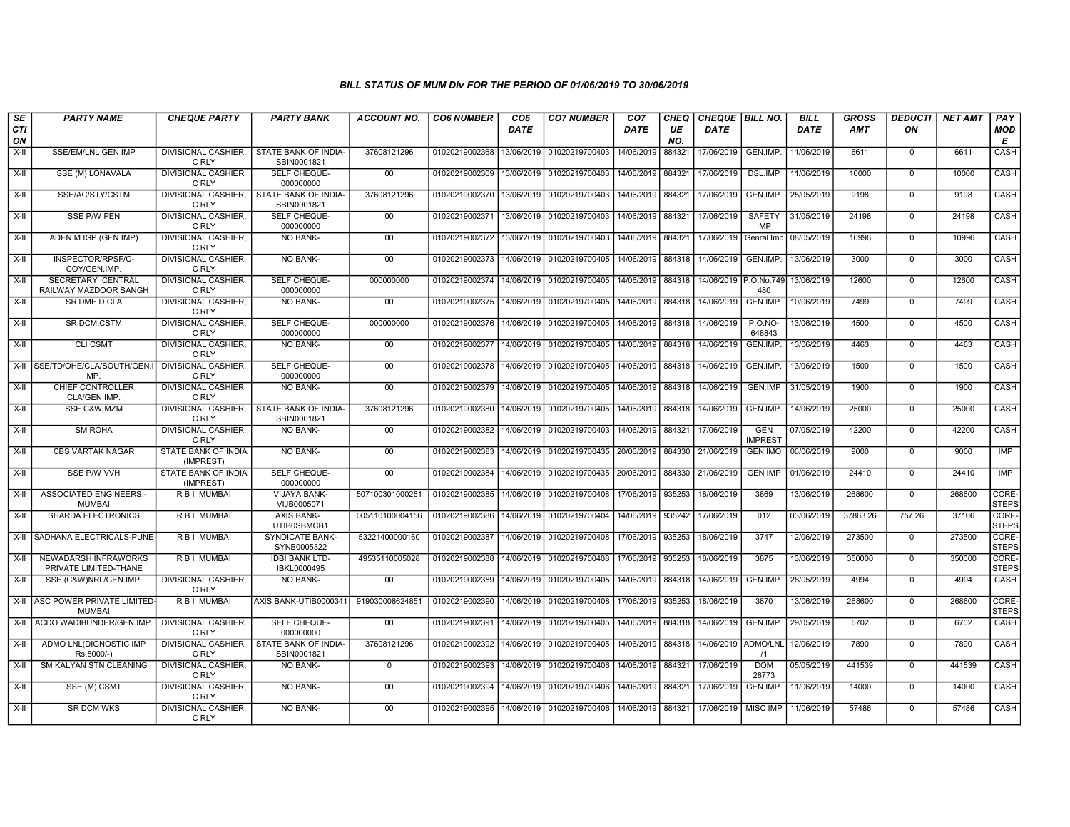| SE               | <b>PARTY NAME</b>                                 | <b>CHEQUE PARTY</b>                     | <b>PARTY BANK</b>                     | <b>ACCOUNT NO.</b> | <b>CO6 NUMBER</b> | CO <sub>6</sub> | <b>CO7 NUMBER</b>                | CO <sub>7</sub>   | CHEQ      | CHEQUE   BILL NO.     |                              | <b>BILL</b> | <b>GROSS</b> | <b>DEDUCTI</b> | <b>NET AMT</b> | PAY                   |
|------------------|---------------------------------------------------|-----------------------------------------|---------------------------------------|--------------------|-------------------|-----------------|----------------------------------|-------------------|-----------|-----------------------|------------------------------|-------------|--------------|----------------|----------------|-----------------------|
| <b>CTI</b><br>ON |                                                   |                                         |                                       |                    |                   | <b>DATE</b>     |                                  | DATE              | UE<br>NO. | DATE                  |                              | <b>DATE</b> | <b>AMT</b>   | ON             |                | <b>MOD</b><br>E       |
| $X-H$            | SSE/EM/LNL GEN IMP                                | DIVISIONAL CASHIER,<br>C RLY            | STATE BANK OF INDIA-<br>SBIN0001821   | 37608121296        | 01020219002368    | 13/06/2019      | 01020219700403                   | 14/06/2019        | 884321    | 17/06/2019            | GEN.IMP.                     | 11/06/2019  | 6611         | $\mathbf 0$    | 6611           | CASH                  |
| $X-H$            | SSE (M) LONAVALA                                  | <b>DIVISIONAL CASHIER.</b><br>C RLY     | <b>SELF CHEQUE-</b><br>000000000      | $00\,$             | 01020219002369    | 13/06/2019      | 01020219700403                   | 14/06/2019        | 884321    | 17/06/2019            | <b>DSL.IMP</b>               | 11/06/2019  | 10000        | $\overline{0}$ | 10000          | CASH                  |
| X-II             | SSE/AC/STY/CSTM                                   | DIVISIONAL CASHIER,<br>C RLY            | STATE BANK OF INDIA-<br>SBIN0001821   | 37608121296        | 01020219002370    | 13/06/2019      | 01020219700403                   | 14/06/2019 884321 |           | 17/06/2019            | GEN.IMP.                     | 25/05/2019  | 9198         | $\mathbf 0$    | 9198           | CASH                  |
| $X-H$            | <b>SSE P/W PEN</b>                                | <b>DIVISIONAL CASHIER,</b><br>C RLY     | SELF CHEQUE-<br>000000000             | 00                 | 01020219002371    | 13/06/2019      | 01020219700403                   | 14/06/2019 884321 |           | 17/06/2019            | <b>SAFETY</b><br>IMP         | 31/05/2019  | 24198        | $\mathbf 0$    | 24198          | <b>CASH</b>           |
| X-II             | ADEN M IGP (GEN IMP)                              | <b>DIVISIONAL CASHIER,</b><br>C RLY     | <b>NO BANK-</b>                       | 00                 | 01020219002372    | 13/06/2019      | 01020219700403                   | 14/06/2019        | 884321    | 17/06/2019            | Genral Imp                   | 08/05/2019  | 10996        | $\mathbf 0$    | 10996          | CASH                  |
| $X-II$           | INSPECTOR/RPSF/C-<br>COY/GEN.IMP                  | <b>DIVISIONAL CASHIER.</b><br>C RLY     | <b>NO BANK-</b>                       | 00                 | 01020219002373    | 14/06/2019      | 01020219700405                   | 14/06/2019 884318 |           | 14/06/2019            | GEN.IMP.                     | 13/06/2019  | 3000         | $\Omega$       | 3000           | CASH                  |
| $X-II$           | <b>SECRETARY CENTRAL</b><br>RAILWAY MAZDOOR SANGH | <b>DIVISIONAL CASHIER.</b><br>C RLY     | SELF CHEQUE-<br>000000000             | 000000000          | 01020219002374    | 14/06/2019      | 01020219700405                   | 14/06/2019        | 884318    | 14/06/2019 P.O.No.749 | 480                          | 13/06/2019  | 12600        | $\mathbf 0$    | 12600          | CASH                  |
| $X-H$            | <b>SR DME D CLA</b>                               | DIVISIONAL CASHIER,<br>C RLY            | <b>NO BANK-</b>                       | 00                 | 01020219002375    | 14/06/2019      | 01020219700405                   | 14/06/2019        | 884318    | 14/06/2019            | GEN.IMP.                     | 10/06/2019  | 7499         | $\overline{0}$ | 7499           | CASH                  |
| $X-H$            | SR.DCM.CSTM                                       | <b>DIVISIONAL CASHIER,</b><br>C RLY     | SELF CHEQUE-<br>000000000             | 000000000          | 01020219002376    | 14/06/2019      | 01020219700405                   | 14/06/2019 884318 |           | 14/06/2019            | <b>P.O.NO-</b><br>648843     | 13/06/2019  | 4500         | $\mathbf 0$    | 4500           | CASH                  |
| $X-H$            | <b>CLI CSMT</b>                                   | <b>DIVISIONAL CASHIER,</b><br>C RLY     | <b>NO BANK-</b>                       | 00                 | 01020219002377    | 14/06/2019      | 01020219700405                   | 14/06/2019        | 884318    | 14/06/2019            | GEN.IMP.                     | 13/06/2019  | 4463         | $\mathbf 0$    | 4463           | CASH                  |
| X-II             | SSE/TD/OHE/CLA/SOUTH/GEN.I<br>MP.                 | DIVISIONAL CASHIER.<br>C RLY            | SELF CHEQUE-<br>000000000             | 00                 | 01020219002378    | 14/06/2019      | 01020219700405                   | 14/06/2019        | 884318    | 14/06/2019            | GEN.IMP.                     | 13/06/2019  | 1500         | $\mathbf 0$    | 1500           | CASH                  |
| X-II             | <b>CHIEF CONTROLLER</b><br>CLA/GEN.IMP            | DIVISIONAL CASHIER,<br>C RLY            | <b>NO BANK-</b>                       | 00                 | 01020219002379    | 14/06/2019      | 01020219700405                   | 14/06/2019        | 884318    | 14/06/2019            | <b>GEN.IMP</b>               | 31/05/2019  | 1900         | $^{\circ}$     | 1900           | <b>CASH</b>           |
| $X-H$            | <b>SSE C&amp;W MZM</b>                            | <b>DIVISIONAL CASHIER.</b><br>C RLY     | STATE BANK OF INDIA-<br>SBIN0001821   | 37608121296        | 01020219002380    | 14/06/2019      | 01020219700405                   | 14/06/2019 884318 |           | 14/06/2019            | GEN.IMP.                     | 14/06/2019  | 25000        | $\Omega$       | 25000          | CASH                  |
| X-II             | <b>SM ROHA</b>                                    | <b>DIVISIONAL CASHIER.</b><br>C RLY     | NO BANK-                              | 00                 | 01020219002382    | 14/06/2019      | 01020219700403                   | 14/06/2019 884321 |           | 17/06/2019            | <b>GEN</b><br><b>IMPREST</b> | 07/05/2019  | 42200        | $\mathbf 0$    | 42200          | CASH                  |
| $X-II$           | <b>CBS VARTAK NAGAR</b>                           | STATE BANK OF INDIA<br>(IMPREST)        | <b>NO BANK-</b>                       | 00                 | 01020219002383    | 14/06/2019      | 01020219700435 20/06/2019        |                   | 884330    | 21/06/2019            | <b>GEN IMO</b>               | 06/06/2019  | 9000         | $\overline{0}$ | 9000           | <b>IMP</b>            |
| $X-H$            | <b>SSE P/W VVH</b>                                | <b>STATE BANK OF INDIA</b><br>(IMPREST) | SELF CHEQUE-<br>000000000             | 00                 | 01020219002384    | 14/06/2019      | 01020219700435 20/06/2019 884330 |                   |           | 21/06/2019            | <b>GEN IMP</b>               | 01/06/2019  | 24410        | $\mathbf 0$    | 24410          | <b>IMP</b>            |
| X-II             | <b>ASSOCIATED ENGINEERS.-</b><br><b>MUMBAI</b>    | <b>RBI MUMBAI</b>                       | VIJAYA BANK-<br>VIJB0005071           | 50710030100026     | 01020219002385    | 14/06/2019      | 01020219700408                   | 17/06/2019 935253 |           | 18/06/2019            | 3869                         | 13/06/2019  | 268600       | $\mathbf 0$    | 268600         | CORE-<br><b>STEPS</b> |
| X-II             | SHARDA ELECTRONICS                                | R B I MUMBAI                            | <b>AXIS BANK-</b><br>UTIB0SBMCB1      | 005110100004156    | 01020219002386    | 14/06/2019      | 01020219700404                   | 14/06/2019 935242 |           | 17/06/2019            | 012                          | 03/06/2019  | 37863.26     | 757.26         | 37106          | CORE-<br><b>STEPS</b> |
| X-II             | SADHANA ELECTRICALS-PUNE                          | R B I MUMBAI                            | <b>SYNDICATE BANK-</b><br>SYNB0005322 | 53221400000160     | 01020219002387    | 14/06/2019      | 01020219700408                   | 17/06/2019 935253 |           | 18/06/2019            | 3747                         | 12/06/2019  | 273500       | $\mathbf 0$    | 273500         | CORE-<br><b>STEPS</b> |
| $X-II$           | NEWADARSH INFRAWORKS<br>PRIVATE LIMITED-THANE     | <b>RBI MUMBAI</b>                       | <b>IDBI BANK LTD-</b><br>IBKL0000495  | 49535110005028     | 01020219002388    | 14/06/2019      | 01020219700408                   | 17/06/2019        | 935253    | 18/06/2019            | 3875                         | 13/06/2019  | 350000       | $\overline{0}$ | 350000         | CORE-<br><b>STEPS</b> |
| X-II             | SSE (C&W)NRL/GEN.IMP.                             | <b>DIVISIONAL CASHIER,</b><br>C RLY     | NO BANK-                              | 00                 | 01020219002389    | 14/06/2019      | 01020219700405                   | 14/06/2019 884318 |           | 14/06/2019            | GEN.IMP.                     | 28/05/2019  | 4994         | $\mathbf 0$    | 4994           | <b>CASH</b>           |
| X-II             | ASC POWER PRIVATE LIMITED-<br><b>MUMBAI</b>       | R B I MUMBAI                            | AXIS BANK-UTIB0000341                 | 919030008624851    | 01020219002390    | 14/06/2019      | 01020219700408                   | 17/06/2019 935253 |           | 18/06/2019            | 3870                         | 13/06/2019  | 268600       | $\mathbf 0$    | 268600         | CORE-<br><b>STEPS</b> |
| X-II             | ACDO WADIBUNDER/GEN.IMP                           | <b>DIVISIONAL CASHIER</b><br>C RLY      | SELF CHEQUE-<br>000000000             | $00\,$             | 01020219002391    | 14/06/2019      | 01020219700405                   | 14/06/2019        | 884318    | 14/06/2019            | GEN.IMP.                     | 29/05/2019  | 6702         | $\mathbf 0$    | 6702           | CASH                  |
| X-II             | ADMO LNL(DIGNOSTIC IMP<br>Rs.8000/-)              | <b>DIVISIONAL CASHIER,</b><br>C RLY     | STATE BANK OF INDIA-<br>SBIN0001821   | 37608121296        | 01020219002392    | 14/06/2019      | 01020219700405                   | 14/06/2019 884318 |           | 14/06/2019 ADMO/LNL   | /1                           | 12/06/2019  | 7890         | $\Omega$       | 7890           | CASH                  |
| X-II             | <b>SM KALYAN STN CLEANING</b>                     | <b>DIVISIONAL CASHIER,</b><br>C RLY     | <b>NO BANK-</b>                       | $\mathbf 0$        | 01020219002393    | 14/06/2019      | 01020219700406                   | 14/06/2019        | 884321    | 17/06/2019            | <b>DOM</b><br>28773          | 05/05/2019  | 441539       | $\Omega$       | 441539         | <b>CASH</b>           |
| $X-II$           | SSE (M) CSMT                                      | <b>DIVISIONAL CASHIER,</b><br>C RLY     | <b>NO BANK-</b>                       | 00                 | 01020219002394    | 14/06/2019      | 01020219700406                   | 14/06/2019 884321 |           | 17/06/2019            | GEN.IMP.                     | 11/06/2019  | 14000        | $\mathbf 0$    | 14000          | CASH                  |
| X-II             | <b>SR DCM WKS</b>                                 | DIVISIONAL CASHIER,<br>C RLY            | <b>NO BANK-</b>                       | 00                 | 01020219002395    |                 | 14/06/2019 01020219700406        | 14/06/2019 884321 |           | 17/06/2019            | <b>MISC IMP</b>              | 11/06/2019  | 57486        | $\Omega$       | 57486          | CASH                  |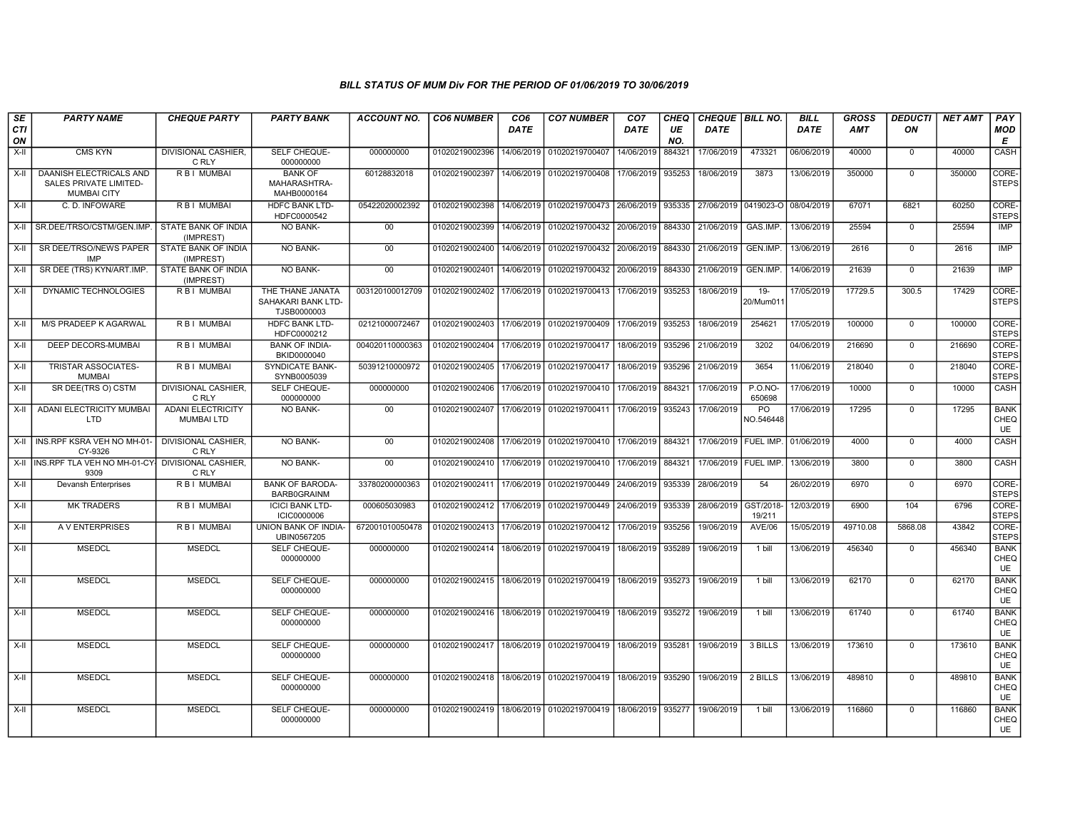| SE<br><b>CTI</b><br>ON | <b>PARTY NAME</b>                                                       | <b>CHEQUE PARTY</b>                           | <b>PARTY BANK</b>                                    | ACCOUNT NO.     | <b>CO6 NUMBER</b> | CO <sub>6</sub><br>DATE | <b>CO7 NUMBER</b>                                                  | CO <sub>7</sub><br>DATE | CHEQ<br>UE<br>NO. | CHEQUE   BILL NO.<br>DATE       |                          | <b>BILL</b><br>DATE | <b>GROSS</b><br><b>AMT</b> | <b>DEDUCTI</b><br>ON | <b>NET AMT</b> | PAY<br><b>MOD</b><br>Е           |
|------------------------|-------------------------------------------------------------------------|-----------------------------------------------|------------------------------------------------------|-----------------|-------------------|-------------------------|--------------------------------------------------------------------|-------------------------|-------------------|---------------------------------|--------------------------|---------------------|----------------------------|----------------------|----------------|----------------------------------|
| $X-H$                  | <b>CMS KYN</b>                                                          | <b>DIVISIONAL CASHIER.</b><br>C RLY           | SELF CHEQUE-<br>000000000                            | 000000000       | 01020219002396    | 14/06/2019              | 01020219700407                                                     | 14/06/2019              | 884321            | 17/06/2019                      | 473321                   | 06/06/2019          | 40000                      | $\Omega$             | 40000          | CASH                             |
| X-II                   | DAANISH ELECTRICALS AND<br>SALES PRIVATE LIMITED-<br><b>MUMBAI CITY</b> | R B   MUMBAI                                  | <b>BANK OF</b><br>MAHARASHTRA-<br>MAHB0000164        | 60128832018     | 01020219002397    | 14/06/2019              | 01020219700408                                                     | 17/06/2019              | 935253            | 18/06/2019                      | 3873                     | 13/06/2019          | 350000                     | $\overline{0}$       | 350000         | CORE-<br><b>STEPS</b>            |
| $X-H$                  | C.D. INFOWARE                                                           | <b>RBI MUMBAI</b>                             | <b>HDFC BANK LTD-</b><br>HDFC0000542                 | 05422020002392  | 01020219002398    | 14/06/2019              | 01020219700473 26/06/2019                                          |                         | 935335            | 27/06/2019 0419023-O 08/04/2019 |                          |                     | 67071                      | 6821                 | 60250          | CORE-<br><b>STEPS</b>            |
| $X-H$                  | SR.DEE/TRSO/CSTM/GEN.IMP.                                               | STATE BANK OF INDIA<br>(IMPREST)              | <b>NO BANK-</b>                                      | 00              | 01020219002399    | 14/06/2019              | 01020219700432                                                     | 20/06/2019              | 884330            | 21/06/2019                      | GAS.IMP.                 | 13/06/2019          | 25594                      | $^{\circ}$           | 25594          | <b>IMP</b>                       |
| X-II                   | SR DEE/TRSO/NEWS PAPER<br>IMP                                           | STATE BANK OF INDIA<br>(IMPREST)              | <b>NO BANK-</b>                                      | 00              | 01020219002400    | 14/06/2019              | 01020219700432 20/06/2019                                          |                         | 884330            | 21/06/2019                      | GEN.IMP.                 | 13/06/2019          | 2616                       | $\mathbf 0$          | 2616           | <b>IMP</b>                       |
| X-II                   | SR DEE (TRS) KYN/ART.IMP.                                               | STATE BANK OF INDIA<br>(IMPREST)              | NO BANK-                                             | 00              | 01020219002401    | 14/06/2019              | 01020219700432                                                     | 20/06/2019              | 884330            | 21/06/2019                      | GEN.IMP.                 | 14/06/2019          | 21639                      | $\mathbf 0$          | 21639          | <b>IMP</b>                       |
| X-II                   | DYNAMIC TECHNOLOGIES                                                    | R B I MUMBAI                                  | THE THANE JANATA<br>SAHAKARI BANK LTD<br>TJSB0000003 | 003120100012709 | 01020219002402    | 17/06/2019              | 01020219700413                                                     | 17/06/2019              | 935253            | 18/06/2019                      | $19 -$<br>20/Mum01       | 17/05/2019          | 17729.5                    | 300.5                | 17429          | CORE-<br><b>STEPS</b>            |
| $X-H$                  | M/S PRADEEP K AGARWAL                                                   | <b>RBI MUMBAI</b>                             | <b>HDFC BANK LTD-</b><br>HDFC0000212                 | 02121000072467  | 01020219002403    | 17/06/2019              | 01020219700409                                                     | 17/06/2019              | 935253            | 18/06/2019                      | 254621                   | 17/05/2019          | 100000                     | $\mathbf 0$          | 100000         | CORE-<br><b>STEPS</b>            |
| $X-H$                  | DEEP DECORS-MUMBAI                                                      | R B I MUMBAI                                  | <b>BANK OF INDIA-</b><br>BKID0000040                 | 004020110000363 | 01020219002404    | 17/06/2019              | 01020219700417                                                     | 18/06/2019              | 935296            | 21/06/2019                      | 3202                     | 04/06/2019          | 216690                     | $\Omega$             | 216690         | CORE-<br><b>STEPS</b>            |
| $X-H$                  | TRISTAR ASSOCIATES-<br><b>MUMBAI</b>                                    | R B I MUMBAI                                  | <b>SYNDICATE BANK-</b><br>SYNB0005039                | 50391210000972  | 01020219002405    | 17/06/2019              | 01020219700417                                                     | 18/06/2019              | 935296            | 21/06/2019                      | 3654                     | 11/06/2019          | 218040                     | $\mathsf{O}\xspace$  | 218040         | CORE-<br><b>STEPS</b>            |
| X-II                   | SR DEE(TRS O) CSTM                                                      | <b>DIVISIONAL CASHIER,</b><br>C RLY           | SELF CHEQUE-<br>000000000                            | 000000000       | 01020219002406    | 17/06/2019              | 01020219700410                                                     | 17/06/2019              | 884321            | 17/06/2019                      | <b>P.O.NO-</b><br>650698 | 17/06/2019          | 10000                      | $\mathbf 0$          | 10000          | CASH                             |
| $X-H$                  | <b>ADANI ELECTRICITY MUMBAI</b><br><b>LTD</b>                           | <b>ADANI ELECTRICITY</b><br><b>MUMBAI LTD</b> | <b>NO BANK-</b>                                      | 00              | 01020219002407    | 17/06/2019              | 01020219700411                                                     | 17/06/2019              | 935243            | 17/06/2019                      | PO<br>NO.546448          | 17/06/2019          | 17295                      | $\Omega$             | 17295          | <b>BANK</b><br>CHEQ<br>UE        |
| $X-H$                  | INS.RPF KSRA VEH NO MH-01-<br>CY-9326                                   | DIVISIONAL CASHIER.<br>C RLY                  | <b>NO BANK-</b>                                      | 00              | 01020219002408    | 17/06/2019              | 01020219700410 17/06/2019                                          |                         | 884321            | 17/06/2019   FUEL IMP.          |                          | 01/06/2019          | 4000                       | $\mathbf 0$          | 4000           | CASH                             |
| X-II                   | INS.RPF TLA VEH NO MH-01-CY- DIVISIONAL CASHIER,<br>9309                | C RLY                                         | NO BANK-                                             | 00              | 01020219002410    | 17/06/2019              | 01020219700410 17/06/2019                                          |                         | 884321            | 17/06/2019   FUEL IMP.          |                          | 13/06/2019          | 3800                       | $\mathbf 0$          | 3800           | <b>CASH</b>                      |
| X-II                   | <b>Devansh Enterprises</b>                                              | R B I MUMBAI                                  | <b>BANK OF BARODA-</b><br><b>BARB0GRAINM</b>         | 33780200000363  | 01020219002411    | 17/06/2019              | 01020219700449                                                     | 24/06/2019              | 935339            | 28/06/2019                      | 54                       | 26/02/2019          | 6970                       | $\mathbf 0$          | 6970           | CORE-<br><b>STEPS</b>            |
| $X-H$                  | <b>MK TRADERS</b>                                                       | R B I MUMBAI                                  | <b>ICICI BANK LTD-</b><br><b>ICIC0000006</b>         | 000605030983    | 01020219002412    | 17/06/2019              | 01020219700449                                                     | 24/06/2019              | 935339            | 28/06/2019                      | GST/2018-<br>19/211      | 12/03/2019          | 6900                       | 104                  | 6796           | CORE-<br><b>STEPS</b>            |
| X-II                   | A V ENTERPRISES                                                         | R B I MUMBAI                                  | UNION BANK OF INDIA-<br>UBIN0567205                  | 672001010050478 | 01020219002413    | 17/06/2019              | 01020219700412                                                     | 17/06/2019              | 935256            | 19/06/2019                      | <b>AVE/06</b>            | 15/05/2019          | 49710.08                   | 5868.08              | 43842          | CORE-<br><b>STEPS</b>            |
| X-II                   | <b>MSEDCL</b>                                                           | <b>MSEDCL</b>                                 | SELF CHEQUE-<br>000000000                            | 000000000       | 01020219002414    | 18/06/2019              | 01020219700419                                                     | 18/06/2019              | 935289            | 19/06/2019                      | 1 bill                   | 13/06/2019          | 456340                     | $\mathbf 0$          | 456340         | <b>BANK</b><br>CHEQ<br><b>UE</b> |
| X-II                   | <b>MSEDCL</b>                                                           | <b>MSEDCL</b>                                 | SELF CHEQUE-<br>000000000                            | 000000000       | 01020219002415    |                         | 18/06/2019 01020219700419                                          | 18/06/2019              | 935273            | 19/06/2019                      | 1 bill                   | 13/06/2019          | 62170                      | $\mathbf{0}$         | 62170          | <b>BANK</b><br>CHEQ<br>UE        |
| $X-H$                  | <b>MSEDCL</b>                                                           | <b>MSEDCL</b>                                 | SELF CHEQUE-<br>000000000                            | 000000000       |                   |                         | 01020219002416   18/06/2019   01020219700419   18/06/2019   935272 |                         |                   | 19/06/2019                      | 1 bill                   | 13/06/2019          | 61740                      | $\mathbf{0}$         | 61740          | <b>BANK</b><br>CHEQ<br><b>UE</b> |
| $X-II$                 | <b>MSEDCL</b>                                                           | <b>MSEDCL</b>                                 | SELF CHEQUE-<br>000000000                            | 000000000       |                   |                         | 01020219002417   18/06/2019   01020219700419                       | 18/06/2019              | 935281            | 19/06/2019                      | 3 BILLS                  | 13/06/2019          | 173610                     | $\mathbf{0}$         | 173610         | <b>BANK</b><br>CHEQ<br>UE        |
| X-II                   | <b>MSEDCL</b>                                                           | <b>MSEDCL</b>                                 | SELF CHEQUE-<br>000000000                            | 000000000       |                   |                         | 01020219002418   18/06/2019   01020219700419   18/06/2019          |                         | 935290            | 19/06/2019                      | 2 BILLS                  | 13/06/2019          | 489810                     | $\mathbf 0$          | 489810         | <b>BANK</b><br>CHEQ<br><b>UE</b> |
| X-II                   | <b>MSEDCL</b>                                                           | <b>MSEDCL</b>                                 | SELF CHEQUE-<br>000000000                            | 000000000       | 01020219002419    |                         | 18/06/2019 01020219700419 18/06/2019                               |                         | 935277            | 19/06/2019                      | 1 bill                   | 13/06/2019          | 116860                     | $\mathbf{0}$         | 116860         | <b>BANK</b><br>CHEQ<br>UE        |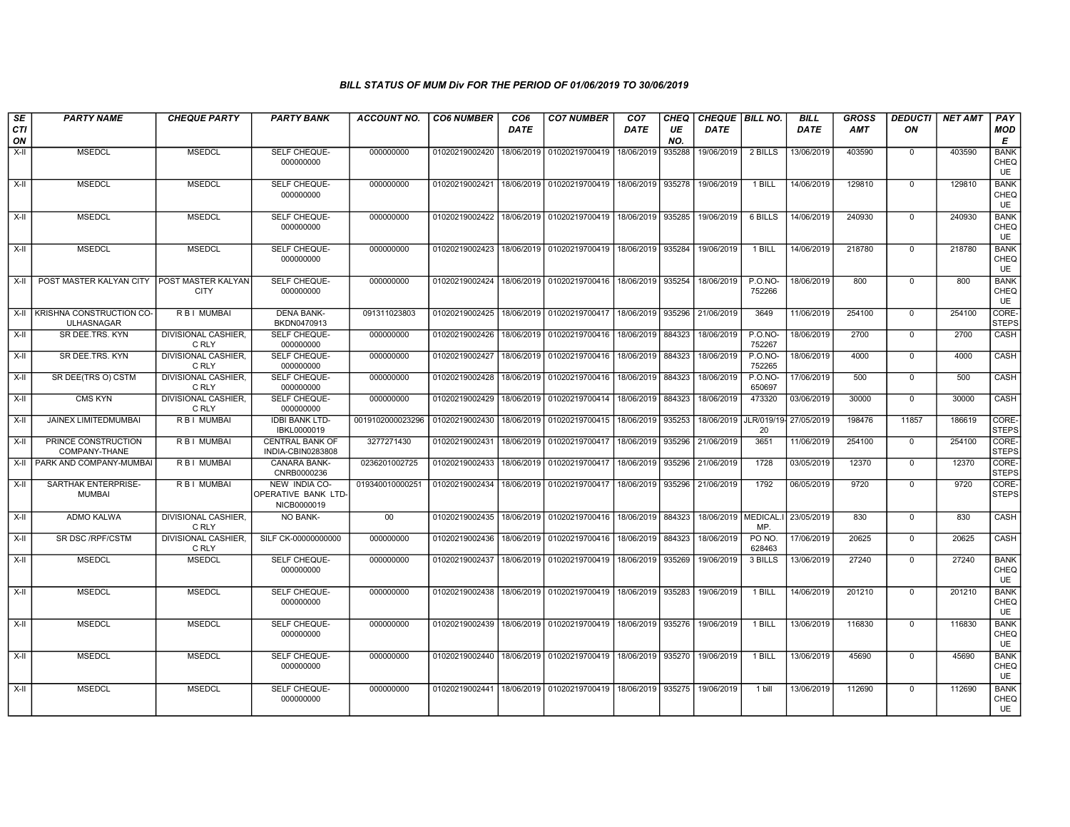| SE<br>CTI<br>ON | <b>PARTY NAME</b>                                    | <b>CHEQUE PARTY</b>                      | <b>PARTY BANK</b>                                          | <b>ACCOUNT NO.</b> | <b>CO6 NUMBER</b> | CO <sub>6</sub><br>DATE | <b>CO7 NUMBER</b>         | CO <sub>7</sub><br>DATE | <b>CHEQ</b><br>UE<br>NO. | <b>CHEQUE BILL NO.</b><br><b>DATE</b> |                          | <b>BILL</b><br><b>DATE</b> | <b>GROSS</b><br><b>AMT</b> | <b>DEDUCTI</b><br>ON | <b>NET AMT</b> | PAY<br><b>MOD</b><br>E    |
|-----------------|------------------------------------------------------|------------------------------------------|------------------------------------------------------------|--------------------|-------------------|-------------------------|---------------------------|-------------------------|--------------------------|---------------------------------------|--------------------------|----------------------------|----------------------------|----------------------|----------------|---------------------------|
| X-II            | <b>MSEDCL</b>                                        | <b>MSEDCL</b>                            | SELF CHEQUE-<br>000000000                                  | 000000000          | 01020219002420    | 18/06/2019              | 01020219700419            | 18/06/2019              | 935288                   | 19/06/2019                            | 2 BILLS                  | 13/06/2019                 | 403590                     | $\Omega$             | 403590         | <b>BANK</b><br>CHEQ<br>UE |
| X-II            | <b>MSEDCL</b>                                        | <b>MSEDCL</b>                            | <b>SELF CHEQUE-</b><br>000000000                           | 000000000          | 01020219002421    | 18/06/2019              | 01020219700419            | 18/06/2019              | 935278                   | 19/06/2019                            | 1 BILL                   | 14/06/2019                 | 129810                     | $\Omega$             | 129810         | <b>BANK</b><br>CHEQ<br>UE |
| X-II            | <b>MSEDCL</b>                                        | <b>MSEDCL</b>                            | <b>SELF CHEQUE-</b><br>000000000                           | 000000000          | 01020219002422    | 18/06/2019              | 01020219700419            | 18/06/2019              | 935285                   | 19/06/2019                            | 6 BILLS                  | 14/06/2019                 | 240930                     | $\mathbf 0$          | 240930         | <b>BANK</b><br>CHEQ<br>UE |
| X-II            | <b>MSEDCL</b>                                        | <b>MSEDCL</b>                            | SELF CHEQUE-<br>000000000                                  | 000000000          | 01020219002423    | 18/06/2019              | 01020219700419            | 18/06/2019              | 935284                   | 19/06/2019                            | 1 BILL                   | 14/06/2019                 | 218780                     | $\mathbf 0$          | 218780         | <b>BANK</b><br>CHEQ<br>UE |
| X-II            | POST MASTER KALYAN CITY                              | <b>POST MASTER KALYAN</b><br><b>CITY</b> | <b>SELF CHEQUE-</b><br>000000000                           | 000000000          | 01020219002424    |                         | 18/06/2019 01020219700416 | 18/06/2019              | 935254                   | 18/06/2019                            | $P.0.NO-$<br>752266      | 18/06/2019                 | 800                        | $\mathbf 0$          | 800            | <b>BANK</b><br>CHEQ<br>UE |
| X-II            | <b>KRISHNA CONSTRUCTION CO-</b><br><b>ULHASNAGAR</b> | R B I MUMBAI                             | <b>DENA BANK-</b><br>BKDN0470913                           | 091311023803       | 01020219002425    | 18/06/2019              | 01020219700417            | 18/06/2019              | 935296                   | 21/06/2019                            | 3649                     | 11/06/2019                 | 254100                     | $\mathbf 0$          | 254100         | CORE-<br><b>STEPS</b>     |
| X-II            | SR DEE.TRS. KYN                                      | <b>DIVISIONAL CASHIER,</b><br>C RLY      | SELF CHEQUE-<br>000000000                                  | 000000000          | 01020219002426    | 18/06/2019              | 01020219700416            | 18/06/2019              | 884323                   | 18/06/2019                            | <b>P.O.NO-</b><br>752267 | 18/06/2019                 | 2700                       | $\mathbf 0$          | 2700           | CASH                      |
| X-II            | SR DEE.TRS. KYN                                      | DIVISIONAL CASHIER.<br>C RLY             | SELF CHEQUE-<br>000000000                                  | 000000000          | 01020219002427    | 18/06/2019              | 01020219700416            | 18/06/2019              | 884323                   | 18/06/2019                            | <b>P.O.NO-</b><br>752265 | 18/06/2019                 | 4000                       | $\mathbf 0$          | 4000           | CASH                      |
| X-II            | SR DEE(TRS O) CSTM                                   | DIVISIONAL CASHIER.<br>C RLY             | SELF CHEQUE-<br>000000000                                  | 000000000          | 01020219002428    | 18/06/2019              | 01020219700416            | 18/06/2019              | 884323                   | 18/06/2019                            | <b>P.O.NO-</b><br>650697 | 17/06/2019                 | 500                        | $\mathbf 0$          | 500            | CASH                      |
| X-II            | <b>CMS KYN</b>                                       | DIVISIONAL CASHIER,<br>C RLY             | SELF CHEQUE-<br>000000000                                  | 000000000          | 01020219002429    | 18/06/2019              | 01020219700414            | 18/06/2019              | 884323                   | 18/06/2019                            | 473320                   | 03/06/2019                 | 30000                      | $\mathbf 0$          | 30000          | CASH                      |
| $X-H$           | JAINEX LIMITEDMUMBAI                                 | <b>RBI MUMBAI</b>                        | <b>IDBI BANK LTD-</b><br>IBKL0000019                       | 0019102000023296   | 01020219002430    | 18/06/2019              | 01020219700415            | 18/06/2019              | 935253                   | 18/06/2019                            | JLR/019/19-<br>20        | 27/05/2019                 | 198476                     | 11857                | 186619         | CORE-<br><b>STEPS</b>     |
| $X-II$          | PRINCE CONSTRUCTION<br>COMPANY-THANE                 | <b>RBI MUMBAI</b>                        | <b>CENTRAL BANK OF</b><br>INDIA-CBIN0283808                | 3277271430         | 01020219002431    | 18/06/2019              | 01020219700417            | 18/06/2019              | 935296                   | 21/06/2019                            | 3651                     | 11/06/2019                 | 254100                     | $\mathbf 0$          | 254100         | CORE-<br><b>STEPS</b>     |
| $X-II$          | PARK AND COMPANY-MUMBAI                              | R B I MUMBAI                             | <b>CANARA BANK-</b><br>CNRB0000236                         | 0236201002725      | 01020219002433    | 18/06/2019              | 01020219700417            | 18/06/2019              | 935296                   | 21/06/2019                            | 1728                     | 03/05/2019                 | 12370                      | $\Omega$             | 12370          | CORE-<br><b>STEPS</b>     |
| X-II            | <b>SARTHAK ENTERPRISE-</b><br><b>MUMBAI</b>          | R B I MUMBAI                             | NEW INDIA CO-<br><b>OPERATIVE BANK LTD-</b><br>NICB0000019 | 019340010000251    | 01020219002434    | 18/06/2019              | 01020219700417            | 18/06/2019              | 935296                   | 21/06/2019                            | 1792                     | 06/05/2019                 | 9720                       | $\mathbf 0$          | 9720           | CORE-<br><b>STEPS</b>     |
| X-II            | ADMO KALWA                                           | DIVISIONAL CASHIER.<br>C RLY             | NO BANK-                                                   | $00\,$             | 01020219002435    | 18/06/2019              | 01020219700416            | 18/06/2019              | 884323                   | 18/06/2019   MEDICAL.                 | MP.                      | 23/05/2019                 | 830                        | $\mathbf 0$          | 830            | CASH                      |
| X-II            | SR DSC/RPF/CSTM                                      | <b>DIVISIONAL CASHIER,</b><br>C RLY      | SILF CK-00000000000                                        | 000000000          | 01020219002436    | 18/06/2019              | 01020219700416            | 18/06/2019              | 884323                   | 18/06/2019                            | PO NO.<br>628463         | 17/06/2019                 | 20625                      | $\mathbf 0$          | 20625          | CASH                      |
| $X-II$          | <b>MSEDCL</b>                                        | <b>MSEDCL</b>                            | SELF CHEQUE-<br>000000000                                  | 000000000          | 01020219002437    | 18/06/2019              | 01020219700419            | 18/06/2019              | 935269                   | 19/06/2019                            | 3 BILLS                  | 13/06/2019                 | 27240                      | $\mathbf 0$          | 27240          | <b>BANK</b><br>CHEQ<br>UE |
| X-II            | <b>MSEDCL</b>                                        | <b>MSEDCL</b>                            | SELF CHEQUE-<br>000000000                                  | 000000000          | 01020219002438    | 18/06/2019              | 01020219700419            | 18/06/2019              | 935283                   | 19/06/2019                            | 1 BILL                   | 14/06/2019                 | 201210                     | $\mathbf 0$          | 201210         | <b>BANK</b><br>CHEQ<br>UE |
| X-II            | <b>MSEDCL</b>                                        | <b>MSEDCL</b>                            | SELF CHEQUE-<br>000000000                                  | 000000000          | 01020219002439    | 18/06/2019              | 01020219700419            | 18/06/2019              | 935276                   | 19/06/2019                            | 1 BILL                   | 13/06/2019                 | 116830                     | $\mathbf 0$          | 116830         | <b>BANK</b><br>CHEQ<br>UE |
| X-II            | <b>MSEDCL</b>                                        | <b>MSEDCL</b>                            | SELF CHEQUE-<br>000000000                                  | 000000000          | 01020219002440    | 18/06/2019              | 01020219700419            | 18/06/2019              | 935270                   | 19/06/2019                            | 1 BILL                   | 13/06/2019                 | 45690                      | $\mathbf 0$          | 45690          | <b>BANK</b><br>CHEQ<br>UE |
| X-II            | <b>MSEDCL</b>                                        | <b>MSEDCL</b>                            | SELF CHEQUE-<br>000000000                                  | 000000000          | 01020219002441    | 18/06/2019              | 01020219700419            | 18/06/2019              | 935275                   | 19/06/2019                            | 1 bill                   | 13/06/2019                 | 112690                     | $\mathbf 0$          | 112690         | <b>BANK</b><br>CHEQ<br>UE |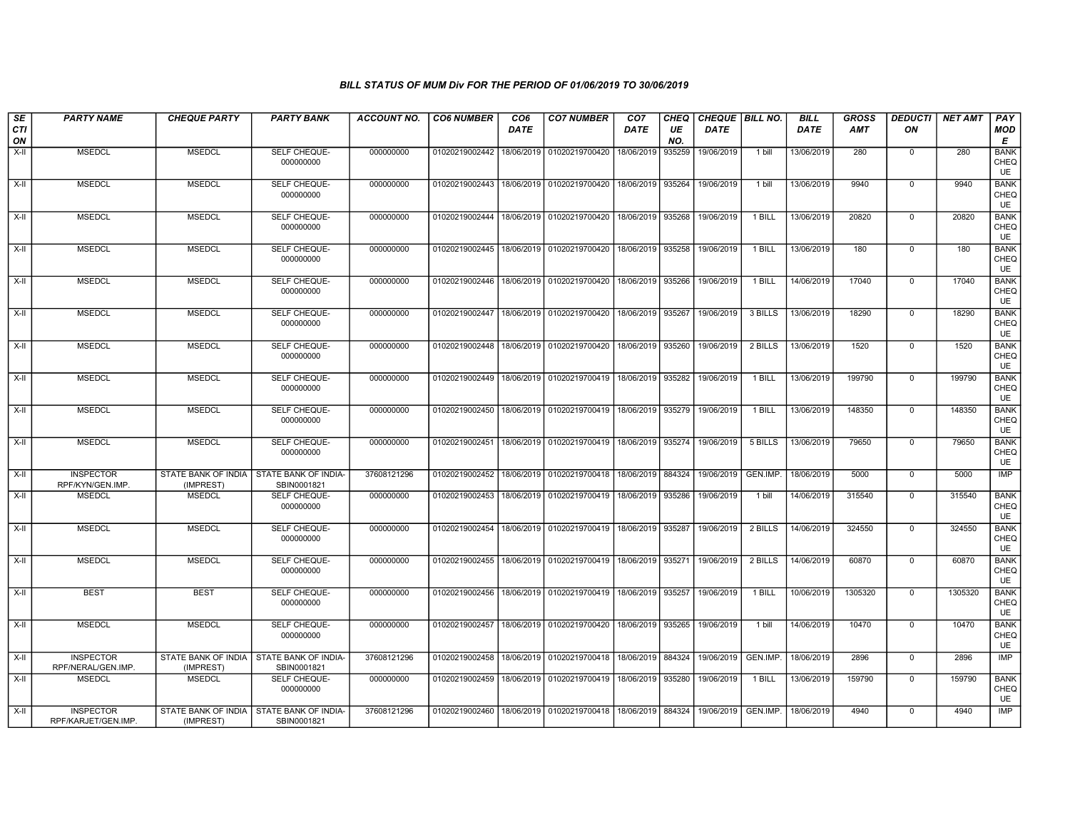| SE<br><b>CTI</b> | <b>PARTY NAME</b>                       | <b>CHEQUE PARTY</b> | <b>PARTY BANK</b>                                         | <b>ACCOUNT NO.</b> | <b>CO6 NUMBER</b> | CO <sub>6</sub><br><b>DATE</b> | <b>CO7 NUMBER</b>                                 | CO <sub>7</sub><br><b>DATE</b> | CHEQ<br>UE | CHEQUE   BILL NO.<br><b>DATE</b> |          | <b>BILL</b><br><b>DATE</b> | <b>GROSS</b><br>AMT | <b>DEDUCTI</b><br>ON | <b>NET AMT</b> | <b>PAY</b><br><b>MOD</b>         |
|------------------|-----------------------------------------|---------------------|-----------------------------------------------------------|--------------------|-------------------|--------------------------------|---------------------------------------------------|--------------------------------|------------|----------------------------------|----------|----------------------------|---------------------|----------------------|----------------|----------------------------------|
| ON               |                                         |                     |                                                           |                    |                   |                                |                                                   |                                | NO.        |                                  |          |                            |                     |                      |                | Е                                |
| X-II             | <b>MSEDCL</b>                           | <b>MSEDCL</b>       | SELF CHEQUE-<br>000000000                                 | 000000000          | 01020219002442    | 18/06/2019                     | 01020219700420                                    | 18/06/2019                     | 935259     | 19/06/2019                       | 1 bill   | 13/06/2019                 | 280                 | $\mathbf 0$          | 280            | <b>BANK</b><br>CHEQ<br>UE        |
| X-II             | <b>MSEDCL</b>                           | <b>MSEDCL</b>       | SELF CHEQUE-<br>000000000                                 | 000000000          | 01020219002443    | 18/06/2019                     | 01020219700420                                    | 18/06/2019 935264              |            | 19/06/2019                       | 1 bill   | 13/06/2019                 | 9940                | $\mathbf 0$          | 9940           | <b>BANK</b><br>CHEQ<br><b>UE</b> |
| X-II             | <b>MSEDCL</b>                           | <b>MSEDCL</b>       | SELF CHEQUE-<br>000000000                                 | 000000000          | 01020219002444    |                                | 18/06/2019 01020219700420                         | 18/06/2019   935268            |            | 19/06/2019                       | 1 BILL   | 13/06/2019                 | 20820               | $\mathbf 0$          | 20820          | <b>BANK</b><br>CHEQ<br><b>UE</b> |
| X-II             | <b>MSEDCL</b>                           | <b>MSEDCL</b>       | SELF CHEQUE-<br>000000000                                 | 000000000          | 01020219002445    | 18/06/2019                     | 01020219700420                                    | 18/06/2019 935258              |            | 19/06/2019                       | 1 BILL   | 13/06/2019                 | 180                 | $\mathbf 0$          | 180            | <b>BANK</b><br>CHEQ<br>UE        |
| X-II             | <b>MSEDCL</b>                           | <b>MSEDCL</b>       | SELF CHEQUE-<br>000000000                                 | 000000000          | 01020219002446    |                                | 18/06/2019 01020219700420                         | 18/06/2019 935266              |            | 19/06/2019                       | 1 BILL   | 14/06/2019                 | 17040               | $\mathbf 0$          | 17040          | <b>BANK</b><br>CHEQ<br>UE        |
| $X-II$           | <b>MSEDCL</b>                           | <b>MSEDCL</b>       | SELF CHEQUE-<br>000000000                                 | 000000000          | 01020219002447    |                                | 18/06/2019 01020219700420                         | 18/06/2019   935267            |            | 19/06/2019                       | 3 BILLS  | 13/06/2019                 | 18290               | $\mathbf 0$          | 18290          | <b>BANK</b><br>CHEQ<br>UE        |
| X-II             | <b>MSEDCL</b>                           | <b>MSEDCL</b>       | SELF CHEQUE-<br>000000000                                 | 000000000          | 01020219002448    | 18/06/2019                     | 01020219700420 18/06/2019 935260                  |                                |            | 19/06/2019                       | 2 BILLS  | 13/06/2019                 | 1520                | $\mathbf 0$          | 1520           | <b>BANK</b><br>CHEQ<br><b>UE</b> |
| X-II             | <b>MSEDCL</b>                           | <b>MSEDCL</b>       | SELF CHEQUE-<br>000000000                                 | 000000000          | 01020219002449    |                                | 18/06/2019   01020219700419   18/06/2019   935282 |                                |            | 19/06/2019                       | 1 BILL   | 13/06/2019                 | 199790              | $\mathbf 0$          | 199790         | <b>BANK</b><br>CHEQ<br>UE        |
| X-II             | <b>MSEDCL</b>                           | <b>MSEDCL</b>       | SELF CHEQUE-<br>000000000                                 | 000000000          | 01020219002450    |                                | 18/06/2019   01020219700419   18/06/2019   935279 |                                |            | 19/06/2019                       | 1 BILL   | 13/06/2019                 | 148350              | $\mathbf 0$          | 148350         | <b>BANK</b><br>CHEQ<br><b>UE</b> |
| X-II             | <b>MSEDCL</b>                           | <b>MSEDCL</b>       | SELF CHEQUE-<br>000000000                                 | 000000000          | 01020219002451    |                                | 18/06/2019   01020219700419   18/06/2019   935274 |                                |            | 19/06/2019                       | 5 BILLS  | 13/06/2019                 | 79650               | $\mathbf 0$          | 79650          | <b>BANK</b><br>CHEQ<br>UE        |
| X-II             | <b>INSPECTOR</b><br>RPF/KYN/GEN.IMP.    | (IMPREST)           | STATE BANK OF INDIA   STATE BANK OF INDIA-<br>SBIN0001821 | 37608121296        | 01020219002452    |                                | 18/06/2019   01020219700418   18/06/2019   884324 |                                |            | 19/06/2019                       | GEN.IMP. | 18/06/2019                 | 5000                | $\mathbf 0$          | 5000           | <b>IMP</b>                       |
| X-II             | <b>MSEDCL</b>                           | <b>MSEDCL</b>       | SELF CHEQUE-<br>000000000                                 | 000000000          | 01020219002453    | 18/06/2019                     | 01020219700419 18/06/2019 935286                  |                                |            | 19/06/2019                       | 1 bill   | 14/06/2019                 | 315540              | $\mathbf 0$          | 315540         | <b>BANK</b><br>CHEQ<br><b>UE</b> |
| $X-H$            | <b>MSEDCL</b>                           | <b>MSEDCL</b>       | SELF CHEQUE-<br>000000000                                 | 000000000          | 01020219002454    |                                | 18/06/2019 01020219700419 18/06/2019 935287       |                                |            | 19/06/2019                       | 2 BILLS  | 14/06/2019                 | 324550              | $\overline{0}$       | 324550         | <b>BANK</b><br>CHEQ<br>UE        |
| $X-II$           | <b>MSEDCL</b>                           | <b>MSEDCL</b>       | SELF CHEQUE-<br>000000000                                 | 000000000          | 01020219002455    |                                | 18/06/2019 01020219700419 18/06/2019 935271       |                                |            | 19/06/2019                       | 2 BILLS  | 14/06/2019                 | 60870               | $\overline{0}$       | 60870          | <b>BANK</b><br>CHEQ<br>UE        |
| $X-II$           | <b>BEST</b>                             | <b>BEST</b>         | SELF CHEQUE-<br>000000000                                 | 000000000          | 01020219002456    | 18/06/2019                     | 01020219700419 18/06/2019 935257                  |                                |            | 19/06/2019                       | $1$ BILL | 10/06/2019                 | 1305320             | $\mathbf 0$          | 1305320        | <b>BANK</b><br>CHEQ<br>UE        |
| $X-H$            | <b>MSEDCL</b>                           | <b>MSEDCL</b>       | SELF CHEQUE-<br>000000000                                 | 000000000          | 01020219002457    |                                | 18/06/2019 01020219700420 18/06/2019 935265       |                                |            | 19/06/2019                       | 1 bill   | 14/06/2019                 | 10470               | $\overline{0}$       | 10470          | <b>BANK</b><br>CHEQ<br>UE        |
| $X-II$           | <b>INSPECTOR</b><br>RPF/NERAL/GEN.IMP.  | (IMPREST)           | STATE BANK OF INDIA STATE BANK OF INDIA-<br>SBIN0001821   | 37608121296        | 01020219002458    |                                | 18/06/2019 01020219700418 18/06/2019 884324       |                                |            | 19/06/2019                       | GEN.IMP. | 18/06/2019                 | 2896                | $\overline{0}$       | 2896           | IMP                              |
| X-II             | <b>MSEDCL</b>                           | <b>MSEDCL</b>       | SELF CHEQUE-<br>000000000                                 | 000000000          | 01020219002459    |                                | 18/06/2019   01020219700419   18/06/2019   935280 |                                |            | 19/06/2019                       | 1 BILL   | 13/06/2019                 | 159790              | $\mathbf 0$          | 159790         | <b>BANK</b><br>CHEQ<br>UE        |
| X-II             | <b>INSPECTOR</b><br>RPF/KARJET/GEN.IMP. | (IMPREST)           | STATE BANK OF INDIA   STATE BANK OF INDIA-<br>SBIN0001821 | 37608121296        | 01020219002460    |                                | 18/06/2019   01020219700418   18/06/2019   884324 |                                |            | 19/06/2019                       | GEN.IMP. | 18/06/2019                 | 4940                | $\mathbf 0$          | 4940           | <b>IMP</b>                       |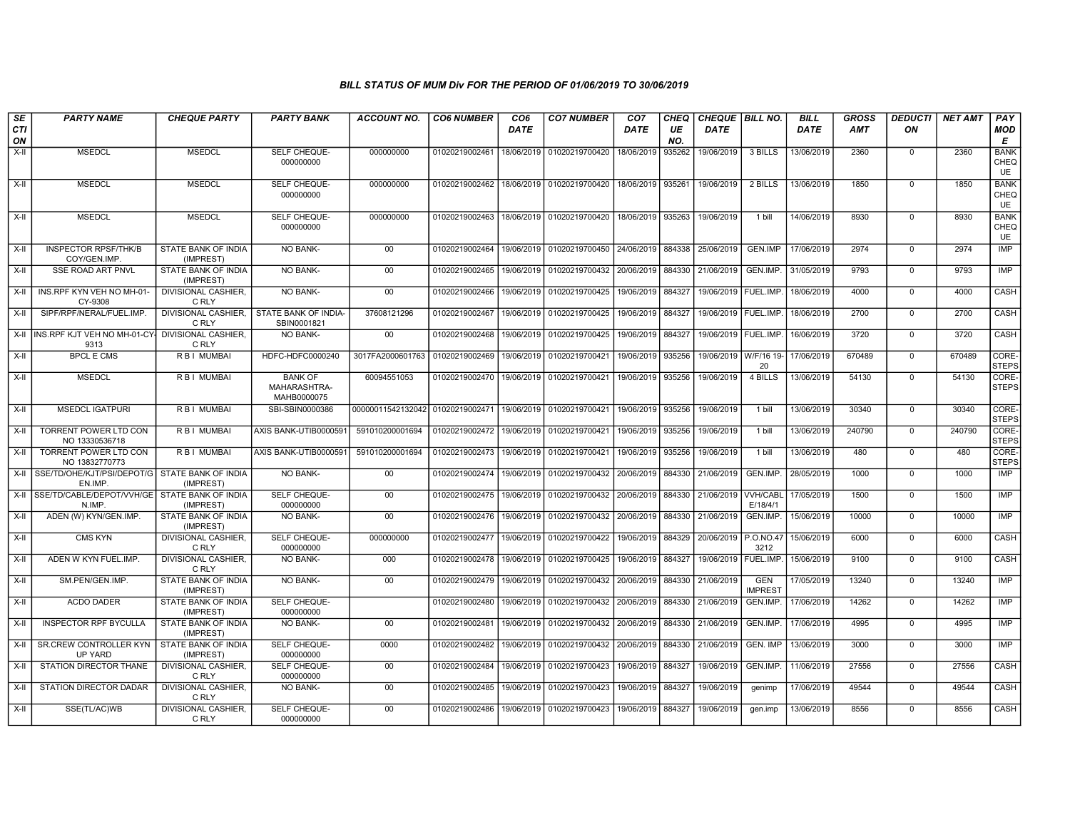| SE<br>CTI<br>ON | <b>PARTY NAME</b>                                            | <b>CHEQUE PARTY</b>                     | <b>PARTY BANK</b>                             | ACCOUNT NO.                      | <b>CO6 NUMBER</b>                        | CO <sub>6</sub><br><b>DATE</b> | <b>CO7 NUMBER</b>                                                               | CO <sub>7</sub><br><b>DATE</b> | <b>CHEQ</b><br>UE<br>NO. | CHEQUE   BILL NO.<br><b>DATE</b> |                              | <b>BILL</b><br><b>DATE</b> | <b>GROSS</b><br><b>AMT</b> | <b>DEDUCTI</b><br>ON | <b>NET AMT</b> | <b>PAY</b><br><b>MOD</b><br>E |
|-----------------|--------------------------------------------------------------|-----------------------------------------|-----------------------------------------------|----------------------------------|------------------------------------------|--------------------------------|---------------------------------------------------------------------------------|--------------------------------|--------------------------|----------------------------------|------------------------------|----------------------------|----------------------------|----------------------|----------------|-------------------------------|
| X-II            | <b>MSEDCL</b>                                                | <b>MSEDCL</b>                           | SELF CHEQUE-<br>000000000                     | 000000000                        | 01020219002461                           | 18/06/2019                     | 01020219700420                                                                  | 18/06/2019                     | 935262                   | 19/06/2019                       | 3 BILLS                      | 13/06/2019                 | 2360                       | $\mathbf 0$          | 2360           | <b>BANK</b><br>CHEQ<br>UE     |
| $X-H$           | <b>MSEDCL</b>                                                | <b>MSEDCL</b>                           | <b>SELF CHEQUE-</b><br>000000000              | 000000000                        | 01020219002462                           |                                | 18/06/2019 01020219700420                                                       | 18/06/2019 935261              |                          | 19/06/2019                       | 2 BILLS                      | 13/06/2019                 | 1850                       | $\Omega$             | 1850           | <b>BANK</b><br>CHEQ<br>UE     |
| X-II            | <b>MSEDCL</b>                                                | <b>MSEDCL</b>                           | SELF CHEQUE-<br>000000000                     | 000000000                        | 01020219002463                           |                                | 18/06/2019 01020219700420                                                       | 18/06/2019                     | 935263                   | 19/06/2019                       | 1 bill                       | 14/06/2019                 | 8930                       | $\Omega$             | 8930           | <b>BANK</b><br>CHEQ<br>UE     |
| $X-H$           | <b>INSPECTOR RPSF/THK/B</b><br>COY/GEN.IMP.                  | STATE BANK OF INDIA<br>(IMPREST)        | <b>NO BANK-</b>                               | 00                               | 01020219002464                           |                                | 19/06/2019 01020219700450 24/06/2019                                            |                                | 884338                   | 25/06/2019                       | GEN.IMP                      | 17/06/2019                 | 2974                       | $\Omega$             | 2974           | IMP                           |
| X-II            | <b>SSE ROAD ART PNVL</b>                                     | STATE BANK OF INDIA<br>(IMPREST)        | NO BANK-                                      | $00\,$                           | 01020219002465                           |                                | 19/06/2019 01020219700432                                                       | 20/06/2019                     | 884330                   | 21/06/2019                       | GEN.IMP.                     | 31/05/2019                 | 9793                       | $\mathbf 0$          | 9793           | <b>IMP</b>                    |
| X-II            | INS.RPF KYN VEH NO MH-01<br>CY-9308                          | DIVISIONAL CASHIER.<br>C RLY            | <b>NO BANK-</b>                               | 00                               | 01020219002466                           | 19/06/2019                     | 01020219700425                                                                  | 19/06/2019                     | 884327                   | 19/06/2019   FUEL.IMP            |                              | 18/06/2019                 | 4000                       | $\mathbf 0$          | 4000           | <b>CASH</b>                   |
| X-II            | SIPF/RPF/NERAL/FUEL.IMP.                                     | <b>DIVISIONAL CASHIER.</b><br>C RLY     | STATE BANK OF INDIA-<br>SBIN0001821           | 37608121296                      | 01020219002467                           | 19/06/2019                     | 01020219700425                                                                  | 19/06/2019 884327              |                          | 19/06/2019   FUEL.IMP.           |                              | 18/06/2019                 | 2700                       | $\mathbf 0$          | 2700           | CASH                          |
| X-II            | INS.RPF KJT VEH NO MH-01-CY<br>9313                          | <b>DIVISIONAL CASHIER.</b><br>C RLY     | NO BANK-                                      | 00                               | 01020219002468                           | 19/06/2019                     | 01020219700425                                                                  | 19/06/2019                     | 884327                   | 19/06/2019   FUEL.IMP            |                              | 16/06/2019                 | 3720                       | $\Omega$             | 3720           | CASH                          |
| $X-H$           | <b>BPCL E CMS</b>                                            | R B I MUMBAI                            | HDFC-HDFC0000240                              | 3017FA2000601763                 | 01020219002469                           |                                | 19/06/2019 01020219700421                                                       | 19/06/2019                     | 935256                   | 19/06/2019 W/F/16 19             | 20                           | 17/06/2019                 | 670489                     | $\mathbf 0$          | 670489         | CORE-<br><b>STEPS</b>         |
| $X-II$          | <b>MSEDCL</b>                                                | <b>RBI MUMBAI</b>                       | <b>BANK OF</b><br>MAHARASHTRA-<br>MAHB0000075 | 60094551053                      | 01020219002470 19/06/2019 01020219700421 |                                |                                                                                 | 19/06/2019 935256              |                          | 19/06/2019                       | 4 BILLS                      | 13/06/2019                 | 54130                      | $\Omega$             | 54130          | CORE-<br><b>STEPS</b>         |
| X-II            | <b>MSEDCL IGATPURI</b>                                       | R B I MUMBAI                            | SBI-SBIN0000386                               | 00000011542132042 01020219002471 |                                          |                                | 19/06/2019 01020219700421                                                       | 19/06/2019                     | 935256                   | 19/06/2019                       | 1 bill                       | 13/06/2019                 | 30340                      | $\Omega$             | 30340          | CORE-<br><b>STEPS</b>         |
| $X-II$          | TORRENT POWER LTD CON<br>NO 13330536718                      | R B I MUMBAI                            | AXIS BANK-UTIB0000591                         | 591010200001694                  | 01020219002472                           | 19/06/2019                     | 01020219700421                                                                  | 19/06/2019                     | 935256                   | 19/06/2019                       | 1 bill                       | 13/06/2019                 | 240790                     | $\mathbf 0$          | 240790         | CORE-<br><b>STEPS</b>         |
| $X-H$           | <b>TORRENT POWER LTD CON</b><br>NO 13832770773               | <b>RBI MUMBAI</b>                       | AXIS BANK-UTIB0000591                         | 591010200001694                  | 01020219002473                           | 19/06/2019                     | 01020219700421                                                                  | 19/06/2019                     | 935256                   | 19/06/2019                       | $1$ bill                     | 13/06/2019                 | 480                        | $\Omega$             | 480            | CORE-<br><b>STEPS</b>         |
| X-II            | SSE/TD/OHE/KJT/PSI/DEPOT/G STATE BANK OF INDIA<br>EN.IMP.    | (IMPREST)                               | <b>NO BANK-</b>                               | $00\,$                           |                                          |                                | 01020219002474   19/06/2019   01020219700432   20/06/2019   884330   21/06/2019 |                                |                          |                                  | GEN.IMP                      | 28/05/2019                 | 1000                       | $\Omega$             | 1000           | IMP                           |
|                 | X-II SSE/TD/CABLE/DEPOT/VVH/GE STATE BANK OF INDIA<br>N.IMP. | (IMPREST)                               | SELF CHEQUE-<br>000000000                     | 00                               | 01020219002475                           | 19/06/2019                     | 01020219700432                                                                  | 20/06/2019                     | 884330                   | 21/06/2019                       | <b>VVH/CABL</b><br>E/18/4/1  | 17/05/2019                 | 1500                       | $\mathbf 0$          | 1500           | IMP                           |
| X-II            | ADEN (W) KYN/GEN.IMP.                                        | <b>STATE BANK OF INDIA</b><br>(IMPREST) | <b>NO BANK-</b>                               | 00                               | 01020219002476                           | 19/06/2019                     | 01020219700432                                                                  | 20/06/2019                     | 884330                   | 21/06/2019                       | GEN.IMP                      | 15/06/2019                 | 10000                      | $\Omega$             | 10000          | <b>IMP</b>                    |
| $X-H$           | <b>CMS KYN</b>                                               | <b>DIVISIONAL CASHIER,</b><br>C RLY     | SELF CHEQUE-<br>000000000                     | 000000000                        | 01020219002477                           | 19/06/2019                     | 01020219700422                                                                  | 19/06/2019                     | 884329                   | 20/06/2019                       | P.0.NO.4<br>3212             | 15/06/2019                 | 6000                       | $\mathbf 0$          | 6000           | <b>CASH</b>                   |
| $X-H$           | ADEN W KYN FUEL.IMP.                                         | <b>DIVISIONAL CASHIER.</b><br>C RLY     | <b>NO BANK-</b>                               | 000                              | 01020219002478                           | 19/06/2019                     | 01020219700425                                                                  | 19/06/2019                     | 884327                   | 19/06/2019                       | FUEL.IMP.                    | 15/06/2019                 | 9100                       | $\mathbf 0$          | 9100           | CASH                          |
| $X-II$          | SM.PEN/GEN.IMP.                                              | STATE BANK OF INDIA<br>(IMPREST)        | NO BANK-                                      | 00                               | 01020219002479                           | 19/06/2019                     | 01020219700432 20/06/2019                                                       |                                | 884330                   | 21/06/2019                       | <b>GEN</b><br><b>IMPREST</b> | 17/05/2019                 | 13240                      | $\Omega$             | 13240          | <b>IMP</b>                    |
| $X-H$           | <b>ACDO DADER</b>                                            | STATE BANK OF INDIA<br>(IMPREST)        | SELF CHEQUE-<br>000000000                     |                                  | 01020219002480                           | 19/06/2019                     | 01020219700432                                                                  | 20/06/2019                     | 884330                   | 21/06/2019                       | GEN.IMP.                     | 17/06/2019                 | 14262                      | $\overline{0}$       | 14262          | IMP                           |
| X-II            | <b>INSPECTOR RPF BYCULLA</b>                                 | STATE BANK OF INDIA<br>(IMPREST)        | <b>NO BANK-</b>                               | 00                               | 01020219002481                           |                                | 19/06/2019 01020219700432                                                       | 20/06/2019                     | 884330                   | 21/06/2019                       | GEN.IMP                      | 17/06/2019                 | 4995                       | $\mathbf 0$          | 4995           | <b>IMP</b>                    |
| X-II            | <b>SR.CREW CONTROLLER KYN</b><br>UP YARD                     | <b>STATE BANK OF INDIA</b><br>(IMPREST) | SELF CHEQUE-<br>000000000                     | 0000                             | 01020219002482                           | 19/06/2019                     | 01020219700432                                                                  | 20/06/2019                     | 884330                   | 21/06/2019                       | <b>GEN. IMP</b>              | 13/06/2019                 | 3000                       | $\mathbf 0$          | 3000           | IMP                           |
| $X-H$           | STATION DIRECTOR THANE                                       | <b>DIVISIONAL CASHIER.</b><br>C RLY     | SELF CHEQUE-<br>000000000                     | $00\,$                           | 01020219002484                           | 19/06/2019                     | 01020219700423                                                                  | 19/06/2019                     | 884327                   | 19/06/2019                       | GEN.IMP.                     | 11/06/2019                 | 27556                      | $\Omega$             | 27556          | CASH                          |
| $X-H$           | STATION DIRECTOR DADAR                                       | <b>DIVISIONAL CASHIER,</b><br>C RLY     | NO BANK-                                      | 00                               | 01020219002485                           |                                | 19/06/2019 01020219700423                                                       | 19/06/2019                     | 884327                   | 19/06/2019                       | genimp                       | 17/06/2019                 | 49544                      | $\mathbf 0$          | 49544          | CASH                          |
| X-II            | SSE(TL/AC)WB                                                 | <b>DIVISIONAL CASHIER.</b><br>C RLY     | SELF CHEQUE-<br>000000000                     | 00                               | 01020219002486                           |                                | 19/06/2019 01020219700423                                                       | 19/06/2019                     | 884327                   | 19/06/2019                       | gen.imp                      | 13/06/2019                 | 8556                       | $\mathbf 0$          | 8556           | <b>CASH</b>                   |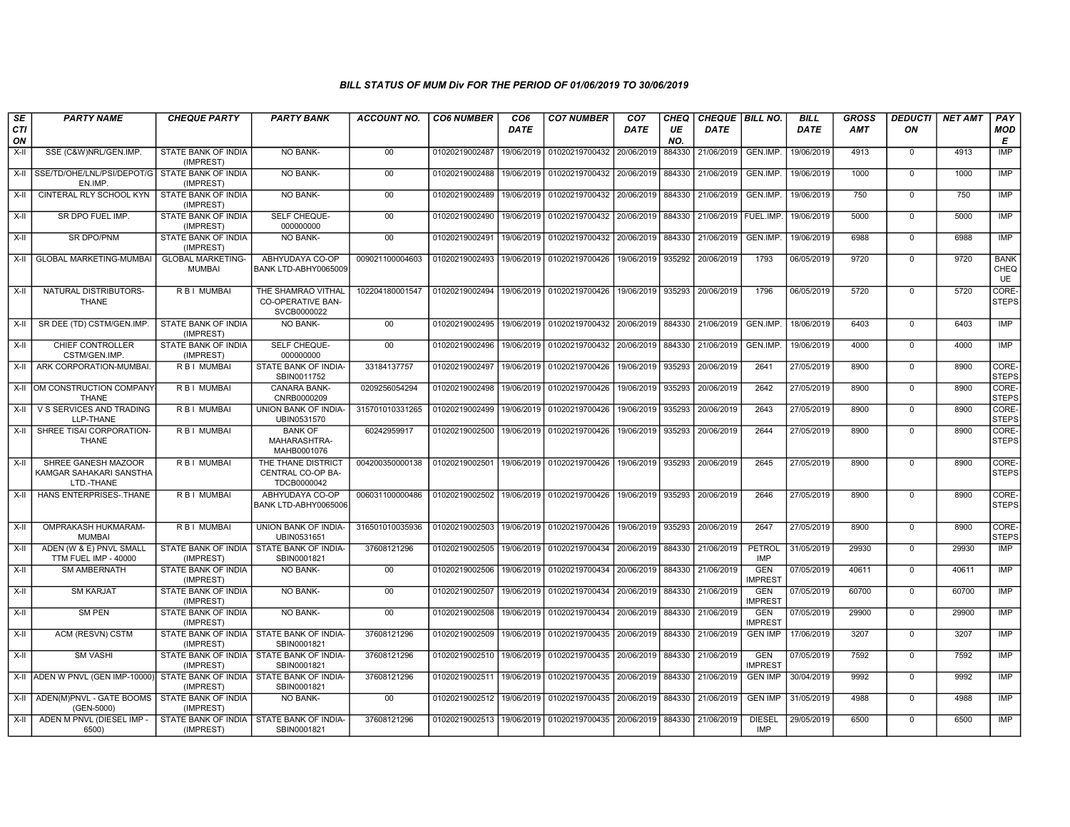| <b>SE</b><br><b>CTI</b><br>ON | <b>PARTY NAME</b>                                                    | <b>CHEQUE PARTY</b>                                     | <b>PARTY BANK</b>                                             | <b>ACCOUNT NO.</b> | <b>CO6 NUMBER</b>                        | CO <sub>6</sub><br>DATE | <b>CO7 NUMBER</b>                                                     | CO <sub>7</sub><br><b>DATE</b> | <b>CHEQ</b><br>UE<br>NO. | CHEQUE BILL NO.<br><b>DATE</b> |                              | <b>BILL</b><br><b>DATE</b> | <b>GROSS</b><br><b>AMT</b> | <b>DEDUCTI</b><br>ON | <b>NET AMT</b> | PAY<br><b>MOD</b><br>Е    |
|-------------------------------|----------------------------------------------------------------------|---------------------------------------------------------|---------------------------------------------------------------|--------------------|------------------------------------------|-------------------------|-----------------------------------------------------------------------|--------------------------------|--------------------------|--------------------------------|------------------------------|----------------------------|----------------------------|----------------------|----------------|---------------------------|
| $X-H$                         | SSE (C&W)NRL/GEN.IMP.                                                | STATE BANK OF INDIA<br>(IMPREST)                        | <b>NO BANK-</b>                                               | $00\,$             | 01020219002487                           | 19/06/2019              | 01020219700432                                                        | 20/06/2019                     | 884330                   | 21/06/2019                     | GEN.IMP.                     | 19/06/2019                 | 4913                       | $\mathbf 0$          | 4913           | <b>IMP</b>                |
| X-II                          | SSE/TD/OHE/LNL/PSI/DEPOT/G STATE BANK OF INDIA<br>EN.IMP.            | (IMPREST)                                               | NO BANK-                                                      | 00 <sup>1</sup>    | 01020219002488                           | 19/06/2019              | 01020219700432 20/06/2019                                             |                                | 884330                   | 21/06/2019                     | GEN.IMP.                     | 19/06/2019                 | 1000                       | $\Omega$             | 1000           | IMP                       |
| $X-II$                        | <b>CINTERAL RLY SCHOOL KYN</b>                                       | STATE BANK OF INDIA<br>(IMPREST)                        | NO BANK-                                                      | 00                 | 01020219002489                           |                         | 19/06/2019 01020219700432 20/06/2019 884330                           |                                |                          | 21/06/2019                     | GEN.IMP.                     | 19/06/2019                 | 750                        | $\mathbf 0$          | 750            | <b>IMP</b>                |
| X-II                          | SR DPO FUEL IMP.                                                     | STATE BANK OF INDIA<br>(IMPREST)                        | SELF CHEQUE-<br>000000000                                     | 00                 | 01020219002490                           | 19/06/2019              | 01020219700432                                                        | 20/06/2019                     | 884330                   | 21/06/2019 FUEL.IMP.           |                              | 19/06/2019                 | 5000                       | $\Omega$             | 5000           | IMP                       |
| $X-II$                        | SR DPO/PNM                                                           | STATE BANK OF INDIA<br>(IMPREST)                        | <b>NO BANK-</b>                                               | 00                 | 01020219002491                           |                         | 19/06/2019 01020219700432                                             | 20/06/2019                     | 884330                   | 21/06/2019                     | GEN.IMP.                     | 19/06/2019                 | 6988                       | $\Omega$             | 6988           | <b>IMP</b>                |
| X-II                          | <b>GLOBAL MARKETING-MUMBAI</b>                                       | <b>GLOBAL MARKETING-</b><br><b>MUMBAI</b>               | ABHYUDAYA CO-OP<br>BANK LTD-ABHY0065009                       | 009021100004603    | 01020219002493                           | 19/06/2019              | 01020219700426                                                        | 19/06/2019                     | 935292                   | 20/06/2019                     | 1793                         | 06/05/2019                 | 9720                       | $\mathbf 0$          | 9720           | <b>BANK</b><br>CHEQ<br>UE |
| $X-H$                         | NATURAL DISTRIBUTORS-<br><b>THANE</b>                                | <b>RBI MUMBAI</b>                                       | THE SHAMRAO VITHAL<br><b>CO-OPERATIVE BAN-</b><br>SVCB0000022 | 102204180001547    |                                          |                         | 01020219002494 19/06/2019 01020219700426                              | 19/06/2019 935293              |                          | 20/06/2019                     | 1796                         | 06/05/2019                 | 5720                       | $\mathbf 0$          | 5720           | CORE-<br><b>STEPS</b>     |
| $X-H$                         | SR DEE (TD) CSTM/GEN.IMP                                             | <b>STATE BANK OF INDIA</b><br>(IMPREST)                 | NO BANK-                                                      | 00                 | 01020219002495                           |                         | 19/06/2019 01020219700432 20/06/2019 884330 21/06/2019                |                                |                          |                                | GEN.IMP                      | 18/06/2019                 | 6403                       | $\Omega$             | 6403           | <b>IMP</b>                |
| X-II                          | CHIEF CONTROLLER<br>CSTM/GEN.IMP.                                    | STATE BANK OF INDIA<br>(IMPREST)                        | SELF CHEQUE-<br>000000000                                     | 00                 | 01020219002496                           |                         | 19/06/2019 01020219700432 20/06/2019 884330 21/06/2019                |                                |                          |                                | GEN.IMP.                     | 19/06/2019                 | 4000                       | $\Omega$             | 4000           | <b>IMP</b>                |
| X-II                          | ARK CORPORATION-MUMBAI.                                              | R B I MUMBAI                                            | STATE BANK OF INDIA-<br>SBIN0011752                           | 33184137757        | 01020219002497                           | 19/06/2019              | 01020219700426                                                        | 19/06/2019                     | 935293                   | 20/06/2019                     | 2641                         | 27/05/2019                 | 8900                       | $\Omega$             | 8900           | CORE-<br><b>STEPS</b>     |
| X-II                          | OM CONSTRUCTION COMPANY<br><b>THANE</b>                              | R B I MUMBAI                                            | CANARA BANK-<br>CNRB0000209                                   | 0209256054294      | 01020219002498                           | 19/06/2019              | 01020219700426                                                        | 19/06/2019                     | 935293                   | 20/06/2019                     | 2642                         | 27/05/2019                 | 8900                       | $\Omega$             | 8900           | CORE-<br><b>STEPS</b>     |
| $X-H$                         | V S SERVICES AND TRADING<br>LLP-THANE                                | R B I MUMBAI                                            | UNION BANK OF INDIA-<br>UBIN0531570                           | 315701010331265    | 01020219002499                           | 19/06/2019              | 01020219700426                                                        | 19/06/2019                     | 935293                   | 20/06/2019                     | 2643                         | 27/05/2019                 | 8900                       | $\overline{0}$       | 8900           | CORE-<br><b>STEPS</b>     |
| X-II                          | SHREE TISAI CORPORATION-<br><b>THANE</b>                             | R B I MUMBAI                                            | <b>BANK OF</b><br>MAHARASHTRA-<br>MAHB0001076                 | 60242959917        | 01020219002500                           |                         | 19/06/2019 01020219700426                                             | 19/06/2019 935293              |                          | 20/06/2019                     | 2644                         | 27/05/2019                 | 8900                       | $\Omega$             | 8900           | CORE-<br><b>STEPS</b>     |
| X-II                          | SHREE GANESH MAZOOR<br>KAMGAR SAHAKARI SANSTHA<br>LTD.-THANE         | R B I MUMBAI                                            | THE THANE DISTRICT<br>CENTRAL CO-OP BA-<br>TDCB0000042        | 004200350000138    | 01020219002501                           |                         | 19/06/2019 01020219700426                                             | 19/06/2019 935293              |                          | 20/06/2019                     | 2645                         | 27/05/2019                 | 8900                       | $\mathbf 0$          | 8900           | CORE-<br><b>STEPS</b>     |
| $X-II$                        | HANS ENTERPRISES-THANE                                               | <b>RBI MUMBAI</b>                                       | ABHYUDAYA CO-OP<br>BANK LTD-ABHY0065006                       | 006031100000486    |                                          |                         | 01020219002502 19/06/2019 01020219700426                              |                                |                          | 19/06/2019 935293 20/06/2019   | 2646                         | 27/05/2019                 | 8900                       | $\Omega$             | 8900           | CORE-<br><b>STEPS</b>     |
| X-II                          | OMPRAKASH HUKMARAM-<br><b>MUMBAI</b>                                 | R B I MUMBAI                                            | UNION BANK OF INDIA-<br>UBIN0531651                           | 316501010035936    | 01020219002503 19/06/2019 01020219700426 |                         |                                                                       | 19/06/2019 935293              |                          | 20/06/2019                     | 2647                         | 27/05/2019                 | 8900                       | $\mathbf 0$          | 8900           | CORE-<br><b>STEPS</b>     |
| X-II                          | ADEN (W & E) PNVL SMALL<br>TTM FUEL IMP - 40000                      | STATE BANK OF INDIA<br>(IMPREST)                        | <b>STATE BANK OF INDIA-</b><br>SBIN0001821                    | 37608121296        | 01020219002505                           | 19/06/2019              | 01020219700434                                                        | 20/06/2019                     | 884330                   | 21/06/2019                     | <b>PETROL</b><br><b>IMP</b>  | 31/05/2019                 | 29930                      | $\Omega$             | 29930          | IMP                       |
| $X-II$                        | <b>SM AMBERNATH</b>                                                  | STATE BANK OF INDIA<br>(IMPREST)                        | NO BANK-                                                      | $00\,$             | 01020219002506                           | 19/06/2019              | 01020219700434                                                        | 20/06/2019                     | 884330                   | 21/06/2019                     | <b>GEN</b><br><b>IMPREST</b> | 07/05/2019                 | 40611                      | $\mathbf 0$          | 40611          | <b>IMP</b>                |
| $X-II$                        | <b>SM KARJAT</b>                                                     | STATE BANK OF INDIA<br>(IMPREST)                        | <b>NO BANK-</b>                                               | 00                 | 01020219002507                           | 19/06/2019              | 01020219700434 20/06/2019 884330                                      |                                |                          | 21/06/2019                     | <b>GEN</b><br><b>IMPREST</b> | 07/05/2019                 | 60700                      | $\mathbf 0$          | 60700          | <b>IMP</b>                |
| X-II                          | <b>SM PEN</b>                                                        | <b>STATE BANK OF INDIA</b><br>(IMPREST)                 | <b>NO BANK-</b>                                               | 00                 | 01020219002508                           |                         | 19/06/2019 01020219700434                                             | 20/06/2019 884330 21/06/2019   |                          |                                | <b>GEN</b><br><b>IMPREST</b> | 07/05/2019                 | 29900                      | $\Omega$             | 29900          | IMP                       |
| X-II                          | ACM (RESVN) CSTM                                                     | STATE BANK OF INDIA I STATE BANK OF INDIA-<br>(IMPREST) | SBIN0001821                                                   | 37608121296        | 01020219002509                           | 19/06/2019              | 01020219700435                                                        | 20/06/2019                     | 884330                   | 21/06/2019                     | <b>GEN IMP</b>               | 17/06/2019                 | 3207                       | $\mathbf 0$          | 3207           | <b>IMP</b>                |
| $X-II$                        | <b>SM VASHI</b>                                                      | STATE BANK OF INDIA<br>(IMPREST)                        | STATE BANK OF INDIA-<br>SBIN0001821                           | 37608121296        | 01020219002510                           | 19/06/2019              | 01020219700435                                                        | 20/06/2019                     | 884330                   | 21/06/2019                     | <b>GEN</b><br><b>IMPREST</b> | 07/05/2019                 | 7592                       | $\mathbf 0$          | 7592           | IMP                       |
| X-II                          | ADEN W PNVL (GEN IMP-10000) STATE BANK OF INDIA STATE BANK OF INDIA- | (IMPREST)                                               | SBIN0001821                                                   | 37608121296        | 01020219002511                           | 19/06/2019              | 01020219700435                                                        | 20/06/2019                     | 884330                   | 21/06/2019                     | <b>GEN IMP</b>               | 30/04/2019                 | 9992                       | $\mathbf 0$          | 9992           | IMP                       |
| X-II                          | ADEN(M)PNVL - GATE BOOMS<br>(GEN-5000)                               | STATE BANK OF INDIA<br>(IMPREST)                        | <b>NO BANK-</b>                                               | 00                 |                                          |                         | 01020219002512 19/06/2019 01020219700435 20/06/2019 884330 21/06/2019 |                                |                          |                                | <b>GEN IMP</b>               | 31/05/2019                 | 4988                       | $\Omega$             | 4988           | IMP                       |
| X-II                          | ADEN M PNVL (DIESEL IMP -<br>6500)                                   | STATE BANK OF INDIA<br>(IMPREST)                        | STATE BANK OF INDIA-<br>SBIN0001821                           | 37608121296        |                                          |                         | 01020219002513   19/06/2019   01020219700435   20/06/2019             |                                |                          | 884330 21/06/2019              | <b>DIESEL</b><br>IMP         | 29/05/2019                 | 6500                       | $\Omega$             | 6500           | <b>IMP</b>                |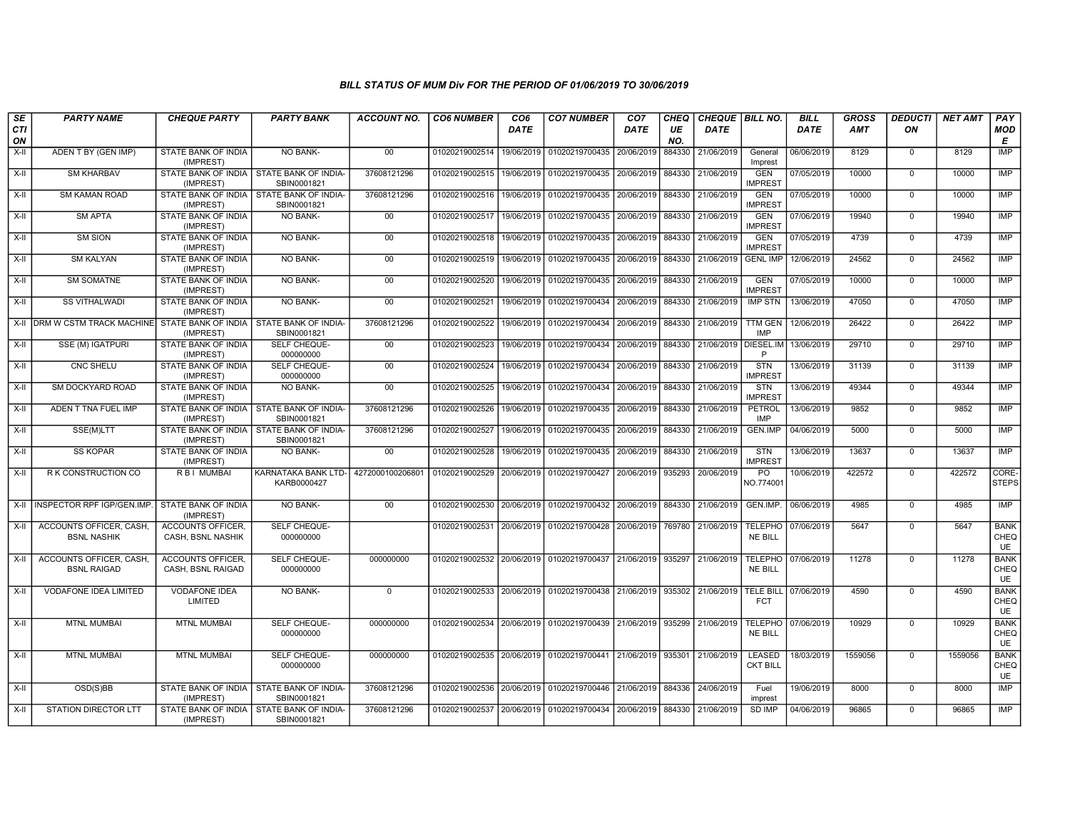| SE<br><b>CTI</b><br>ON | <b>PARTY NAME</b>                             | <b>CHEQUE PARTY</b>                                     | <b>PARTY BANK</b>                  | <b>ACCOUNT NO.</b> | <b>CO6 NUMBER</b>                        | CO <sub>6</sub><br><b>DATE</b> | <b>CO7 NUMBER</b>                                                     | CO <sub>7</sub><br><b>DATE</b> | <b>CHEQ</b><br>UE<br>NO. | <b>DATE</b>          | CHEQUE   BILL NO.                | <b>BILL</b><br><b>DATE</b> | <b>GROSS</b><br><b>AMT</b> | <b>DEDUCTI</b><br>ON | <b>NET AMT</b> | PAY<br><b>MOD</b><br>E    |
|------------------------|-----------------------------------------------|---------------------------------------------------------|------------------------------------|--------------------|------------------------------------------|--------------------------------|-----------------------------------------------------------------------|--------------------------------|--------------------------|----------------------|----------------------------------|----------------------------|----------------------------|----------------------|----------------|---------------------------|
| X-II                   | ADEN T BY (GEN IMP)                           | STATE BANK OF INDIA<br>(IMPREST)                        | NO BANK-                           | $00\,$             | 01020219002514                           | 19/06/2019                     | 01020219700435                                                        | 20/06/2019                     | 884330                   | 21/06/2019           | General<br>Imprest               | 06/06/2019                 | 8129                       | $\mathbf 0$          | 8129           | <b>IMP</b>                |
| $X-II$                 | <b>SM KHARBAV</b>                             | STATE BANK OF INDIA I STATE BANK OF INDIA<br>(IMPREST)  | SBIN0001821                        | 37608121296        | 01020219002515 19/06/2019                |                                | 01020219700435 20/06/2019                                             |                                | 884330                   | 21/06/2019           | <b>GEN</b><br><b>IMPREST</b>     | 07/05/2019                 | 10000                      | $\overline{0}$       | 10000          | <b>IMP</b>                |
| X-II                   | <b>SM KAMAN ROAD</b>                          | STATE BANK OF INDIA I STATE BANK OF INDIA-<br>(IMPREST) | SBIN0001821                        | 37608121296        |                                          |                                | 01020219002516   19/06/2019   01020219700435   20/06/2019             |                                | 884330                   | 21/06/2019           | <b>GEN</b><br><b>IMPREST</b>     | 07/05/2019                 | 10000                      | $\mathbf 0$          | 10000          | IMP                       |
| $X-H$                  | <b>SM APTA</b>                                | <b>STATE BANK OF INDIA</b><br>(IMPREST)                 | NO BANK-                           | 00                 | 01020219002517                           | 19/06/2019                     | 01020219700435 20/06/2019                                             |                                | 884330                   | 21/06/2019           | <b>GEN</b><br><b>IMPREST</b>     | 07/06/2019                 | 19940                      | $\overline{0}$       | 19940          | IMP                       |
| $X-H$                  | <b>SM SION</b>                                | STATE BANK OF INDIA<br>(IMPREST)                        | NO BANK-                           | 00                 | 01020219002518                           | 19/06/2019                     | 01020219700435 20/06/2019                                             |                                | 884330                   | 21/06/2019           | <b>GEN</b><br><b>IMPREST</b>     | 07/05/2019                 | 4739                       | $\Omega$             | 4739           | IMP                       |
| X-II                   | <b>SM KALYAN</b>                              | STATE BANK OF INDIA<br>(IMPREST)                        | NO BANK-                           | $00\,$             |                                          |                                | 01020219002519   19/06/2019   01020219700435   20/06/2019   884330    |                                |                          | 21/06/2019           | <b>GENL IMP</b>                  | 12/06/2019                 | 24562                      | $\Omega$             | 24562          | <b>IMP</b>                |
| $X-H$                  | <b>SM SOMATNE</b>                             | STATE BANK OF INDIA<br>(IMPREST)                        | <b>NO BANK-</b>                    | 00                 | 01020219002520                           | 19/06/2019                     | 01020219700435 20/06/2019                                             |                                | 884330                   | 21/06/2019           | <b>GEN</b><br><b>IMPREST</b>     | 07/05/2019                 | 10000                      | $\overline{0}$       | 10000          | <b>IMP</b>                |
| X-II                   | <b>SS VITHALWADI</b>                          | STATE BANK OF INDIA<br>(IMPREST)                        | <b>NO BANK-</b>                    | 00                 | 01020219002521                           |                                | 19/06/2019 01020219700434 20/06/2019                                  |                                | 884330                   | 21/06/2019           | <b>IMP STN</b>                   | 13/06/2019                 | 47050                      | $\mathbf 0$          | 47050          | <b>IMP</b>                |
|                        | X-II DRM W CSTM TRACK MACHINE                 | STATE BANK OF INDIA   STATE BANK OF INDIA<br>(IMPREST)  | SBIN0001821                        | 37608121296        | 01020219002522                           |                                | 19/06/2019 01020219700434                                             | 20/06/2019                     | 884330                   | 21/06/2019           | <b>TTM GEN</b><br><b>IMP</b>     | 12/06/2019                 | 26422                      | $\mathbf 0$          | 26422          | IMP                       |
| $X-I$                  | SSE (M) IGATPURI                              | STATE BANK OF INDIA<br>(IMPREST)                        | SELF CHEQUE-<br>000000000          | $00\,$             | 01020219002523                           | 19/06/2019                     | 01020219700434                                                        | 20/06/2019                     | 884330                   | 21/06/2019 DIESEL.IM | P                                | 13/06/2019                 | 29710                      | $\mathbf 0$          | 29710          | IMP                       |
| $X-II$                 | <b>CNC SHELU</b>                              | STATE BANK OF INDIA<br>(IMPREST)                        | SELF CHEQUE-<br>000000000          | 00                 | 01020219002524                           |                                | 19/06/2019 01020219700434                                             | 20/06/2019 884330              |                          | 21/06/2019           | <b>STN</b><br><b>IMPREST</b>     | 13/06/2019                 | 31139                      | $\mathbf 0$          | 31139          | <b>IMP</b>                |
| $X-H$                  | <b>SM DOCKYARD ROAD</b>                       | <b>STATE BANK OF INDIA</b><br>(IMPREST)                 | NO BANK-                           | 00                 | 01020219002525                           | 19/06/2019                     | 01020219700434                                                        | 20/06/2019                     | 884330                   | 21/06/2019           | <b>STN</b><br><b>IMPREST</b>     | 13/06/2019                 | 49344                      | $\overline{0}$       | 49344          | <b>IMP</b>                |
| X-II                   | ADEN T TNA FUEL IMP                           | STATE BANK OF INDIA I STATE BANK OF INDIA-<br>(IMPREST) | SBIN0001821                        | 37608121296        | 01020219002526                           |                                | 19/06/2019 01020219700435 20/06/2019 884330                           |                                |                          | 21/06/2019           | PETROL<br>IMP                    | 13/06/2019                 | 9852                       | $\Omega$             | 9852           | IMP                       |
| X-II                   | SSE(M)LTT                                     | STATE BANK OF INDIA   STATE BANK OF INDIA-<br>(IMPREST) | SBIN0001821                        | 37608121296        | 01020219002527                           | 19/06/2019                     | 01020219700435                                                        | 20/06/2019                     | 884330                   | 21/06/2019           | GEN.IMP                          | 04/06/2019                 | 5000                       | $\mathbf 0$          | 5000           | <b>IMP</b>                |
| $X-II$                 | <b>SS KOPAR</b>                               | STATE BANK OF INDIA<br>(IMPREST)                        | NO BANK-                           | 00                 | 01020219002528                           | 19/06/2019                     | 01020219700435 20/06/2019                                             |                                | 884330                   | 21/06/2019           | <b>STN</b><br><b>IMPREST</b>     | 13/06/2019                 | 13637                      | $\overline{0}$       | 13637          | <b>IMP</b>                |
| X-II                   | R K CONSTRUCTION CO                           | <b>RBI MUMBAI</b>                                       | KARNATAKA BANK LTD-<br>KARB0000427 | 4272000100206801   | 01020219002529 20/06/2019 01020219700427 |                                |                                                                       | 20/06/2019 935293              |                          | 20/06/2019           | PO<br>NO.774001                  | 10/06/2019                 | 422572                     | $\Omega$             | 422572         | CORE-<br><b>STEPS</b>     |
|                        | X-II INSPECTOR RPF IGP/GEN.IMP.               | STATE BANK OF INDIA<br>(IMPREST)                        | <b>NO BANK-</b>                    | $00\,$             |                                          |                                | 01020219002530 20/06/2019 01020219700432 20/06/2019 884330            |                                |                          | 21/06/2019 GEN.IMP.  |                                  | 06/06/2019                 | 4985                       | $\Omega$             | 4985           | <b>IMP</b>                |
| $X-H$                  | ACCOUNTS OFFICER, CASH.<br><b>BSNL NASHIK</b> | ACCOUNTS OFFICER.<br>CASH, BSNL NASHIK                  | SELF CHEQUE-<br>000000000          |                    | 01020219002531 20/06/2019                |                                | 01020219700428 20/06/2019                                             |                                | 769780                   | 21/06/2019           | <b>TELEPHO</b><br><b>NE BILL</b> | 07/06/2019                 | 5647                       | $\mathbf 0$          | 5647           | <b>BANK</b><br>CHEQ<br>UE |
| $X-I$                  | ACCOUNTS OFFICER, CASH,<br><b>BSNL RAIGAD</b> | ACCOUNTS OFFICER.<br>CASH. BSNL RAIGAD                  | SELF CHEQUE-<br>000000000          | 000000000          |                                          |                                | 01020219002532 20/06/2019 01020219700437                              | 21/06/2019 935297              |                          | 21/06/2019           | <b>TELEPHO</b><br><b>NE BILL</b> | 07/06/2019                 | 11278                      | $\mathbf 0$          | 11278          | <b>BANK</b><br>CHEQ<br>UE |
| $X-H$                  | <b>VODAFONE IDEA LIMITED</b>                  | <b>VODAFONE IDEA</b><br>LIMITED                         | NO BANK-                           | $\overline{0}$     |                                          |                                | 01020219002533 20/06/2019 01020219700438 21/06/2019 935302 21/06/2019 |                                |                          |                      | <b>TELE BILL</b><br><b>FCT</b>   | 07/06/2019                 | 4590                       | $\overline{0}$       | 4590           | <b>BANK</b><br>CHEQ<br>UE |
| $X-H$                  | <b>MTNL MUMBAI</b>                            | <b>MTNL MUMBAI</b>                                      | SELF CHEQUE-<br>000000000          | 000000000          |                                          |                                | 01020219002534 20/06/2019 01020219700439 21/06/2019 935299 21/06/2019 |                                |                          |                      | <b>TELEPHO</b><br><b>NE BILL</b> | 07/06/2019                 | 10929                      | $\overline{0}$       | 10929          | <b>BANK</b><br>CHEQ<br>UE |
| $X-II$                 | <b>MTNL MUMBAI</b>                            | <b>MTNL MUMBAI</b>                                      | SELF CHEQUE-<br>000000000          | 000000000          |                                          |                                | 01020219002535 20/06/2019 01020219700441 21/06/2019 935301 21/06/2019 |                                |                          |                      | LEASED<br><b>CKT BILL</b>        | 18/03/2019                 | 1559056                    | $\mathbf 0$          | 1559056        | <b>BANK</b><br>CHEQ<br>UE |
| X-II                   | OSD(S)BB                                      | STATE BANK OF INDIA I STATE BANK OF INDIA-<br>(IMPREST) | SBIN0001821                        | 37608121296        |                                          |                                | 01020219002536 20/06/2019 01020219700446 21/06/2019 884336            |                                |                          | 24/06/2019           | Fuel<br>imprest                  | 19/06/2019                 | 8000                       | $\Omega$             | 8000           | IMP                       |
| X-II                   | STATION DIRECTOR LTT                          | STATE BANK OF INDIA   STATE BANK OF INDIA-<br>(IMPREST) | SBIN0001821                        | 37608121296        |                                          |                                | 01020219002537 20/06/2019 01020219700434 20/06/2019 884330 21/06/2019 |                                |                          |                      | SD IMP                           | 04/06/2019                 | 96865                      | $\Omega$             | 96865          | IMP                       |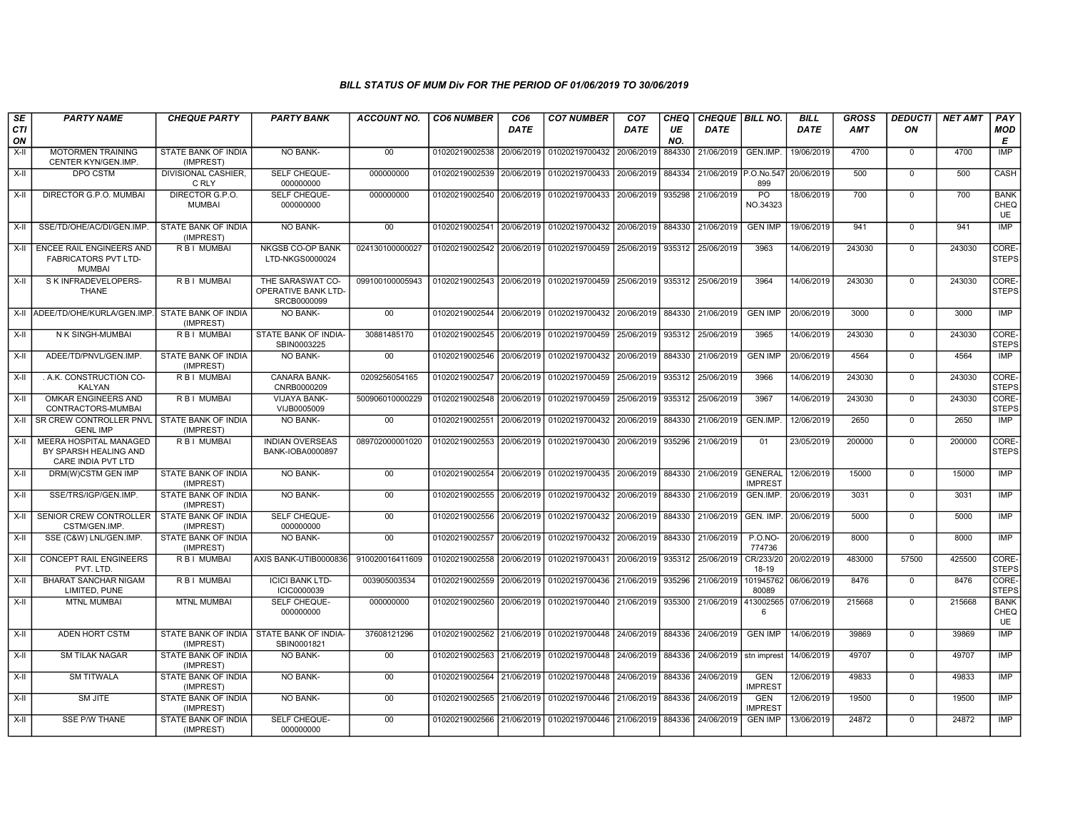| SE<br>CTI    | <b>PARTY NAME</b>                                                               | <b>CHEQUE PARTY</b>                                     | <b>PARTY BANK</b>                                      | <b>ACCOUNT NO.</b> | <b>CO6 NUMBER</b>         | CO <sub>6</sub><br><b>DATE</b> | <b>CO7 NUMBER</b>                                | CO <sub>7</sub><br>DATE | CHEQ<br>UE    | CHEQUE BILL NO.<br><b>DATE</b> |                              | <b>BILL</b><br><b>DATE</b> | <b>GROSS</b><br>AMT | <b>DEDUCTI</b><br>ON | <b>NET AMT</b> | PAY<br><b>MOD</b>                |
|--------------|---------------------------------------------------------------------------------|---------------------------------------------------------|--------------------------------------------------------|--------------------|---------------------------|--------------------------------|--------------------------------------------------|-------------------------|---------------|--------------------------------|------------------------------|----------------------------|---------------------|----------------------|----------------|----------------------------------|
| ON<br>$X-II$ | <b>MOTORMEN TRAINING</b><br>CENTER KYN/GEN.IMP.                                 | STATE BANK OF INDIA<br>(IMPREST)                        | <b>NO BANK-</b>                                        | 00                 | 01020219002538            | 20/06/2019                     | 01020219700432                                   | 20/06/2019              | NO.<br>884330 | 21/06/2019                     | GEN.IMP.                     | 19/06/2019                 | 4700                | $\mathbf 0$          | 4700           | Е<br><b>IMP</b>                  |
| X-II         | <b>DPO CSTM</b>                                                                 | DIVISIONAL CASHIER,<br>C RLY                            | SELF CHEQUE-<br>000000000                              | 000000000          | 01020219002539            | 20/06/2019                     | 01020219700433 20/06/2019                        |                         | 884334        | 21/06/2019 P.O.No.547          | 899                          | 20/06/2019                 | 500                 | $\overline{0}$       | 500            | CASH                             |
| X-II         | DIRECTOR G.P.O. MUMBAI                                                          | DIRECTOR G.P.O.<br><b>MUMBAI</b>                        | SELF CHEQUE-<br>000000000                              | 000000000          | 01020219002540            | 20/06/2019                     | 01020219700433                                   | 20/06/2019              | 935298        | 21/06/2019                     | PO<br>NO.34323               | 18/06/2019                 | 700                 | $\Omega$             | 700            | <b>BANK</b><br>CHEQ<br><b>UE</b> |
| X-II         | SSE/TD/OHE/AC/DI/GEN.IMP                                                        | STATE BANK OF INDIA<br>(IMPREST)                        | NO BANK-                                               | 00                 | 01020219002541 20/06/2019 |                                | 01020219700432 20/06/2019 884330 21/06/2019      |                         |               |                                | <b>GEN IMP</b>               | 19/06/2019                 | 941                 | $\overline{0}$       | 941            | IMP                              |
|              | X-II   ENCEE RAIL ENGINEERS AND<br><b>FABRICATORS PVT LTD-</b><br><b>MUMBAI</b> | R B I MUMBAI                                            | <b>NKGSB CO-OP BANK</b><br>LTD-NKGS0000024             | 024130100000027    | 01020219002542 20/06/2019 |                                | 01020219700459 25/06/2019 935312 25/06/2019      |                         |               |                                | 3963                         | 14/06/2019                 | 243030              | $\mathbf 0$          | 243030         | CORE-<br><b>STEPS</b>            |
| X-II         | S K INFRADEVELOPERS-<br><b>THANE</b>                                            | R B I MUMBAI                                            | THE SARASWAT CO-<br>OPERATIVE BANK LTD-<br>SRCB0000099 | 099100100005943    | 01020219002543            | 20/06/2019                     | 01020219700459                                   | 25/06/2019              |               | 935312 25/06/2019              | 3964                         | 14/06/2019                 | 243030              | $\mathbf 0$          | 243030         | CORE-<br><b>STEPS</b>            |
|              | X-II ADEE/TD/OHE/KURLA/GEN.IMP                                                  | STATE BANK OF INDIA<br>(IMPREST)                        | <b>NO BANK-</b>                                        | 00                 | 01020219002544 20/06/2019 |                                | 01020219700432 20/06/2019 884330 21/06/2019 8843 |                         |               |                                | <b>GEN IMP</b>               | 20/06/2019                 | 3000                | $\mathbf 0$          | 3000           | IMP                              |
| X-II         | N K SINGH-MUMBAI                                                                | R B I MUMBAI                                            | STATE BANK OF INDIA-<br>SBIN0003225                    | 30881485170        | 01020219002545 20/06/2019 |                                | 01020219700459                                   | 25/06/2019              | 935312        | 25/06/2019                     | 3965                         | 14/06/2019                 | 243030              | $\Omega$             | 243030         | CORE-<br><b>STEPS</b>            |
| $X-II$       | ADEE/TD/PNVL/GEN.IMP.                                                           | STATE BANK OF INDIA<br>(IMPREST)                        | NO BANK-                                               | 00                 | 01020219002546            | 20/06/2019                     | 01020219700432                                   | 20/06/2019              | 884330        | 21/06/2019                     | <b>GEN IMP</b>               | 20/06/2019                 | 4564                | $\mathbf{0}$         | 4564           | IMP                              |
| $X-II$       | . A.K. CONSTRUCTION CO-<br>KALYAN                                               | R B I MUMBAI                                            | <b>CANARA BANK-</b><br>CNRB0000209                     | 0209256054165      | 01020219002547            | 20/06/2019                     | 01020219700459                                   | 25/06/2019              | 935312        | 25/06/2019                     | 3966                         | 14/06/2019                 | 243030              | $\overline{0}$       | 243030         | CORE-<br><b>STEPS</b>            |
| $X-H$        | OMKAR ENGINEERS AND<br>CONTRACTORS-MUMBAI                                       | R B I MUMBAI                                            | <b>VIJAYA BANK-</b><br>VIJB0005009                     | 500906010000229    | 01020219002548 20/06/2019 |                                | 01020219700459 25/06/2019                        |                         | 935312        | 25/06/2019                     | 3967                         | 14/06/2019                 | 243030              | $\mathbf 0$          | 243030         | CORE-<br><b>STEPS</b>            |
| X-II         | SR CREW CONTROLLER PNVL<br><b>GENL IMP</b>                                      | <b>STATE BANK OF INDIA</b><br>(IMPREST)                 | NO BANK-                                               | 0 <sub>0</sub>     | 01020219002551            | 20/06/2019                     | 01020219700432 20/06/2019                        |                         | 884330        | 21/06/2019                     | GEN.IMP.                     | 12/06/2019                 | 2650                | $\Omega$             | 2650           | <b>IMP</b>                       |
| $X-H$        | MEERA HOSPITAL MANAGED<br>BY SPARSH HEALING AND<br>CARE INDIA PVT LTD           | R B   MUMBAI                                            | <b>INDIAN OVERSEAS</b><br>BANK-IOBA0000897             | 089702000001020    | 01020219002553            | 20/06/2019                     | 01020219700430 20/06/2019                        |                         | 935296        | 21/06/2019                     | 01                           | 23/05/2019                 | 200000              | $\Omega$             | 200000         | CORE-<br><b>STEPS</b>            |
| $X-H$        | DRM(W)CSTM GEN IMP                                                              | <b>STATE BANK OF INDIA</b><br>(IMPREST)                 | NO BANK-                                               | 00                 | 01020219002554            | 20/06/2019                     | 01020219700435 20/06/2019                        |                         |               | 884330 21/06/2019 GENERAL      | <b>IMPREST</b>               | 12/06/2019                 | 15000               | $\overline{0}$       | 15000          | IMP                              |
| X-II         | SSE/TRS/IGP/GEN.IMP.                                                            | STATE BANK OF INDIA<br>(IMPREST)                        | NO BANK-                                               | $00\,$             | 01020219002555            | 20/06/2019                     | 01020219700432 20/06/2019                        |                         | 884330        | 21/06/2019                     | GEN.IMP.                     | 20/06/2019                 | 3031                | $\mathbf 0$          | 3031           | <b>IMP</b>                       |
| X-II         | <b>SENIOR CREW CONTROLLER</b><br>CSTM/GEN.IMP.                                  | STATE BANK OF INDIA<br>(IMPREST)                        | SELF CHEQUE-<br>000000000                              | 00                 | 01020219002556            | 20/06/2019                     | 01020219700432 20/06/2019                        |                         | 884330        | 21/06/2019                     | GEN. IMP.                    | 20/06/2019                 | 5000                | $\mathbf 0$          | 5000           | <b>IMP</b>                       |
| X-II         | SSE (C&W) LNL/GEN.IMP.                                                          | STATE BANK OF INDIA<br>(IMPREST)                        | <b>NO BANK-</b>                                        | 00                 | 01020219002557            | 20/06/2019                     | 01020219700432 20/06/2019                        |                         | 884330        | 21/06/2019                     | <b>P.O.NO-</b><br>774736     | 20/06/2019                 | 8000                | $\overline{0}$       | 8000           | <b>IMP</b>                       |
| $X-H$        | <b>CONCEPT RAIL ENGINEERS</b><br>PVT. LTD                                       | R B I MUMBAI                                            | AXIS BANK-UTIB0000836                                  | 910020016411609    | 01020219002558            | 20/06/2019                     | 01020219700431 20/06/2019                        |                         | 935312        | 25/06/2019                     | CR/233/20<br>18-19           | 20/02/2019                 | 483000              | 57500                | 425500         | CORE-<br><b>STEPS</b>            |
| X-II         | <b>BHARAT SANCHAR NIGAM</b><br>LIMITED, PUNE                                    | R B I MUMBAI                                            | <b>ICICI BANK LTD-</b><br>ICIC0000039                  | 003905003534       | 01020219002559 20/06/2019 |                                | 01020219700436 21/06/2019                        |                         | 935296        | 21/06/2019                     | 101945762<br>80089           | 06/06/2019                 | 8476                | $\mathbf 0$          | 8476           | CORE-<br><b>STEPS</b>            |
| X-II         | <b>MTNL MUMBAI</b>                                                              | <b>MTNL MUMBAI</b>                                      | SELF CHEQUE-<br>000000000                              | 000000000          | 01020219002560            | 20/06/2019                     | 01020219700440 21/06/2019                        |                         | 935300        | 21/06/2019                     | 413002565<br>6               | 07/06/2019                 | 215668              | $\Omega$             | 215668         | <b>BANK</b><br>CHEQ<br><b>UE</b> |
| $X-H$        | ADEN HORT CSTM                                                                  | STATE BANK OF INDIA I STATE BANK OF INDIA-<br>(IMPREST) | SBIN0001821                                            | 37608121296        | 01020219002562 21/06/2019 |                                | 01020219700448 24/06/2019                        |                         | 884336        | 24/06/2019                     | <b>GEN IMP</b>               | 14/06/2019                 | 39869               | $\Omega$             | 39869          | IMP                              |
| $X-H$        | <b>SM TILAK NAGAR</b>                                                           | STATE BANK OF INDIA<br>(IMPREST)                        | <b>NO BANK-</b>                                        | 00                 | 01020219002563 21/06/2019 |                                | 01020219700448 24/06/2019                        |                         | 884336        | 24/06/2019                     | stn imprest                  | 14/06/2019                 | 49707               | $\mathbf 0$          | 49707          | <b>IMP</b>                       |
| X-II         | <b>SM TITWALA</b>                                                               | STATE BANK OF INDIA<br>(IMPREST)                        | <b>NO BANK-</b>                                        | 00                 | 01020219002564 21/06/2019 |                                | 01020219700448 24/06/2019                        |                         | 884336        | 24/06/2019                     | <b>GEN</b><br><b>IMPREST</b> | 12/06/2019                 | 49833               | $\mathbf 0$          | 49833          | IMP                              |
| X-II         | <b>SM JITE</b>                                                                  | STATE BANK OF INDIA<br>(IMPREST)                        | NO BANK-                                               | 00                 | 01020219002565            | 21/06/2019                     | 01020219700446 21/06/2019                        |                         | 884336        | 24/06/2019                     | <b>GEN</b><br><b>IMPREST</b> | 12/06/2019                 | 19500               | $\Omega$             | 19500          | IMP                              |
| X-II         | SSE P/W THANE                                                                   | STATE BANK OF INDIA<br>(IMPREST)                        | SELF CHEQUE-<br>000000000                              | $00\,$             | 01020219002566 21/06/2019 |                                | 01020219700446 21/06/2019                        |                         | 884336        | 24/06/2019                     | <b>GEN IMP</b>               | 13/06/2019                 | 24872               | $\Omega$             | 24872          | <b>IMP</b>                       |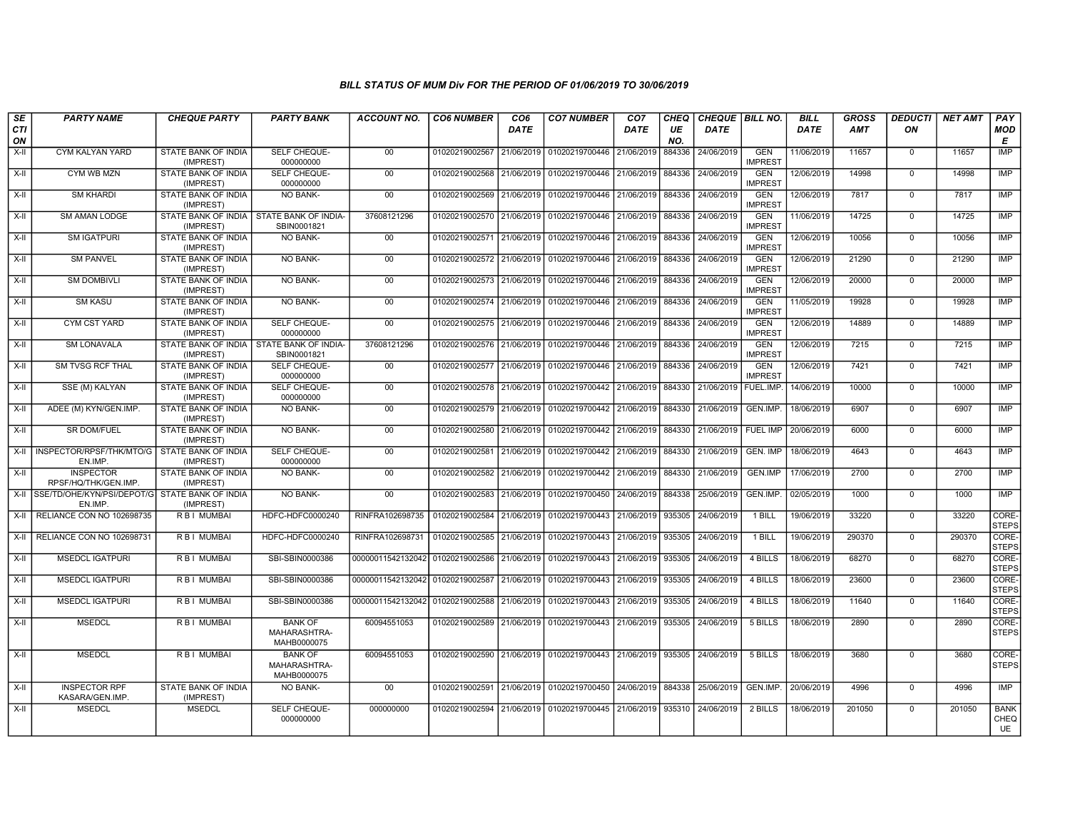| SE<br><b>CTI</b><br>ON | <b>PARTY NAME</b>                                              | <b>CHEQUE PARTY</b>                                     | <b>PARTY BANK</b>                             | <b>ACCOUNT NO.</b>                                                    | <b>CO6 NUMBER</b>         | CO <sub>6</sub><br><b>DATE</b> | <b>CO7 NUMBER</b>                                          | CO <sub>7</sub><br>DATE | <b>CHEQ</b><br>UE<br>NO. | CHEQUE BILL NO.<br><b>DATE</b> |                              | <b>BILL</b><br><b>DATE</b> | <b>GROSS</b><br><b>AMT</b> | <b>DEDUCTI</b><br>ON | <b>NET AMT</b> | PAY<br><b>MOD</b><br>E           |
|------------------------|----------------------------------------------------------------|---------------------------------------------------------|-----------------------------------------------|-----------------------------------------------------------------------|---------------------------|--------------------------------|------------------------------------------------------------|-------------------------|--------------------------|--------------------------------|------------------------------|----------------------------|----------------------------|----------------------|----------------|----------------------------------|
| X-II                   | CYM KALYAN YARD                                                | STATE BANK OF INDIA<br>(IMPREST)                        | SELF CHEQUE-<br>000000000                     | $00\,$                                                                | 01020219002567 21/06/2019 |                                | 01020219700446                                             | 21/06/2019              | 884336                   | 24/06/2019                     | <b>GEN</b><br><b>IMPREST</b> | 11/06/2019                 | 11657                      | $\mathbf 0$          | 11657          | IMP                              |
| X-II                   | CYM WB MZN                                                     | <b>STATE BANK OF INDIA</b><br>(IMPREST)                 | SELF CHEQUE-<br>000000000                     | 00                                                                    | 01020219002568 21/06/2019 |                                | 01020219700446 21/06/2019                                  |                         | 884336                   | 24/06/2019                     | <b>GEN</b><br><b>IMPREST</b> | 12/06/2019                 | 14998                      | $\Omega$             | 14998          | <b>IMP</b>                       |
| $X-H$                  | <b>SM KHARDI</b>                                               | STATE BANK OF INDIA<br>(IMPREST)                        | <b>NO BANK-</b>                               | 00                                                                    |                           |                                | 01020219002569 21/06/2019 01020219700446 21/06/2019        |                         | 884336                   | 24/06/2019                     | <b>GEN</b><br><b>IMPREST</b> | 12/06/2019                 | 7817                       | $\mathbf 0$          | 7817           | <b>IMP</b>                       |
| $X-H$                  | <b>SM AMAN LODGE</b>                                           | STATE BANK OF INDIA   STATE BANK OF INDIA-<br>(IMPREST) | SBIN0001821                                   | 37608121296                                                           | 01020219002570 21/06/2019 |                                | 01020219700446 21/06/2019                                  |                         | 884336                   | 24/06/2019                     | <b>GEN</b><br><b>IMPREST</b> | 11/06/2019                 | 14725                      | $\overline{0}$       | 14725          | IMP                              |
| X-II                   | <b>SM IGATPURI</b>                                             | STATE BANK OF INDIA<br>(IMPREST)                        | <b>NO BANK-</b>                               | $00\,$                                                                | 01020219002571 21/06/2019 |                                | 01020219700446 21/06/2019                                  |                         | 884336                   | 24/06/2019                     | <b>GEN</b><br><b>IMPREST</b> | 12/06/2019                 | 10056                      | $\mathbf 0$          | 10056          | <b>IMP</b>                       |
| X-II                   | <b>SM PANVEL</b>                                               | STATE BANK OF INDIA<br>(IMPREST)                        | NO BANK-                                      | 00                                                                    | 01020219002572 21/06/2019 |                                | 01020219700446 21/06/2019                                  |                         | 884336                   | 24/06/2019                     | <b>GEN</b><br><b>IMPREST</b> | 12/06/2019                 | 21290                      | $\mathbf 0$          | 21290          | <b>IMP</b>                       |
| $X-H$                  | <b>SM DOMBIVLI</b>                                             | STATE BANK OF INDIA<br>(IMPREST)                        | <b>NO BANK-</b>                               | 00                                                                    | 01020219002573 21/06/2019 |                                | 01020219700446 21/06/2019                                  |                         | 884336                   | 24/06/2019                     | <b>GEN</b><br><b>IMPREST</b> | 12/06/2019                 | 20000                      | $\overline{0}$       | 20000          | <b>IMP</b>                       |
| $X-H$                  | <b>SM KASU</b>                                                 | <b>STATE BANK OF INDIA</b><br>(IMPREST)                 | NO BANK-                                      | 00                                                                    |                           |                                | 01020219002574 21/06/2019 01020219700446 21/06/2019 884336 |                         |                          | 24/06/2019                     | <b>GEN</b><br><b>IMPREST</b> | 11/05/2019                 | 19928                      | $\overline{0}$       | 19928          | IMP                              |
| $X-H$                  | <b>CYM CST YARD</b>                                            | <b>STATE BANK OF INDIA</b><br>(IMPREST)                 | <b>SELF CHEQUE-</b><br>000000000              | 00                                                                    | 01020219002575 21/06/2019 |                                | 01020219700446 21/06/2019 884336                           |                         |                          | 24/06/2019                     | <b>GEN</b><br><b>IMPREST</b> | 12/06/2019                 | 14889                      | $\mathbf 0$          | 14889          | IMP                              |
| X-II                   | <b>SM LONAVALA</b>                                             | STATE BANK OF INDIA   STATE BANK OF INDIA-<br>(IMPREST) | SBIN0001821                                   | 37608121296                                                           |                           |                                | 01020219002576 21/06/2019 01020219700446                   | 21/06/2019 884336       |                          | 24/06/2019                     | <b>GEN</b><br><b>IMPREST</b> | 12/06/2019                 | 7215                       | $\Omega$             | 7215           | <b>IMP</b>                       |
| $X-H$                  | <b>SM TVSG RCF THAL</b>                                        | STATE BANK OF INDIA<br>(IMPREST)                        | SELF CHEQUE-<br>000000000                     | 00                                                                    | 01020219002577 21/06/2019 |                                | 01020219700446 21/06/2019                                  |                         | 884336                   | 24/06/2019                     | <b>GEN</b><br><b>IMPREST</b> | 12/06/2019                 | 7421                       | $\overline{0}$       | 7421           | <b>IMP</b>                       |
| $X-H$                  | SSE (M) KALYAN                                                 | <b>STATE BANK OF INDIA</b><br>(IMPREST)                 | SELF CHEQUE-<br>000000000                     | 00                                                                    |                           |                                | 01020219002578 21/06/2019 01020219700442 21/06/2019        |                         | 884330                   | 21/06/2019                     | FUEL.IMP.                    | 14/06/2019                 | 10000                      | $\mathbf 0$          | 10000          | IMP                              |
| X-II                   | ADEE (M) KYN/GEN.IMP.                                          | <b>STATE BANK OF INDIA</b><br>(IMPREST)                 | <b>NO BANK-</b>                               | 00                                                                    | 01020219002579 21/06/2019 |                                | 01020219700442 21/06/2019                                  |                         | 884330                   | 21/06/2019                     | GEN.IMP.                     | 18/06/2019                 | 6907                       | $\mathbf 0$          | 6907           | <b>IMP</b>                       |
| X-II                   | SR DOM/FUEL                                                    | STATE BANK OF INDIA<br>(IMPREST)                        | NO BANK-                                      | 00                                                                    | 01020219002580 21/06/2019 |                                | 01020219700442 21/06/2019                                  |                         | 884330                   | 21/06/2019                     | <b>FUEL IMP</b>              | 20/06/2019                 | 6000                       | $\Omega$             | 6000           | <b>IMP</b>                       |
| X-II                   | INSPECTOR/RPSF/THK/MTO/G STATE BANK OF INDIA<br>EN.IMP.        | (IMPREST)                                               | SELF CHEQUE-<br>000000000                     | 00                                                                    | 01020219002581            | 21/06/2019                     | 01020219700442 21/06/2019                                  |                         | 884330                   | 21/06/2019                     | <b>GEN. IMP</b>              | 18/06/2019                 | 4643                       | $\mathbf 0$          | 4643           | <b>IMP</b>                       |
| $X-H$                  | <b>INSPECTOR</b><br>RPSF/HQ/THK/GEN.IMP.                       | <b>STATE BANK OF INDIA</b><br>(IMPREST)                 | <b>NO BANK-</b>                               | 00                                                                    | 01020219002582 21/06/2019 |                                | 01020219700442 21/06/2019                                  |                         | 884330                   | 21/06/2019                     | <b>GEN.IMP</b>               | 17/06/2019                 | 2700                       | $\overline{0}$       | 2700           | IMP                              |
|                        | X-II SSE/TD/OHE/KYN/PSI/DEPOT/G STATE BANK OF INDIA<br>EN.IMP. | (IMPREST)                                               | NO BANK-                                      | 00                                                                    |                           |                                | 01020219002583 21/06/2019 01020219700450 24/06/2019 884338 |                         |                          | 25/06/2019                     | GEN.IMP.                     | 02/05/2019                 | 1000                       | $\mathbf 0$          | 1000           | IMP                              |
| X-II                   | RELIANCE CON NO 102698735                                      | R B I MUMBAI                                            | HDFC-HDFC0000240                              | RINFRA102698735                                                       | 01020219002584 21/06/2019 |                                | 01020219700443                                             | 21/06/2019              | 935305                   | 24/06/2019                     | 1 BILL                       | 19/06/2019                 | 33220                      | $\mathbf 0$          | 33220          | CORE-<br><b>STEPS</b>            |
| X-II                   | RELIANCE CON NO 102698731                                      | R B I MUMBAI                                            | HDFC-HDFC0000240                              | RINFRA102698731                                                       | 01020219002585 21/06/2019 |                                | 01020219700443 21/06/2019                                  |                         | 935305                   | 24/06/2019                     | 1 BILL                       | 19/06/2019                 | 290370                     | $\mathbf 0$          | 290370         | CORE-<br><b>STEPS</b>            |
| $X-II$                 | <b>MSEDCL IGATPURI</b>                                         | <b>RBI MUMBAI</b>                                       | SBI-SBIN0000386                               | 00000011542132042 01020219002586 21/06/2019                           |                           |                                | 01020219700443 21/06/2019                                  |                         | 935305                   | 24/06/2019                     | 4 BILLS                      | 18/06/2019                 | 68270                      | $\overline{0}$       | 68270          | CORE-<br><b>STEPS</b>            |
| X-II                   | <b>MSEDCL IGATPURI</b>                                         | <b>RBI MUMBAI</b>                                       | SBI-SBIN0000386                               | 00000011542132042 01020219002587 21/06/2019 01020219700443 21/06/2019 |                           |                                |                                                            |                         | 935305                   | 24/06/2019                     | 4 BILLS                      | 18/06/2019                 | 23600                      | $\mathbf 0$          | 23600          | CORE-<br><b>STEPS</b>            |
| X-II                   | <b>MSEDCL IGATPURI</b>                                         | R B I MUMBAI                                            | SBI-SBIN0000386                               | 00000011542132042 01020219002588 21/06/2019 01020219700443            |                           |                                |                                                            | 21/06/2019              | 935305                   | 24/06/2019                     | 4 BILLS                      | 18/06/2019                 | 11640                      | $\mathbf 0$          | 11640          | CORE-<br><b>STEPS</b>            |
| $X-H$                  | <b>MSEDCL</b>                                                  | R B I MUMBAI                                            | <b>BANK OF</b><br>MAHARASHTRA-<br>MAHB0000075 | 60094551053                                                           | 01020219002589 21/06/2019 |                                | 01020219700443 21/06/2019                                  |                         | 935305                   | 24/06/2019                     | 5 BILLS                      | 18/06/2019                 | 2890                       | $\mathbf 0$          | 2890           | CORE-<br><b>STEPS</b>            |
| X-II                   | <b>MSEDCL</b>                                                  | <b>RBI MUMBAI</b>                                       | <b>BANK OF</b><br>MAHARASHTRA-<br>MAHB0000075 | 60094551053                                                           |                           |                                | 01020219002590 21/06/2019 01020219700443 21/06/2019        |                         | 935305                   | 24/06/2019                     | 5 BILLS                      | 18/06/2019                 | 3680                       | $\Omega$             | 3680           | CORE-<br><b>STEPS</b>            |
| $X-H$                  | <b>INSPECTOR RPF</b><br>KASARA/GEN.IMP.                        | <b>STATE BANK OF INDIA</b><br>(IMPREST)                 | NO BANK-                                      | 00                                                                    |                           |                                | 01020219002591 21/06/2019 01020219700450 24/06/2019        |                         | 884338                   | 25/06/2019                     | GEN.IMP.                     | 20/06/2019                 | 4996                       | $\overline{0}$       | 4996           | <b>IMP</b>                       |
| $X-H$                  | <b>MSEDCL</b>                                                  | <b>MSEDCL</b>                                           | SELF CHEQUE-<br>000000000                     | 000000000                                                             |                           |                                | 01020219002594 21/06/2019 01020219700445 21/06/2019 935310 |                         |                          | 24/06/2019                     | 2 BILLS                      | 18/06/2019                 | 201050                     | $\mathbf 0$          | 201050         | <b>BANK</b><br>CHEQ<br><b>UE</b> |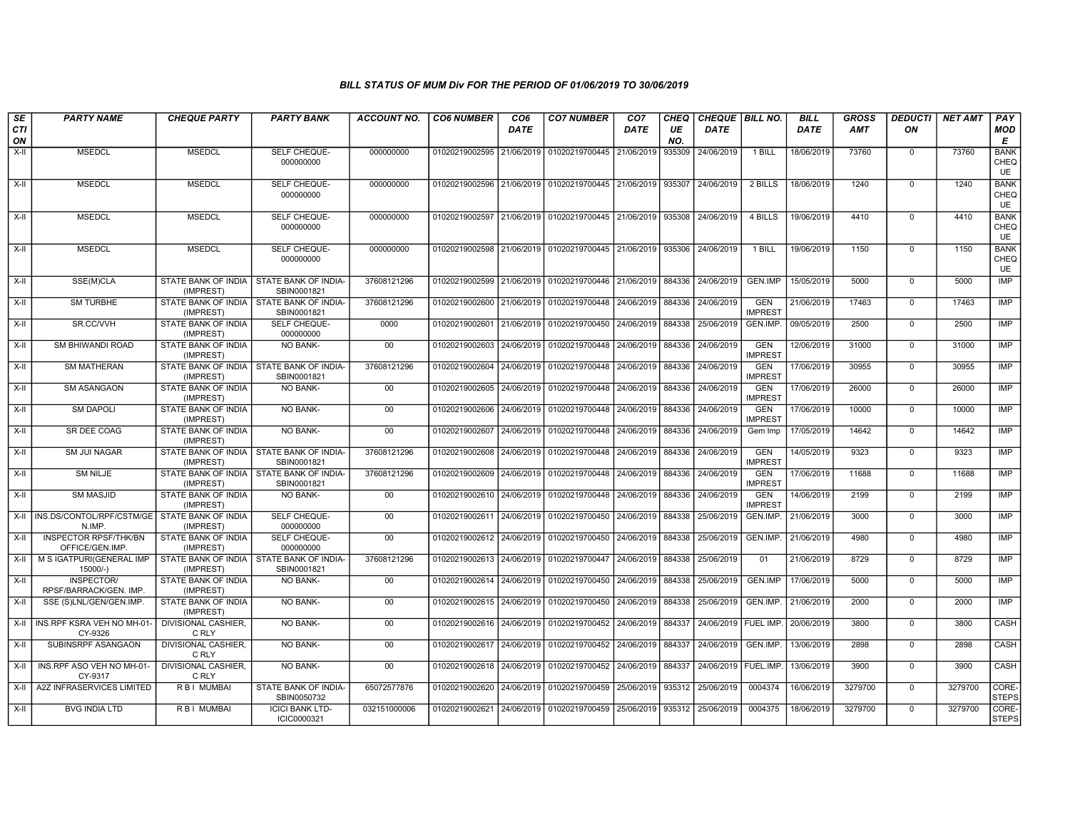| SE        | <b>PARTY NAME</b>                                       | <b>CHEQUE PARTY</b>                                    | <b>PARTY BANK</b>                                         | <b>ACCOUNT NO.</b> | <b>CO6 NUMBER</b>                        | CO <sub>6</sub> | <b>CO7 NUMBER</b>                                          | CO <sub>7</sub>              | CHEQ      | CHEQUE   BILL NO.      |                              | <b>BILL</b> | <b>GROSS</b> | <b>DEDUCTI</b> | <b>NET AMT</b> | PAY                              |
|-----------|---------------------------------------------------------|--------------------------------------------------------|-----------------------------------------------------------|--------------------|------------------------------------------|-----------------|------------------------------------------------------------|------------------------------|-----------|------------------------|------------------------------|-------------|--------------|----------------|----------------|----------------------------------|
| CTI<br>ON |                                                         |                                                        |                                                           |                    |                                          | <b>DATE</b>     |                                                            | <b>DATE</b>                  | UE<br>NO. | <b>DATE</b>            |                              | <b>DATE</b> | <b>AMT</b>   | ON             |                | <b>MOD</b><br>E                  |
| $X-II$    | <b>MSEDCL</b>                                           | <b>MSEDCL</b>                                          | SELF CHEQUE-<br>000000000                                 | 000000000          | 01020219002595 21/06/2019 01020219700445 |                 |                                                            | 21/06/2019                   | 935309    | 24/06/2019             | 1 BILL                       | 18/06/2019  | 73760        | $\mathbf 0$    | 73760          | <b>BANK</b><br>CHEQ<br>UE        |
| X-II      | <b>MSEDCL</b>                                           | <b>MSEDCL</b>                                          | SELF CHEQUE-<br>000000000                                 | 000000000          |                                          |                 | 01020219002596 21/06/2019 01020219700445 21/06/2019        |                              | 935307    | 24/06/2019             | 2 BILLS                      | 18/06/2019  | 1240         | $\mathbf 0$    | 1240           | <b>BANK</b><br>CHEQ<br>UE        |
| $X-II$    | <b>MSEDCL</b>                                           | <b>MSEDCL</b>                                          | SELF CHEQUE-<br>000000000                                 | 000000000          |                                          |                 | 01020219002597 21/06/2019 01020219700445 21/06/2019 935308 |                              |           | 24/06/2019             | 4 BILLS                      | 19/06/2019  | 4410         | $\overline{0}$ | 4410           | <b>BANK</b><br>CHEQ<br>UE        |
| X-II      | <b>MSEDCL</b>                                           | <b>MSEDCL</b>                                          | SELF CHEQUE-<br>000000000                                 | 000000000          |                                          |                 | 01020219002598 21/06/2019 01020219700445                   | 21/06/2019 935306            |           | 24/06/2019             | 1 BILL                       | 19/06/2019  | 1150         | $\mathbf 0$    | 1150           | <b>BANK</b><br>CHEQ<br><b>UE</b> |
| $X-H$     | SSE(M)CLA                                               | STATE BANK OF INDIA   STATE BANK OF INDIA<br>(IMPREST) | SBIN0001821                                               | 37608121296        |                                          |                 | 01020219002599 21/06/2019 01020219700446 21/06/2019        |                              |           | 884336 24/06/2019      | GEN.IMP                      | 15/05/2019  | 5000         | $\overline{0}$ | 5000           | <b>IMP</b>                       |
| X-II      | <b>SM TURBHE</b>                                        | STATE BANK OF INDIA<br>(IMPREST)                       | STATE BANK OF INDIA-<br>SBIN0001821                       | 37608121296        |                                          |                 | 01020219002600 21/06/2019 01020219700448                   | 24/06/2019                   | 884336    | 24/06/2019             | <b>GEN</b><br><b>IMPREST</b> | 21/06/2019  | 17463        | $\Omega$       | 17463          | IMP                              |
| X-II      | SR.CC/VVH                                               | STATE BANK OF INDIA<br>(IMPREST)                       | SELF CHEQUE-<br>000000000                                 | 0000               |                                          |                 | 01020219002601 21/06/2019 01020219700450                   | 24/06/2019                   | 884338    | 25/06/2019             | GEN.IMP.                     | 09/05/2019  | 2500         | $\mathbf 0$    | 2500           | <b>IMP</b>                       |
| $X-H$     | <b>SM BHIWANDI ROAD</b>                                 | <b>STATE BANK OF INDIA</b><br>(IMPREST)                | <b>NO BANK-</b>                                           | 00                 |                                          |                 | 01020219002603 24/06/2019 01020219700448                   | 24/06/2019                   | 884336    | 24/06/2019             | <b>GEN</b><br><b>IMPREST</b> | 12/06/2019  | 31000        | $\overline{0}$ | 31000          | IMP                              |
| X-II      | <b>SM MATHERAN</b>                                      | (IMPREST)                                              | STATE BANK OF INDIA STATE BANK OF INDIA-<br>SBIN0001821   | 37608121296        |                                          |                 | 01020219002604 24/06/2019 01020219700448                   | 24/06/2019 884336 24/06/2019 |           |                        | <b>GEN</b><br><b>IMPREST</b> | 17/06/2019  | 30955        | $\mathbf 0$    | 30955          | IMP                              |
| $X-H$     | <b>SM ASANGAON</b>                                      | <b>STATE BANK OF INDIA</b><br>(IMPREST)                | NO BANK-                                                  | 00                 | 01020219002605 24/06/2019                |                 | 01020219700448                                             | 24/06/2019                   | 884336    | 24/06/2019             | <b>GEN</b><br><b>IMPREST</b> | 17/06/2019  | 26000        | $\overline{0}$ | 26000          | <b>IMP</b>                       |
| $X-H$     | <b>SM DAPOLI</b>                                        | <b>STATE BANK OF INDIA</b><br>(IMPREST)                | <b>NO BANK-</b>                                           | 00                 | 01020219002606 24/06/2019                |                 | 01020219700448                                             | 24/06/2019                   | 884336    | 24/06/2019             | <b>GEN</b><br><b>IMPREST</b> | 17/06/2019  | 10000        | $\Omega$       | 10000          | IMP                              |
| X-II      | SR DEE COAG                                             | STATE BANK OF INDIA<br>(IMPREST)                       | <b>NO BANK-</b>                                           | 00                 |                                          |                 | 01020219002607 24/06/2019 01020219700448                   | 24/06/2019                   | 884336    | 24/06/2019             | Gem Imp                      | 17/05/2019  | 14642        | $\mathbf 0$    | 14642          | <b>IMP</b>                       |
| $X-II$    | <b>SM JUI NAGAR</b>                                     | STATE BANK OF INDIA   STATE BANK OF INDIA<br>(IMPREST) | SBIN0001821                                               | 37608121296        | 01020219002608 24/06/2019 01020219700448 |                 |                                                            | 24/06/2019                   | 884336    | 24/06/2019             | <b>GEN</b><br><b>IMPREST</b> | 14/05/2019  | 9323         | $\mathbf 0$    | 9323           | IMP                              |
| X-II      | <b>SM NILJE</b>                                         | (IMPREST)                                              | STATE BANK OF INDIA I STATE BANK OF INDIA-<br>SBIN0001821 | 37608121296        |                                          |                 | 01020219002609 24/06/2019 01020219700448                   | 24/06/2019 884336            |           | 24/06/2019             | <b>GEN</b><br><b>IMPREST</b> | 17/06/2019  | 11688        | $\mathbf 0$    | 11688          | IMP                              |
| X-II      | <b>SM MASJID</b>                                        | STATE BANK OF INDIA<br>(IMPREST)                       | NO BANK-                                                  | $00\,$             | 01020219002610 24/06/2019                |                 | 01020219700448                                             | 24/06/2019                   | 884336    | 24/06/2019             | <b>GEN</b><br><b>IMPREST</b> | 14/06/2019  | 2199         | $\mathbf 0$    | 2199           | <b>IMP</b>                       |
| $X-H$     | INS.DS/CONTOL/RPF/CSTM/GE STATE BANK OF INDIA<br>N.IMP. | (IMPREST)                                              | SELF CHEQUE-<br>000000000                                 | 00                 |                                          |                 | 01020219002611 24/06/2019 01020219700450                   | 24/06/2019                   | 884338    | 25/06/2019             | GEN.IMP.                     | 21/06/2019  | 3000         | $\Omega$       | 3000           | IMP                              |
| X-II      | <b>INSPECTOR RPSF/THK/BN</b><br>OFFICE/GEN.IMP          | <b>STATE BANK OF INDIA</b><br>(IMPREST)                | SELF CHEQUE-<br>000000000                                 | 00                 | 01020219002612 24/06/2019 01020219700450 |                 |                                                            | 24/06/2019                   | 884338    | 25/06/2019             | <b>GEN.IMP</b>               | 21/06/2019  | 4980         | $\mathbf 0$    | 4980           | <b>IMP</b>                       |
| $X-H$     | M S IGATPURI(GENERAL IMP<br>15000/-)                    | STATE BANK OF INDIA<br>(IMPREST)                       | <b>STATE BANK OF INDIA-</b><br>SBIN0001821                | 37608121296        | 01020219002613 24/06/2019 01020219700447 |                 |                                                            | 24/06/2019                   | 884338    | 25/06/2019             | 01                           | 21/06/2019  | 8729         | $\mathbf 0$    | 8729           | IMP                              |
| X-II      | INSPECTOR/<br>RPSF/BARRACK/GEN. IMP                     | STATE BANK OF INDIA<br>(IMPREST)                       | NO BANK-                                                  | $00\,$             |                                          |                 | 01020219002614 24/06/2019 01020219700450                   | 24/06/2019                   | 884338    | 25/06/2019             | <b>GEN.IMP</b>               | 17/06/2019  | 5000         | $\Omega$       | 5000           | <b>IMP</b>                       |
| X-II      | SSE (S)LNL/GEN/GEN.IMP.                                 | STATE BANK OF INDIA<br>(IMPREST)                       | NO BANK-                                                  | 00                 | 01020219002615 24/06/2019                |                 | 01020219700450                                             | 24/06/2019                   | 884338    | 25/06/2019             | GEN.IMP                      | 21/06/2019  | 2000         | $\mathbf 0$    | 2000           | <b>IMP</b>                       |
| X-II      | INS.RPF KSRA VEH NO MH-01-<br>CY-9326                   | <b>DIVISIONAL CASHIER,</b><br>C RLY                    | <b>NO BANK-</b>                                           | 00                 | 01020219002616 24/06/2019                |                 | 01020219700452                                             | 24/06/2019                   | 884337    | 24/06/2019   FUEL IMP. |                              | 20/06/2019  | 3800         | $\mathbf 0$    | 3800           | <b>CASH</b>                      |
| X-II      | SUBINSRPF ASANGAON                                      | <b>DIVISIONAL CASHIER,</b><br>C RLY                    | <b>NO BANK-</b>                                           | 00                 | 01020219002617 24/06/2019                |                 | 01020219700452                                             | 24/06/2019                   | 884337    | 24/06/2019             | GEN.IMP                      | 13/06/2019  | 2898         | $\Omega$       | 2898           | <b>CASH</b>                      |
| X-II      | INS.RPF ASO VEH NO MH-01-<br>CY-9317                    | <b>DIVISIONAL CASHIER,</b><br>C RLY                    | NO BANK-                                                  | $00\,$             | 01020219002618 24/06/2019                |                 | 01020219700452                                             | 24/06/2019                   | 884337    | 24/06/2019   FUEL.IMP. |                              | 13/06/2019  | 3900         | $\mathbf 0$    | 3900           | CASH                             |
| X-II      | <b>A2Z INFRASERVICES LIMITED</b>                        | R B I MUMBAI                                           | STATE BANK OF INDIA-<br>SBIN0050732                       | 65072577876        |                                          |                 | 01020219002620 24/06/2019 01020219700459                   | 25/06/2019 935312            |           | 25/06/2019             | 0004374                      | 16/06/2019  | 3279700      | $\Omega$       | 3279700        | CORE-<br><b>STEPS</b>            |
| $X-II$    | <b>BVG INDIA LTD</b>                                    | R B I MUMBAI                                           | <b>ICICI BANK LTD-</b><br>ICIC0000321                     | 032151000006       |                                          |                 | 01020219002621 24/06/2019 01020219700459 25/06/2019        |                              | 935312    | 25/06/2019             | 0004375                      | 18/06/2019  | 3279700      | $\mathbf 0$    | 3279700        | CORE-<br><b>STEPS</b>            |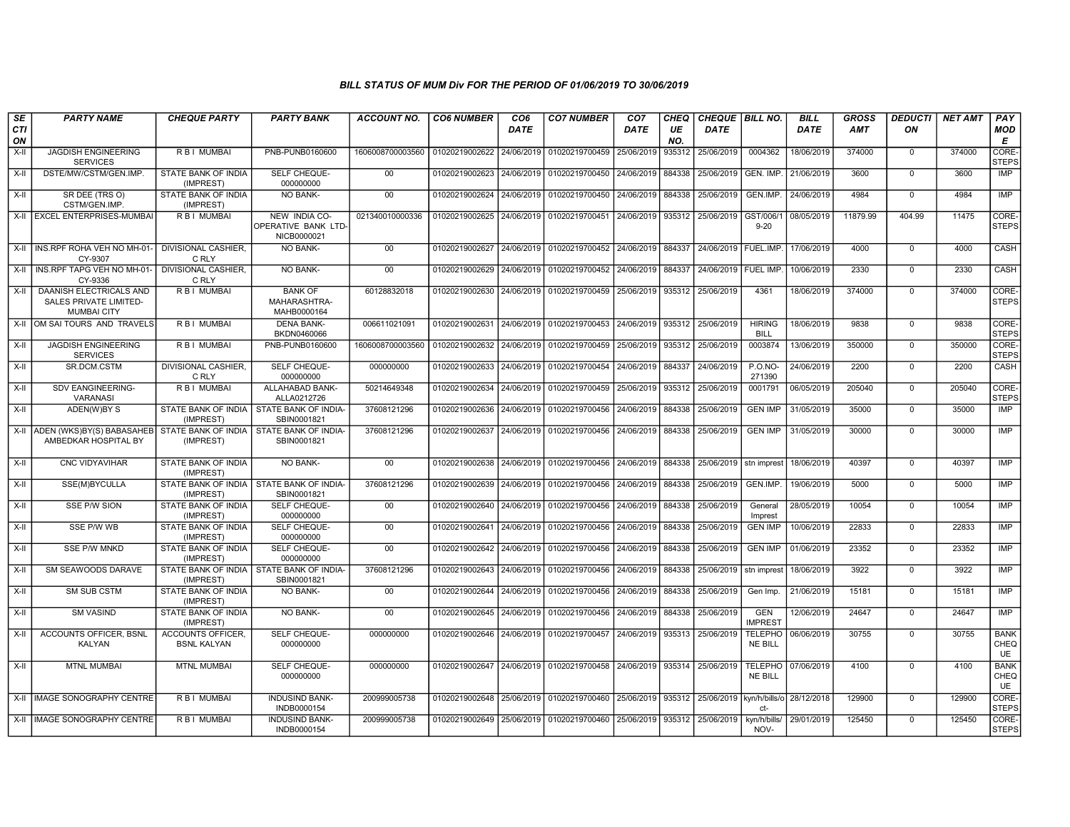| <b>SE</b> | <b>PARTY NAME</b>                                                              | <b>CHEQUE PARTY</b>                            | <b>PARTY BANK</b>                                         | <b>ACCOUNT NO.</b> | <b>CO6 NUMBER</b>         | CO <sub>6</sub> | <b>CO7 NUMBER</b>                                   | CO <sub>7</sub> | CHEQ      | CHEQUE BILL NO.           |                                  | <b>BILL</b> | <b>GROSS</b> | <b>DEDUCTI</b> | <b>NET AMT</b> | PAY                       |
|-----------|--------------------------------------------------------------------------------|------------------------------------------------|-----------------------------------------------------------|--------------------|---------------------------|-----------------|-----------------------------------------------------|-----------------|-----------|---------------------------|----------------------------------|-------------|--------------|----------------|----------------|---------------------------|
| CTI<br>ON |                                                                                |                                                |                                                           |                    |                           | DATE            |                                                     | DATE            | UE<br>NO. | <b>DATE</b>               |                                  | DATE        | <b>AMT</b>   | ON             |                | <b>MOD</b><br>Е           |
| $X-H$     | <b>JAGDISH ENGINEERING</b><br><b>SERVICES</b>                                  | R B I MUMBAI                                   | PNB-PUNB0160600                                           | 1606008700003560   | 01020219002622            | 24/06/2019      | 01020219700459                                      | 25/06/2019      | 935312    | 25/06/2019                | 0004362                          | 18/06/2019  | 374000       | $\mathbf 0$    | 374000         | CORE-<br><b>STEPS</b>     |
| X-II      | DSTE/MW/CSTM/GEN.IMP.                                                          | STATE BANK OF INDIA<br>(IMPREST)               | SELF CHEQUE-<br>000000000                                 | $00\,$             | 01020219002623            | 24/06/2019      | 01020219700450                                      | 24/06/2019      | 884338    | 25/06/2019                | GEN. IMP.                        | 21/06/2019  | 3600         | $\mathbf 0$    | 3600           | <b>IMP</b>                |
| X-II      | SR DEE (TRS O)<br>CSTM/GEN.IMP.                                                | STATE BANK OF INDIA<br>(IMPREST)               | NO BANK-                                                  | 00                 | 01020219002624            | 24/06/2019      | 01020219700450                                      | 24/06/2019      | 884338    | 25/06/2019                | GEN.IMP.                         | 24/06/2019  | 4984         | $\overline{0}$ | 4984           | <b>IMP</b>                |
|           | X-II EXCEL ENTERPRISES-MUMBAI                                                  | R B I MUMBAI                                   | NEW INDIA CO-<br>OPERATIVE BANK LTD-<br>NICB0000021       | 021340010000336    | 01020219002625            | 24/06/2019      | 01020219700451                                      | 24/06/2019      | 935312    | 25/06/2019                | GST/006/1<br>$9 - 20$            | 08/05/2019  | 11879.99     | 404.99         | 11475          | CORE-<br><b>STEPS</b>     |
|           | X-II INS.RPF ROHA VEH NO MH-01<br>CY-9307                                      | DIVISIONAL CASHIER.<br>C RLY                   | <b>NO BANK-</b>                                           | 00                 | 01020219002627 24/06/2019 |                 | 01020219700452 24/06/2019                           |                 | 884337    | 24/06/2019 FUEL.IMP       |                                  | 17/06/2019  | 4000         | $\Omega$       | 4000           | CASH                      |
| X-II I    | INS.RPF TAPG VEH NO MH-01-<br>CY-9336                                          | <b>DIVISIONAL CASHIER.</b><br>C RLY            | <b>NO BANK-</b>                                           | 00                 | 01020219002629 24/06/2019 |                 | 01020219700452                                      | 24/06/2019      | 884337    | 24/06/2019 FUEL IMP       |                                  | 10/06/2019  | 2330         | $\Omega$       | 2330           | <b>CASH</b>               |
| $X-H$     | DAANISH ELECTRICALS AND<br><b>SALES PRIVATE LIMITED-</b><br><b>MUMBAI CITY</b> | R B I MUMBAI                                   | <b>BANK OF</b><br>MAHARASHTRA-<br>MAHB0000164             | 60128832018        | 01020219002630            | 24/06/2019      | 01020219700459 25/06/2019                           |                 | 935312    | 25/06/2019                | 4361                             | 18/06/2019  | 374000       | $\overline{0}$ | 374000         | CORE-<br><b>STEPS</b>     |
|           | X-II OM SAI TOURS AND TRAVELS                                                  | R B I MUMBAI                                   | <b>DENA BANK-</b><br>BKDN0460066                          | 006611021091       | 01020219002631            | 24/06/2019      | 01020219700453 24/06/2019                           |                 | 935312    | 25/06/2019                | <b>HIRING</b><br><b>BILL</b>     | 18/06/2019  | 9838         | $\mathbf 0$    | 9838           | CORE-<br><b>STEPS</b>     |
| $X-H$     | <b>JAGDISH ENGINEERING</b><br><b>SERVICES</b>                                  | R B   MUMBAI                                   | PNB-PUNB0160600                                           | 1606008700003560   | 01020219002632 24/06/2019 |                 | 01020219700459                                      | 25/06/2019      | 935312    | 25/06/2019                | 0003874                          | 13/06/2019  | 350000       | $\overline{0}$ | 350000         | CORE-<br><b>STEPS</b>     |
| X-II      | SR.DCM.CSTM                                                                    | <b>DIVISIONAL CASHIER.</b><br>C RLY            | SELF CHEQUE-<br>000000000                                 | 000000000          | 01020219002633            | 24/06/2019      | 01020219700454                                      | 24/06/2019      | 884337    | 24/06/2019                | <b>P.O.NO-</b><br>271390         | 24/06/2019  | 2200         | $\mathbf 0$    | 2200           | CASH                      |
| X-II      | SDV EANGINEERING-<br>VARANASI                                                  | R B I MUMBAI                                   | ALLAHABAD BANK-<br>ALLA0212726                            | 50214649348        | 01020219002634            | 24/06/2019      | 01020219700459                                      | 25/06/2019      | 935312    | 25/06/2019                | 0001791                          | 06/05/2019  | 205040       | $\overline{0}$ | 205040         | CORE-<br><b>STEPS</b>     |
| X-II      | ADEN(W)BY S                                                                    | STATE BANK OF INDIA<br>(IMPREST)               | STATE BANK OF INDIA-<br>SBIN0001821                       | 37608121296        | 01020219002636            | 24/06/2019      | 01020219700456                                      | 24/06/2019      | 884338    | 25/06/2019                | <b>GEN IMP</b>                   | 31/05/2019  | 35000        | $\mathbf 0$    | 35000          | IMP                       |
|           | X-II ADEN (WKS)BY(S) BABASAHEB STATE BANK OF INDIA<br>AMBEDKAR HOSPITAL BY     | (IMPREST)                                      | STATE BANK OF INDIA-<br>SBIN0001821                       | 37608121296        | 01020219002637            | 24/06/2019      | 01020219700456 24/06/2019 884338                    |                 |           | 25/06/2019                | <b>GEN IMP</b>                   | 31/05/2019  | 30000        | $\Omega$       | 30000          | IMP                       |
| X-II      | <b>CNC VIDYAVIHAR</b>                                                          | STATE BANK OF INDIA<br>(IMPREST)               | <b>NO BANK-</b>                                           | 00                 |                           |                 | 01020219002638 24/06/2019 01020219700456 24/06/2019 |                 | 884338    | 25/06/2019                | stn imprest                      | 18/06/2019  | 40397        | $\mathbf 0$    | 40397          | <b>IMP</b>                |
| X-II      | SSE(M)BYCULLA                                                                  | (IMPREST)                                      | STATE BANK OF INDIA I STATE BANK OF INDIA-<br>SBIN0001821 | 37608121296        | 01020219002639            | 24/06/2019      | 01020219700456                                      | 24/06/2019      | 884338    | 25/06/2019                | GEN.IMP.                         | 19/06/2019  | 5000         | $\mathbf 0$    | 5000           | IMP                       |
| X-II      | <b>SSE P/W SION</b>                                                            | STATE BANK OF INDIA<br>(IMPREST)               | SELF CHEQUE-<br>000000000                                 | 00                 | 01020219002640            | 24/06/2019      | 01020219700456                                      | 24/06/2019      | 884338    | 25/06/2019                | General<br>Imprest               | 28/05/2019  | 10054        | $\mathbf 0$    | 10054          | <b>IMP</b>                |
| $X-H$     | SSE P/W WB                                                                     | STATE BANK OF INDIA<br>(IMPREST)               | SELF CHEQUE-<br>000000000                                 | 00                 | 01020219002641            | 24/06/2019      | 01020219700456                                      | 24/06/2019      | 884338    | 25/06/2019                | <b>GEN IMP</b>                   | 10/06/2019  | 22833        | $\Omega$       | 22833          | <b>IMP</b>                |
| $X-II$    | <b>SSE P/W MNKD</b>                                                            | STATE BANK OF INDIA<br>(IMPREST)               | SELF CHEQUE-<br>000000000                                 | 00                 | 01020219002642            | 24/06/2019      | 01020219700456                                      | 24/06/2019      | 884338    | 25/06/2019                | <b>GEN IMP</b>                   | 01/06/2019  | 23352        | $\Omega$       | 23352          | <b>IMP</b>                |
| $X-I$     | SM SEAWOODS DARAVE                                                             | STATE BANK OF INDIA<br>(IMPREST)               | <b>STATE BANK OF INDIA-</b><br>SBIN0001821                | 37608121296        | 01020219002643            | 24/06/2019      | 01020219700456                                      | 24/06/2019      | 884338    | 25/06/2019                | stn imprest                      | 18/06/2019  | 3922         | $\mathbf 0$    | 3922           | <b>IMP</b>                |
| $X-H$     | <b>SM SUB CSTM</b>                                                             | <b>STATE BANK OF INDIA</b><br>(IMPREST)        | NO BANK-                                                  | 00                 | 01020219002644            | 24/06/2019      | 01020219700456                                      | 24/06/2019      | 884338    | 25/06/2019                | Gen Imp.                         | 21/06/2019  | 15181        | $\mathbf 0$    | 15181          | IMP                       |
| X-II      | <b>SM VASIND</b>                                                               | STATE BANK OF INDIA<br>(IMPREST)               | NO BANK-                                                  | $00\,$             | 01020219002645            | 24/06/2019      | 01020219700456                                      | 24/06/2019      | 884338    | 25/06/2019                | <b>GEN</b><br><b>IMPREST</b>     | 12/06/2019  | 24647        | $\Omega$       | 24647          | <b>IMP</b>                |
| $X-H$     | ACCOUNTS OFFICER. BSNL<br>KALYAN                                               | <b>ACCOUNTS OFFICER.</b><br><b>BSNL KALYAN</b> | SELF CHEQUE-<br>000000000                                 | 000000000          | 01020219002646            | 24/06/2019      | 01020219700457                                      | 24/06/2019      | 935313    | 25/06/2019                | <b>TELEPHO</b><br><b>NE BILL</b> | 06/06/2019  | 30755        | $\overline{0}$ | 30755          | <b>BANK</b><br>CHEQ<br>UE |
| $X-H$     | <b>MTNL MUMBAI</b>                                                             | <b>MTNL MUMBAI</b>                             | SELF CHEQUE-<br>000000000                                 | 000000000          | 01020219002647 24/06/2019 |                 | 01020219700458 24/06/2019                           |                 | 935314    | 25/06/2019                | <b>TELEPHO</b><br><b>NE BILL</b> | 07/06/2019  | 4100         | $\Omega$       | 4100           | <b>BANK</b><br>CHEQ<br>UE |
|           | X-II IIMAGE SONOGRAPHY CENTRE                                                  | <b>RBI MUMBAI</b>                              | <b>INDUSIND BANK-</b><br>INDB0000154                      | 200999005738       | 01020219002648            | 25/06/2019      | 01020219700460                                      | 25/06/2019      | 935312    | 25/06/2019   kyn/h/bills/ | ct-                              | 28/12/2018  | 129900       | $\Omega$       | 129900         | CORE-<br><b>STEPS</b>     |
|           | X-II   IMAGE SONOGRAPHY CENTRE                                                 | R B I MUMBAI                                   | <b>INDUSIND BANK-</b><br>INDB0000154                      | 200999005738       | 01020219002649 25/06/2019 |                 | 01020219700460                                      | 25/06/2019      | 935312    | 25/06/2019                | kyn/h/bills/<br>NOV-             | 29/01/2019  | 125450       | $\Omega$       | 125450         | CORE-<br><b>STEPS</b>     |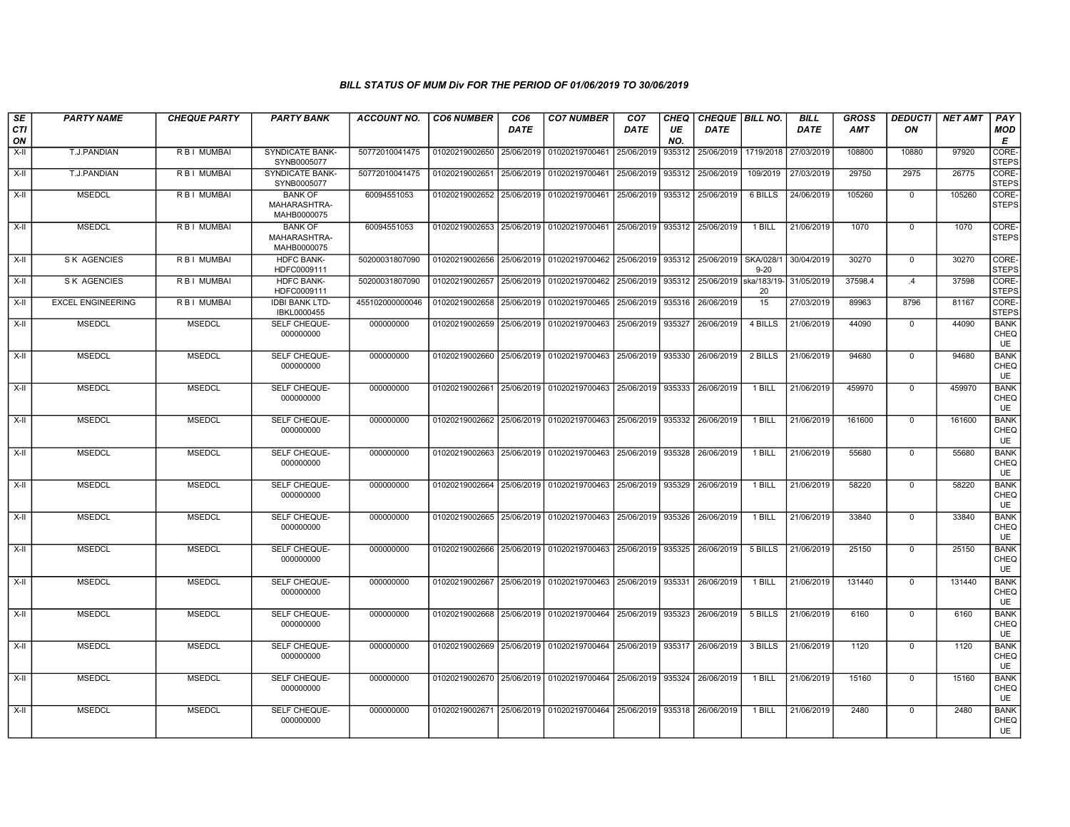| SE<br><b>CTI</b> | <b>PARTY NAME</b>        | <b>CHEQUE PARTY</b> | <b>PARTY BANK</b>                             | <b>ACCOUNT NO.</b> | <b>CO6 NUMBER</b>         | CO <sub>6</sub><br>DATE | <b>CO7 NUMBER</b>                                                               | CO <sub>7</sub><br>DATE | CHEQ<br>UE | CHEQUE   BILL NO.<br><b>DATE</b> |           | <b>BILL</b><br><b>DATE</b> | <b>GROSS</b><br>AMT | <b>DEDUCTI</b><br>ON | <b>NET AMT</b> | PAY<br><b>MOD</b>                |
|------------------|--------------------------|---------------------|-----------------------------------------------|--------------------|---------------------------|-------------------------|---------------------------------------------------------------------------------|-------------------------|------------|----------------------------------|-----------|----------------------------|---------------------|----------------------|----------------|----------------------------------|
| ON               |                          |                     |                                               |                    |                           |                         |                                                                                 |                         | NO.        |                                  |           |                            |                     |                      |                | Е                                |
| X-II             | T.J.PANDIAN              | R B I MUMBAI        | <b>SYNDICATE BANK-</b><br>SYNB0005077         | 50772010041475     | 01020219002650 25/06/2019 |                         | 01020219700461                                                                  | 25/06/2019              | 935312     | 25/06/2019                       | 1719/2018 | 27/03/2019                 | 108800              | 10880                | 97920          | CORE-<br><b>STEPS</b>            |
| X-II             | T.J.PANDIAN              | R B I MUMBAI        | <b>SYNDICATE BANK-</b><br>SYNB0005077         | 50772010041475     | 01020219002651 25/06/2019 |                         | 01020219700461                                                                  | 25/06/2019              | 935312     | 25/06/2019                       | 109/2019  | 27/03/2019                 | 29750               | 2975                 | 26775          | CORE-<br><b>STEPS</b>            |
| X-II             | <b>MSEDCL</b>            | R B I MUMBAI        | <b>BANK OF</b><br>MAHARASHTRA-<br>MAHB0000075 | 60094551053        |                           |                         | 01020219002652 25/06/2019 01020219700461                                        |                         |            | 25/06/2019 935312 25/06/2019     | 6 BILLS   | 24/06/2019                 | 105260              | $\mathbf 0$          | 105260         | CORE-<br><b>STEPS</b>            |
| X-II             | <b>MSEDCL</b>            | R B I MUMBAI        | <b>BANK OF</b><br>MAHARASHTRA-<br>MAHB0000075 | 60094551053        |                           |                         | 01020219002653 25/06/2019 01020219700461 25/06/2019 935312 25/06/2019           |                         |            |                                  | 1 BILL    | 21/06/2019                 | 1070                | $\mathbf{0}$         | 1070           | CORE-<br><b>STEPS</b>            |
| X-II             | <b>S K AGENCIES</b>      | R B I MUMBAI        | <b>HDFC BANK-</b><br>HDFC0009111              | 50200031807090     |                           |                         | 01020219002656 25/06/2019 01020219700462 25/06/2019 935312 25/06/2019 SKA/028/1 |                         |            |                                  | $9 - 20$  | 30/04/2019                 | 30270               | $\mathbf{0}$         | 30270          | CORE-<br><b>STEPS</b>            |
| X-II             | <b>S K AGENCIES</b>      | R B I MUMBAI        | <b>HDFC BANK-</b><br>HDFC0009111              | 50200031807090     | 01020219002657 25/06/2019 |                         | 01020219700462                                                                  | 25/06/2019              | 935312     | 25/06/2019 ska/183/19            | 20        | 31/05/2019                 | 37598.4             | $\mathcal{A}$        | 37598          | CORE-<br><b>STEPS</b>            |
| X-II             | <b>EXCEL ENGINEERING</b> | R B I MUMBAI        | <b>IDBI BANK LTD-</b><br>IBKL0000455          | 455102000000046    | 01020219002658 25/06/2019 |                         | 01020219700465 25/06/2019 935316                                                |                         |            | 26/06/2019                       | 15        | 27/03/2019                 | 89963               | 8796                 | 81167          | CORE-<br><b>STEPS</b>            |
| X-II             | <b>MSEDCL</b>            | <b>MSEDCL</b>       | SELF CHEQUE-<br>000000000                     | 000000000          | 01020219002659 25/06/2019 |                         | 01020219700463 25/06/2019 935327                                                |                         |            | 26/06/2019                       | 4 BILLS   | 21/06/2019                 | 44090               | $\mathbf{0}$         | 44090          | <b>BANK</b><br>CHEQ<br>UE        |
| X-II             | <b>MSEDCL</b>            | <b>MSEDCL</b>       | SELF CHEQUE-<br>000000000                     | 000000000          | 01020219002660            | 25/06/2019              | 01020219700463                                                                  | 25/06/2019 935330       |            | 26/06/2019                       | 2 BILLS   | 21/06/2019                 | 94680               | $\mathbf 0$          | 94680          | <b>BANK</b><br>CHEQ<br><b>UE</b> |
| X-II             | <b>MSEDCL</b>            | <b>MSEDCL</b>       | SELF CHEQUE-<br>000000000                     | 000000000          | 01020219002661            |                         | 25/06/2019   01020219700463   25/06/2019   935333                               |                         |            | 26/06/2019                       | 1 BILL    | 21/06/2019                 | 459970              | $\mathbf{0}$         | 459970         | <b>BANK</b><br>CHEQ<br>UE        |
| X-II             | <b>MSEDCL</b>            | <b>MSEDCL</b>       | SELF CHEQUE-<br>000000000                     | 000000000          |                           |                         | 01020219002662 25/06/2019 01020219700463 25/06/2019 935332                      |                         |            | 26/06/2019                       | 1 BILL    | 21/06/2019                 | 161600              | $\mathbf{0}$         | 161600         | <b>BANK</b><br>CHEQ<br>UE        |
| X-II             | <b>MSEDCL</b>            | <b>MSEDCL</b>       | SELF CHEQUE-<br>000000000                     | 000000000          | 01020219002663            |                         | 25/06/2019 01020219700463                                                       | 25/06/2019 935328       |            | 26/06/2019                       | 1 BILL    | 21/06/2019                 | 55680               | $\mathbf{0}$         | 55680          | <b>BANK</b><br>CHEQ<br>UE        |
| X-II             | <b>MSEDCL</b>            | <b>MSEDCL</b>       | SELF CHEQUE-<br>000000000                     | 000000000          |                           |                         | 01020219002664 25/06/2019 01020219700463 25/06/2019 935329                      |                         |            | 26/06/2019                       | 1 BILL    | 21/06/2019                 | 58220               | $\mathbf{0}$         | 58220          | <b>BANK</b><br>CHEQ<br><b>UE</b> |
| X-II             | <b>MSEDCL</b>            | <b>MSEDCL</b>       | SELF CHEQUE-<br>000000000                     | 000000000          |                           |                         | 01020219002665 25/06/2019 01020219700463 25/06/2019 935326                      |                         |            | 26/06/2019                       | 1 BILL    | 21/06/2019                 | 33840               | $\mathbf 0$          | 33840          | <b>BANK</b><br>CHEQ<br><b>UE</b> |
| X-II             | <b>MSEDCL</b>            | <b>MSEDCL</b>       | SELF CHEQUE-<br>000000000                     | 000000000          | 01020219002666            |                         | 25/06/2019 01020219700463 25/06/2019 935325                                     |                         |            | 26/06/2019                       | 5 BILLS   | 21/06/2019                 | 25150               | $\mathbf{0}$         | 25150          | <b>BANK</b><br>CHEQ<br>UE        |
| X-II             | <b>MSEDCL</b>            | <b>MSEDCL</b>       | SELF CHEQUE-<br>000000000                     | 000000000          | 01020219002667            |                         | 25/06/2019 01020219700463                                                       | 25/06/2019 935331       |            | 26/06/2019                       | 1 BILL    | 21/06/2019                 | 131440              | $\mathbf{0}$         | 131440         | <b>BANK</b><br>CHEQ<br>UE        |
| X-II             | <b>MSEDCL</b>            | <b>MSEDCL</b>       | SELF CHEQUE-<br>000000000                     | 000000000          |                           |                         | 01020219002668 25/06/2019 01020219700464 25/06/2019 935323                      |                         |            | 26/06/2019                       | 5 BILLS   | 21/06/2019                 | 6160                | $\mathbf{0}$         | 6160           | <b>BANK</b><br>CHEQ<br>UE        |
| X-II             | <b>MSEDCL</b>            | <b>MSEDCL</b>       | SELF CHEQUE-<br>000000000                     | 000000000          |                           |                         | 01020219002669 25/06/2019 01020219700464 25/06/2019 935317                      |                         |            | 26/06/2019                       | 3 BILLS   | 21/06/2019                 | 1120                | $\mathbf{0}$         | 1120           | <b>BANK</b><br>CHEQ<br>UE        |
| X-II             | <b>MSEDCL</b>            | <b>MSEDCL</b>       | SELF CHEQUE-<br>000000000                     | 000000000          |                           |                         | 01020219002670 25/06/2019 01020219700464                                        | 25/06/2019 935324       |            | 26/06/2019                       | 1 BILL    | 21/06/2019                 | 15160               | $^{\circ}$           | 15160          | <b>BANK</b><br>CHEQ<br><b>UE</b> |
| X-II             | <b>MSEDCL</b>            | <b>MSEDCL</b>       | <b>SELF CHEQUE-</b><br>000000000              | 000000000          |                           |                         | 01020219002671 25/06/2019 01020219700464 25/06/2019 935318 26/06/2019           |                         |            |                                  | 1 BILL    | 21/06/2019                 | 2480                | $\mathbf{0}$         | 2480           | <b>BANK</b><br>CHEQ<br><b>UE</b> |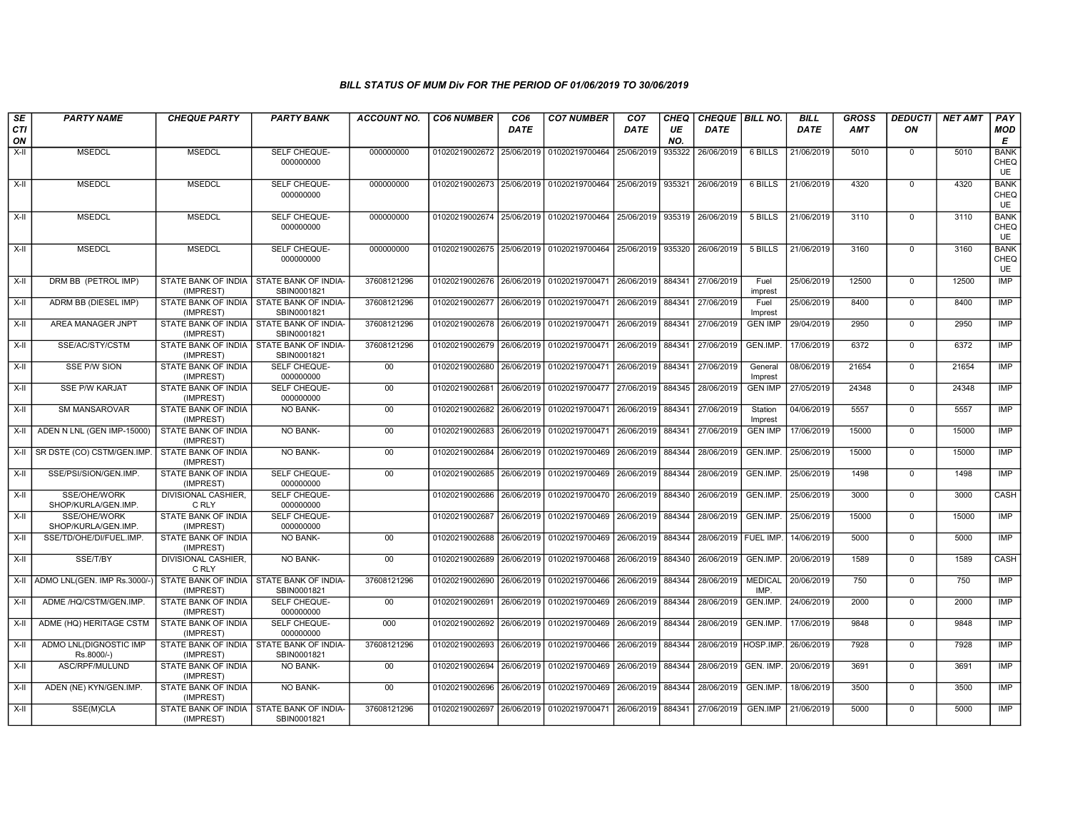| SE               | <b>PARTY NAME</b>                    | <b>CHEQUE PARTY</b>                     | <b>PARTY BANK</b>                                         | <b>ACCOUNT NO.</b> | <b>CO6 NUMBER</b>                        | CO <sub>6</sub> | <b>CO7 NUMBER</b>                                   | CO <sub>7</sub>   | CHEQ      | CHEQUE   BILL NO.      |                        | <b>BILL</b> | <b>GROSS</b> | <b>DEDUCTI</b> | <b>NET AMT</b> | PAY                       |
|------------------|--------------------------------------|-----------------------------------------|-----------------------------------------------------------|--------------------|------------------------------------------|-----------------|-----------------------------------------------------|-------------------|-----------|------------------------|------------------------|-------------|--------------|----------------|----------------|---------------------------|
| <b>CTI</b><br>ON |                                      |                                         |                                                           |                    |                                          | <b>DATE</b>     |                                                     | DATE              | UE<br>NO. | <b>DATE</b>            |                        | <b>DATE</b> | <b>AMT</b>   | ON             |                | <b>MOD</b><br>E           |
| $X-I$            | <b>MSEDCL</b>                        | <b>MSEDCL</b>                           | SELF CHEQUE-<br>000000000                                 | 000000000          | 01020219002672 25/06/2019 01020219700464 |                 |                                                     | 25/06/2019        | 935322    | 26/06/2019             | 6 BILLS                | 21/06/2019  | 5010         | $\mathbf 0$    | 5010           | <b>BANK</b><br>CHEQ<br>UE |
| $X-H$            | <b>MSEDCL</b>                        | <b>MSEDCL</b>                           | SELF CHEQUE-<br>000000000                                 | 000000000          | 01020219002673 25/06/2019 01020219700464 |                 |                                                     | 25/06/2019        | 935321    | 26/06/2019             | 6 BILLS                | 21/06/2019  | 4320         | $\mathbf 0$    | 4320           | <b>BANK</b><br>CHEQ<br>UE |
| $X-H$            | <b>MSEDCL</b>                        | <b>MSEDCL</b>                           | SELF CHEQUE-<br>000000000                                 | 000000000          |                                          |                 | 01020219002674 25/06/2019 01020219700464            | 25/06/2019 935319 |           | 26/06/2019             | 5 BILLS                | 21/06/2019  | 3110         | $\Omega$       | 3110           | <b>BANK</b><br>CHEQ<br>UE |
| X-II             | <b>MSEDCL</b>                        | <b>MSEDCL</b>                           | SELF CHEQUE-<br>000000000                                 | 000000000          | 01020219002675                           |                 | 25/06/2019 01020219700464                           | 25/06/2019        | 935320    | 26/06/2019             | 5 BILLS                | 21/06/2019  | 3160         | $\Omega$       | 3160           | <b>BANK</b><br>CHEQ<br>UE |
| $X-H$            | DRM BB (PETROL IMP)                  | STATE BANK OF INDIA<br>(IMPREST)        | <b>STATE BANK OF INDIA-</b><br>SBIN0001821                | 37608121296        |                                          |                 | 01020219002676 26/06/2019 01020219700471            | 26/06/2019        | 884341    | 27/06/2019             | Fuel<br>imprest        | 25/06/2019  | 12500        | $\overline{0}$ | 12500          | IMP                       |
| X-II             | ADRM BB (DIESEL IMP)                 | STATE BANK OF INDIA<br>(IMPREST)        | STATE BANK OF INDIA-<br>SBIN0001821                       | 37608121296        | 01020219002677                           | 26/06/2019      | 01020219700471                                      | 26/06/2019        | 884341    | 27/06/2019             | Fuel<br>Imprest        | 25/06/2019  | 8400         | $\mathbf 0$    | 8400           | <b>IMP</b>                |
| X-II             | AREA MANAGER JNPT                    | (IMPREST)                               | STATE BANK OF INDIA   STATE BANK OF INDIA-<br>SBIN0001821 | 37608121296        | 01020219002678                           | 26/06/2019      | 01020219700471                                      | 26/06/2019        | 884341    | 27/06/2019             | <b>GEN IMP</b>         | 29/04/2019  | 2950         | $\mathbf 0$    | 2950           | IMP                       |
| $X-H$            | SSE/AC/STY/CSTM                      | (IMPREST)                               | STATE BANK OF INDIA   STATE BANK OF INDIA-<br>SBIN0001821 | 37608121296        | 01020219002679                           | 26/06/2019      | 01020219700471                                      | 26/06/2019        | 884341    | 27/06/2019             | <b>GEN.IMP</b>         | 17/06/2019  | 6372         | $\overline{0}$ | 6372           | <b>IMP</b>                |
| $X-H$            | <b>SSE P/W SION</b>                  | STATE BANK OF INDIA<br>(IMPREST)        | SELF CHEQUE-<br>000000000                                 | 00                 | 01020219002680                           |                 | 26/06/2019 01020219700471                           | 26/06/2019        | 884341    | 27/06/2019             | General<br>Imprest     | 08/06/2019  | 21654        | $\Omega$       | 21654          | IMP                       |
| X-II             | <b>SSE P/W KARJAT</b>                | STATE BANK OF INDIA<br>(IMPREST)        | SELF CHEQUE-<br>000000000                                 | 00                 | 01020219002681                           | 26/06/2019      | 01020219700477                                      | 27/06/2019        | 884345    | 28/06/2019             | <b>GEN IMP</b>         | 27/05/2019  | 24348        | $\mathbf 0$    | 24348          | IMP                       |
| X-II             | <b>SM MANSAROVAR</b>                 | STATE BANK OF INDIA<br>(IMPREST)        | NO BANK-                                                  | 00                 | 01020219002682                           | 26/06/2019      | 01020219700471                                      | 26/06/2019        | 884341    | 27/06/2019             | Station<br>Imprest     | 04/06/2019  | 5557         | $\Omega$       | 5557           | <b>IMP</b>                |
| X-II             | ADEN N LNL (GEN IMP-15000)           | STATE BANK OF INDIA<br>(IMPREST)        | <b>NO BANK-</b>                                           | 00                 | 01020219002683                           | 26/06/2019      | 01020219700471                                      | 26/06/2019        | 884341    | 27/06/2019             | <b>GEN IMP</b>         | 17/06/2019  | 15000        | $\mathbf 0$    | 15000          | <b>IMP</b>                |
|                  | X-II   SR DSTE (CO) CSTM/GEN.IMP.    | <b>STATE BANK OF INDIA</b><br>(IMPREST) | <b>NO BANK-</b>                                           | 00                 | 01020219002684                           |                 | 26/06/2019 01020219700469                           | 26/06/2019        | 884344    | 28/06/2019             | <b>GEN.IMP</b>         | 25/06/2019  | 15000        | $\Omega$       | 15000          | IMP                       |
| X-II             | SSE/PSI/SION/GEN.IMP.                | <b>STATE BANK OF INDIA</b><br>(IMPREST) | SELF CHEQUE-<br>000000000                                 | 00                 |                                          |                 | 01020219002685 26/06/2019 01020219700469 26/06/2019 |                   | 884344    | 28/06/2019             | GEN.IMP.               | 25/06/2019  | 1498         | $\Omega$       | 1498           | IMP                       |
| X-II             | SSE/OHE/WORK<br>SHOP/KURLA/GEN.IMP.  | DIVISIONAL CASHIER.<br>C RLY            | SELF CHEQUE-<br>000000000                                 |                    | 01020219002686                           | 26/06/2019      | 01020219700470                                      | 26/06/2019        | 884340    | 26/06/2019             | GEN.IMP                | 25/06/2019  | 3000         | $\mathbf 0$    | 3000           | CASH                      |
| $X-H$            | SSE/OHE/WORK<br>SHOP/KURLA/GEN.IMP.  | STATE BANK OF INDIA<br>(IMPREST)        | SELF CHEQUE-<br>000000000                                 |                    | 01020219002687                           | 26/06/2019      | 01020219700469                                      | 26/06/2019        | 884344    | 28/06/2019             | <b>GEN.IMP</b>         | 25/06/2019  | 15000        | $\Omega$       | 15000          | IMP                       |
| $X-H$            | SSE/TD/OHE/DI/FUEL.IMP.              | <b>STATE BANK OF INDIA</b><br>(IMPREST) | NO BANK-                                                  | 00                 | 01020219002688                           | 26/06/2019      | 01020219700469                                      | 26/06/2019        | 884344    | 28/06/2019   FUEL IMP. |                        | 14/06/2019  | 5000         | $\mathbf 0$    | 5000           | IMP                       |
| $X-H$            | SSE/T/BY                             | <b>DIVISIONAL CASHIER.</b><br>C RLY     | <b>NO BANK-</b>                                           | 00                 | 01020219002689                           |                 | 26/06/2019 01020219700468 26/06/2019                |                   | 884340    | 26/06/2019             | GEN.IMP                | 20/06/2019  | 1589         | $\mathbf 0$    | 1589           | CASH                      |
|                  | X-II ADMO LNL(GEN. IMP Rs.3000/-     | STATE BANK OF INDIA<br>(IMPREST)        | STATE BANK OF INDIA-<br>SBIN0001821                       | 37608121296        | 01020219002690                           | 26/06/2019      | 01020219700466                                      | 26/06/2019        | 884344    | 28/06/2019             | <b>MEDICAL</b><br>IMP. | 20/06/2019  | 750          | $^{\circ}$     | 750            | IMP                       |
| X-II             | ADME /HQ/CSTM/GEN.IMP.               | <b>STATE BANK OF INDIA</b><br>(IMPREST) | SELF CHEQUE-<br>000000000                                 | 00                 | 01020219002691                           | 26/06/2019      | 01020219700469                                      | 26/06/2019        | 884344    | 28/06/2019             | <b>GEN.IMP</b>         | 24/06/2019  | 2000         | $\Omega$       | 2000           | IMP                       |
| X-II             | ADME (HQ) HERITAGE CSTM              | <b>STATE BANK OF INDIA</b><br>(IMPREST) | SELF CHEQUE-<br>000000000                                 | 000                | 01020219002692                           | 26/06/2019      | 01020219700469                                      | 26/06/2019        | 884344    | 28/06/2019             | <b>GEN.IMP</b>         | 17/06/2019  | 9848         | $\Omega$       | 9848           | <b>IMP</b>                |
| $X-II$           | ADMO LNL(DIGNOSTIC IMP<br>Rs.8000/-) | (IMPREST)                               | STATE BANK OF INDIA I STATE BANK OF INDIA-<br>SBIN0001821 | 37608121296        | 01020219002693                           |                 | 26/06/2019 01020219700466                           | 26/06/2019        | 884344    | 28/06/2019 HOSP.IMP.   |                        | 26/06/2019  | 7928         | $\mathbf 0$    | 7928           | IMP                       |
| X-II             | ASC/RPF/MULUND                       | STATE BANK OF INDIA<br>(IMPREST)        | NO BANK-                                                  | 00 <sup>°</sup>    | 01020219002694                           | 26/06/2019      | 01020219700469                                      | 26/06/2019        | 884344    | 28/06/2019 GEN. IMP.   |                        | 20/06/2019  | 3691         | $\Omega$       | 3691           | <b>IMP</b>                |
| X-II             | ADEN (NE) KYN/GEN.IMP.               | STATE BANK OF INDIA<br>(IMPREST)        | NO BANK-                                                  | 00                 | 01020219002696                           | 26/06/2019      | 01020219700469                                      | 26/06/2019        | 884344    | 28/06/2019             | GEN.IMP.               | 18/06/2019  | 3500         | $\mathbf 0$    | 3500           | IMP                       |
| X-II             | SSE(M)CLA                            | (IMPREST)                               | STATE BANK OF INDIA I STATE BANK OF INDIA-<br>SBIN0001821 | 37608121296        | 01020219002697                           |                 | 26/06/2019 01020219700471 26/06/2019                |                   |           | 884341 27/06/2019      | GEN.IMP                | 21/06/2019  | 5000         | $\Omega$       | 5000           | IMP                       |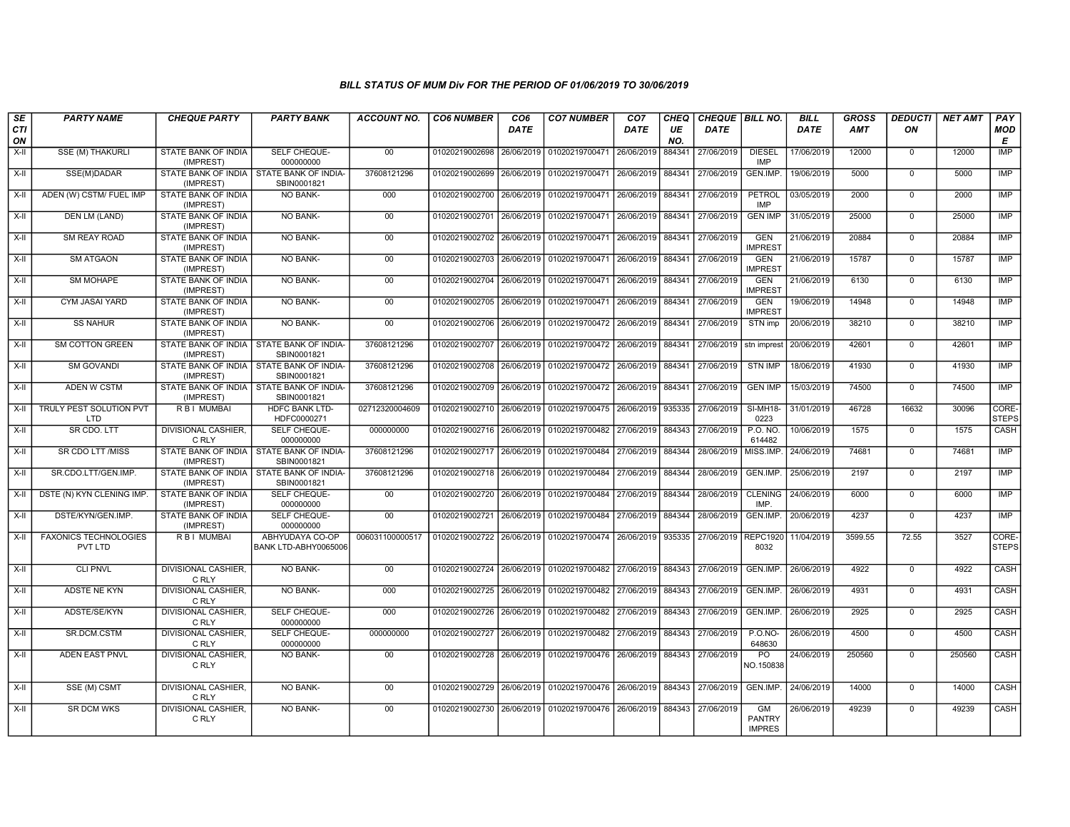| SE<br><b>CTI</b> | <b>PARTY NAME</b>                            | <b>CHEQUE PARTY</b>                     | <b>PARTY BANK</b>                                         | <b>ACCOUNT NO.</b> | <b>CO6 NUMBER</b>         | CO <sub>6</sub><br><b>DATE</b> | <b>CO7 NUMBER</b>                                   | CO <sub>7</sub><br>DATE | <b>CHEQ</b><br>UE | CHEQUE BILL NO.<br><b>DATE</b> |                                      | <b>BILL</b><br><b>DATE</b> | <b>GROSS</b><br><b>AMT</b> | <b>DEDUCTI</b><br>ON | <b>NET AMT</b> | $PA\overline{Y}$<br><b>MOD</b> |
|------------------|----------------------------------------------|-----------------------------------------|-----------------------------------------------------------|--------------------|---------------------------|--------------------------------|-----------------------------------------------------|-------------------------|-------------------|--------------------------------|--------------------------------------|----------------------------|----------------------------|----------------------|----------------|--------------------------------|
| ON               |                                              |                                         |                                                           |                    |                           |                                |                                                     |                         | NO.               |                                |                                      |                            |                            |                      |                | E                              |
| X-II             | <b>SSE (M) THAKURLI</b>                      | STATE BANK OF INDIA<br>(IMPREST)        | SELF CHEQUE-<br>000000000                                 | 00 <sup>°</sup>    | 01020219002698            | 26/06/2019                     | 01020219700471                                      | 26/06/2019              | 884341            | 27/06/2019                     | <b>DIESEL</b><br>IMP                 | 17/06/2019                 | 12000                      | $\Omega$             | 12000          | <b>IMP</b>                     |
| X-II             | SSE(M)DADAR                                  | (IMPREST)                               | STATE BANK OF INDIA   STATE BANK OF INDIA-<br>SBIN0001821 | 37608121296        | 01020219002699            |                                | 26/06/2019 01020219700471                           | 26/06/2019              | 884341            | 27/06/2019                     | GEN.IMP.                             | 19/06/2019                 | 5000                       | $\Omega$             | 5000           | IMP                            |
| X-II             | ADEN (W) CSTM/ FUEL IMP                      | STATE BANK OF INDIA<br>(IMPREST)        | <b>NO BANK-</b>                                           | 000                | 01020219002700            | 26/06/2019                     | 01020219700471                                      | 26/06/2019              | 884341            | 27/06/2019                     | PETROL<br><b>IMP</b>                 | 03/05/2019                 | 2000                       | $\Omega$             | 2000           | <b>IMP</b>                     |
| $X-H$            | <b>DEN LM (LAND)</b>                         | <b>STATE BANK OF INDIA</b><br>(IMPREST) | <b>NO BANK-</b>                                           | 00                 | 01020219002701            | 26/06/2019                     | 01020219700471                                      | 26/06/2019              | 884341            | 27/06/2019                     | <b>GEN IMP</b>                       | 31/05/2019                 | 25000                      | $\mathbf 0$          | 25000          | IMP                            |
| X-II             | <b>SM REAY ROAD</b>                          | STATE BANK OF INDIA<br>(IMPREST)        | <b>NO BANK-</b>                                           | 00                 | 01020219002702            | 26/06/2019                     | 01020219700471                                      | 26/06/2019              | 884341            | 27/06/2019                     | <b>GEN</b><br><b>IMPREST</b>         | 21/06/2019                 | 20884                      | $\Omega$             | 20884          | IMP                            |
| X-II             | <b>SM ATGAON</b>                             | STATE BANK OF INDIA<br>(IMPREST)        | NO BANK-                                                  | $00\,$             | 01020219002703            | 26/06/2019                     | 01020219700471                                      | 26/06/2019              | 884341            | 27/06/2019                     | <b>GEN</b><br><b>IMPREST</b>         | 21/06/2019                 | 15787                      | $\Omega$             | 15787          | <b>IMP</b>                     |
| X-II             | <b>SM MOHAPE</b>                             | STATE BANK OF INDIA<br>(IMPREST)        | <b>NO BANK-</b>                                           | 00                 | 01020219002704            | 26/06/2019                     | 01020219700471                                      | 26/06/2019              | 884341            | 27/06/2019                     | <b>GEN</b><br><b>IMPREST</b>         | 21/06/2019                 | 6130                       | $\Omega$             | 6130           | <b>IMP</b>                     |
| X-II             | <b>CYM JASAI YARD</b>                        | STATE BANK OF INDIA<br>(IMPREST)        | <b>NO BANK-</b>                                           | 00                 | 01020219002705            |                                | 26/06/2019 01020219700471                           | 26/06/2019              | 884341            | 27/06/2019                     | <b>GEN</b><br><b>IMPREST</b>         | 19/06/2019                 | 14948                      | $\Omega$             | 14948          | IMP                            |
| X-II             | <b>SS NAHUR</b>                              | STATE BANK OF INDIA<br>(IMPREST)        | <b>NO BANK-</b>                                           | 00                 | 01020219002706            |                                | 26/06/2019 01020219700472                           | 26/06/2019              | 884341            | 27/06/2019                     | STN imp                              | 20/06/2019                 | 38210                      | $\mathbf 0$          | 38210          | <b>IMP</b>                     |
| X-II             | <b>SM COTTON GREEN</b>                       | STATE BANK OF INDIA<br>(IMPREST)        | STATE BANK OF INDIA-<br>SBIN0001821                       | 37608121296        | 01020219002707            |                                | 26/06/2019 01020219700472                           | 26/06/2019              | 884341            | 27/06/2019                     | stn imprest                          | 20/06/2019                 | 42601                      | $\mathbf 0$          | 42601          | <b>IMP</b>                     |
| X-II             | <b>SM GOVANDI</b>                            | (IMPREST)                               | STATE BANK OF INDIA STATE BANK OF INDIA-<br>SBIN0001821   | 37608121296        | 01020219002708            | 26/06/2019                     | 01020219700472                                      | 26/06/2019              | 884341            | 27/06/2019                     | <b>STN IMP</b>                       | 18/06/2019                 | 41930                      | $\mathbf 0$          | 41930          | <b>IMP</b>                     |
| X-II             | <b>ADEN W CSTM</b>                           | STATE BANK OF INDIA<br>(IMPREST)        | STATE BANK OF INDIA-<br>SBIN0001821                       | 37608121296        | 01020219002709            | 26/06/2019                     | 01020219700472 26/06/2019                           |                         | 884341            | 27/06/2019                     | <b>GEN IMP</b>                       | 15/03/2019                 | 74500                      | $\Omega$             | 74500          | <b>IMP</b>                     |
|                  | X-II   TRULY PEST SOLUTION PVT<br><b>LTD</b> | <b>RBI MUMBAL</b>                       | <b>HDFC BANK LTD-</b><br>HDFC0000271                      | 02712320004609     | 01020219002710            | 26/06/2019                     | 01020219700475 26/06/2019                           |                         | 935335            | 27/06/2019                     | SI-MH18-<br>0223                     | 31/01/2019                 | 46728                      | 16632                | 30096          | CORE-<br><b>STEPS</b>          |
| X-II             | SR CDO. LTT                                  | DIVISIONAL CASHIER,<br>C RLY            | SELF CHEQUE-<br>000000000                                 | 000000000          | 01020219002716 26/06/2019 |                                | 01020219700482                                      | 27/06/2019              | 884343            | 27/06/2019                     | P.O. NO.<br>614482                   | 10/06/2019                 | 1575                       | $\Omega$             | 1575           | CASH                           |
| $X-II$           | SR CDO LTT /MISS                             | STATE BANK OF INDIA<br>(IMPREST)        | <b>STATE BANK OF INDIA-</b><br>SBIN0001821                | 37608121296        | 01020219002717            | 26/06/2019                     | 01020219700484                                      | 27/06/2019              | 884344            | 28/06/2019                     | MISS.IMP.                            | 24/06/2019                 | 74681                      | $\mathbf 0$          | 74681          | IMP                            |
| X-II             | SR.CDO.LTT/GEN.IMP.                          | (IMPREST)                               | STATE BANK OF INDIA STATE BANK OF INDIA-<br>SBIN0001821   | 37608121296        |                           |                                | 01020219002718 26/06/2019 01020219700484            | 27/06/2019              | 884344            | 28/06/2019                     | GEN.IMP                              | 25/06/2019                 | 2197                       | $\mathbf 0$          | 2197           | <b>IMP</b>                     |
| X-II             | DSTE (N) KYN CLENING IMP                     | <b>STATE BANK OF INDIA</b><br>(IMPREST) | SELF CHEQUE-<br>000000000                                 | 00                 | 01020219002720            |                                | 26/06/2019 01020219700484                           | 27/06/2019              | 884344            | 28/06/2019                     | <b>CLENING</b><br>IMP.               | 24/06/2019                 | 6000                       | $\Omega$             | 6000           | IMP                            |
| X-II             | DSTE/KYN/GEN.IMP.                            | STATE BANK OF INDIA<br>(IMPREST)        | SELF CHEQUE-<br>000000000                                 | $00\,$             | 01020219002721            | 26/06/2019                     | 01020219700484                                      | 27/06/2019              | 884344            | 28/06/2019                     | GEN.IMP.                             | 20/06/2019                 | 4237                       | $\Omega$             | 4237           | IMP                            |
| $X-II$           | <b>FAXONICS TECHNOLOGIES</b><br>PVT LTD      | R B I MUMBAI                            | ABHYUDAYA CO-OP<br>BANK LTD-ABHY0065006                   | 006031100000517    | 01020219002722            | 26/06/2019                     | 01020219700474                                      | 26/06/2019 935335       |                   | 27/06/2019                     | <b>REPC1920</b><br>8032              | 11/04/2019                 | 3599.55                    | 72.55                | 3527           | CORE-<br><b>STEPS</b>          |
| X-II             | <b>CLI PNVL</b>                              | DIVISIONAL CASHIER,<br>C RLY            | <b>NO BANK-</b>                                           | $00\,$             | 01020219002724            |                                | 26/06/2019 01020219700482                           | 27/06/2019              | 884343            | 27/06/2019                     | GEN.IMP.                             | 26/06/2019                 | 4922                       | $\Omega$             | 4922           | CASH                           |
| X-II             | ADSTE NE KYN                                 | DIVISIONAL CASHIER,<br>C RLY            | NO BANK-                                                  | 000                | 01020219002725            | 26/06/2019                     | 01020219700482                                      | 27/06/2019              | 884343            | 27/06/2019                     | GEN.IMP                              | 26/06/2019                 | 4931                       | $\overline{0}$       | 4931           | CASH                           |
| $X-H$            | ADSTE/SE/KYN                                 | <b>DIVISIONAL CASHIER,</b><br>C RLY     | SELF CHEQUE-<br>000000000                                 | 000                | 01020219002726            |                                | 26/06/2019 01020219700482 27/06/2019                |                         | 884343            | 27/06/2019                     | GEN.IMP.                             | 26/06/2019                 | 2925                       | $\mathbf 0$          | 2925           | CASH                           |
| X-II             | SR.DCM.CSTM                                  | <b>DIVISIONAL CASHIER.</b><br>C RLY     | SELF CHEQUE-<br>000000000                                 | 000000000          | 01020219002727            |                                | 26/06/2019 01020219700482                           | 27/06/2019              | 884343            | 27/06/2019                     | $P. O. NO -$<br>648630               | 26/06/2019                 | 4500                       | $\mathbf 0$          | 4500           | CASH                           |
| X-II             | ADEN EAST PNVL                               | DIVISIONAL CASHIER,<br>C RLY            | <b>NO BANK-</b>                                           | $00\,$             | 01020219002728            |                                | 26/06/2019 01020219700476 26/06/2019                |                         | 884343            | 27/06/2019                     | PO<br>NO.150838                      | 24/06/2019                 | 250560                     | $\Omega$             | 250560         | CASH                           |
| X-II             | SSE (M) CSMT                                 | <b>DIVISIONAL CASHIER,</b><br>C RLY     | <b>NO BANK-</b>                                           | 00                 |                           |                                | 01020219002729 26/06/2019 01020219700476 26/06/2019 |                         | 884343            | 27/06/2019                     | GEN.IMP.                             | 24/06/2019                 | 14000                      | $\mathbf 0$          | 14000          | CASH                           |
| X-II             | <b>SR DCM WKS</b>                            | <b>DIVISIONAL CASHIER.</b><br>C RLY     | NO BANK-                                                  | 00                 | 01020219002730            |                                | 26/06/2019 01020219700476 26/06/2019                |                         | 884343            | 27/06/2019                     | GM<br><b>PANTRY</b><br><b>IMPRES</b> | 26/06/2019                 | 49239                      | $\Omega$             | 49239          | CASH                           |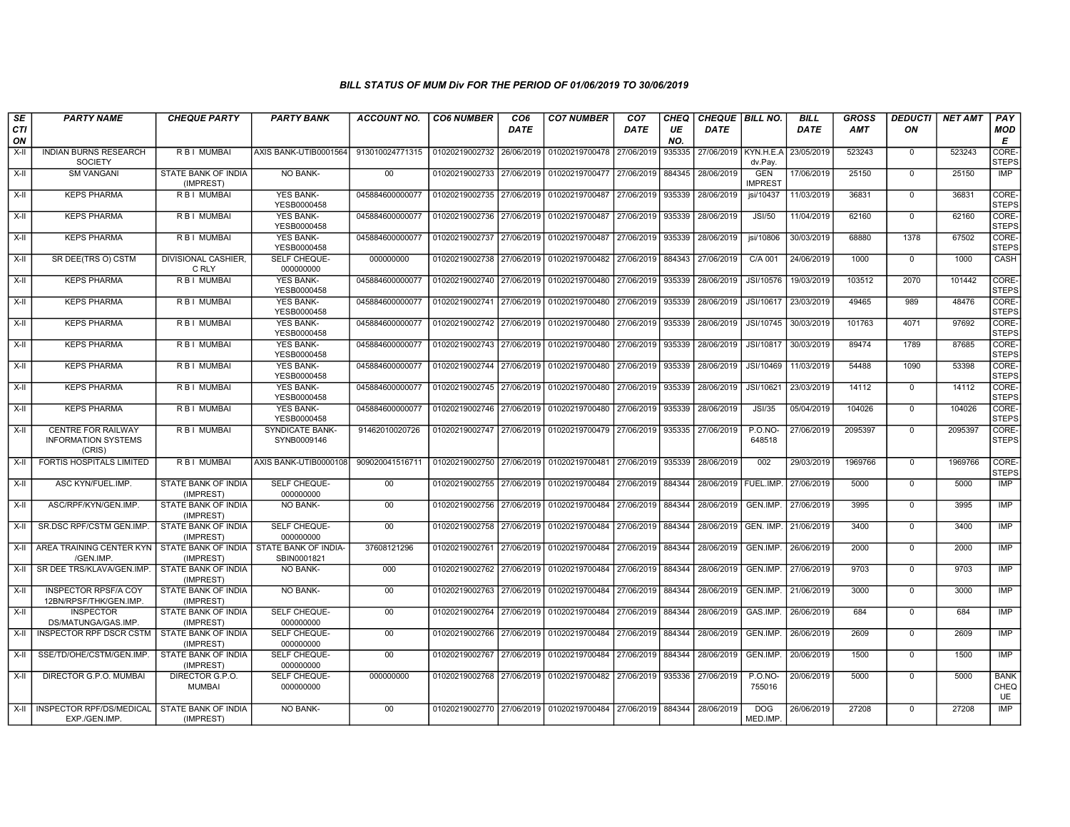| SE<br><b>CTI</b><br>ON | <b>PARTY NAME</b>                                                 | <b>CHEQUE PARTY</b>              | <b>PARTY BANK</b>                   | <b>ACCOUNT NO.</b>                                             | <b>CO6 NUMBER</b>                        | CO <sub>6</sub><br><b>DATE</b> | <b>CO7 NUMBER</b>                                          | CO <sub>7</sub><br><b>DATE</b> | <b>CHEQ</b><br>UE<br>NO. | <b>CHEQUE   BILL NO.</b><br><b>DATE</b> |                              | <b>BILL</b><br><b>DATE</b> | <b>GROSS</b><br><b>AMT</b> | <b>DEDUCTI</b><br>ON | <b>NET AMT</b> | PAY<br><b>MOD</b><br>E      |
|------------------------|-------------------------------------------------------------------|----------------------------------|-------------------------------------|----------------------------------------------------------------|------------------------------------------|--------------------------------|------------------------------------------------------------|--------------------------------|--------------------------|-----------------------------------------|------------------------------|----------------------------|----------------------------|----------------------|----------------|-----------------------------|
| X-II                   | <b>INDIAN BURNS RESEARCH</b><br><b>SOCIETY</b>                    | R B I MUMBAI                     | AXIS BANK-UTIB0001564               | 913010024771315                                                | 01020219002732 26/06/2019                |                                | 01020219700478 27/06/2019                                  |                                | 935335                   | 27/06/2019   KYN.H.E.A                  | dv.Pay.                      | 23/05/2019                 | 523243                     | $\mathbf 0$          | 523243         | <b>CORE</b><br><b>STEPS</b> |
| $X-H$                  | <b>SM VANGANI</b>                                                 | STATE BANK OF INDIA<br>(IMPREST) | <b>NO BANK-</b>                     | 00                                                             | 01020219002733 27/06/2019                |                                | 01020219700477                                             | 27/06/2019                     | 884345                   | 28/06/2019                              | <b>GEN</b><br><b>IMPREST</b> | 17/06/2019                 | 25150                      | $\Omega$             | 25150          | IMP                         |
| X-II                   | <b>KEPS PHARMA</b>                                                | <b>RBI MUMBAI</b>                | <b>YES BANK-</b><br>YESB0000458     | 045884600000077                                                | 01020219002735 27/06/2019                |                                | 01020219700487                                             | 27/06/2019                     | 935339                   | 28/06/2019                              | jsi/10437                    | 11/03/2019                 | 36831                      | $\Omega$             | 36831          | CORE-<br><b>STEPS</b>       |
| $X-H$                  | <b>KEPS PHARMA</b>                                                | <b>RBI MUMBAI</b>                | <b>YES BANK-</b><br>YESB0000458     | 045884600000077                                                | 01020219002736 27/06/2019                |                                | 01020219700487                                             | 27/06/2019                     | 935339                   | 28/06/2019                              | JSI/50                       | 11/04/2019                 | 62160                      | $\mathbf 0$          | 62160          | CORE-<br><b>STEPS</b>       |
| $X-H$                  | <b>KEPS PHARMA</b>                                                | <b>RBI MUMBAI</b>                | <b>YES BANK-</b><br>YESB0000458     | 045884600000077                                                | 01020219002737 27/06/2019                |                                | 01020219700487                                             | 27/06/2019                     | 935339                   | 28/06/2019                              | jsi/10806                    | 30/03/2019                 | 68880                      | 1378                 | 67502          | CORE-<br><b>STEPS</b>       |
| X-II                   | SR DEE(TRS O) CSTM                                                | DIVISIONAL CASHIER,<br>C RLY     | SELF CHEQUE-<br>000000000           | 000000000                                                      |                                          |                                | 01020219002738 27/06/2019 01020219700482                   | 27/06/2019 884343              |                          | 27/06/2019                              | C/A 001                      | 24/06/2019                 | 1000                       | $\mathbf 0$          | 1000           | CASH                        |
| $X-H$                  | <b>KEPS PHARMA</b>                                                | R B I MUMBAI                     | <b>YES BANK-</b><br>YESB0000458     | 045884600000077                                                | 01020219002740 27/06/2019                |                                | 01020219700480 27/06/2019                                  |                                | 935339                   | 28/06/2019                              | JSI/10576                    | 19/03/2019                 | 103512                     | 2070                 | 101442         | CORE-<br><b>STEPS</b>       |
| $X-H$                  | <b>KEPS PHARMA</b>                                                | <b>RBI MUMBAI</b>                | <b>YES BANK-</b><br>YESB0000458     | 045884600000077                                                |                                          |                                | 01020219002741 27/06/2019 01020219700480 27/06/2019        |                                | 935339                   | 28/06/2019                              | JSI/10617                    | 23/03/2019                 | 49465                      | 989                  | 48476          | CORE-<br><b>STEPS</b>       |
| X-II                   | <b>KEPS PHARMA</b>                                                | R B I MUMBAI                     | <b>YES BANK-</b><br>YESB0000458     | 045884600000077                                                | 01020219002742 27/06/2019 01020219700480 |                                |                                                            | 27/06/2019                     | 935339                   | 28/06/2019                              | JSI/10745                    | 30/03/2019                 | 101763                     | 4071                 | 97692          | CORE-<br><b>STEPS</b>       |
| $X-II$                 | <b>KEPS PHARMA</b>                                                | <b>RBI MUMBAI</b>                | <b>YES BANK-</b><br>YESB0000458     | 045884600000077                                                | 01020219002743 27/06/2019                |                                | 01020219700480 27/06/2019                                  |                                | 935339                   | 28/06/2019                              | JSI/10817                    | 30/03/2019                 | 89474                      | 1789                 | 87685          | CORE-<br><b>STEPS</b>       |
| $X-II$                 | <b>KEPS PHARMA</b>                                                | <b>RBI MUMBAI</b>                | <b>YES BANK-</b><br>YESB0000458     | 045884600000077                                                |                                          |                                | 01020219002744 27/06/2019 01020219700480                   | 27/06/2019 935339              |                          | 28/06/2019                              | JSI/10469                    | 11/03/2019                 | 54488                      | 1090                 | 53398          | CORE-<br><b>STEPS</b>       |
| $X-H$                  | <b>KEPS PHARMA</b>                                                | <b>RBI MUMBAI</b>                | <b>YES BANK-</b><br>YESB0000458     | 045884600000077                                                | 01020219002745 27/06/2019                |                                | 01020219700480                                             | 27/06/2019                     | 935339                   | 28/06/2019                              | JSI/10621                    | 23/03/2019                 | 14112                      | $\overline{0}$       | 14112          | CORE-<br><b>STEPS</b>       |
| $X-H$                  | <b>KEPS PHARMA</b>                                                | <b>RBI MUMBAI</b>                | <b>YES BANK-</b><br>YESB0000458     | 045884600000077                                                |                                          |                                | 01020219002746 27/06/2019 01020219700480 27/06/2019 935339 |                                |                          | 28/06/2019                              | JSI/35                       | 05/04/2019                 | 104026                     | $\Omega$             | 104026         | CORE-<br><b>STEPS</b>       |
| X-II                   | <b>CENTRE FOR RAILWAY</b><br><b>INFORMATION SYSTEMS</b><br>(CRIS) | R B I MUMBAI                     | SYNDICATE BANK-<br>SYNB0009146      | 91462010020726                                                 |                                          |                                | 01020219002747 27/06/2019 01020219700479                   | 27/06/2019                     | 935335                   | 27/06/2019                              | <b>P.O.NO-</b><br>648518     | 27/06/2019                 | 2095397                    | $\mathbf 0$          | 2095397        | CORE-<br><b>STEPS</b>       |
| X-II                   | FORTIS HOSPITALS LIMITED                                          | R B I MUMBAI                     | AXIS BANK-UTIB0000108               | 909020041516711   01020219002750   27/06/2019   01020219700481 |                                          |                                |                                                            | 27/06/2019                     | 935339                   | 28/06/2019                              | 002                          | 29/03/2019                 | 1969766                    | $\Omega$             | 1969766        | CORE-<br><b>STEPS</b>       |
| $X-II$                 | ASC KYN/FUEL.IMP.                                                 | STATE BANK OF INDIA<br>(IMPREST) | SELF CHEQUE-<br>000000000           | 00                                                             | 01020219002755 27/06/2019                |                                | 01020219700484                                             | 27/06/2019                     | 884344                   | 28/06/2019                              | FUEL.IMP.                    | 27/06/2019                 | 5000                       | $\Omega$             | 5000           | IMP                         |
| X-II                   | ASC/RPF/KYN/GEN.IMP.                                              | STATE BANK OF INDIA<br>(IMPREST) | <b>NO BANK-</b>                     | 00                                                             | 01020219002756 27/06/2019                |                                | 01020219700484                                             | 27/06/2019 884344              |                          | 28/06/2019                              | GEN.IMP                      | 27/06/2019                 | 3995                       | $\Omega$             | 3995           | IMP                         |
| $X-II$                 | SR.DSC RPF/CSTM GEN.IMP                                           | STATE BANK OF INDIA<br>(IMPREST) | SELF CHEQUE-<br>000000000           | $00\,$                                                         | 01020219002758 27/06/2019                |                                | 01020219700484                                             | 27/06/2019                     | 884344                   | 28/06/2019                              | GEN. IMP.                    | 21/06/2019                 | 3400                       | $\mathbf 0$          | 3400           | IMP                         |
| $X-H$                  | AREA TRAINING CENTER KYN<br>/GEN.IMP.                             | STATE BANK OF INDIA<br>(IMPREST) | STATE BANK OF INDIA-<br>SBIN0001821 | 37608121296                                                    |                                          |                                | 01020219002761 27/06/2019 01020219700484                   | 27/06/2019                     | 884344                   | 28/06/2019                              | GEN.IMP.                     | 26/06/2019                 | 2000                       | $\Omega$             | 2000           | IMP                         |
| X-II                   | SR DEE TRS/KLAVA/GEN.IMP.                                         | STATE BANK OF INDIA<br>(IMPREST) | NO BANK-                            | 000                                                            | 01020219002762 27/06/2019                |                                | 01020219700484                                             | 27/06/2019                     | 884344                   | 28/06/2019                              | GEN.IMP.                     | 27/06/2019                 | 9703                       | $\Omega$             | 9703           | <b>IMP</b>                  |
| $X-II$                 | <b>INSPECTOR RPSF/A COY</b><br>12BN/RPSF/THK/GEN.IMP.             | STATE BANK OF INDIA<br>(IMPREST) | NO BANK-                            | $00\,$                                                         | 01020219002763                           | 27/06/2019                     | 01020219700484                                             | 27/06/2019                     | 884344                   | 28/06/2019                              | GEN.IMP.                     | 21/06/2019                 | 3000                       | $\mathbf 0$          | 3000           | IMP                         |
| X-II                   | <b>INSPECTOR</b><br>DS/MATUNGA/GAS.IMP                            | STATE BANK OF INDIA<br>(IMPREST) | SELF CHEQUE-<br>000000000           | 00 <sup>1</sup>                                                |                                          |                                | 01020219002764 27/06/2019 01020219700484                   | 27/06/2019                     | 884344                   | 28/06/2019                              | GAS.IMP.                     | 26/06/2019                 | 684                        | $\Omega$             | 684            | <b>IMP</b>                  |
| X-II                   | INSPECTOR RPF DSCR CSTM                                           | STATE BANK OF INDIA<br>(IMPREST) | SELF CHEQUE-<br>000000000           | 00                                                             | 01020219002766 27/06/2019                |                                | 01020219700484                                             | 27/06/2019                     | 884344                   | 28/06/2019                              | GEN.IMP.                     | 26/06/2019                 | 2609                       | $\mathbf 0$          | 2609           | IMP                         |
| X-II                   | SSE/TD/OHE/CSTM/GEN.IMP                                           | STATE BANK OF INDIA<br>(IMPREST) | SELF CHEQUE-<br>000000000           | $00\,$                                                         | 01020219002767 27/06/2019                |                                | 01020219700484                                             | 27/06/2019                     | 884344                   | 28/06/2019                              | GEN.IMP.                     | 20/06/2019                 | 1500                       | $\Omega$             | 1500           | IMP                         |
| X-II                   | DIRECTOR G.P.O. MUMBAI                                            | DIRECTOR G.P.O.<br><b>MUMBAI</b> | SELF CHEQUE-<br>000000000           | 000000000                                                      |                                          |                                | 01020219002768 27/06/2019 01020219700482                   | 27/06/2019                     | 935336                   | 27/06/2019                              | <b>P.O.NO-</b><br>755016     | 20/06/2019                 | 5000                       | $\mathbf 0$          | 5000           | <b>BANK</b><br>CHEQ<br>UE   |
| X-II                   | INSPECTOR RPF/DS/MEDICAL<br>EXP./GEN.IMP.                         | STATE BANK OF INDIA<br>(IMPREST) | <b>NO BANK-</b>                     | 00                                                             |                                          |                                | 01020219002770 27/06/2019 01020219700484 27/06/2019        |                                | 884344                   | 28/06/2019                              | <b>DOG</b><br>MED.IMP.       | 26/06/2019                 | 27208                      | $\mathbf 0$          | 27208          | <b>IMP</b>                  |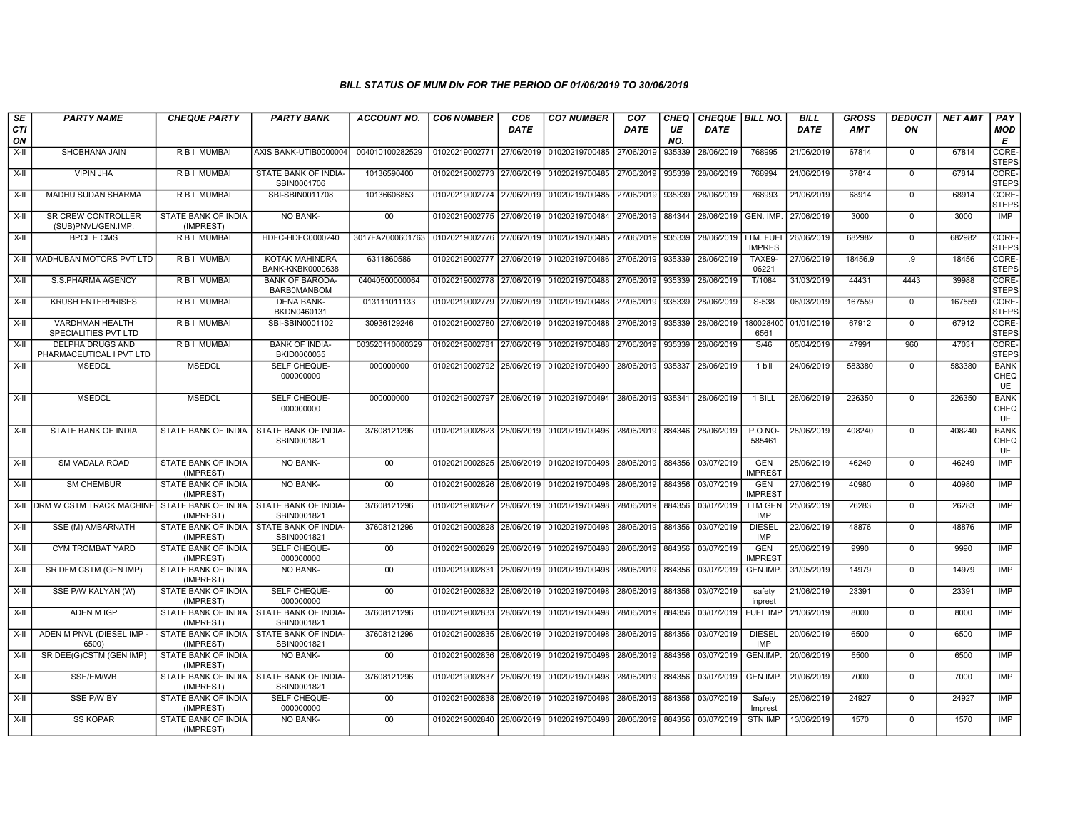| SE        | <b>PARTY NAME</b>                               | <b>CHEQUE PARTY</b>                     | <b>PARTY BANK</b>                                         | <b>ACCOUNT NO.</b> | <b>CO6 NUMBER</b>         | CO <sub>6</sub> | <b>CO7 NUMBER</b>                                                     | CO <sub>7</sub>   | <b>CHEQ</b> | CHEQUE BILL NO. |                              | <b>BILL</b> | <b>GROSS</b> | <b>DEDUCTI</b> | <b>NET AMT</b> | PAY                              |
|-----------|-------------------------------------------------|-----------------------------------------|-----------------------------------------------------------|--------------------|---------------------------|-----------------|-----------------------------------------------------------------------|-------------------|-------------|-----------------|------------------------------|-------------|--------------|----------------|----------------|----------------------------------|
| CTI<br>ON |                                                 |                                         |                                                           |                    |                           | <b>DATE</b>     |                                                                       | <b>DATE</b>       | UE<br>NO.   | <b>DATE</b>     |                              | <b>DATE</b> | AMT          | ON             |                | <b>MOD</b><br>Е                  |
| X-II      | SHOBHANA JAIN                                   | R B I MUMBAI                            | AXIS BANK-UTIB0000004                                     | 004010100282529    | 01020219002771 27/06/2019 |                 | 01020219700485                                                        | 27/06/2019        | 935339      | 28/06/2019      | 768995                       | 21/06/2019  | 67814        | $\Omega$       | 67814          | CORE-<br><b>STEPS</b>            |
| $X-H$     | <b>VIPIN JHA</b>                                | R B I MUMBAI                            | STATE BANK OF INDIA-<br>SBIN0001706                       | 10136590400        | 01020219002773 27/06/2019 |                 | 01020219700485 27/06/2019                                             |                   | 935339      | 28/06/2019      | 768994                       | 21/06/2019  | 67814        | $\mathbf 0$    | 67814          | CORE-<br><b>STEPS</b>            |
| X-II      | MADHU SUDAN SHARMA                              | R B I MUMBAI                            | SBI-SBIN0011708                                           | 10136606853        |                           |                 | 01020219002774 27/06/2019 01020219700485                              | 27/06/2019        | 935339      | 28/06/2019      | 768993                       | 21/06/2019  | 68914        | $\mathbf 0$    | 68914          | CORE-<br><b>STEPS</b>            |
| $X-II$    | <b>SR CREW CONTROLLER</b><br>(SUB)PNVL/GEN.IMP. | STATE BANK OF INDIA<br>(IMPREST)        | <b>NO BANK-</b>                                           | 00                 | 01020219002775 27/06/2019 |                 | 01020219700484 27/06/2019                                             |                   | 884344      | 28/06/2019      | GEN. IMP.                    | 27/06/2019  | 3000         | $\mathbf 0$    | 3000           | IMP                              |
| X-II      | <b>BPCL E CMS</b>                               | R B I MUMBAI                            | HDFC-HDFC0000240                                          | 3017FA2000601763   | 01020219002776 27/06/2019 |                 | 01020219700485                                                        | 27/06/2019        | 935339      | 28/06/2019      | ITTM. FUEL<br><b>IMPRES</b>  | 26/06/2019  | 682982       | $\mathbf 0$    | 682982         | CORE-<br><b>STEPS</b>            |
|           | X-II   MADHUBAN MOTORS PVT LTD                  | R B I MUMBAI                            | KOTAK MAHINDRA<br><b>BANK-KKBK0000638</b>                 | 6311860586         | 01020219002777 27/06/2019 |                 | 01020219700486                                                        | 27/06/2019        | 935339      | 28/06/2019      | TAXE9-<br>06221              | 27/06/2019  | 18456.9      | .9             | 18456          | CORE-<br><b>STEPS</b>            |
| X-II      | S.S.PHARMA AGENCY                               | R B I MUMBAI                            | <b>BANK OF BARODA-</b><br><b>BARBOMANBOM</b>              | 04040500000064     | 01020219002778 27/06/2019 |                 | 01020219700488                                                        | 27/06/2019        | 935339      | 28/06/2019      | T/1084                       | 31/03/2019  | 44431        | 4443           | 39988          | CORE-<br><b>STEPS</b>            |
| $X-H$     | <b>KRUSH ENTERPRISES</b>                        | R B I MUMBAI                            | <b>DENA BANK-</b><br>BKDN0460131                          | 013111011133       |                           |                 | 01020219002779 27/06/2019 01020219700488                              | 27/06/2019        | 935339      | 28/06/2019      | $S-538$                      | 06/03/2019  | 167559       | $\mathbf 0$    | 167559         | CORE-<br><b>STEPS</b>            |
| X-II      | VARDHMAN HEALTH<br>SPECIALITIES PVT LTD         | R B I MUMBAI                            | SBI-SBIN0001102                                           | 30936129246        |                           |                 | 01020219002780 27/06/2019 01020219700488 27/06/2019                   |                   | 935339      | 28/06/2019      | 180028400<br>6561            | 01/01/2019  | 67912        | $\mathbf 0$    | 67912          | CORE-<br><b>STEPS</b>            |
| $X-H$     | DELPHA DRUGS AND<br>PHARMACEUTICAL I PVT LTD    | R B I MUMBAI                            | <b>BANK OF INDIA-</b><br>BKID0000035                      | 003520110000329    |                           |                 | 01020219002781 27/06/2019 01020219700488 27/06/2019 935339            |                   |             | 28/06/2019      | S/46                         | 05/04/2019  | 47991        | 960            | 47031          | CORE-<br><b>STEPS</b>            |
| X-II      | <b>MSEDCL</b>                                   | <b>MSEDCL</b>                           | SELF CHEQUE-<br>000000000                                 | 000000000          | 01020219002792 28/06/2019 |                 | 01020219700490                                                        | 28/06/2019 935337 |             | 28/06/2019      | 1 bill                       | 24/06/2019  | 583380       | $\mathbf 0$    | 583380         | <b>BANK</b><br>CHEQ<br><b>UE</b> |
| X-II      | <b>MSEDCL</b>                                   | <b>MSEDCL</b>                           | SELF CHEQUE-<br>000000000                                 | 000000000          |                           |                 | 01020219002797 28/06/2019 01020219700494                              | 28/06/2019 935341 |             | 28/06/2019      | 1 BILL                       | 26/06/2019  | 226350       | $\mathbf 0$    | 226350         | <b>BANK</b><br>CHEQ<br>UE        |
| X-II      | <b>STATE BANK OF INDIA</b>                      | STATE BANK OF INDIA                     | STATE BANK OF INDIA-<br>SBIN0001821                       | 37608121296        |                           |                 | 01020219002823 28/06/2019 01020219700496 28/06/2019 884346 28/06/2019 |                   |             |                 | $P. O. NO -$<br>585461       | 28/06/2019  | 408240       | $\mathbf 0$    | 408240         | <b>BANK</b><br>CHEQ<br><b>UE</b> |
| X-II      | <b>SM VADALA ROAD</b>                           | STATE BANK OF INDIA<br>(IMPREST)        | <b>NO BANK-</b>                                           | 00                 |                           |                 | 01020219002825 28/06/2019 01020219700498                              | 28/06/2019 884356 |             | 03/07/2019      | <b>GEN</b><br><b>IMPREST</b> | 25/06/2019  | 46249        | $\mathbf 0$    | 46249          | <b>IMP</b>                       |
| X-II      | <b>SM CHEMBUR</b>                               | STATE BANK OF INDIA<br>(IMPREST)        | NO BANK-                                                  | $00\,$             | 01020219002826 28/06/2019 |                 | 01020219700498 28/06/2019                                             |                   | 884356      | 03/07/2019      | <b>GEN</b><br><b>IMPREST</b> | 27/06/2019  | 40980        | $\mathbf 0$    | 40980          | IMP                              |
|           | X-II DRM W CSTM TRACK MACHINE                   | STATE BANK OF INDIA<br>(IMPREST)        | STATE BANK OF INDIA-<br>SBIN0001821                       | 37608121296        |                           |                 | 01020219002827 28/06/2019 01020219700498                              | 28/06/2019        | 884356      | 03/07/2019      | <b>TTM GEN</b><br>IMP        | 25/06/2019  | 26283        | $\Omega$       | 26283          | IMP                              |
| $X-H$     | SSE (M) AMBARNATH                               | (IMPREST)                               | STATE BANK OF INDIA   STATE BANK OF INDIA-<br>SBIN0001821 | 37608121296        | 01020219002828 28/06/2019 |                 | 01020219700498                                                        | 28/06/2019        | 884356      | 03/07/2019      | <b>DIESEL</b><br><b>IMP</b>  | 22/06/2019  | 48876        | $\mathbf 0$    | 48876          | IMP                              |
| $X-H$     | CYM TROMBAT YARD                                | STATE BANK OF INDIA<br>(IMPREST)        | SELF CHEQUE-<br>000000000                                 | 00                 | 01020219002829            | 28/06/2019      | 01020219700498                                                        | 28/06/2019        | 884356      | 03/07/2019      | <b>GEN</b><br><b>IMPREST</b> | 25/06/2019  | 9990         | $\Omega$       | 9990           | IMP                              |
| $X-H$     | SR DFM CSTM (GEN IMP)                           | <b>STATE BANK OF INDIA</b><br>(IMPREST) | <b>NO BANK-</b>                                           | 00                 | 01020219002831            | 28/06/2019      | 01020219700498                                                        | 28/06/2019        | 884356      | 03/07/2019      | GEN.IMP                      | 31/05/2019  | 14979        | $\mathbf 0$    | 14979          | <b>IMP</b>                       |
| $X-H$     | SSE P/W KALYAN (W)                              | <b>STATE BANK OF INDIA</b><br>(IMPREST) | SELF CHEQUE-<br>000000000                                 | $\overline{00}$    | 01020219002832 28/06/2019 |                 | 01020219700498                                                        | 28/06/2019        | 884356      | 03/07/2019      | safety<br>inprest            | 21/06/2019  | 23391        | $\mathbf 0$    | 23391          | IMP                              |
| X-II      | ADEN M IGP                                      | STATE BANK OF INDIA<br>(IMPREST)        | <b>STATE BANK OF INDIA-</b><br>SBIN0001821                | 37608121296        | 01020219002833 28/06/2019 |                 | 01020219700498                                                        | 28/06/2019        | 884356      | 03/07/2019      | <b>FUEL IMP</b>              | 21/06/2019  | 8000         | $\mathbf 0$    | 8000           | IMP                              |
| X-II      | ADEN M PNVL (DIESEL IMP<br>6500)                | STATE BANK OF INDIA I<br>(IMPREST)      | <b>STATE BANK OF INDIA-</b><br>SBIN0001821                | 37608121296        | 01020219002835 28/06/2019 |                 | 01020219700498                                                        | 28/06/2019        | 884356      | 03/07/2019      | <b>DIESEL</b><br><b>IMP</b>  | 20/06/2019  | 6500         | $\Omega$       | 6500           | <b>IMP</b>                       |
| X-II      | SR DEE(G)CSTM (GEN IMP)                         | STATE BANK OF INDIA<br>(IMPREST)        | <b>NO BANK-</b>                                           | 00                 |                           |                 | 01020219002836 28/06/2019 01020219700498 28/06/2019                   |                   | 884356      | 03/07/2019      | GEN.IMP                      | 20/06/2019  | 6500         | $\mathbf 0$    | 6500           | <b>IMP</b>                       |
| X-II      | SSE/EM/WB                                       | (IMPREST)                               | STATE BANK OF INDIA   STATE BANK OF INDIA-<br>SBIN0001821 | 37608121296        | 01020219002837 28/06/2019 |                 | 01020219700498                                                        | 28/06/2019        | 884356      | 03/07/2019      | GEN.IMP.                     | 20/06/2019  | 7000         | $\mathbf 0$    | 7000           | IMP                              |
| X-II      | SSE P/W BY                                      | STATE BANK OF INDIA<br>(IMPREST)        | SELF CHEQUE-<br>000000000                                 | 00                 | 01020219002838 28/06/2019 |                 | 01020219700498                                                        | 28/06/2019        | 884356      | 03/07/2019      | Safety<br>Imprest            | 25/06/2019  | 24927        | $\Omega$       | 24927          | <b>IMP</b>                       |
| X-II      | <b>SS KOPAR</b>                                 | STATE BANK OF INDIA<br>(IMPREST)        | NO BANK-                                                  | 00                 |                           |                 | 01020219002840 28/06/2019 01020219700498 28/06/2019                   |                   | 884356      | 03/07/2019      | <b>STN IMP</b>               | 13/06/2019  | 1570         | $\Omega$       | 1570           | <b>IMP</b>                       |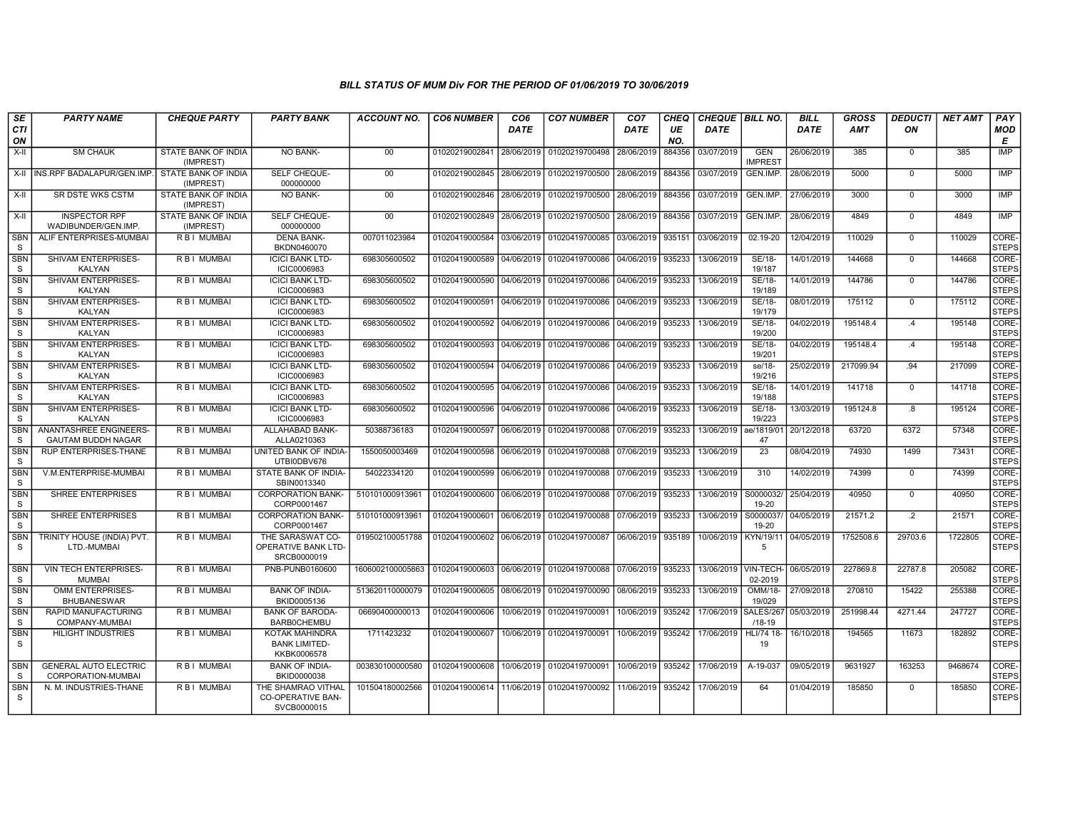| SE                         | <b>PARTY NAME</b>                                   | <b>CHEQUE PARTY</b>                     | <b>PARTY BANK</b>                                             | <b>ACCOUNT NO.</b> | <b>CO6 NUMBER</b>         | CO <sub>6</sub> | <b>CO7 NUMBER</b>                    | CO <sub>7</sub>   | <b>CHEQ</b> | CHEQUE BILL NO.        |                              | <b>BILL</b> | <b>GROSS</b> | <b>DEDUCTI</b> | <b>NET AMT</b> | PAY                   |
|----------------------------|-----------------------------------------------------|-----------------------------------------|---------------------------------------------------------------|--------------------|---------------------------|-----------------|--------------------------------------|-------------------|-------------|------------------------|------------------------------|-------------|--------------|----------------|----------------|-----------------------|
| <b>CTI</b><br>ON           |                                                     |                                         |                                                               |                    |                           | DATE            |                                      | <b>DATE</b>       | UE<br>NO.   | <b>DATE</b>            |                              | <b>DATE</b> | <b>AMT</b>   | ON             |                | <b>MOD</b><br>E       |
| X-II                       | <b>SM CHAUK</b>                                     | STATE BANK OF INDIA<br>(IMPREST)        | <b>NO BANK-</b>                                               | 00                 | 01020219002841            | 28/06/2019      | 01020219700498                       | 28/06/2019        | 884356      | 03/07/2019             | <b>GEN</b><br><b>IMPREST</b> | 26/06/2019  | 385          | $\mathbf 0$    | 385            | <b>IMP</b>            |
| X-II                       | INS.RPF BADALAPUR/GEN.IMP.                          | <b>STATE BANK OF INDIA</b><br>(IMPREST) | SELF CHEQUE-<br>000000000                                     | $00\,$             | 01020219002845            | 28/06/2019      | 01020219700500                       | 28/06/2019        | 884356      | 03/07/2019             | GEN.IMP.                     | 28/06/2019  | 5000         | $\mathbf 0$    | 5000           | <b>IMP</b>            |
| $X-H$                      | SR DSTE WKS CSTM                                    | STATE BANK OF INDIA<br>(IMPREST)        | <b>NO BANK-</b>                                               | 00                 | 01020219002846 28/06/2019 |                 | 01020219700500 28/06/2019 884356     |                   |             | 03/07/2019             | GEN.IMP.                     | 27/06/2019  | 3000         | $\Omega$       | 3000           | <b>IMP</b>            |
| $X-H$                      | <b>INSPECTOR RPF</b><br>WADIBUNDER/GEN.IMP.         | <b>STATE BANK OF INDIA</b><br>(IMPREST) | <b>SELF CHEQUE-</b><br>000000000                              | $\overline{00}$    | 01020219002849            | 28/06/2019      | 01020219700500 28/06/2019 884356     |                   |             | 03/07/2019             | GEN.IMP.                     | 28/06/2019  | 4849         | $\Omega$       | 4849           | IMP                   |
| SBN<br><sub>S</sub>        | ALIF ENTERPRISES-MUMBAI                             | R B I MUMBAI                            | <b>DENA BANK-</b><br>BKDN0460070                              | 007011023984       | 01020419000584            | 03/06/2019      | 01020419700085                       | 03/06/2019        | 935151      | 03/06/2019             | 02.19-20                     | 12/04/2019  | 110029       | $\mathbf 0$    | 110029         | CORE-<br><b>STEPS</b> |
| SBN<br><sub>S</sub>        | SHIVAM ENTERPRISES-<br>KALYAN                       | R B I MUMBAI                            | <b>ICICI BANK LTD-</b><br>ICIC0006983                         | 698305600502       | 01020419000589            | 04/06/2019      | 01020419700086 04/06/2019            |                   | 935233      | 13/06/2019             | SE/18-<br>19/187             | 14/01/2019  | 144668       | $\mathbf 0$    | 144668         | CORE-<br><b>STEPS</b> |
| <b>SBN</b><br><sub>S</sub> | SHIVAM ENTERPRISES-<br><b>KALYAN</b>                | R B I MUMBAI                            | <b>ICICI BANK LTD-</b><br>ICIC0006983                         | 698305600502       | 01020419000590            | 04/06/2019      | 01020419700086 04/06/2019 935233     |                   |             | 13/06/2019             | SE/18-<br>19/189             | 14/01/2019  | 144786       | $\Omega$       | 144786         | CORE-<br><b>STEPS</b> |
| <b>SBN</b><br><sub>S</sub> | SHIVAM ENTERPRISES-<br>KALYAN                       | <b>RBI MUMBAI</b>                       | <b>ICICI BANK LTD-</b><br><b>ICIC0006983</b>                  | 698305600502       | 01020419000591            | 04/06/2019      | 01020419700086 04/06/2019 935233     |                   |             | 13/06/2019             | SE/18-<br>19/179             | 08/01/2019  | 175112       | $\overline{0}$ | 175112         | CORE-<br><b>STEPS</b> |
| <b>SBN</b><br><sub>S</sub> | <b>SHIVAM ENTERPRISES-</b><br><b>KALYAN</b>         | <b>RBI MUMBAL</b>                       | <b>ICICI BANK LTD-</b><br>ICIC0006983                         | 698305600502       | 01020419000592 04/06/2019 |                 | 01020419700086   04/06/2019   935233 |                   |             | 13/06/2019             | SE/18-<br>19/200             | 04/02/2019  | 195148.4     | .4             | 195148         | CORE-<br><b>STEPS</b> |
| SBN<br><sub>S</sub>        | SHIVAM ENTERPRISES-<br>KALYAN                       | R B I MUMBAI                            | <b>ICICI BANK LTD-</b><br>ICIC0006983                         | 698305600502       | 01020419000593            | 04/06/2019      | 01020419700086 04/06/2019 935233     |                   |             | 13/06/2019             | SE/18-<br>19/201             | 04/02/2019  | 195148.4     | .4             | 195148         | CORE-<br><b>STEPS</b> |
| <b>SBN</b><br><sub>S</sub> | SHIVAM ENTERPRISES-<br><b>KALYAN</b>                | R B I MUMBAI                            | <b>ICICI BANK LTD-</b><br><b>ICIC0006983</b>                  | 698305600502       | 01020419000594            | 04/06/2019      | 01020419700086                       | 04/06/2019 935233 |             | 13/06/2019             | se/18-<br>19/216             | 25/02/2019  | 217099.94    | .94            | 217099         | CORE-<br><b>STEPS</b> |
| <b>SBN</b><br><sub>S</sub> | SHIVAM ENTERPRISES-<br><b>KALYAN</b>                | <b>RBI MUMBAI</b>                       | <b>ICICI BANK LTD-</b><br><b>ICIC0006983</b>                  | 698305600502       | 01020419000595            | 04/06/2019      | 01020419700086 04/06/2019 935233     |                   |             | 13/06/2019             | SE/18-<br>19/188             | 14/01/2019  | 141718       | $\overline{0}$ | 141718         | CORE-<br><b>STEPS</b> |
| <b>SBN</b><br>S            | SHIVAM ENTERPRISES-<br><b>KALYAN</b>                | R B I MUMBAI                            | <b>ICICI BANK LTD-</b><br>ICIC0006983                         | 698305600502       | 01020419000596            | 04/06/2019      | 01020419700086 04/06/2019 935233     |                   |             | 13/06/2019             | SE/18-<br>19/223             | 13/03/2019  | 195124.8     | .8             | 195124         | CORE-<br><b>STEPS</b> |
| <b>SBN</b><br>S            | ANANTASHREE ENGINEERS-<br><b>GAUTAM BUDDH NAGAR</b> | R B I MUMBAI                            | ALLAHABAD BANK-<br>ALLA0210363                                | 50388736183        | 01020419000597            | 06/06/2019      | 01020419700088                       | 07/06/2019        | 935233      | 13/06/2019             | ae/1819/01<br>47             | 20/12/2018  | 63720        | 6372           | 57348          | CORE-<br><b>STEPS</b> |
| <b>SBN</b><br><sub>S</sub> | <b>RUP ENTERPRISES-THANE</b>                        | R B I MUMBAI                            | UNITED BANK OF INDIA-<br>UTBI0DBV676                          | 1550050003469      | 01020419000598            | 06/06/2019      | 01020419700088                       | 07/06/2019 935233 |             | 13/06/2019             | 23                           | 08/04/2019  | 74930        | 1499           | 73431          | CORE-<br><b>STEPS</b> |
| <b>SBN</b><br><sub>S</sub> | V.M.ENTERPRISE-MUMBAI                               | <b>RBI MUMBAI</b>                       | STATE BANK OF INDIA-<br>SBIN0013340                           | 54022334120        | 01020419000599 06/06/2019 |                 | 01020419700088 07/06/2019 935233     |                   |             | 13/06/2019             | 310                          | 14/02/2019  | 74399        | $\Omega$       | 74399          | CORE-<br><b>STEPS</b> |
| <b>SBN</b><br><sub>S</sub> | <b>SHREE ENTERPRISES</b>                            | R B I MUMBAI                            | <b>CORPORATION BANK-</b><br>CORP0001467                       | 510101000913961    | 01020419000600            | 06/06/2019      | 01020419700088                       | 07/06/2019 935233 |             | 13/06/2019             | S0000032<br>19-20            | 25/04/2019  | 40950        | $\mathbf 0$    | 40950          | CORE-<br><b>STEPS</b> |
| SBN<br>S.                  | SHREE ENTERPRISES                                   | R B I MUMBAI                            | <b>CORPORATION BANK-</b><br>CORP0001467                       | 510101000913961    | 01020419000601            | 06/06/2019      | 01020419700088                       | 07/06/2019        | 935233      | 13/06/2019             | S0000037<br>19-20            | 04/05/2019  | 21571.2      | $\cdot$ .2     | 21571          | CORE-<br><b>STEPS</b> |
| SBN<br><sub>S</sub>        | TRINITY HOUSE (INDIA) PVT.<br>LTD.-MUMBAI           | R B I MUMBAI                            | THE SARASWAT CO-<br><b>OPERATIVE BANK LTD-</b><br>SRCB0000019 | 019502100051788    | 01020419000602 06/06/2019 |                 | 01020419700087 06/06/2019 935189     |                   |             | 10/06/2019             | KYN/19/11<br>5               | 04/05/2019  | 1752508.6    | 29703.6        | 1722805        | CORE-<br><b>STEPS</b> |
| SBN<br><sub>S</sub>        | VIN TECH ENTERPRISES-<br><b>MUMBAI</b>              | R B I MUMBAI                            | PNB-PUNB0160600                                               | 1606002100005863   | 01020419000603            | 06/06/2019      | 01020419700088 07/06/2019 935233     |                   |             | 13/06/2019   VIN-TECH- | 02-2019                      | 06/05/2019  | 227869.8     | 22787.8        | 205082         | CORE-<br><b>STEPS</b> |
| <b>SBN</b><br><sub>S</sub> | OMM ENTERPRISES-<br><b>BHUBANESWAR</b>              | R B I MUMBAI                            | <b>BANK OF INDIA-</b><br>BKID0005136                          | 513620110000079    | 01020419000605            | 08/06/2019      | 01020419700090                       | 08/06/2019 935233 |             | 13/06/2019             | OMM/18-<br>19/029            | 27/09/2018  | 270810       | 15422          | 255388         | CORE-<br><b>STEPS</b> |
| <b>SBN</b><br>S.           | RAPID MANUFACTURING<br>COMPANY-MUMBAI               | R B I MUMBAI                            | <b>BANK OF BARODA-</b><br><b>BARB0CHEMBU</b>                  | 06690400000013     | 01020419000606            | 10/06/2019      | 01020419700091                       | 10/06/2019        | 935242      | 17/06/2019             | SALES/26<br>$/18 - 19$       | 05/03/2019  | 251998.44    | 4271.44        | 247727         | CORE-<br><b>STEPS</b> |
| <b>SBN</b><br>S            | <b>HILIGHT INDUSTRIES</b>                           | R B I MUMBAI                            | KOTAK MAHINDRA<br><b>BANK LIMITED-</b><br>KKBK0006578         | 1711423232         | 01020419000607            | 10/06/2019      | 01020419700091                       | 10/06/2019 935242 |             | 17/06/2019             | HLI/74 18-<br>19             | 16/10/2018  | 194565       | 11673          | 182892         | CORE-<br><b>STEPS</b> |
| <b>SBN</b><br><sub>S</sub> | <b>GENERAL AUTO ELECTRIC</b><br>CORPORATION-MUMBAI  | R B I MUMBAI                            | <b>BANK OF INDIA-</b><br>BKID0000038                          | 003830100000580    | 01020419000608            | 10/06/2019      | 01020419700091                       | 10/06/2019 935242 |             | 17/06/2019             | A-19-037                     | 09/05/2019  | 9631927      | 163253         | 9468674        | CORE-<br><b>STEPS</b> |
| <b>SBN</b><br><sub>S</sub> | N. M. INDUSTRIES-THANE                              | R B I MUMBAI                            | THE SHAMRAO VITHAL<br>CO-OPERATIVE BAN-<br>SVCB0000015        | 101504180002566    | 01020419000614 11/06/2019 |                 | 01020419700092                       | 11/06/2019 935242 |             | 17/06/2019             | 64                           | 01/04/2019  | 185850       | $\mathbf 0$    | 185850         | CORE-<br><b>STEPS</b> |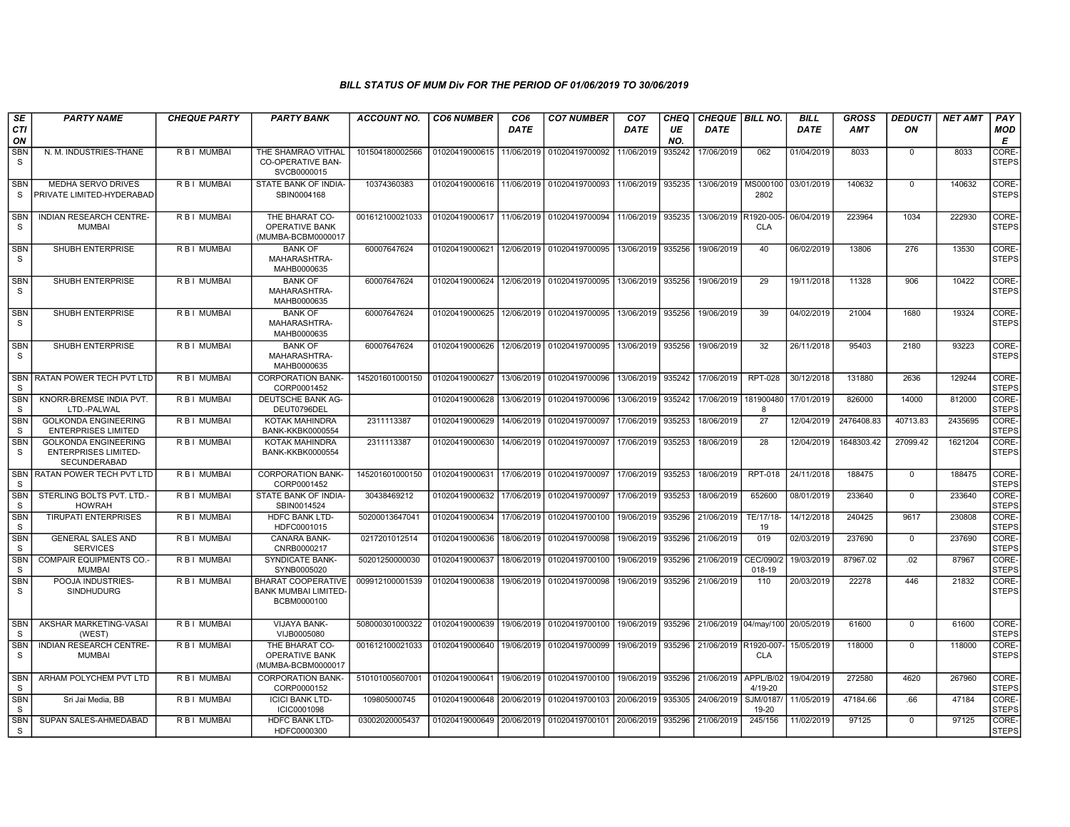| <b>SE</b>                  | <b>PARTY NAME</b>                                                          | <b>CHEQUE PARTY</b> | <b>PARTY BANK</b>                                                       | ACCOUNT NO.     | <b>CO6 NUMBER</b> | CO <sub>6</sub> | <b>CO7 NUMBER</b>                        | CO <sub>7</sub> | CHEQ      | <b>CHEQUE BILL NO.</b> |                          | <b>BILL</b> | <b>GROSS</b> | <b>DEDUCTI</b> | <b>NET AMT</b> | PAY                   |
|----------------------------|----------------------------------------------------------------------------|---------------------|-------------------------------------------------------------------------|-----------------|-------------------|-----------------|------------------------------------------|-----------------|-----------|------------------------|--------------------------|-------------|--------------|----------------|----------------|-----------------------|
| CTI<br>ON                  |                                                                            |                     |                                                                         |                 |                   | <b>DATE</b>     |                                          | <b>DATE</b>     | UE<br>NO. | DATE                   |                          | <b>DATE</b> | AMT          | ON             |                | MOD<br>Е              |
| SBN<br><sub>S</sub>        | N. M. INDUSTRIES-THANE                                                     | R B I MUMBAI        | THE SHAMRAO VITHAL<br>CO-OPERATIVE BAN-<br>SVCB0000015                  | 101504180002566 | 01020419000615    | 11/06/2019      | 01020419700092                           | 11/06/2019      | 935242    | 17/06/2019             | 062                      | 01/04/2019  | 8033         | $\Omega$       | 8033           | CORE-<br><b>STEPS</b> |
| <b>SBN</b><br>S.           | <b>MEDHA SERVO DRIVES</b><br>PRIVATE LIMITED-HYDERABAD                     | R B I MUMBAI        | STATE BANK OF INDIA-<br>SBIN0004168                                     | 10374360383     | 01020419000616    | 11/06/2019      | 01020419700093                           | 11/06/2019      | 935235    | 13/06/2019             | MS000100<br>2802         | 03/01/2019  | 140632       | $\Omega$       | 140632         | CORE-<br><b>STEPS</b> |
| <b>SBN</b><br>S            | <b>INDIAN RESEARCH CENTRE-</b><br><b>MUMBAI</b>                            | R B I MUMBAI        | THE BHARAT CO-<br><b>OPERATIVE BANK</b><br>(MUMBA-BCBM0000017           | 001612100021033 | 01020419000617    |                 | 11/06/2019 01020419700094                | 11/06/2019      | 935235    | 13/06/2019             | R1920-005-<br><b>CLA</b> | 06/04/2019  | 223964       | 1034           | 222930         | CORE-<br><b>STEPS</b> |
| SBN<br>S                   | SHUBH ENTERPRISE                                                           | R B I MUMBAI        | <b>BANK OF</b><br>MAHARASHTRA-<br>MAHB0000635                           | 60007647624     | 01020419000621    | 12/06/2019      | 01020419700095                           | 13/06/2019      | 935256    | 19/06/2019             | 40                       | 06/02/2019  | 13806        | 276            | 13530          | CORE-<br><b>STEPS</b> |
| <b>SBN</b><br>S            | SHUBH ENTERPRISE                                                           | R B I MUMBAI        | <b>BANK OF</b><br>MAHARASHTRA-<br>MAHB0000635                           | 60007647624     | 01020419000624    | 12/06/2019      | 01020419700095                           | 13/06/2019      | 935256    | 19/06/2019             | 29                       | 19/11/2018  | 11328        | 906            | 10422          | CORE-<br><b>STEPS</b> |
| <b>SBN</b><br>-S           | SHUBH ENTERPRISE                                                           | R B I MUMBAI        | <b>BANK OF</b><br>MAHARASHTRA-<br>MAHB0000635                           | 60007647624     | 01020419000625    |                 | 12/06/2019 01020419700095                | 13/06/2019      | 935256    | 19/06/2019             | 39                       | 04/02/2019  | 21004        | 1680           | 19324          | CORE-<br><b>STEPS</b> |
| <b>SBN</b><br>-S           | SHUBH ENTERPRISE                                                           | R B I MUMBAI        | <b>BANK OF</b><br>MAHARASHTRA-<br>MAHB0000635                           | 60007647624     | 01020419000626    | 12/06/2019      | 01020419700095                           | 13/06/2019      | 935256    | 19/06/2019             | 32                       | 26/11/2018  | 95403        | 2180           | 93223          | CORE-<br><b>STEPS</b> |
| S.                         | SBN RATAN POWER TECH PVT LTD                                               | R B I MUMBAI        | <b>CORPORATION BANK-</b><br>CORP0001452                                 | 145201601000150 | 01020419000627    |                 | 13/06/2019 01020419700096                | 13/06/2019      | 935242    | 17/06/2019             | <b>RPT-028</b>           | 30/12/2018  | 131880       | 2636           | 129244         | CORE-<br><b>STEPS</b> |
| SBN<br>S.                  | KNORR-BREMSE INDIA PVT.<br>LTD.-PALWAL                                     | R B I MUMBAI        | DEUTSCHE BANK AG-<br>DEUT0796DEL                                        |                 | 01020419000628    | 13/06/2019      | 01020419700096                           | 13/06/2019      | 935242    | 17/06/2019             | 181900480<br>8           | 17/01/2019  | 826000       | 14000          | 812000         | CORE-<br><b>STEPS</b> |
| SBN<br>S                   | <b>GOLKONDA ENGINEERING</b><br><b>ENTERPRISES LIMITED</b>                  | R B I MUMBAI        | <b>KOTAK MAHINDRA</b><br><b>BANK-KKBK0000554</b>                        | 2311113387      | 01020419000629    | 14/06/2019      | 01020419700097                           | 17/06/2019      | 935253    | 18/06/2019             | 27                       | 12/04/2019  | 2476408.83   | 40713.83       | 2435695        | CORE-<br><b>STEPS</b> |
| <b>SBN</b><br>S            | <b>GOLKONDA ENGINEERING</b><br><b>ENTERPRISES LIMITED-</b><br>SECUNDERABAD | R B I MUMBAI        | <b>KOTAK MAHINDRA</b><br><b>BANK-KKBK0000554</b>                        | 2311113387      | 01020419000630    | 14/06/2019      | 01020419700097                           | 17/06/2019      | 935253    | 18/06/2019             | 28                       | 12/04/2019  | 1648303.42   | 27099.42       | 1621204        | CORE-<br><b>STEPS</b> |
| <b>SBN</b><br>S.           | <b>RATAN POWER TECH PVT LTD</b>                                            | R B I MUMBAI        | <b>CORPORATION BANK-</b><br>CORP0001452                                 | 145201601000150 | 01020419000631    | 17/06/2019      | 01020419700097                           | 17/06/2019      | 935253    | 18/06/2019             | <b>RPT-018</b>           | 24/11/2018  | 188475       | $\Omega$       | 188475         | CORE-<br><b>STEPS</b> |
| <b>SBN</b><br>S.           | STERLING BOLTS PVT. LTD.-<br><b>HOWRAH</b>                                 | R B I MUMBAI        | STATE BANK OF INDIA-<br>SBIN0014524                                     | 30438469212     | 01020419000632    | 17/06/2019      | 01020419700097                           | 17/06/2019      | 935253    | 18/06/2019             | 652600                   | 08/01/2019  | 233640       | $\mathbf 0$    | 233640         | CORE-<br><b>STEPS</b> |
| SBN<br>S                   | <b>TIRUPATI ENTERPRISES</b>                                                | R B I MUMBAI        | <b>HDFC BANK LTD-</b><br>HDFC0001015                                    | 50200013647041  | 01020419000634    | 17/06/2019      | 01020419700100                           | 19/06/2019      | 935296    | 21/06/2019             | TE/17/18-<br>19          | 14/12/2018  | 240425       | 9617           | 230808         | CORE-<br><b>STEPS</b> |
| <b>SBN</b><br>S            | <b>GENERAL SALES AND</b><br><b>SERVICES</b>                                | R B I MUMBAI        | <b>CANARA BANK-</b><br>CNRB0000217                                      | 0217201012514   | 01020419000636    | 18/06/2019      | 01020419700098                           | 19/06/2019      | 935296    | 21/06/2019             | 019                      | 02/03/2019  | 237690       | $\mathbf{0}$   | 237690         | CORE-<br><b>STEPS</b> |
| <b>SBN</b><br><sub>S</sub> | <b>COMPAIR EQUIPMENTS CO.-</b><br><b>MUMBAI</b>                            | R B I MUMBAI        | <b>SYNDICATE BANK-</b><br>SYNB0005020                                   | 50201250000030  | 01020419000637    | 18/06/2019      | 01020419700100                           | 19/06/2019      | 935296    | 21/06/2019             | CEC/090/2<br>018-19      | 19/03/2019  | 87967.02     | .02            | 87967          | CORE-<br><b>STEPS</b> |
| <b>SBN</b><br>S            | POOJA INDUSTRIES-<br>SINDHUDURG                                            | R B I MUMBAI        | <b>BHARAT COOPERATIVE</b><br><b>BANK MUMBAI LIMITED-</b><br>BCBM0000100 | 009912100001539 | 01020419000638    | 19/06/2019      | 01020419700098                           | 19/06/2019      | 935296    | 21/06/2019             | 110                      | 20/03/2019  | 22278        | 446            | 21832          | CORE-<br><b>STEPS</b> |
| SBN<br>S.                  | AKSHAR MARKETING-VASAI<br>(WEST)                                           | R B I MUMBAI        | VIJAYA BANK-<br>VIJB0005080                                             | 508000301000322 | 01020419000639    | 19/06/2019      | 01020419700100                           | 19/06/2019      | 935296    | 21/06/2019 04/may/100  |                          | 20/05/2019  | 61600        | $\mathbf 0$    | 61600          | CORE-<br><b>STEPS</b> |
| <b>SBN</b><br>S            | <b>INDIAN RESEARCH CENTRE-</b><br><b>MUMBAI</b>                            | R B I MUMBAI        | THE BHARAT CO-<br>OPERATIVE BANK<br>(MUMBA-BCBM0000017                  | 001612100021033 | 01020419000640    | 19/06/2019      | 01020419700099                           | 19/06/2019      | 935296    | 21/06/2019 R1920-007   | <b>CLA</b>               | 15/05/2019  | 118000       | $\mathbf{0}$   | 118000         | CORE-<br><b>STEPS</b> |
| <b>SBN</b><br>S.           | ARHAM POLYCHEM PVT LTD                                                     | R B I MUMBAI        | <b>CORPORATION BANK-</b><br>CORP0000152                                 | 510101005607001 | 01020419000641    | 19/06/2019      | 01020419700100                           | 19/06/2019      | 935296    | 21/06/2019             | APPL/B/02<br>4/19-20     | 19/04/2019  | 272580       | 4620           | 267960         | CORE-<br><b>STEPS</b> |
| <b>SBN</b><br>S            | Sri Jai Media, BB                                                          | R B I MUMBAI        | <b>ICICI BANK LTD-</b><br>ICIC0001098                                   | 109805000745    | 01020419000648    | 20/06/2019      | 01020419700103                           | 20/06/2019      | 935305    | 24/06/2019             | SJM/0187<br>19-20        | 11/05/2019  | 47184.66     | .66            | 47184          | CORE-<br><b>STEPS</b> |
| <b>SBN</b><br>S.           | SUPAN SALES-AHMEDABAD                                                      | R B I MUMBAI        | HDFC BANK LTD-<br>HDFC0000300                                           | 03002020005437  |                   |                 | 01020419000649 20/06/2019 01020419700101 | 20/06/2019      | 935296    | 21/06/2019             | 245/156                  | 11/02/2019  | 97125        | $\Omega$       | 97125          | CORE-<br><b>STEPS</b> |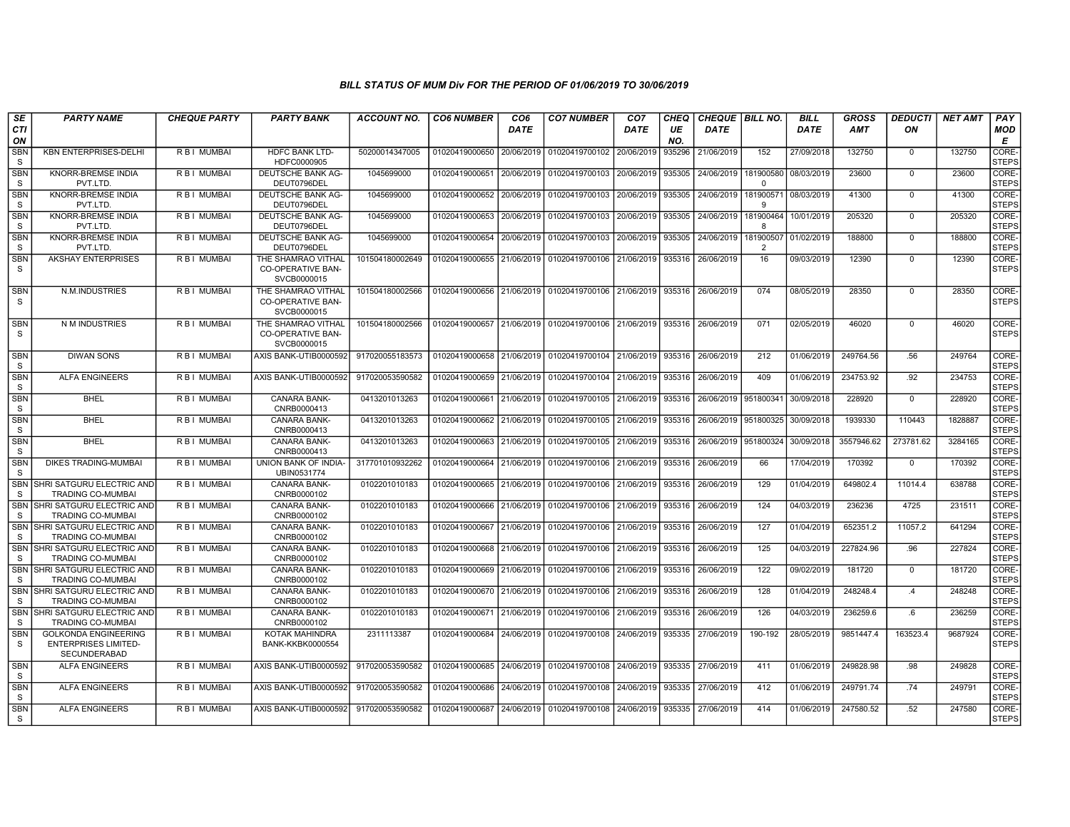| SE<br>CTI                  | <b>PARTY NAME</b>                                                          | <b>CHEQUE PARTY</b> | <b>PARTY BANK</b>                                             | <b>ACCOUNT NO.</b> | <b>CO6 NUMBER</b>         | CO <sub>6</sub><br><b>DATE</b> | <b>CO7 NUMBER</b>                                          | CO <sub>7</sub><br>DATE | CHEQ<br>UE | CHEQUE   BILL NO.<br><b>DATE</b> |                       | <b>BILL</b><br><b>DATE</b> | <b>GROSS</b><br>AMT | <b>DEDUCTI</b><br>ON | <b>NET AMT</b> | PAY<br>MOD            |
|----------------------------|----------------------------------------------------------------------------|---------------------|---------------------------------------------------------------|--------------------|---------------------------|--------------------------------|------------------------------------------------------------|-------------------------|------------|----------------------------------|-----------------------|----------------------------|---------------------|----------------------|----------------|-----------------------|
| ON                         |                                                                            |                     |                                                               |                    |                           |                                |                                                            |                         | NO.        |                                  |                       |                            |                     |                      |                | E                     |
| SBN<br>S.                  | KBN ENTERPRISES-DELHI                                                      | R B I MUMBAI        | <b>HDFC BANK LTD-</b><br>HDFC0000905                          | 50200014347005     | 01020419000650            | 20/06/2019                     | 01020419700102                                             | 20/06/2019              | 935296     | 21/06/2019                       | 152                   | 27/09/2018                 | 132750              | $\mathbf 0$          | 132750         | CORE-<br><b>STEPS</b> |
| SBN<br>S                   | <b>KNORR-BREMSE INDIA</b><br>PVT.LTD                                       | R B I MUMBAI        | DEUTSCHE BANK AG-<br>DEUT0796DEL                              | 1045699000         | 01020419000651            | 20/06/2019                     | 01020419700103 20/06/2019                                  |                         | 935305     | 24/06/2019                       | 181900580<br>$\Omega$ | 08/03/2019                 | 23600               | $\mathbf 0$          | 23600          | CORE-<br><b>STEPS</b> |
| <b>SBN</b><br>S.           | <b>KNORR-BREMSE INDIA</b><br>PVT.LTD                                       | R B I MUMBAI        | DEUTSCHE BANK AG-<br>DEUT0796DEL                              | 1045699000         | 01020419000652            | 20/06/2019                     | 01020419700103 20/06/2019                                  |                         | 935305     | 24/06/2019                       | 181900571<br><b>q</b> | 08/03/2019                 | 41300               | $\Omega$             | 41300          | CORE-<br><b>STEPS</b> |
| <b>SBN</b><br>S            | <b>KNORR-BREMSE INDIA</b><br>PVT.LTD.                                      | <b>RBI MUMBAL</b>   | <b>DEUTSCHE BANK AG-</b><br>DEUT0796DEL                       | 1045699000         | 01020419000653            | 20/06/2019                     | 01020419700103 20/06/2019                                  |                         | 935305     | 24/06/2019                       | 181900464<br>-8       | 10/01/2019                 | 205320              | $\Omega$             | 205320         | CORE-<br>STEPS        |
| SBN<br><sub>S</sub>        | <b>KNORR-BREMSE INDIA</b><br>PVT.LTD                                       | R B I MUMBAI        | DEUTSCHE BANK AG-<br>DEUT0796DEL                              | 1045699000         | 01020419000654            | 20/06/2019                     | 01020419700103                                             | 20/06/2019              | 935305     | 24/06/2019                       | 181900507<br>2        | 01/02/2019                 | 188800              | $\mathbf 0$          | 188800         | CORE-<br><b>STEPS</b> |
| <b>SBN</b><br>S            | <b>AKSHAY ENTERPRISES</b>                                                  | R B I MUMBAI        | THE SHAMRAO VITHAL<br><b>CO-OPERATIVE BAN-</b><br>SVCB0000015 | 101504180002649    | 01020419000655            | 21/06/2019                     | 01020419700106 21/06/2019 935316                           |                         |            | 26/06/2019                       | 16                    | 09/03/2019                 | 12390               | $\Omega$             | 12390          | CORE-<br>STEPS        |
| <b>SBN</b><br>S.           | N.M.INDUSTRIES                                                             | R B I MUMBAI        | THE SHAMRAO VITHAL<br>CO-OPERATIVE BAN-<br>SVCB0000015        | 101504180002566    | 01020419000656 21/06/2019 |                                | 01020419700106 21/06/2019 935316                           |                         |            | 26/06/2019                       | 074                   | 08/05/2019                 | 28350               | $\mathbf 0$          | 28350          | CORE-<br>STEPS        |
| <b>SBN</b><br>S            | N M INDUSTRIES                                                             | R B I MUMBAI        | THE SHAMRAO VITHAL<br>CO-OPERATIVE BAN-<br>SVCB0000015        | 101504180002566    | 01020419000657 21/06/2019 |                                | 01020419700106 21/06/2019 935316                           |                         |            | 26/06/2019                       | 071                   | 02/05/2019                 | 46020               | $\mathbf 0$          | 46020          | CORE-<br>STEPS        |
| <b>SBN</b><br>S            | <b>DIWAN SONS</b>                                                          | R B I MUMBAI        | AXIS BANK-UTIB0000592                                         | 917020055183573    |                           |                                | 01020419000658 21/06/2019 01020419700104 21/06/2019 935316 |                         |            | 26/06/2019                       | 212                   | 01/06/2019                 | 249764.56           | .56                  | 249764         | CORE-<br><b>STEPS</b> |
| <b>SBN</b><br><sub>S</sub> | <b>ALFA ENGINEERS</b>                                                      | R B I MUMBAI        | AXIS BANK-UTIB0000592                                         | 917020053590582    | 01020419000659            | 21/06/2019                     | 01020419700104 21/06/2019                                  |                         | 935316     | 26/06/2019                       | 409                   | 01/06/2019                 | 234753.92           | .92                  | 234753         | CORE-<br><b>STEPS</b> |
| <b>SBN</b><br>S            | <b>BHEL</b>                                                                | R B I MUMBAI        | <b>CANARA BANK-</b><br>CNRB0000413                            | 0413201013263      | 01020419000661            | 21/06/2019                     | 01020419700105 21/06/2019                                  |                         | 935316     | 26/06/2019   951800341           |                       | 30/09/2018                 | 228920              | $\mathbf 0$          | 228920         | CORE-<br><b>STEPS</b> |
| SBN<br>S                   | <b>BHEL</b>                                                                | R B I MUMBAI        | <b>CANARA BANK-</b><br>CNRB0000413                            | 0413201013263      | 01020419000662            | 21/06/2019                     | 01020419700105 21/06/2019                                  |                         | 935316     | 26/06/2019                       | 951800325             | 30/09/2018                 | 1939330             | 110443               | 1828887        | CORE-<br><b>STEPS</b> |
| <b>SBN</b><br>S.           | <b>BHEL</b>                                                                | <b>RBI MUMBAI</b>   | <b>CANARA BANK-</b><br>CNRB0000413                            | 0413201013263      | 01020419000663            | 21/06/2019                     | 01020419700105 21/06/2019                                  |                         | 935316     | 26/06/2019                       | 951800324             | 30/09/2018                 | 3557946.62          | 273781.62            | 3284165        | CORE-<br><b>STEPS</b> |
| <b>SBN</b><br>S            | <b>DIKES TRADING-MUMBAI</b>                                                | <b>RBI MUMBAI</b>   | UNION BANK OF INDIA-<br>UBIN0531774                           | 317701010932262    | 01020419000664            | 21/06/2019                     | 01020419700106 21/06/2019                                  |                         | 935316     | 26/06/2019                       | 66                    | 17/04/2019                 | 170392              | $\mathbf 0$          | 170392         | CORE-<br><b>STEPS</b> |
| <b>SBN</b><br><sub>S</sub> | SHRI SATGURU ELECTRIC AND<br><b>TRADING CO-MUMBAI</b>                      | R B I MUMBAI        | CANARA BANK-<br>CNRB0000102                                   | 0102201010183      | 01020419000665            | 21/06/2019                     | 01020419700106 21/06/2019                                  |                         | 935316     | 26/06/2019                       | 129                   | 01/04/2019                 | 649802.4            | 11014.4              | 638788         | CORE-<br><b>STEPS</b> |
| SBN<br>S.                  | SHRI SATGURU ELECTRIC AND<br><b>TRADING CO-MUMBAI</b>                      | R B I MUMBAI        | CANARA BANK-<br>CNRB0000102                                   | 0102201010183      | 01020419000666            | 21/06/2019                     | 01020419700106 21/06/2019 935316                           |                         |            | 26/06/2019                       | 124                   | 04/03/2019                 | 236236              | 4725                 | 231511         | CORE-<br><b>STEPS</b> |
| SBN<br>S                   | SHRI SATGURU ELECTRIC AND<br><b>TRADING CO-MUMBAI</b>                      | R B I MUMBAI        | <b>CANARA BANK-</b><br>CNRB0000102                            | 0102201010183      | 01020419000667            | 21/06/2019                     | 01020419700106 21/06/2019                                  |                         | 935316     | 26/06/2019                       | 127                   | 01/04/2019                 | 652351.2            | 11057.2              | 641294         | CORE-<br><b>STEPS</b> |
| <b>SBN</b><br>S.           | SHRI SATGURU ELECTRIC AND<br><b>TRADING CO-MUMBAI</b>                      | R B I MUMBAI        | <b>CANARA BANK-</b><br>CNRB0000102                            | 0102201010183      | 01020419000668            | 21/06/2019                     | 01020419700106 21/06/2019                                  |                         | 935316     | 26/06/2019                       | 125                   | 04/03/2019                 | 227824.96           | .96                  | 227824         | CORE-<br><b>STEPS</b> |
| SBN<br>S                   | SHRI SATGURU ELECTRIC AND<br><b>TRADING CO-MUMBAI</b>                      | R B I MUMBAI        | CANARA BANK-<br>CNRB0000102                                   | 0102201010183      | 01020419000669            | 21/06/2019                     | 01020419700106 21/06/2019                                  |                         | 935316     | 26/06/2019                       | 122                   | 09/02/2019                 | 181720              | $\mathbf 0$          | 181720         | CORE-<br><b>STEPS</b> |
| <b>SBN</b><br><sub>S</sub> | SHRI SATGURU ELECTRIC AND<br><b>TRADING CO-MUMBAI</b>                      | R B I MUMBAI        | CANARA BANK-<br>CNRB0000102                                   | 0102201010183      | 01020419000670            | 21/06/2019                     | 01020419700106 21/06/2019                                  |                         | 935316     | 26/06/2019                       | 128                   | 01/04/2019                 | 248248.4            | .4                   | 248248         | CORE-<br><b>STEPS</b> |
| <b>SBN</b><br>S            | SHRI SATGURU ELECTRIC AND<br><b>TRADING CO-MUMBAI</b>                      | R B I MUMBAI        | <b>CANARA BANK-</b><br>CNRB0000102                            | 0102201010183      | 01020419000671            | 21/06/2019                     | 01020419700106 21/06/2019                                  |                         | 935316     | 26/06/2019                       | 126                   | 04/03/2019                 | 236259.6            | .6                   | 236259         | CORE-<br><b>STEPS</b> |
| SBN<br>S.                  | <b>GOLKONDA ENGINEERING</b><br><b>ENTERPRISES LIMITED-</b><br>SECUNDERABAD | R B I MUMBAI        | <b>KOTAK MAHINDRA</b><br><b>BANK-KKBK0000554</b>              | 2311113387         | 01020419000684            | 24/06/2019                     | 01020419700108 24/06/2019                                  |                         | 935335     | 27/06/2019                       | 190-192               | 28/05/2019                 | 9851447.4           | 163523.4             | 9687924        | CORE-<br><b>STEPS</b> |
| SBN<br>S                   | <b>ALFA ENGINEERS</b>                                                      | R B I MUMBAI        | AXIS BANK-UTIB0000592                                         | 917020053590582    | 01020419000685            | 24/06/2019                     | 01020419700108 24/06/2019                                  |                         | 935335     | 27/06/2019                       | 411                   | 01/06/2019                 | 249828.98           | .98                  | 249828         | CORE-<br><b>STEPS</b> |
| <b>SBN</b><br>S            | <b>ALFA ENGINEERS</b>                                                      | R B I MUMBAI        | AXIS BANK-UTIB0000592                                         | 917020053590582    | 01020419000686            | 24/06/2019                     | 01020419700108 24/06/2019                                  |                         | 935335     | 27/06/2019                       | 412                   | 01/06/2019                 | 249791.74           | .74                  | 249791         | CORE-<br><b>STEPS</b> |
| <b>SBN</b><br><sub>S</sub> | <b>ALFA ENGINEERS</b>                                                      | R B I MUMBAI        | AXIS BANK-UTIB0000592                                         | 917020053590582    | 01020419000687            | 24/06/2019                     | 01020419700108 24/06/2019                                  |                         | 935335     | 27/06/2019                       | 414                   | 01/06/2019                 | 247580.52           | .52                  | 247580         | CORE-<br><b>STEPS</b> |